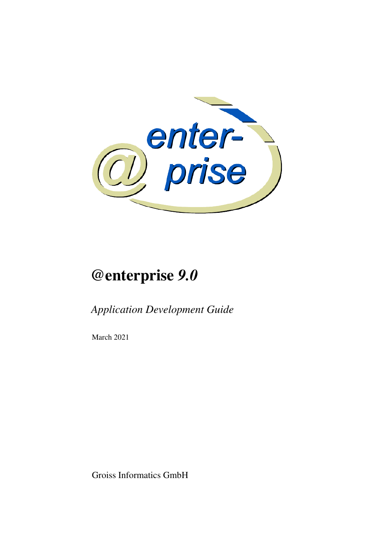

# @enterprise *9.0*

*Application Development Guide*

March 2021

Groiss Informatics GmbH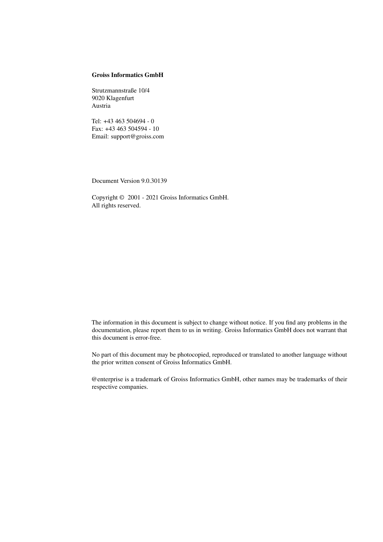## Groiss Informatics GmbH

Strutzmannstraße 10/4 9020 Klagenfurt Austria

Tel: +43 463 504694 - 0 Fax: +43 463 504594 - 10 Email: support@groiss.com

Document Version 9.0.30139

Copyright © 2001 - 2021 Groiss Informatics GmbH. All rights reserved.

The information in this document is subject to change without notice. If you find any problems in the documentation, please report them to us in writing. Groiss Informatics GmbH does not warrant that this document is error-free.

No part of this document may be photocopied, reproduced or translated to another language without the prior written consent of Groiss Informatics GmbH.

@enterprise is a trademark of Groiss Informatics GmbH, other names may be trademarks of their respective companies.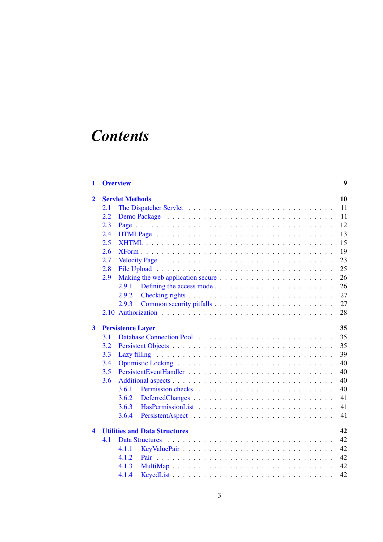# *Contents*

| 1              | <b>Overview</b>                |                                      |  |  |  |  |  |    |  |  |  |  | 9  |
|----------------|--------------------------------|--------------------------------------|--|--|--|--|--|----|--|--|--|--|----|
| $\overline{2}$ |                                | <b>Servlet Methods</b>               |  |  |  |  |  |    |  |  |  |  | 10 |
|                | 2.1                            |                                      |  |  |  |  |  |    |  |  |  |  | 11 |
|                | 2.2                            |                                      |  |  |  |  |  |    |  |  |  |  | 11 |
|                | 2.3                            |                                      |  |  |  |  |  |    |  |  |  |  | 12 |
|                | 2.4                            |                                      |  |  |  |  |  |    |  |  |  |  | 13 |
|                | 2.5                            |                                      |  |  |  |  |  |    |  |  |  |  | 15 |
|                | 2.6                            |                                      |  |  |  |  |  |    |  |  |  |  | 19 |
|                | 2.7                            |                                      |  |  |  |  |  |    |  |  |  |  | 23 |
|                | 2.8                            |                                      |  |  |  |  |  |    |  |  |  |  | 25 |
|                | 2.9                            |                                      |  |  |  |  |  |    |  |  |  |  | 26 |
|                |                                | 2.9.1                                |  |  |  |  |  |    |  |  |  |  | 26 |
|                |                                | 2.9.2                                |  |  |  |  |  |    |  |  |  |  | 27 |
|                |                                | 2.9.3                                |  |  |  |  |  |    |  |  |  |  | 27 |
|                |                                |                                      |  |  |  |  |  |    |  |  |  |  | 28 |
| $\mathbf{3}$   | <b>Persistence Layer</b><br>35 |                                      |  |  |  |  |  |    |  |  |  |  |    |
|                | 3.1                            |                                      |  |  |  |  |  |    |  |  |  |  | 35 |
|                | 3.2                            |                                      |  |  |  |  |  |    |  |  |  |  | 35 |
|                | 3.3                            |                                      |  |  |  |  |  |    |  |  |  |  | 39 |
|                | 3.4                            |                                      |  |  |  |  |  | 40 |  |  |  |  |    |
|                | 3.5                            |                                      |  |  |  |  |  |    |  |  |  |  | 40 |
|                | 3.6                            |                                      |  |  |  |  |  |    |  |  |  |  | 40 |
|                |                                | 3.6.1                                |  |  |  |  |  |    |  |  |  |  | 40 |
|                |                                | 3.6.2                                |  |  |  |  |  |    |  |  |  |  | 41 |
|                |                                | 3.6.3                                |  |  |  |  |  |    |  |  |  |  | 41 |
|                |                                | 3.6.4                                |  |  |  |  |  |    |  |  |  |  | 41 |
| 4              |                                | <b>Utilities and Data Structures</b> |  |  |  |  |  |    |  |  |  |  | 42 |
|                | 4.1                            |                                      |  |  |  |  |  |    |  |  |  |  | 42 |
|                |                                | 4.1.1                                |  |  |  |  |  |    |  |  |  |  | 42 |
|                |                                | 4.1.2                                |  |  |  |  |  |    |  |  |  |  | 42 |
|                |                                | 4.1.3                                |  |  |  |  |  |    |  |  |  |  | 42 |
|                |                                | 4.1.4                                |  |  |  |  |  |    |  |  |  |  | 42 |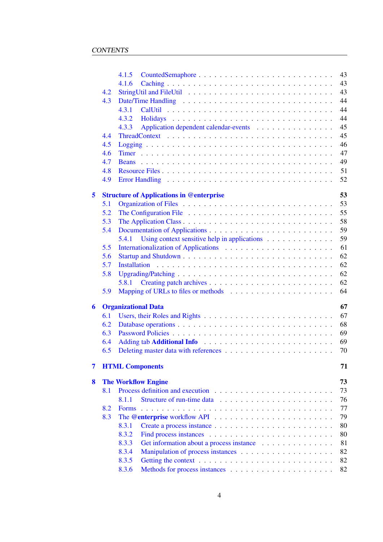|   |     | 43<br>4.1.5                                                               |
|---|-----|---------------------------------------------------------------------------|
|   |     | 43<br>4.1.6                                                               |
|   | 4.2 | 43                                                                        |
|   | 4.3 | 44                                                                        |
|   |     | 44<br>4.3.1                                                               |
|   |     | 44<br>4.3.2                                                               |
|   |     | 45<br>Application dependent calendar-events<br>4.3.3                      |
|   | 4.4 | 45                                                                        |
|   | 4.5 | 46                                                                        |
|   | 4.6 | 47                                                                        |
|   | 4.7 | 49                                                                        |
|   | 4.8 | 51<br>Resource Files                                                      |
|   | 4.9 | 52                                                                        |
| 5 |     | 53<br><b>Structure of Applications in @enterprise</b>                     |
|   | 5.1 | 53                                                                        |
|   | 5.2 | 55                                                                        |
|   | 5.3 | 58                                                                        |
|   | 5.4 | 59                                                                        |
|   |     | 59<br>Using context sensitive help in applications<br>5.4.1               |
|   | 5.5 | 61                                                                        |
|   | 5.6 | 62                                                                        |
|   | 5.7 | 62                                                                        |
|   | 5.8 | 62                                                                        |
|   |     | 62<br>5.8.1                                                               |
|   | 5.9 | 64                                                                        |
| 6 |     | 67<br><b>Organizational Data</b>                                          |
|   | 6.1 | 67                                                                        |
|   | 6.2 | 68                                                                        |
|   | 6.3 | 69                                                                        |
|   | 6.4 | 69<br>Adding tab Additional Info<br>Manuscript Adding tab Additional Info |
|   | 6.5 | 70                                                                        |
| 7 |     | 71<br><b>HTML Components</b>                                              |
| 8 |     | 73<br><b>The Workflow Engine</b>                                          |
|   | 8.1 | 73                                                                        |
|   |     | 76<br>8.1.1                                                               |
|   | 8.2 | 77<br><b>Forms</b>                                                        |
|   | 8.3 | 79                                                                        |
|   |     | 80<br>8.3.1                                                               |
|   |     | 80<br>8.3.2                                                               |
|   |     | 8.3.3<br>Get information about a process instance<br>81                   |
|   |     | 82<br>8.3.4                                                               |
|   |     | 82<br>8.3.5                                                               |
|   |     | 82<br>8.3.6                                                               |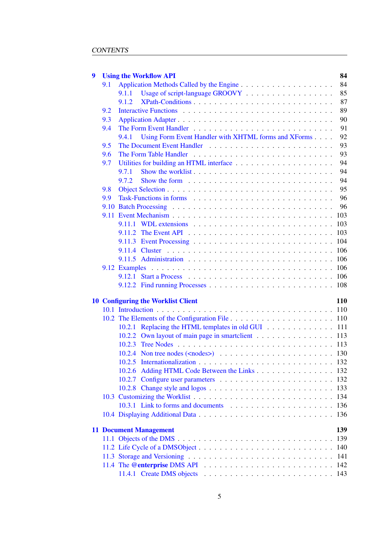| 9 |     | <b>Using the Workflow API</b>                                 | 84 |
|---|-----|---------------------------------------------------------------|----|
|   | 9.1 |                                                               | 84 |
|   |     | 9.1.1                                                         | 85 |
|   |     | 9.1.2                                                         | 87 |
|   | 9.2 |                                                               | 89 |
|   | 9.3 |                                                               | 90 |
|   | 9.4 |                                                               | 91 |
|   |     | Using Form Event Handler with XHTML forms and XForms<br>9.4.1 | 92 |
|   | 9.5 |                                                               | 93 |
|   | 9.6 |                                                               | 93 |
|   | 9.7 | Utilities for building an HTML interface                      | 94 |
|   |     | 9.7.1                                                         | 94 |
|   |     | 9.7.2                                                         | 94 |
|   | 9.8 |                                                               | 95 |
|   | 9.9 |                                                               | 96 |
|   |     |                                                               | 96 |
|   |     | 103                                                           |    |
|   |     | 103                                                           |    |
|   |     | 103                                                           |    |
|   |     | 104                                                           |    |
|   |     | 106                                                           |    |
|   |     | 106                                                           |    |
|   |     | 106                                                           |    |
|   |     | 106                                                           |    |
|   |     | 108                                                           |    |
|   |     | <b>10 Configuring the Worklist Client</b><br><b>110</b>       |    |
|   |     |                                                               |    |
|   |     |                                                               |    |
|   |     | 10.2.1 Replacing the HTML templates in old GUI<br>111         |    |
|   |     | Own layout of main page in smartclient<br>113<br>10.2.2       |    |
|   |     |                                                               |    |
|   |     |                                                               |    |
|   |     |                                                               |    |
|   |     | Adding HTML Code Between the Links 132<br>10.2.6              |    |
|   |     | 10.2.7                                                        |    |
|   |     | 133                                                           |    |
|   |     | 134                                                           |    |
|   |     | 136                                                           |    |
|   |     | 136                                                           |    |
|   |     | 139<br><b>11 Document Management</b>                          |    |
|   |     | 139                                                           |    |
|   |     | 140                                                           |    |
|   |     | 141                                                           |    |
|   |     | 142                                                           |    |
|   |     |                                                               |    |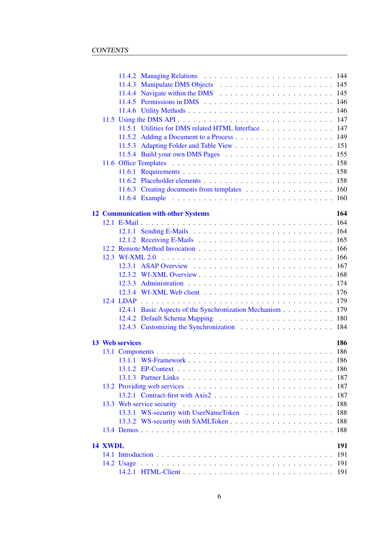|         | 11.4.3                 |                                                     |  |
|---------|------------------------|-----------------------------------------------------|--|
|         | 11.4.4                 |                                                     |  |
|         |                        |                                                     |  |
|         |                        |                                                     |  |
|         |                        |                                                     |  |
|         |                        | 11.5.1 Utilities for DMS related HTML Interface 147 |  |
|         |                        |                                                     |  |
|         |                        |                                                     |  |
|         |                        |                                                     |  |
|         |                        |                                                     |  |
|         |                        |                                                     |  |
|         |                        |                                                     |  |
|         |                        |                                                     |  |
|         |                        |                                                     |  |
|         |                        |                                                     |  |
|         |                        | <b>12 Communication with other Systems</b><br>164   |  |
|         |                        |                                                     |  |
|         |                        |                                                     |  |
|         |                        |                                                     |  |
|         |                        |                                                     |  |
|         |                        |                                                     |  |
|         |                        |                                                     |  |
|         | 12.3.2                 |                                                     |  |
|         |                        |                                                     |  |
|         |                        |                                                     |  |
|         | 12.4 LDAP              |                                                     |  |
|         | 12.4.1                 | Basic Aspects of the Synchronization Mechanism 179  |  |
|         |                        |                                                     |  |
|         |                        |                                                     |  |
|         | <b>13 Web services</b> | 186                                                 |  |
|         |                        |                                                     |  |
|         |                        |                                                     |  |
|         |                        |                                                     |  |
|         |                        | 187                                                 |  |
|         |                        | 187                                                 |  |
|         |                        | 187                                                 |  |
|         |                        | 188                                                 |  |
|         |                        | 188                                                 |  |
|         |                        |                                                     |  |
|         |                        |                                                     |  |
|         |                        |                                                     |  |
| 14 XWDL |                        | 191                                                 |  |
|         |                        | 191                                                 |  |
|         |                        | 191                                                 |  |
|         |                        | 191                                                 |  |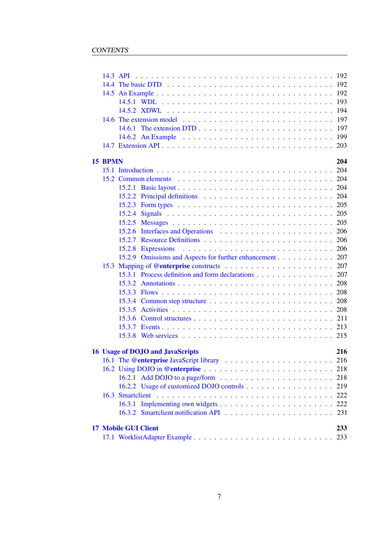| 15 BPMN | 204                                                                                                            |  |
|---------|----------------------------------------------------------------------------------------------------------------|--|
|         | 204                                                                                                            |  |
|         |                                                                                                                |  |
|         |                                                                                                                |  |
|         |                                                                                                                |  |
|         | Form types $\ldots \ldots \ldots \ldots \ldots \ldots \ldots \ldots \ldots \ldots \ldots \ldots 205$<br>15.2.3 |  |
|         | 15.2.4                                                                                                         |  |
|         | 15.2.5                                                                                                         |  |
|         | 15.2.6                                                                                                         |  |
|         | 15.2.7                                                                                                         |  |
|         | 15.2.8                                                                                                         |  |
|         | 15.2.9 Omissions and Aspects for further enhancement 207                                                       |  |
|         |                                                                                                                |  |
|         | 15.3.1 Process definition and form declarations 207                                                            |  |
|         | 15.3.2                                                                                                         |  |
|         |                                                                                                                |  |
|         |                                                                                                                |  |
|         | 15.3.5                                                                                                         |  |
|         |                                                                                                                |  |
|         | 15.3.7                                                                                                         |  |
|         |                                                                                                                |  |
|         |                                                                                                                |  |
|         | 16 Usage of DOJO and JavaScripts<br>216<br>216                                                                 |  |
|         | 16.1 The @enterprise JavaScript library                                                                        |  |
|         |                                                                                                                |  |
|         | 16.2.2 Usage of customized DOJO controls 219                                                                   |  |
|         |                                                                                                                |  |
|         |                                                                                                                |  |
|         |                                                                                                                |  |
|         |                                                                                                                |  |
|         | <b>17 Mobile GUI Client</b><br>233                                                                             |  |
|         | 233                                                                                                            |  |
|         |                                                                                                                |  |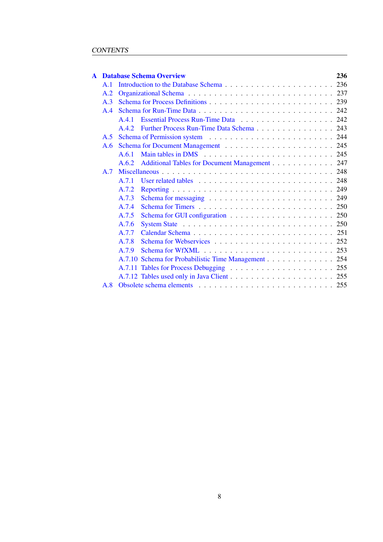| $\mathbf{A}$ |     |         | <b>Database Schema Overview</b>                     | 236 |
|--------------|-----|---------|-----------------------------------------------------|-----|
|              | A.1 |         |                                                     |     |
|              | A.2 |         |                                                     |     |
|              | A.3 |         |                                                     |     |
|              | A.4 |         |                                                     |     |
|              |     | A.4.1   |                                                     |     |
|              |     | $A$ 4 2 |                                                     |     |
|              | A.5 |         |                                                     |     |
|              | A.6 |         |                                                     |     |
|              |     | A.6.1   |                                                     |     |
|              |     | A.6.2   | Additional Tables for Document Management 247       |     |
|              | A.7 |         |                                                     |     |
|              |     | A.7.1   |                                                     |     |
|              |     | A.7.2   |                                                     |     |
|              |     | A.7.3   |                                                     |     |
|              |     | A.7.4   |                                                     |     |
|              |     | A.7.5   |                                                     |     |
|              |     | A.7.6   |                                                     |     |
|              |     | A.7.7   |                                                     |     |
|              |     | A.7.8   |                                                     |     |
|              |     | A.7.9   |                                                     |     |
|              |     |         | A.7.10 Schema for Probabilistic Time Management 254 |     |
|              |     |         |                                                     |     |
|              |     |         |                                                     |     |
|              | A.8 |         |                                                     |     |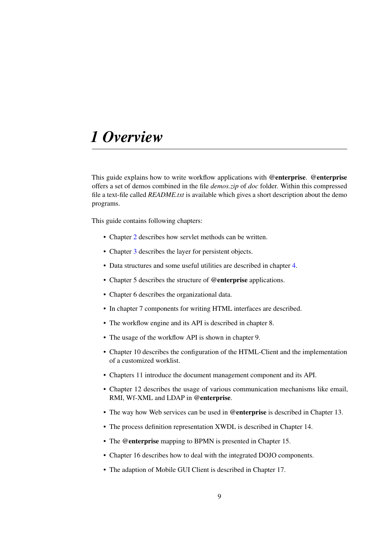## <span id="page-8-0"></span>*1 Overview*

This guide explains how to write workflow applications with @enterprise. @enterprise offers a set of demos combined in the file *demos.zip* of *doc* folder. Within this compressed file a text-file called *README.txt* is available which gives a short description about the demo programs.

This guide contains following chapters:

- Chapter [2](#page-9-0) describes how servlet methods can be written.
- Chapter [3](#page-34-0) describes the layer for persistent objects.
- Data structures and some useful utilities are described in chapter [4.](#page-41-0)
- Chapter 5 describes the structure of @enterprise applications.
- Chapter 6 describes the organizational data.
- In chapter 7 components for writing HTML interfaces are described.
- The workflow engine and its API is described in chapter 8.
- The usage of the workflow API is shown in chapter 9.
- Chapter 10 describes the configuration of the HTML-Client and the implementation of a customized worklist.
- Chapters 11 introduce the document management component and its API.
- Chapter 12 describes the usage of various communication mechanisms like email, RMI, Wf-XML and LDAP in @enterprise.
- The way how Web services can be used in @enterprise is described in Chapter 13.
- The process definition representation XWDL is described in Chapter 14.
- The @enterprise mapping to BPMN is presented in Chapter 15.
- Chapter 16 describes how to deal with the integrated DOJO components.
- The adaption of Mobile GUI Client is described in Chapter 17.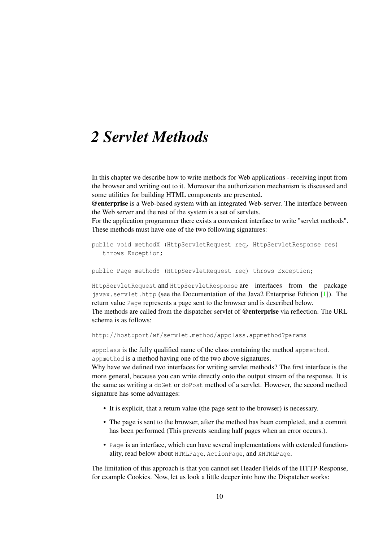## <span id="page-9-0"></span>*2 Servlet Methods*

In this chapter we describe how to write methods for Web applications - receiving input from the browser and writing out to it. Moreover the authorization mechanism is discussed and some utilities for building HTML components are presented.

@enterprise is a Web-based system with an integrated Web-server. The interface between the Web server and the rest of the system is a set of servlets.

For the application programmer there exists a convenient interface to write "servlet methods". These methods must have one of the two following signatures:

```
public void methodX (HttpServletRequest req, HttpServletResponse res)
   throws Exception;
```
public Page methodY (HttpServletRequest req) throws Exception;

HttpServletRequest and HttpServletResponse are interfaces from the package javax.servlet.http (see the Documentation of the Java2 Enterprise Edition [\[1\]](#page-257-0)). The return value Page represents a page sent to the browser and is described below.

The methods are called from the dispatcher servlet of @enterprise via reflection. The URL schema is as follows:

http://host:port/wf/servlet.method/appclass.appmethod?params

appclass is the fully qualified name of the class containing the method appmethod. appmethod is a method having one of the two above signatures.

Why have we defined two interfaces for writing servlet methods? The first interface is the more general, because you can write directly onto the output stream of the response. It is the same as writing a doGet or doPost method of a servlet. However, the second method signature has some advantages:

- It is explicit, that a return value (the page sent to the browser) is necessary.
- The page is sent to the browser, after the method has been completed, and a commit has been performed (This prevents sending half pages when an error occurs.).
- Page is an interface, which can have several implementations with extended functionality, read below about HTMLPage, ActionPage, and XHTMLPage.

The limitation of this approach is that you cannot set Header-Fields of the HTTP-Response, for example Cookies. Now, let us look a little deeper into how the Dispatcher works: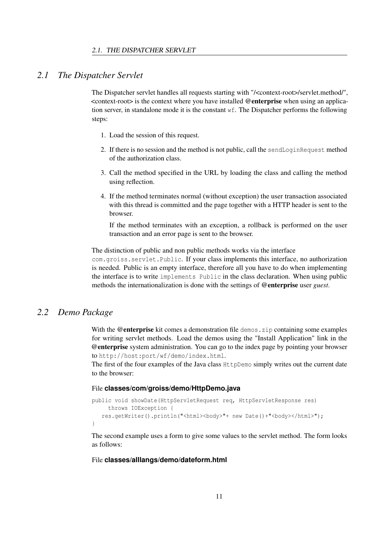## *2.1 The Dispatcher Servlet*

<span id="page-10-0"></span>The Dispatcher servlet handles all requests starting with "/<context-root>/servlet.method/", <context-root> is the context where you have installed @enterprise when using an application server, in standalone mode it is the constant  $\mathbf{w}$ . The Dispatcher performs the following steps:

- 1. Load the session of this request.
- 2. If there is no session and the method is not public, call the sendLoginRequest method of the authorization class.
- 3. Call the method specified in the URL by loading the class and calling the method using reflection.
- 4. If the method terminates normal (without exception) the user transaction associated with this thread is committed and the page together with a HTTP header is sent to the browser.

If the method terminates with an exception, a rollback is performed on the user transaction and an error page is sent to the browser.

The distinction of public and non public methods works via the interface com.groiss.servlet.Public. If your class implements this interface, no authorization is needed. Public is an empty interface, therefore all you have to do when implementing the interface is to write implements Public in the class declaration. When using public methods the internationalization is done with the settings of @enterprise user *guest*.

## *2.2 Demo Package*

<span id="page-10-1"></span>With the @enterprise kit comes a demonstration file demos.zip containing some examples for writing servlet methods. Load the demos using the "Install Application" link in the @enterprise system administration. You can go to the index page by pointing your browser to http://host:port/wf/demo/index.html.

The first of the four examples of the Java class  $Ht$ <sub>D</sub> Demo simply writes out the current date to the browser:

### File **classes/com/groiss/demo/HttpDemo.java**

```
public void showDate(HttpServletRequest req, HttpServletResponse res)
     throws IOException {
   res.getWriter().println("<html><br/>>body>"+ new Date()+"<br/>body></html>");
}
```
The second example uses a form to give some values to the servlet method. The form looks as follows:

### File **classes/alllangs/demo/dateform.html**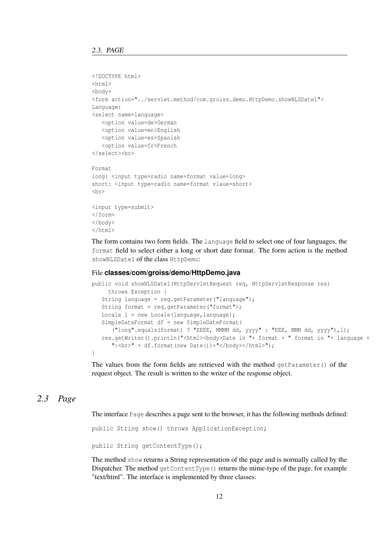```
<!DOCTYPE html>
<h+ml><body>
<form action="../servlet.method/com.groiss.demo.HttpDemo.showNLSDate1">
Language:
<select name=language>
   <option value=de>German
   <option value=en>English
   <option value=es>Spanish
   <option value=fr>French
</select><br>
Format
long: <input type=radio name=format value=long>
short: <input type=radio name=format vlaue=short>
<br>
<input type=submit>
</form>
</body>
</html>
```
The form contains two form fields. The language field to select one of four languages, the format field to select either a long or short date format. The form action is the method showNLSDate1 of the class HttpDemo:

#### File **classes/com/groiss/demo/HttpDemo.java**

```
public void showNLSDate1(HttpServletRequest req, HttpServletResponse res)
    throws Exception {
  String language = req.getParameter("language");
  String format = req.getParameter("format");
  Locale l = new Locate(lanquage, language);SimpleDateFormat df = new SimpleDateFormat(
      ("long".equals(format) ? "EEEE, MMMM dd, yyyy" : "EEE, MMM dd, yyyy"),l);
  res.getWriter().println("<html><body>Date in "+ format + " format in "+ language +
      ":<br>" + df.format(new Date())+"</body></html>");
}
```
The values from the form fields are retrieved with the method  $getParameter()$  of the request object. The result is written to the writer of the response object.

## *2.3 Page*

<span id="page-11-0"></span>The interface Page describes a page sent to the browser, it has the following methods defined:

public String show() throws ApplicationException;

public String getContentType();

The method show returns a String representation of the page and is normally called by the Dispatcher. The method  $qetContentType()$  returns the mime-type of the page, for example "text/html". The interface is implemented by three classes: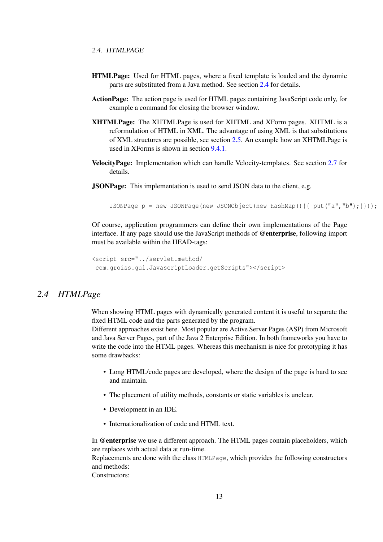- HTMLPage: Used for HTML pages, where a fixed template is loaded and the dynamic parts are substituted from a Java method. See section [2.4](#page-12-0) for details.
- ActionPage: The action page is used for HTML pages containing JavaScript code only, for example a command for closing the browser window.
- XHTMLPage: The XHTMLPage is used for XHTML and XForm pages. XHTML is a reformulation of HTML in XML. The advantage of using XML is that substitutions of XML structures are possible, see section [2.5.](#page-14-0) An example how an XHTMLPage is used in XForms is shown in section [9.4.1.](#page-91-0)
- VelocityPage: Implementation which can handle Velocity-templates. See section [2.7](#page-22-0) for details.
- JSONPage: This implementation is used to send JSON data to the client, e.g.

JSONPage  $p = new JSONPage(new JSONObject(new HashMap() { { put ("a", "b");}}})$ ;

Of course, application programmers can define their own implementations of the Page interface. If any page should use the JavaScript methods of @enterprise, following import must be available within the HEAD-tags:

```
<script src="../servlet.method/
com.groiss.gui.JavascriptLoader.getScripts"></script>
```
## *2.4 HTMLPage*

<span id="page-12-0"></span>When showing HTML pages with dynamically generated content it is useful to separate the fixed HTML code and the parts generated by the program.

Different approaches exist here. Most popular are Active Server Pages (ASP) from Microsoft and Java Server Pages, part of the Java 2 Enterprise Edition. In both frameworks you have to write the code into the HTML pages. Whereas this mechanism is nice for prototyping it has some drawbacks:

- Long HTML/code pages are developed, where the design of the page is hard to see and maintain.
- The placement of utility methods, constants or static variables is unclear.
- Development in an IDE.
- Internationalization of code and HTML text.

In @enterprise we use a different approach. The HTML pages contain placeholders, which are replaces with actual data at run-time.

Replacements are done with the class HTMLPage, which provides the following constructors and methods:

Constructors: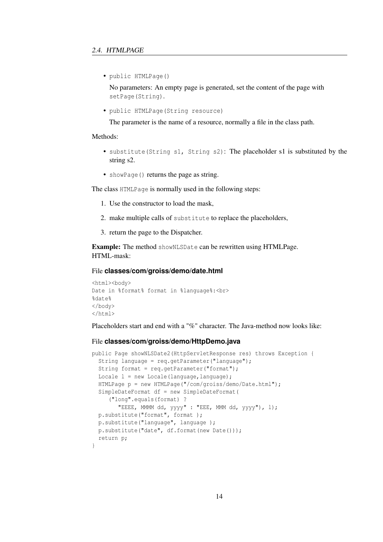• public HTMLPage()

No parameters: An empty page is generated, set the content of the page with setPage(String).

• public HTMLPage(String resource)

The parameter is the name of a resource, normally a file in the class path.

#### Methods:

- substitute(String s1, String s2): The placeholder s1 is substituted by the string s2.
- showPage() returns the page as string.

The class HTMLPage is normally used in the following steps:

- 1. Use the constructor to load the mask,
- 2. make multiple calls of substitute to replace the placeholders,
- 3. return the page to the Dispatcher.

Example: The method showNLSDate can be rewritten using HTMLPage. HTML-mask:

## File **classes/com/groiss/demo/date.html**

```
<html><body>
Date in %format% format in %language%:<br>
%date%
</body>
</html>
```
Placeholders start and end with a "%" character. The Java-method now looks like:

## File **classes/com/groiss/demo/HttpDemo.java**

```
public Page showNLSDate2(HttpServletResponse res) throws Exception {
 String language = req.getParameter("language");
 String format = req.getParameter("format");
 Locale l = new Locate(languages, language);HTMLPage p = new HTMLPage("/com/groiss/demo/Date.html");
 SimpleDateFormat df = new SimpleDateFormat(
     ("long".equals(format) ?
        "EEEE, MMMM dd, yyyy" : "EEE, MMM dd, yyyy"), l);
 p.substitute("format", format );
 p.substitute("language", language );
 p.substitute("date", df.format(new Date()));
 return p;
}
```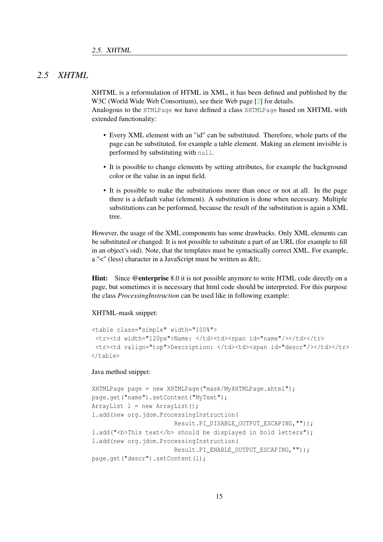## *2.5 XHTML*

<span id="page-14-0"></span>XHTML is a reformulation of HTML in XML, it has been defined and published by the W3C (World Wide Web Consortium), see their Web page [\[2\]](#page-257-1) for details.

Analogous to the HTMLPage we have defined a class XHTMLPage based on XHTML with extended functionality:

- Every XML element with an "id" can be substituted. Therefore, whole parts of the page can be substituted, for example a table element. Making an element invisible is performed by substituting with null.
- It is possible to change elements by setting attributes, for example the background color or the value in an input field.
- It is possible to make the substitutions more than once or not at all. In the page there is a default value (element). A substitution is done when necessary. Multiple substitutions can be performed, because the result of the substitution is again a XML tree.

However, the usage of the XML components has some drawbacks. Only XML elements can be substituted or changed: It is not possible to substitute a part of an URL (for example to fill in an object's oid). Note, that the templates must be syntactically correct XML. For example, a " $lt$ " (less) character in a JavaScript must be written as <.

Hint: Since @enterprise 8.0 it is not possible anymore to write HTML code directly on a page, but sometimes it is necessary that html code should be interpreted. For this purpose the class *ProcessingInstruction* can be used like in following example:

XHTML-mask snippet:

```
<table class="simple" width="100%">
<tr><td width="120px">Name: </td><td><span id="name"/></td></tr>
 <tr>>td valign="top">Description: </td><td><span id="descr"/></td></tr>
</table>
```
## Java method snippet:

```
XHTMLPage page = new XHTMLPage("mask/MyXHTMLPage.xhtml");
page.get("name").setContent("MyText");
ArrayList l = new ArrayList();
l.add(new org.jdom.ProcessingInstruction(
                       Result.PI_DISABLE_OUTPUT_ESCAPING,""));
l.add("<b>This text</b> should be displayed in bold letters");
l.add(new org.jdom.ProcessingInstruction(
                       Result.PI_ENABLE_OUTPUT_ESCAPING, ""));
page.get("descr").setContent(l);
```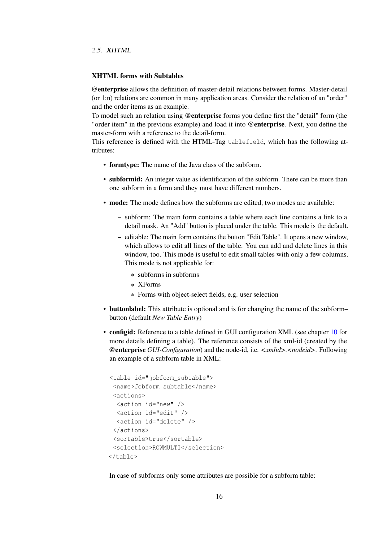### <span id="page-15-0"></span>XHTML forms with Subtables

@enterprise allows the definition of master-detail relations between forms. Master-detail (or 1:n) relations are common in many application areas. Consider the relation of an "order" and the order items as an example.

To model such an relation using @enterprise forms you define first the "detail" form (the "order item" in the previous example) and load it into @enterprise. Next, you define the master-form with a reference to the detail-form.

This reference is defined with the HTML-Tag tablefield, which has the following attributes:

- formtype: The name of the Java class of the subform.
- subformid: An integer value as identification of the subform. There can be more than one subform in a form and they must have different numbers.
- mode: The mode defines how the subforms are edited, two modes are available:
	- subform: The main form contains a table where each line contains a link to a detail mask. An "Add" button is placed under the table. This mode is the default.
	- editable: The main form contains the button "Edit Table". It opens a new window, which allows to edit all lines of the table. You can add and delete lines in this window, too. This mode is useful to edit small tables with only a few columns. This mode is not applicable for:
		- \* subforms in subforms
		- \* XForms
		- \* Forms with object-select fields, e.g. user selection
- buttonlabel: This attribute is optional and is for changing the name of the subformbutton (default *New Table Entry*)
- configid: Reference to a table defined in GUI configuration XML (see chapter [10](#page-109-0) for more details defining a table). The reference consists of the xml-id (created by the @enterprise *GUI-Configuration*) and the node-id, i.e. *<xmlid>.<nodeid>*. Following an example of a subform table in XML:

```
<table id="jobform_subtable">
 <name>Jobform subtable</name>
 <actions>
  \alpha <action id="new" />
  <action id="edit" />
  <action id="delete" />
 </actions>
 <sortable>true</sortable>
 <selection>ROWMULTI</selection>
</table>
```
In case of subforms only some attributes are possible for a subform table: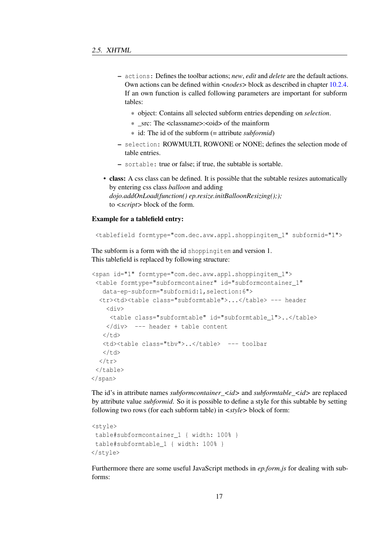- actions: Defines the toolbar actions; *new*, *edit* and *delete* are the default actions. Own actions can be defined within *<nodes>* block as described in chapter [10.2.4.](#page-129-0) If an own function is called following parameters are important for subform tables:
	- \* object: Contains all selected subform entries depending on *selection*.
	- \* \_src: The <classname>:<oid> of the mainform
	- \* id: The id of the subform (= attribute *subformid*)
- selection: ROWMULTI, ROWONE or NONE; defines the selection mode of table entries.
- sortable: true or false; if true, the subtable is sortable.
- class: A css class can be defined. It is possible that the subtable resizes automatically by entering css class *balloon* and adding *dojo.addOnLoad(function() ep.resize.initBalloonResizing(););* to *<script>* block of the form.

## Example for a tablefield entry:

```
<tablefield formtype="com.dec.avw.appl.shoppingitem_1" subformid="1">
```
The subform is a form with the id shoppingitem and version 1. This tablefield is replaced by following structure:

```
<span id="1" formtype="com.dec.avw.appl.shoppingitem_1">
 <table formtype="subformcontainer" id="subformcontainer_1"
   data-ep-subform="subformid:1,selection:6">
  <tr><td><table class="subformtable">...</table> --- header
    <div>
     <table class="subformtable" id="subformtable_1">..</table>
    </div> --- header + table content
   \langle t \rangle<td><table class="tbv">..</table> --- toolbar
   \langle/td>
  \langletr>
 </table>
</span>
```
The id's in attribute names *subformcontainer\_<id>* and *subformtable\_<id>* are replaced by attribute value *subformid*. So it is possible to define a style for this subtable by setting following two rows (for each subform table) in *<style>* block of form:

```
<style>
table#subformcontainer_1 { width: 100% }
table#subformtable_1 { width: 100% }
</style>
```
Furthermore there are some useful JavaScript methods in *ep.form.js* for dealing with subforms: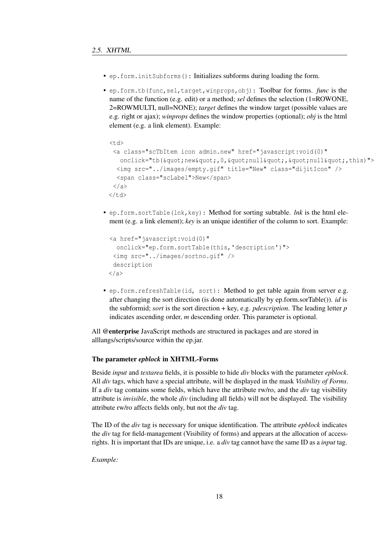- ep.form.initSubforms(): Initializes subforms during loading the form.
- ep.form.tb(func,sel,target,winprops,obj): Toolbar for forms. *func* is the name of the function (e.g. edit) or a method; *sel* defines the selection (1=ROWONE, 2=ROWMULTI, null=NONE); *target* defines the window target (possible values are e.g. right or ajax); *winprops* defines the window properties (optional); *obj* is the html element (e.g. a link element). Example:

```
<td>
 <a class="scTbItem icon admin.new" href="javascript:void(0)"
   onclick="thi@quot; new@quot; 0, @quot; null@quot; @quot;null@quot;this)"><img src="../images/empty.gif" title="New" class="dijitIcon" />
  <span class="scLabel">New</span>
 </a>
\langle/td>
```
• ep.form.sortTable(lnk,key): Method for sorting subtable. *lnk* is the html element (e.g. a link element); *key* is an unique identifier of the column to sort. Example:

```
<a href="javascript:void(0)"
  onclick="ep.form.sortTable(this,'description')">
 <img src="../images/sortno.gif" />
 description
</a>
```
• ep.form.refreshTable(id, sort): Method to get table again from server e.g. after changing the sort direction (is done automatically by ep.form.sorTable()). *id* is the subformid; *sort* is the sort direction + key, e.g. *pdescription*. The leading letter *p* indicates ascending order, *m* descending order. This parameter is optional.

All @enterprise JavaScript methods are structured in packages and are stored in alllangs/scripts/source within the ep.jar.

#### The parameter *epblock* in XHTML-Forms

Beside *input* and *textarea* fields, it is possible to hide *div* blocks with the parameter *epblock*. All *div* tags, which have a special attribute, will be displayed in the mask *Visibility of Forms*. If a *div* tag contains some fields, which have the attribute rw/ro, and the *div* tag visibility attribute is *invisible*, the whole *div* (including all fields) will not be displayed. The visibility attribute rw/ro affects fields only, but not the *div* tag.

The ID of the *div* tag is necessary for unique identification. The attribute *epblock* indicates the *div* tag for field-management (Visibility of forms) and appears at the allocation of accessrights. It is important that IDs are unique, i.e. a *div* tag cannot have the same ID as a *input* tag.

*Example:*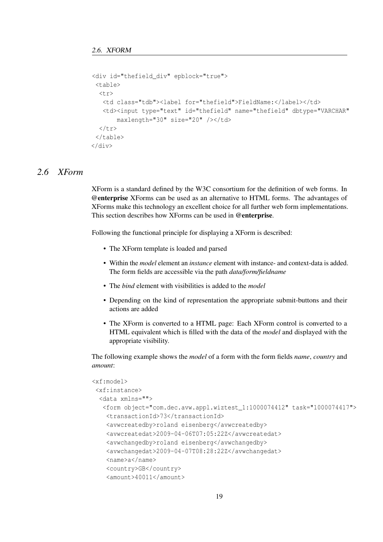```
<div id="thefield_div" epblock="true">
 <table>
  <tr>
   <td class="tdb"><label for="thefield">FieldName:</label></td>
   <td><input type="text" id="thefield" name="thefield" dbtype="VARCHAR"
       maxlength="30" size="20" /></td>
  \langle/tr>
 </table>
\langle/div\rangle
```
## *2.6 XForm*

<span id="page-18-0"></span>XForm is a standard defined by the W3C consortium for the definition of web forms. In @enterprise XForms can be used as an alternative to HTML forms. The advantages of XForms make this technology an excellent choice for all further web form implementations. This section describes how XForms can be used in @enterprise.

Following the functional principle for displaying a XForm is described:

- The XForm template is loaded and parsed
- Within the *model* element an *instance* element with instance- and context-data is added. The form fields are accessible via the path *data/form/fieldname*
- The *bind* element with visibilities is added to the *model*
- Depending on the kind of representation the appropriate submit-buttons and their actions are added
- The XForm is converted to a HTML page: Each XForm control is converted to a HTML equivalent which is filled with the data of the *model* and displayed with the appropriate visibility.

The following example shows the *model* of a form with the form fields *name*, *country* and *amount*:

```
<xf:model>
 <xf:instance>
  <data xmlns="">
   <form object="com.dec.avw.appl.wiztest_1:1000074412" task="1000074417">
    <transactionId>73</transactionId>
    <avwcreatedby>roland eisenberg</avwcreatedby>
    <avwcreatedat>2009-04-06T07:05:22Z</avwcreatedat>
    <avwchangedby>roland eisenberg</avwchangedby>
    <avwchangedat>2009-04-07T08:28:22Z</avwchangedat>
    <name>a</name>
    <country>GB</country>
    <amount>40011</amount>
```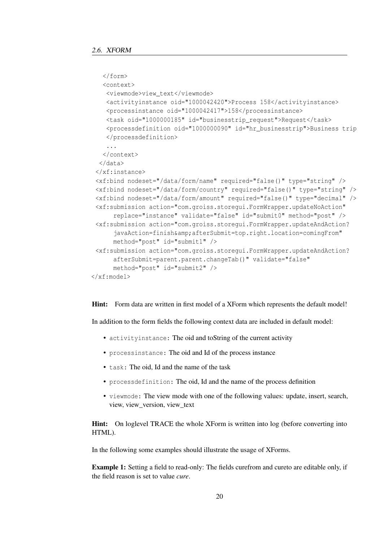```
</form>
   <context>
    <viewmode>view_text</viewmode>
    <activityinstance oid="1000042420">Process 158</activityinstance>
    <processinstance oid="1000042417">158</processinstance>
    <task oid="1000000185" id="businesstrip_request">Request</task>
    <processdefinition oid="1000000090" id="hr_businesstrip">Business trip
    </processdefinition>
    ...
   </context>
  </data>
 </xf:instance>
 <xf:bind nodeset="/data/form/name" required="false()" type="string" />
 <xf:bind nodeset="/data/form/country" required="false()" type="string" />
 <xf:bind nodeset="/data/form/amount" required="false()" type="decimal" />
 <xf:submission action="com.groiss.storegui.FormWrapper.updateNoAction"
      replace="instance" validate="false" id="submit0" method="post" />
 <xf:submission action="com.groiss.storegui.FormWrapper.updateAndAction?
      javaAction=finish&afterSubmit=top.right.location=comingFrom"
      method="post" id="submit1" />
 <xf:submission action="com.groiss.storegui.FormWrapper.updateAndAction?
      afterSubmit=parent.parent.changeTab()" validate="false"
      method="post" id="submit2" />
</xf:model>
```
**Hint:** Form data are written in first model of a XForm which represents the default model!

In addition to the form fields the following context data are included in default model:

- activityinstance: The oid and toString of the current activity
- processinstance: The oid and Id of the process instance
- task: The oid, Id and the name of the task
- processdefinition: The oid, Id and the name of the process definition
- viewmode: The view mode with one of the following values: update, insert, search, view, view\_version, view\_text

Hint: On loglevel TRACE the whole XForm is written into log (before converting into HTML).

In the following some examples should illustrate the usage of XForms.

Example 1: Setting a field to read-only: The fields curefrom and cureto are editable only, if the field reason is set to value *cure*.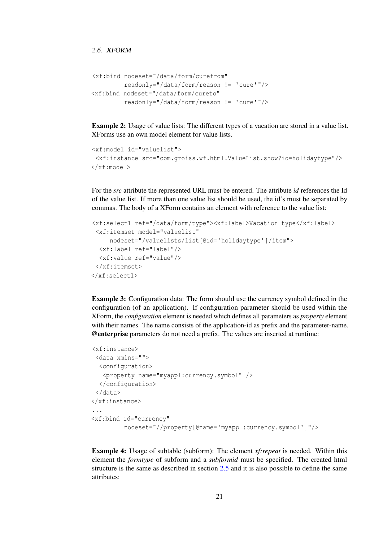```
<xf:bind nodeset="/data/form/curefrom"
         readonly="/data/form/reason != 'cure'"/>
<xf:bind nodeset="/data/form/cureto"
         readonly="/data/form/reason != 'cure'"/>
```
Example 2: Usage of value lists: The different types of a vacation are stored in a value list. XForms use an own model element for value lists.

```
<xf:model id="valuelist">
 <xf:instance src="com.groiss.wf.html.ValueList.show?id=holidaytype"/>
</xf:model>
```
For the *src* attribute the represented URL must be entered. The attribute *id* references the Id of the value list. If more than one value list should be used, the id's must be separated by commas. The body of a XForm contains an element with reference to the value list:

```
<xf:select1 ref="/data/form/type"><xf:label>Vacation type</xf:label>
 <xf:itemset model="valuelist"
    nodeset="/valuelists/list[@id='holidaytype']/item">
  <xf:label ref="label"/>
  <xf:value ref="value"/>
 </xf:itemset>
</xf:select1>
```
Example 3: Configuration data: The form should use the currency symbol defined in the configuration (of an application). If configuration parameter should be used within the XForm, the *configuration* element is needed which defines all parameters as *property* element with their names. The name consists of the application-id as prefix and the parameter-name. @enterprise parameters do not need a prefix. The values are inserted at runtime:

```
<xf:instance>
 <data xmlns="">
  <configuration>
   <property name="myappl:currency.symbol" />
  </configuration>
 </data>
</xf:instance>
...
<xf:bind id="currency"
         nodeset="//property[@name='myappl:currency.symbol']"/>
```
Example 4: Usage of subtable (subform): The element *xf:repeat* is needed. Within this element the *formtype* of subform and a *subformid* must be specified. The created html structure is the same as described in section [2.5](#page-15-0) and it is also possible to define the same attributes: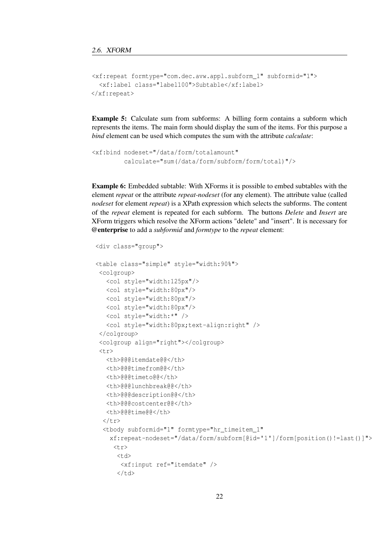```
<xf:repeat formtype="com.dec.avw.appl.subform_1" subformid="1">
  <xf:label class="label100">Subtable</xf:label>
</xf:repeat>
```
Example 5: Calculate sum from subforms: A billing form contains a subform which represents the items. The main form should display the sum of the items. For this purpose a *bind* element can be used which computes the sum with the attribute *calculate*:

```
<xf:bind nodeset="/data/form/totalamount"
         calculate="sum(/data/form/subform/form/total)"/>
```
Example 6: Embedded subtable: With XForms it is possible to embed subtables with the element *repeat* or the attribute *repeat-nodeset* (for any element). The attribute value (called *nodeset* for element *repeat*) is a XPath expression which selects the subforms. The content of the *repeat* element is repeated for each subform. The buttons *Delete* and *Insert* are XForm triggers which resolve the XForm actions "delete" and "insert". It is necessary for @enterprise to add a *subformid* and *formtype* to the *repeat* element:

```
<div class="group">
<table class="simple" style="width:90%">
 <colgroup>
   <col style="width:125px"/>
   <col style="width:80px"/>
   <col style="width:80px"/>
   <col style="width:80px"/>
   <col style="width:*" />
   <col style="width:80px;text-align:right" />
 </colgroup>
 <colgroup align="right"></colgroup>
 <tr>
   <th>@@@itemdate@@</th>
   <th>@@@timefrom@@</th>
   <th>@@@timeto@@</th>
   <th>@@@lunchbreak@@</th>
   <th>@@@description@@</th>
   <th>@@@costcenter@@</th>
   <th>@@@time@@</th>
  \langle t, r \rangle<tbody subformid="1" formtype="hr_timeitem_1"
    xf:repeat-nodeset="/data/form/subform[@id='1']/form[position()!=last()]">
     <tr>
      <h d><xf:input ref="itemdate" />
      \langle t \rangle
```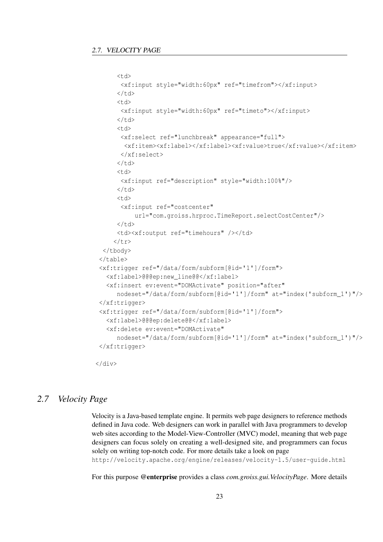```
< t.d<xf:input style="width:60px" ref="timefrom"></xf:input>
     \langle t \rangle< t.d><xf:input style="width:60px" ref="timeto"></xf:input>
     </td>
     <td>
      <xf:select ref="lunchbreak" appearance="full">
       \langle xf:item \rangle \langle xf:label \rangle \langle xf:label \rangle</xf:select>
     \langle/td>
     <td>
      <xf:input ref="description" style="width:100%"/>
     \langle t, d \rangle<td>
      <xf:input ref="costcenter"
          url="com.groiss.hrproc.TimeReport.selectCostCenter"/>
     \langle t, d \rangle<td><xf:output ref="timehours" /></td>
    \langle/tr>
 </tbody>
\langle/table>
<xf:trigger ref="/data/form/subform[@id='1']/form">
  <xf:label>@@@ep:new_line@@</xf:label>
  <xf:insert ev:event="DOMActivate" position="after"
     nodeset="/data/form/subform[@id='1']/form" at="index('subform_1')"/>
</xf:trigger>
<xf:trigger ref="/data/form/subform[@id='1']/form">
  <xf:label>@@@ep:delete@@</xf:label>
  <xf:delete ev:event="DOMActivate"
     nodeset="/data/form/subform[@id='1']/form" at="index('subform_1')"/>
</xf:trigger>
```
</div>

## *2.7 Velocity Page*

<span id="page-22-0"></span>Velocity is a Java-based template engine. It permits web page designers to reference methods defined in Java code. Web designers can work in parallel with Java programmers to develop web sites according to the Model-View-Controller (MVC) model, meaning that web page designers can focus solely on creating a well-designed site, and programmers can focus solely on writing top-notch code. For more details take a look on page http://velocity.apache.org/engine/releases/velocity-1.5/user-guide.html

For this purpose @enterprise provides a class *com.groiss.gui.VelocityPage*. More details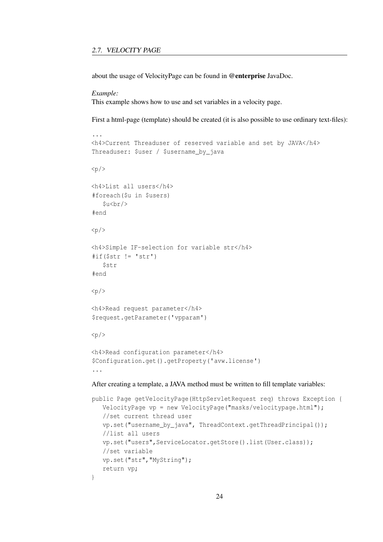#### 2.7. VELOCITY PAGE

about the usage of VelocityPage can be found in @enterprise JavaDoc.

#### *Example:*

This example shows how to use and set variables in a velocity page.

First a html-page (template) should be created (it is also possible to use ordinary text-files):

```
...
<h4>Current Threaduser of reserved variable and set by JAVA</h4>
Threaduser: $user / $username_by_java
< p / ><h4>List all users</h4>
#foreach($u in $users)
   Su<br/>chr/#end
< p / ><h4>Simple IF-selection for variable str</h4>
\# \text{if}(\text{Sstr} := \text{Istr}^{\dagger})$str
#end
< p / ><h4>Read request parameter</h4>
$request.getParameter('vpparam')
< p / ><h4>Read configuration parameter</h4>
$Configuration.get().getProperty('avw.license')
...
After creating a template, a JAVA method must be written to fill template variables:
public Page getVelocityPage(HttpServletRequest req) throws Exception {
   VelocityPage vp = new VelocityPage("masks/velocitypage.html");
   //set current thread user
   vp.set("username_by_java", ThreadContext.getThreadPrincipal());
```

```
//set variable
vp.set("str","MyString");
```
}

//list all users

vp.set("users",ServiceLocator.getStore().list(User.class));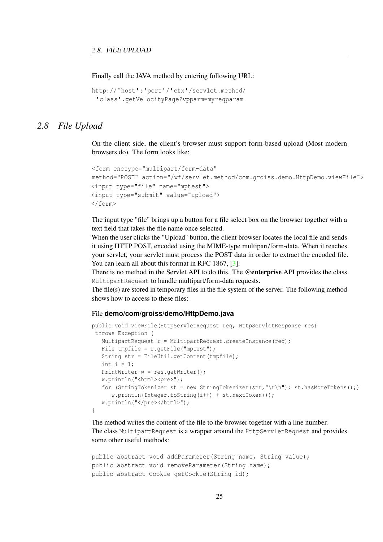Finally call the JAVA method by entering following URL:

```
http://'host':'port'/'ctx'/servlet.method/
 'class'.getVelocityPage?vpparm=myreqparam
```
## *2.8 File Upload*

<span id="page-24-0"></span>On the client side, the client's browser must support form-based upload (Most modern browsers do). The form looks like:

```
<form enctype="multipart/form-data"
method="POST" action="/wf/servlet.method/com.groiss.demo.HttpDemo.viewFile">
<input type="file" name="mptest">
<input type="submit" value="upload">
</form>
```
The input type "file" brings up a button for a file select box on the browser together with a text field that takes the file name once selected.

When the user clicks the "Upload" button, the client browser locates the local file and sends it using HTTP POST, encoded using the MIME-type multipart/form-data. When it reaches your servlet, your servlet must process the POST data in order to extract the encoded file. You can learn all about this format in RFC 1867, [\[3\]](#page-257-2).

There is no method in the Servlet API to do this. The @enterprise API provides the class MultipartRequest to handle multipart/form-data requests.

The file(s) are stored in temporary files in the file system of the server. The following method shows how to access to these files:

#### File **demo/com/groiss/demo/HttpDemo.java**

```
public void viewFile(HttpServletRequest req, HttpServletResponse res)
throws Exception {
  MultipartRequest r = MultipartRequest.createInstance(req);
  File tmpfile = r.getFile("mptest");
  String str = FileUtil.getContent(tmpfile);
  int i = 1;
  PrintWriter w = res.getWriter();
  w.println("<html><pre>");
   for (StringTokenizer st = new StringTokenizer(str,"\r\n"); st.hasMoreTokens();)
      w.println(Integer.toString(i++) + st.nextToken());
   w.println("</pre></html>");
}
```
The method writes the content of the file to the browser together with a line number. The class MultipartRequest is a wrapper around the HttpServletRequest and provides some other useful methods:

```
public abstract void addParameter(String name, String value);
public abstract void removeParameter(String name);
public abstract Cookie getCookie(String id);
```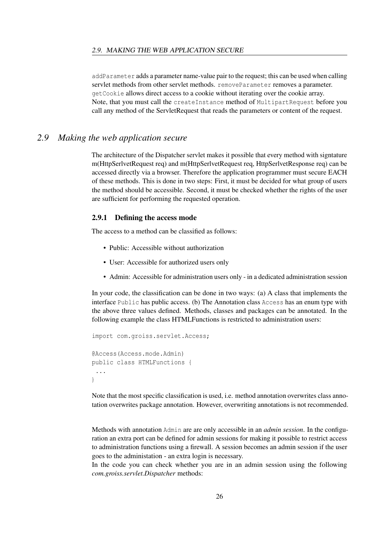addParameter adds a parameter name-value pair to the request; this can be used when calling servlet methods from other servlet methods. removeParameter removes a parameter. getCookie allows direct access to a cookie without iterating over the cookie array. Note, that you must call the createInstance method of MultipartRequest before you call any method of the ServletRequest that reads the parameters or content of the request.

## *2.9 Making the web application secure*

<span id="page-25-0"></span>The architecture of the Dispatcher servlet makes it possible that every method with signtature m(HttpSerlvetRequest req) and m(HttpSerlvetRequest req, HttpSerlvetResponse req) can be accessed directly via a browser. Therefore the application programmer must secure EACH of these methods. This is done in two steps: First, it must be decided for what group of users the method should be accessible. Second, it must be checked whether the rights of the user are sufficient for performing the requested operation.

## <span id="page-25-1"></span>2.9.1 Defining the access mode

The access to a method can be classified as follows:

- Public: Accessible without authorization
- User: Accessible for authorized users only
- Admin: Accessible for administration users only in a dedicated administration session

In your code, the classification can be done in two ways: (a) A class that implements the interface Public has public access. (b) The Annotation class Access has an enum type with the above three values defined. Methods, classes and packages can be annotated. In the following example the class HTMLFunctions is restricted to administration users:

```
import com.groiss.servlet.Access;
@Access(Access.mode.Admin)
public class HTMLFunctions {
 ...
}
```
Note that the most specific classification is used, i.e. method annotation overwrites class annotation overwrites package annotation. However, overwriting annotations is not recommended.

Methods with annotation Admin are are only accessible in an *admin session*. In the configuration an extra port can be defined for admin sessions for making it possible to restrict access to administration functions using a firewall. A session becomes an admin session if the user goes to the administation - an extra login is necessary.

In the code you can check whether you are in an admin session using the following *com.groiss.servlet.Dispatcher* methods: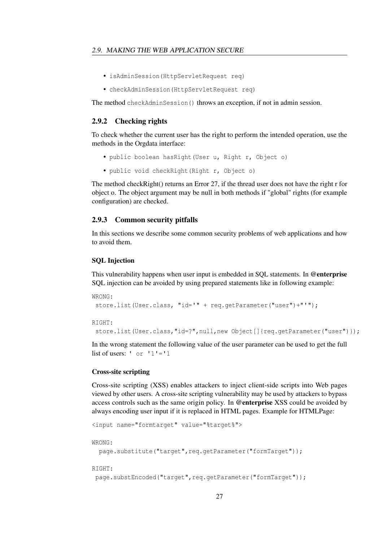- isAdminSession(HttpServletRequest req)
- checkAdminSession(HttpServletRequest req)

The method checkAdminSession() throws an exception, if not in admin session.

### <span id="page-26-0"></span>2.9.2 Checking rights

To check whether the current user has the right to perform the intended operation, use the methods in the Orgdata interface:

- public boolean hasRight(User u, Right r, Object o)
- public void checkRight(Right r, Object o)

The method checkRight() returns an Error 27, if the thread user does not have the right r for object o. The object argument may be null in both methods if "global" rights (for example configuration) are checked.

#### <span id="page-26-1"></span>2.9.3 Common security pitfalls

In this sections we describe some common security problems of web applications and how to avoid them.

### SQL Injection

This vulnerability happens when user input is embedded in SQL statements. In @enterprise SQL injection can be avoided by using prepared statements like in following example:

```
WRONG:
store.list(User.class, "id='" + req.getParameter("user")+"'");
RIGHT:
store.list(User.class,"id=?",null,new Object[]{req.qetParameter("user")});
```
In the wrong statement the following value of the user parameter can be used to get the full list of users: ' or  $'1' ='1$ 

#### Cross-site scripting

Cross-site scripting (XSS) enables attackers to inject client-side scripts into Web pages viewed by other users. A cross-site scripting vulnerability may be used by attackers to bypass access controls such as the same origin policy. In @enterprise XSS could be avoided by always encoding user input if it is replaced in HTML pages. Example for HTMLPage:

```
<input name="formtarget" value="%target%">
WRONG:
  page.substitute("target",req.getParameter("formTarget"));
RIGHT:
page.substEncoded("target",reg.getParameter("formTarget"));
```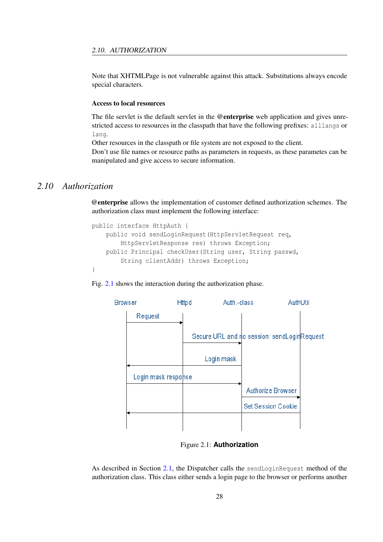Note that XHTMLPage is not vulnerable against this attack. Substitutions always encode special characters.

## Access to local resources

The file servlet is the default servlet in the @enterprise web application and gives unrestricted access to resources in the classpath that have the following prefixes: alllangs or lang.

Other resources in the classpath or file system are not exposed to the client.

Don't use file names or resource paths as parameters in requests, as these parametes can be manipulated and give access to secure information.

## *2.10 Authorization*

<span id="page-27-0"></span>@enterprise allows the implementation of customer defined authorization schemes. The authorization class must implement the following interface:

```
public interface HttpAuth {
   public void sendLoginRequest(HttpServletRequest req,
        HttpServletResponse res) throws Exception;
   public Principal checkUser(String user, String passwd,
        String clientAddr) throws Exception;
}
```
Fig. [2.1](#page-27-1) shows the interaction during the authorization phase.



<span id="page-27-1"></span>Figure 2.1: **Authorization**

As described in Section [2.1,](#page-10-0) the Dispatcher calls the sendLoginRequest method of the authorization class. This class either sends a login page to the browser or performs another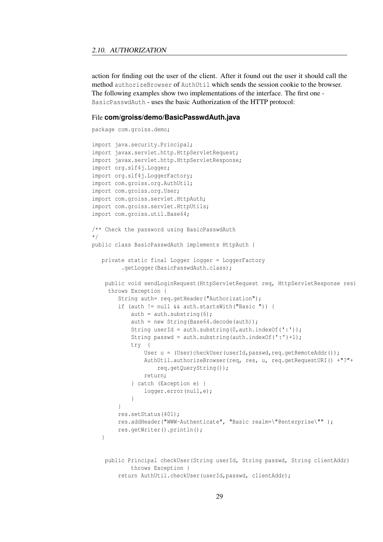action for finding out the user of the client. After it found out the user it should call the method authorizeBrowser of AuthUtil which sends the session cookie to the browser. The following examples show two implementations of the interface. The first one - BasicPasswdAuth - uses the basic Authorization of the HTTP protocol:

#### File **com/groiss/demo/BasicPasswdAuth.java**

```
package com.groiss.demo;
import java.security.Principal;
import javax.servlet.http.HttpServletRequest;
import javax.servlet.http.HttpServletResponse;
import org.slf4j.Logger;
import org.slf4j.LoggerFactory;
import com.groiss.org.AuthUtil;
import com.groiss.org.User;
import com.groiss.servlet.HttpAuth;
import com.groiss.servlet.HttpUtils;
import com.groiss.util.Base64;
/** Check the password using BasicPasswdAuth
*/
public class BasicPasswdAuth implements HttpAuth {
   private static final Logger logger = LoggerFactory
         .getLogger(BasicPasswdAuth.class);
    public void sendLoginRequest(HttpServletRequest req, HttpServletResponse res)
     throws Exception {
        String auth= req.getHeader("Authorization");
        if (auth != null && auth.startsWith("Basic ")) {
            auth = auth.substring(6);
            auth = new String(Base64.decode(auth));
            String userId = auth.substring(0, auth.indexOf(':'));
            String passwd = auth.substring(auth.indexOf(':')+1);
            try {
                User u = (User) checkUser(userId, password, rec, getRemoteAddr());
                AuthUtil.authorizeBrowser(req, res, u, req.getRequestURI() +"?"+
                    req.getQueryString());
                return;
            } catch (Exception e) {
                logger.error(null,e);
            }
        }
        res.setStatus(401);
        res.addHeader("WWW-Authenticate", "Basic realm=\"@enterprise\"" );
        res.getWriter().println();
   }
    public Principal checkUser(String userId, String passwd, String clientAddr)
            throws Exception {
        return AuthUtil.checkUser(userId,passwd, clientAddr);
```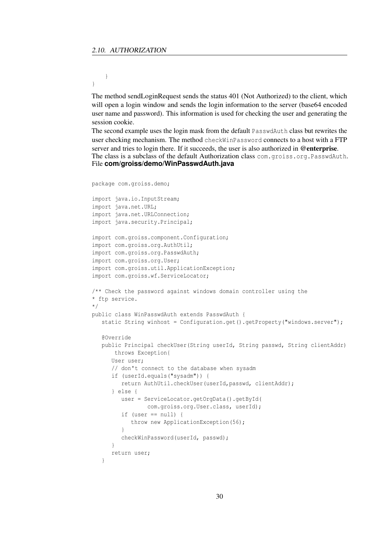}

}

The method sendLoginRequest sends the status 401 (Not Authorized) to the client, which will open a login window and sends the login information to the server (base64 encoded user name and password). This information is used for checking the user and generating the session cookie.

The second example uses the login mask from the default PasswdAuth class but rewrites the user checking mechanism. The method checkWinPassword connects to a host with a FTP server and tries to login there. If it succeeds, the user is also authorized in @enterprise. The class is a subclass of the default Authorization class com.groiss.org.PasswdAuth.

File **com/groiss/demo/WinPasswdAuth.java**

```
package com.groiss.demo;
import java.io.InputStream;
import java.net.URL;
import java.net.URLConnection;
import java.security.Principal;
import com.groiss.component.Configuration;
import com.groiss.org.AuthUtil;
import com.groiss.org.PasswdAuth;
import com.groiss.org.User;
import com.groiss.util.ApplicationException;
import com.groiss.wf.ServiceLocator;
/** Check the password against windows domain controller using the
* ftp service.
*/
public class WinPasswdAuth extends PasswdAuth {
   static String winhost = Configuration.get().getProperty("windows.server");
  @Override
  public Principal checkUser(String userId, String passwd, String clientAddr)
      throws Exception{
     User user;
      // don't connect to the database when sysadm
      if (userId.equals("sysadm")) {
         return AuthUtil.checkUser(userId,passwd, clientAddr);
      } else {
        user = ServiceLocator.getOrgData().getById(
                com.groiss.org.User.class, userId);
         if (user == null) {
            throw new ApplicationException(56);
         \mathfrak{g}checkWinPassword(userId, passwd);
      }
      return user;
   }
```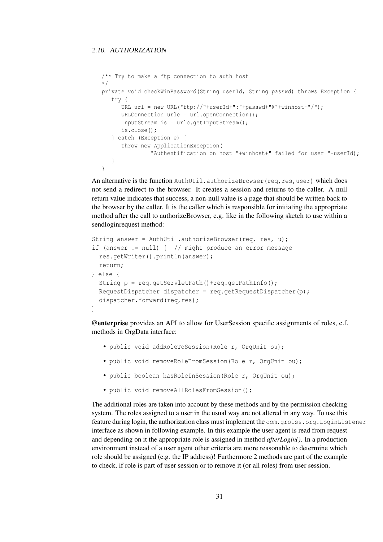```
/** Try to make a ftp connection to auth host
*/
private void checkWinPassword(String userId, String passwd) throws Exception {
   try {
      URL url = new URL("ftp://"+userId+":"+passwd+"@"+winhost+"/");
      URLConnection urlc = url.openConnection();
      InputStream is = urlc.getInputStream();
      is.close();
   } catch (Exception e) {
      throw new ApplicationException(
                "Authentification on host "+winhost+" failed for user "+userId);
   }
\overline{\mathbf{r}}
```
An alternative is the function AuthUtil.authorizeBrowser(req,res,user) which does not send a redirect to the browser. It creates a session and returns to the caller. A null return value indicates that success, a non-null value is a page that should be written back to the browser by the caller. It is the caller which is responsible for initiating the appropriate method after the call to authorizeBrowser, e.g. like in the following sketch to use within a sendloginrequest method:

```
String answer = AuthUtil.authorizeBrowser(req, res, u);
if (answer != null) { // might produce an error message
 res.getWriter().println(answer);
 return;
} else {
 String p = req.getServletPath()+req.getPathInfo();
 RequestDispatcher dispatcher = req.getRequestDispatcher(p);
 dispatcher.forward(req.res);
}
```
@enterprise provides an API to allow for UserSession specific assignments of roles, c.f. methods in OrgData interface:

- public void addRoleToSession(Role r, OrgUnit ou);
- public void removeRoleFromSession(Role r, OrgUnit ou);
- public boolean hasRoleInSession(Role r, OrgUnit ou);
- public void removeAllRolesFromSession();

The additional roles are taken into account by these methods and by the permission checking system. The roles assigned to a user in the usual way are not altered in any way. To use this feature during login, the authorization class must implement the com.groiss.org.LoginListener interface as shown in following example. In this example the user agent is read from request and depending on it the appropriate role is assigned in method *afterLogin()*. In a production environment instead of a user agent other criteria are more reasonable to determine which role should be assigned (e.g. the IP address)! Furthermore 2 methods are part of the example to check, if role is part of user session or to remove it (or all roles) from user session.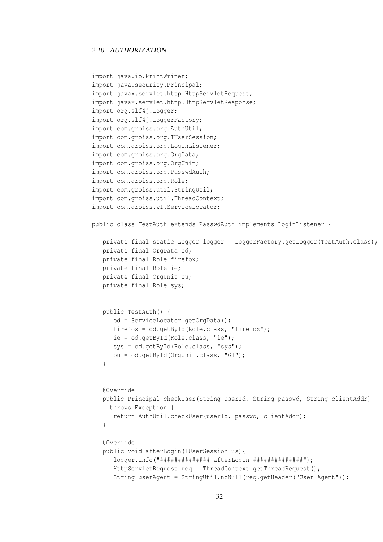```
import java.io.PrintWriter;
import java.security.Principal;
import javax.servlet.http.HttpServletRequest;
import javax.servlet.http.HttpServletResponse;
import org.slf4j.Logger;
import org.slf4j.LoggerFactory;
import com.groiss.org.AuthUtil;
import com.groiss.org.IUserSession;
import com.groiss.org.LoginListener;
import com.groiss.org.OrgData;
import com.groiss.org.OrgUnit;
import com.groiss.org.PasswdAuth;
import com.groiss.org.Role;
import com.groiss.util.StringUtil;
import com.groiss.util.ThreadContext;
import com.groiss.wf.ServiceLocator;
public class TestAuth extends PasswdAuth implements LoginListener {
   private final static Logger logger = LoggerFactory.getLogger(TestAuth.class);
   private final OrgData od;
   private final Role firefox;
   private final Role ie;
   private final OrgUnit ou;
   private final Role sys;
   public TestAuth() {
      od = ServiceLocator.getOrgData();
      firefox = od.getById(Role.class, "firefox");
      ie = od.getById(Role.class, "ie");
      sys = od.getById(Role.class, "sys");
      ou = od.getById(OrgUnit.class, "GI");
   }
   @Override
   public Principal checkUser(String userId, String passwd, String clientAddr)
    throws Exception {
      return AuthUtil.checkUser(userId, passwd, clientAddr);
   }
   @Override
   public void afterLogin(IUserSession us){
      logger.info("############## afterLogin ##############");
      HttpServletRequest req = ThreadContext.getThreadRequest();
      String userAgent = StringUtil.noNull(req.getHeader("User-Agent"));
```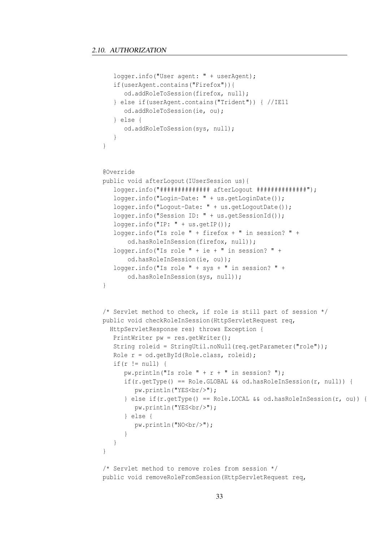```
logger.info("User agent: " + userAgent);
   if(userAgent.contains("Firefox")){
      od.addRoleToSession(firefox, null);
   } else if(userAgent.contains("Trident")) { //IE11
      od.addRoleToSession(ie, ou);
   } else {
      od.addRoleToSession(sys, null);
   }
}
@Override
public void afterLogout(IUserSession us){
   logger.info("############## afterLogout ##############");
   logger.info("Login-Date: " + us.getLoginDate());
   logger.info("Logout-Date: " + us.getLogoutDate());
   logger.info("Session ID: " + us.getSessionId());
   logger.info("IP: " + us.getIP());
   logger.info("Is role " + firefox + " in session? " +
       od.hasRoleInSession(firefox, null));
  logger.info("Is role " + ie + " in session? " +
       od.hasRoleInSession(ie, ou));
   logger.info("Is role " + sys + " in session? " +
       od.hasRoleInSession(sys, null));
}
/* Servlet method to check, if role is still part of session */
public void checkRoleInSession(HttpServletRequest req,
 HttpServletResponse res) throws Exception {
  PrintWriter pw = res.getWriter();
  String roleid = StringUtil.noNull(req.getParameter("role"));
  Role r = od.getById(Role.class, roleid);
  if(r != null) {
      pw.println("Is role " + r + " in session? ");
      if(r.getType() == Role.GLOBAL && od.hasRoleInSession(r, null)) {
         pw.println("YES<br/>");
      } else if(r.getType() == Role.LOCAL && od.hasRoleInSession(r, ou)) {
         pw.println("YES<br/>");
      } else {
        pw.println("NO<br/>>t/>");
      }
   }
}
/* Servlet method to remove roles from session */
public void removeRoleFromSession(HttpServletRequest req,
```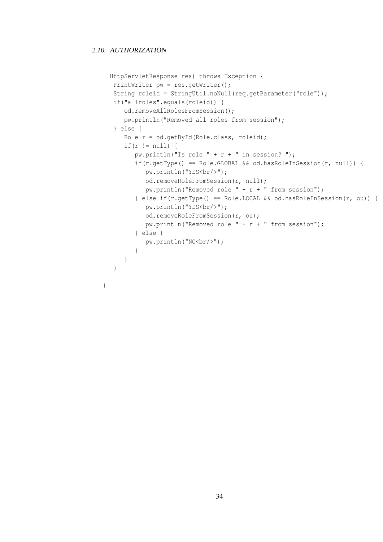}

```
HttpServletResponse res) throws Exception {
PrintWriter pw = res.getWriter();
String roleid = StringUtil.noNull(req.getParameter("role"));
if("allroles".equals(roleid)) {
   od.removeAllRolesFromSession();
    pw.println("Removed all roles from session");
 } else {
    Role r = od.getById(Role.class, roleid);
    if(r != null) {
       pw.println("Is role " + r + " in session? ");
       if(r.getType() == Role.GLOBAL && od.hasRoleInSession(r, null)) {
          pw.println("YES<br/>");
          od.removeRoleFromSession(r, null);
          pw.println("Removed role " + r + " from session");
       } else if(r.getType() == Role.LOCAL && od.hasRoleInSession(r, ou)) {
         pw.println("YES<br/>>");
          od.removeRoleFromSession(r, ou);
          pw.println("Removed role " + r + " from session");
       } else {
          pw.println("NO<br/>");
       }
    }
 }
```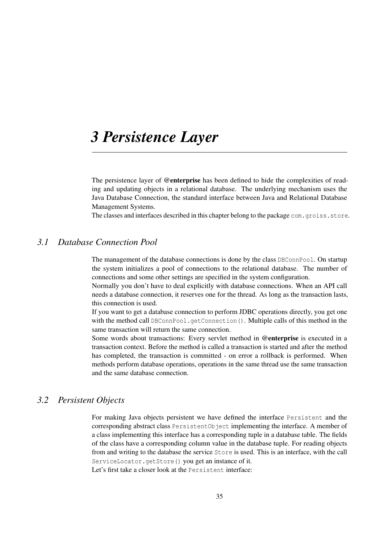## <span id="page-34-0"></span>*3 Persistence Layer*

The persistence layer of @enterprise has been defined to hide the complexities of reading and updating objects in a relational database. The underlying mechanism uses the Java Database Connection, the standard interface between Java and Relational Database Management Systems.

The classes and interfaces described in this chapter belong to the package com.groiss.store.

## *3.1 Database Connection Pool*

<span id="page-34-1"></span>The management of the database connections is done by the class  $DBConnPool$ . On startup the system initializes a pool of connections to the relational database. The number of connections and some other settings are specified in the system configuration.

Normally you don't have to deal explicitly with database connections. When an API call needs a database connection, it reserves one for the thread. As long as the transaction lasts, this connection is used.

If you want to get a database connection to perform JDBC operations directly, you get one with the method call DBConnPool.getConnection(). Multiple calls of this method in the same transaction will return the same connection.

Some words about transactions: Every servlet method in @enterprise is executed in a transaction context. Before the method is called a transaction is started and after the method has completed, the transaction is committed - on error a rollback is performed. When methods perform database operations, operations in the same thread use the same transaction and the same database connection.

## *3.2 Persistent Objects*

<span id="page-34-2"></span>For making Java objects persistent we have defined the interface Persistent and the corresponding abstract class PersistentObject implementing the interface. A member of a class implementing this interface has a corresponding tuple in a database table. The fields of the class have a corresponding column value in the database tuple. For reading objects from and writing to the database the service Store is used. This is an interface, with the call ServiceLocator.getStore() you get an instance of it. Let's first take a closer look at the Persistent interface: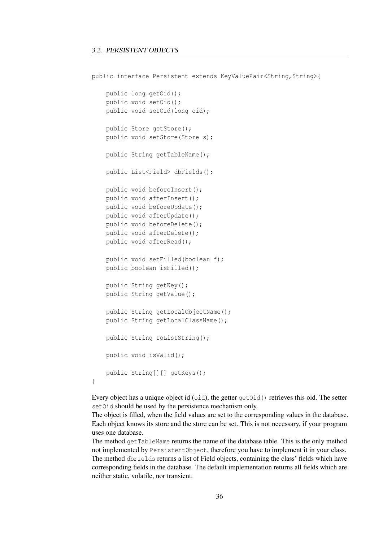public interface Persistent extends KeyValuePair<String, String>{ public long getOid(); public void setOid(); public void setOid(long oid); public Store getStore(); public void setStore(Store s);

public List<Field> dbFields();

public String getTableName();

```
public void beforeInsert();
public void afterInsert();
public void beforeUpdate();
public void afterUpdate();
public void beforeDelete();
public void afterDelete();
```
public void afterRead();

```
public void setFilled(boolean f);
public boolean isFilled();
```

```
public String getKey();
public String getValue();
public String getLocalObjectName();
public String getLocalClassName();
public String toListString();
public void isValid();
```

```
public String[][] getKeys();
```
}

Every object has a unique object id  $(\text{oid})$ , the getter getOid() retrieves this oid. The setter setOid should be used by the persistence mechanism only.

The object is filled, when the field values are set to the corresponding values in the database. Each object knows its store and the store can be set. This is not necessary, if your program uses one database.

The method getTableName returns the name of the database table. This is the only method not implemented by PersistentObject, therefore you have to implement it in your class. The method dbFields returns a list of Field objects, containing the class' fields which have corresponding fields in the database. The default implementation returns all fields which are neither static, volatile, nor transient.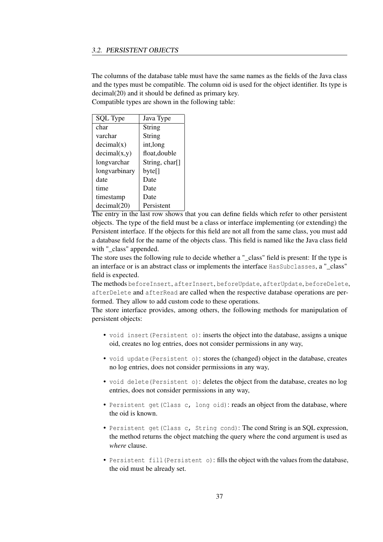The columns of the database table must have the same names as the fields of the Java class and the types must be compatible. The column oid is used for the object identifier. Its type is decimal(20) and it should be defined as primary key.

Compatible types are shown in the following table:

| SQL Type          | Java Type      |
|-------------------|----------------|
| char              | String         |
| varchar           | String         |
| decimal(x)        | int, long      |
| decimal(x,y)      | float, double  |
| longvarchar       | String, char[] |
| longvarbinary     | byte[]         |
| date              | Date           |
| time              | Date           |
| timestamp         | Date           |
| decimal(20)<br>-- | Persistent     |

The entry in the last row shows that you can define fields which refer to other persistent objects. The type of the field must be a class or interface implementing (or extending) the Persistent interface. If the objects for this field are not all from the same class, you must add a database field for the name of the objects class. This field is named like the Java class field with "\_class" appended.

The store uses the following rule to decide whether a " class" field is present: If the type is an interface or is an abstract class or implements the interface HasSubclasses, a " class" field is expected.

The methods beforeInsert, afterInsert, beforeUpdate, afterUpdate, beforeDelete, afterDelete and afterRead are called when the respective database operations are performed. They allow to add custom code to these operations.

The store interface provides, among others, the following methods for manipulation of persistent objects:

- void insert (Persistent o): inserts the object into the database, assigns a unique oid, creates no log entries, does not consider permissions in any way,
- void update (Persistent o): stores the (changed) object in the database, creates no log entries, does not consider permissions in any way,
- void delete(Persistent o): deletes the object from the database, creates no log entries, does not consider permissions in any way,
- Persistent get (Class c, long oid): reads an object from the database, where the oid is known.
- Persistent get(Class c, String cond): The cond String is an SQL expression, the method returns the object matching the query where the cond argument is used as *where* clause.
- Persistent fill(Persistent o): fills the object with the values from the database, the oid must be already set.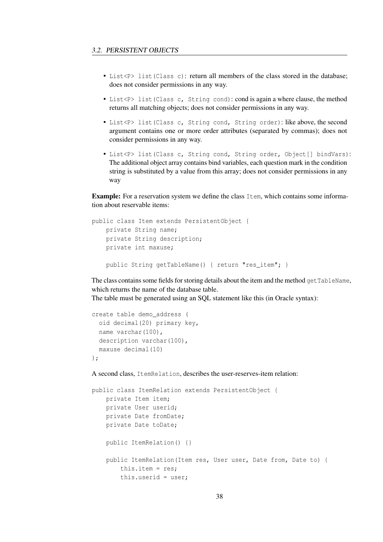- List  $\langle P \rangle$  list (Class c): return all members of the class stored in the database: does not consider permissions in any way.
- List<P> list(Class c, String cond): cond is again a where clause, the method returns all matching objects; does not consider permissions in any way.
- List<P> list(Class c, String cond, String order): like above, the second argument contains one or more order attributes (separated by commas); does not consider permissions in any way.
- List<P> list(Class c, String cond, String order, Object[] bindVars): The additional object array contains bind variables, each question mark in the condition string is substituted by a value from this array; does not consider permissions in any way

Example: For a reservation system we define the class Item, which contains some information about reservable items:

```
public class Item extends PersistentObject {
    private String name;
    private String description;
    private int maxuse;
    public String getTableName() { return "res_item"; }
```
The class contains some fields for storing details about the item and the method get TableName, which returns the name of the database table.

The table must be generated using an SQL statement like this (in Oracle syntax):

```
create table demo_address (
 oid decimal(20) primary key,
 name varchar(100),
 description varchar(100),
 maxuse decimal(10)
);
```
A second class, ItemRelation, describes the user-reserves-item relation:

```
public class ItemRelation extends PersistentObject {
    private Item item;
    private User userid;
    private Date fromDate;
    private Date toDate;
    public ItemRelation() {}
    public ItemRelation(Item res, User user, Date from, Date to) {
        this.item = res;
        this.userid = user;
```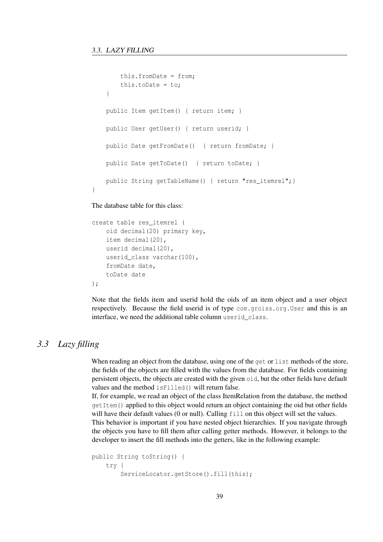```
this.fromDate = from;
    this.toDate = to;
}
public Item getItem() { return item; }
public User getUser() { return userid; }
public Date getFromDate() { return fromDate; }
public Date getToDate() { return toDate; }
public String getTableName() { return "res_itemrel";}
```
The database table for this class:

}

```
create table res_itemrel (
    oid decimal(20) primary key,
    item decimal(20),
    userid decimal(20),
    userid_class varchar(100),
    fromDate date,
    toDate date
);
```
Note that the fields item and userid hold the oids of an item object and a user object respectively. Because the field userid is of type com.groiss.org.User and this is an interface, we need the additional table column userid\_class.

## *3.3 Lazy filling*

When reading an object from the database, using one of the get or list methods of the store, the fields of the objects are filled with the values from the database. For fields containing persistent objects, the objects are created with the given oid, but the other fields have default values and the method isFilled() will return false.

If, for example, we read an object of the class ItemRelation from the database, the method getItem() applied to this object would return an object containing the oid but other fields will have their default values (0 or null). Calling fill on this object will set the values.

This behavior is important if you have nested object hierarchies. If you navigate through the objects you have to fill them after calling getter methods. However, it belongs to the developer to insert the fill methods into the getters, like in the following example:

```
public String toString() {
    try {
        ServiceLocator.getStore().fill(this);
```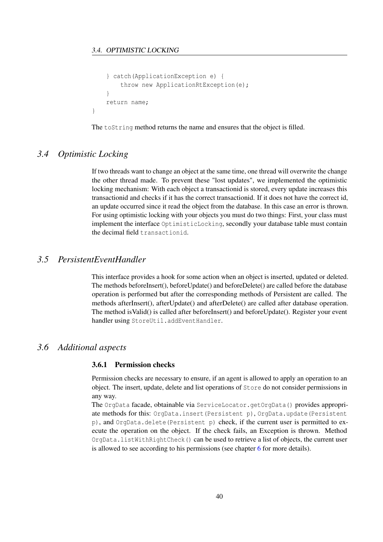```
} catch(ApplicationException e) {
    throw new ApplicationRtException(e);
}
return name;
```
The toString method returns the name and ensures that the object is filled.

## *3.4 Optimistic Locking*

}

If two threads want to change an object at the same time, one thread will overwrite the change the other thread made. To prevent these "lost updates", we implemented the optimistic locking mechanism: With each object a transactionid is stored, every update increases this transactionid and checks if it has the correct transactionid. If it does not have the correct id, an update occurred since it read the object from the database. In this case an error is thrown. For using optimistic locking with your objects you must do two things: First, your class must implement the interface OptimisticLocking, secondly your database table must contain the decimal field transactionid.

## *3.5 PersistentEventHandler*

This interface provides a hook for some action when an object is inserted, updated or deleted. The methods beforeInsert(), beforeUpdate() and beforeDelete() are called before the database operation is performed but after the corresponding methods of Persistent are called. The methods afterInsert(), afterUpdate() and afterDelete() are called after database operation. The method isValid() is called after beforeInsert() and beforeUpdate(). Register your event handler using StoreUtil.addEventHandler.

## *3.6 Additional aspects*

#### 3.6.1 Permission checks

Permission checks are necessary to ensure, if an agent is allowed to apply an operation to an object. The insert, update, delete and list operations of Store do not consider permissions in any way.

The OrgData facade, obtainable via ServiceLocator.getOrgData() provides appropriate methods for this: OrgData.insert(Persistent p), OrgData.update(Persistent p), and OrgData.delete(Persistent p) check, if the current user is permitted to execute the operation on the object. If the check fails, an Exception is thrown. Method OrgData.listWithRightCheck() can be used to retrieve a list of objects, the current user is allowed to see according to his permissions (see chapter [6](#page-66-0) for more details).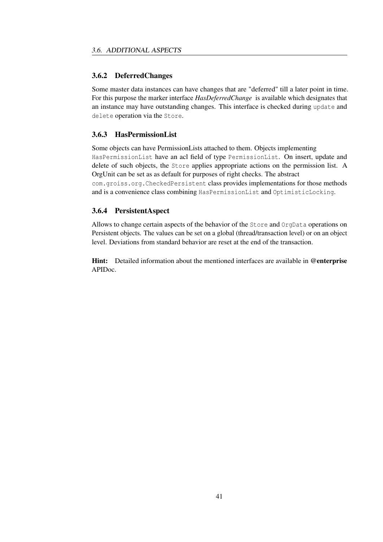## 3.6.2 DeferredChanges

Some master data instances can have changes that are "deferred" till a later point in time. For this purpose the marker interface *HasDeferredChange* is available which designates that an instance may have outstanding changes. This interface is checked during update and delete operation via the Store.

## 3.6.3 HasPermissionList

Some objects can have PermissionLists attached to them. Objects implementing HasPermissionList have an acl field of type PermissionList. On insert, update and delete of such objects, the Store applies appropriate actions on the permission list. A OrgUnit can be set as as default for purposes of right checks. The abstract com.groiss.org.CheckedPersistent class provides implementations for those methods and is a convenience class combining HasPermissionList and OptimisticLocking.

## 3.6.4 PersistentAspect

Allows to change certain aspects of the behavior of the Store and OrgData operations on Persistent objects. The values can be set on a global (thread/transaction level) or on an object level. Deviations from standard behavior are reset at the end of the transaction.

Hint: Detailed information about the mentioned interfaces are available in @enterprise APIDoc.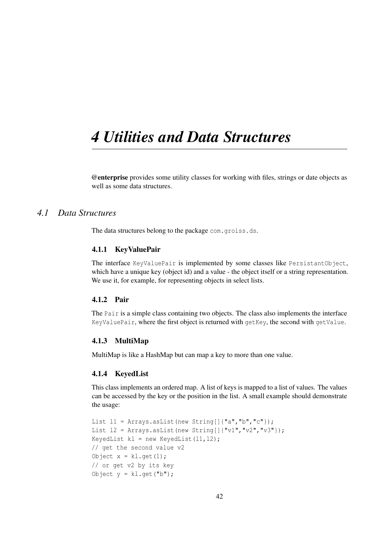## *4 Utilities and Data Structures*

@enterprise provides some utility classes for working with files, strings or date objects as well as some data structures.

## *4.1 Data Structures*

The data structures belong to the package com.groiss.ds.

#### 4.1.1 KeyValuePair

The interface KeyValuePair is implemented by some classes like PersistantObject, which have a unique key (object id) and a value - the object itself or a string representation. We use it, for example, for representing objects in select lists.

#### 4.1.2 Pair

The Pair is a simple class containing two objects. The class also implements the interface KeyValuePair, where the first object is returned with getKey, the second with getValue.

#### 4.1.3 MultiMap

MultiMap is like a HashMap but can map a key to more than one value.

#### 4.1.4 KeyedList

This class implements an ordered map. A list of keys is mapped to a list of values. The values can be accessed by the key or the position in the list. A small example should demonstrate the usage:

```
List 11 = \text{Arrays.asList(new String[] {'a", "b", "c"}};List 12 = \text{Arrays.asList(new String[] {'v1", "v2", "v3"})};KeyedList kl = new KeyedList(11, 12);
// get the second value v2
Object x = k1.get(1);
// or get v2 by its key
Object y = k1.get('b");
```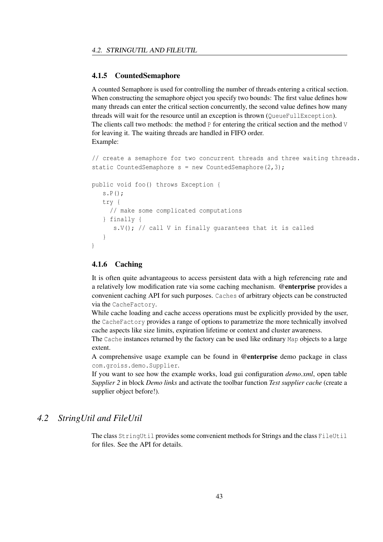#### 4.1.5 CountedSemaphore

A counted Semaphore is used for controlling the number of threads entering a critical section. When constructing the semaphore object you specify two bounds: The first value defines how many threads can enter the critical section concurrently, the second value defines how many threads will wait for the resource until an exception is thrown (QueueFullException). The clients call two methods: the method  $P$  for entering the critical section and the method  $V$ for leaving it. The waiting threads are handled in FIFO order. Example:

```
// create a semaphore for two concurrent threads and three waiting threads.
static CountedSemaphore s = new CountedSemaphore(2,3);
```

```
public void foo() throws Exception {
   s.P();
   try {
     // make some complicated computations
   } finally {
      s.V(); // call V in finally quarantees that it is called
   }
}
```
#### 4.1.6 Caching

It is often quite advantageous to access persistent data with a high referencing rate and a relatively low modification rate via some caching mechanism. @enterprise provides a convenient caching API for such purposes. Caches of arbitrary objects can be constructed via the CacheFactory.

While cache loading and cache access operations must be explicitly provided by the user, the CacheFactory provides a range of options to parametrize the more technically involved cache aspects like size limits, expiration lifetime or context and cluster awareness.

The Cache instances returned by the factory can be used like ordinary Map objects to a large extent.

A comprehensive usage example can be found in @enterprise demo package in class com.groiss.demo.Supplier.

If you want to see how the example works, load gui configuration *demo.xml*, open table *Supplier 2* in block *Demo links* and activate the toolbar function *Test supplier cache* (create a supplier object before!).

## *4.2 StringUtil and FileUtil*

The class StringUtil provides some convenient methods for Strings and the class FileUtil for files. See the API for details.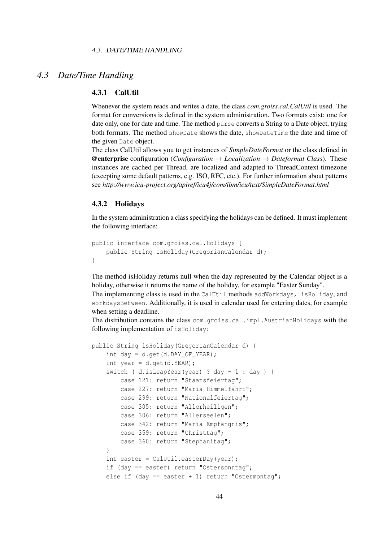## *4.3 Date/Time Handling*

#### 4.3.1 CalUtil

Whenever the system reads and writes a date, the class *com.groiss.cal.CalUtil* is used. The format for conversions is defined in the system administration. Two formats exist: one for date only, one for date and time. The method parse converts a String to a Date object, trying both formats. The method showDate shows the date, showDateTime the date and time of the given Date object.

The class CalUtil allows you to get instances of *SimpleDateFormat* or the class defined in **@enterprise** configuration (*Configuration*  $\rightarrow$  *Localization*  $\rightarrow$  *Dateformat Class*). These instances are cached per Thread, are localized and adapted to ThreadContext-timezone (excepting some default patterns, e.g. ISO, RFC, etc.). For further information about patterns see *http://www.icu-project.org/apiref/icu4j/com/ibm/icu/text/SimpleDateFormat.html*

#### 4.3.2 Holidays

In the system administration a class specifying the holidays can be defined. It must implement the following interface:

```
public interface com.groiss.cal.Holidays {
    public String isHoliday(GregorianCalendar d);
}
```
The method isHoliday returns null when the day represented by the Calendar object is a holiday, otherwise it returns the name of the holiday, for example "Easter Sunday".

The implementing class is used in the CalUtil methods addWorkdays, isHoliday, and workdaysBetween. Additionally, it is used in calendar used for entering dates, for example when setting a deadline.

The distribution contains the class com.groiss.cal.impl.AustrianHolidays with the following implementation of isHoliday:

```
public String isHoliday(GregorianCalendar d) {
    int day = d.get(d.DAY OF YEAR);
    int year = d.get(d.YEAR);
    switch ( d.isLeapYear(year) ? day - 1 : day ) {
        case 121: return "Staatsfeiertag";
        case 227: return "Maria Himmelfahrt";
        case 299: return "Nationalfeiertag";
        case 305: return "Allerheiligen";
        case 306: return "Allerseelen";
        case 342: return "Maria Empfängnis";
        case 359: return "Christtag";
        case 360: return "Stephanitag";
    }
    int easter = CalUtil.easterDay(year);
    if (day == easter) return "Ostersonntag";
    else if (day == easter + 1) return "Ostermontag";
```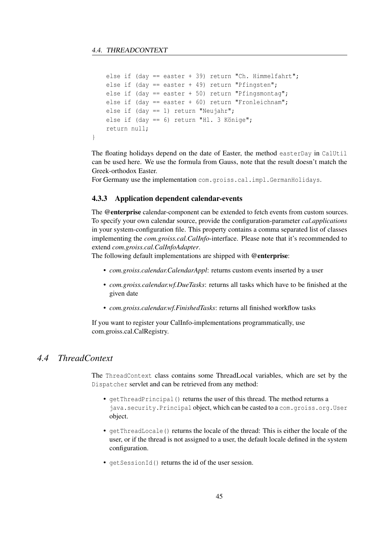}

```
else if (day == easter + 39) return "Ch. Himmelfahrt";
else if (day == easter + 49) return "Pfingsten";
else if (day == easter + 50) return "Pfingsmontag";
else if (day == easter + 60) return "Fronleichnam";
else if (day == 1) return "Neujahr";
else if (day == 6) return "Hl. 3 Könige";
return null;
```
The floating holidays depend on the date of Easter, the method easterDay in CalUtil can be used here. We use the formula from Gauss, note that the result doesn't match the Greek-orthodox Easter.

For Germany use the implementation com.groiss.cal.impl.GermanHolidays.

#### 4.3.3 Application dependent calendar-events

The @enterprise calendar-component can be extended to fetch events from custom sources. To specify your own calendar source, provide the configuration-parameter *cal.applications* in your system-configuration file. This property contains a comma separated list of classes implementing the *com.groiss.cal.CalInfo*-interface. Please note that it's recommended to extend *com.groiss.cal.CalInfoAdapter*.

The following default implementations are shipped with @enterprise:

- *com.groiss.calendar.CalendarAppl*: returns custom events inserted by a user
- *com.groiss.calendar.wf.DueTasks*: returns all tasks which have to be finished at the given date
- *com.groiss.calendar.wf.FinishedTasks*: returns all finished workflow tasks

If you want to register your CalInfo-implementations programmatically, use com.groiss.cal.CalRegistry.

## *4.4 ThreadContext*

The ThreadContext class contains some ThreadLocal variables, which are set by the Dispatcher servlet and can be retrieved from any method:

- getThreadPrincipal() returns the user of this thread. The method returns a java.security.Principal object, which can be casted to a com.groiss.org.User object.
- getThreadLocale() returns the locale of the thread: This is either the locale of the user, or if the thread is not assigned to a user, the default locale defined in the system configuration.
- getSessionId() returns the id of the user session.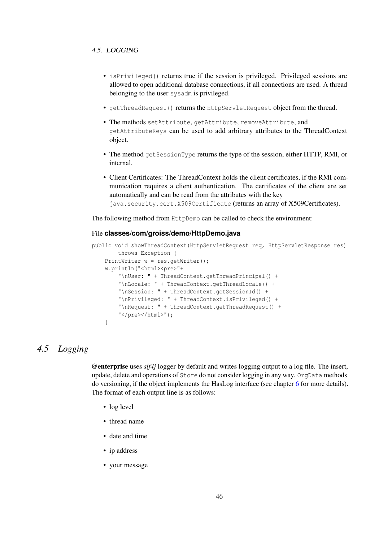- isPrivileged() returns true if the session is privileged. Privileged sessions are allowed to open additional database connections, if all connections are used. A thread belonging to the user sysadm is privileged.
- getThreadRequest() returns the HttpServletRequest object from the thread.
- The methods setAttribute, getAttribute, removeAttribute, and getAttributeKeys can be used to add arbitrary attributes to the ThreadContext object.
- The method get SessionType returns the type of the session, either HTTP, RMI, or internal.
- Client Certificates: The ThreadContext holds the client certificates, if the RMI communication requires a client authentication. The certificates of the client are set automatically and can be read from the attributes with the key java.security.cert.X509Certificate (returns an array of X509Certificates).

The following method from HttpDemo can be called to check the environment:

#### File **classes/com/groiss/demo/HttpDemo.java**

```
public void showThreadContext(HttpServletRequest req, HttpServletResponse res)
       throws Exception {
   PrintWriter w = res.getWriter();
    w.println("<html><pre>"+
       "\nUser: " + ThreadContext.getThreadPrincipal() +
        "\nLocale: " + ThreadContext.getThreadLocale() +
        "\nSession: " + ThreadContext.getSessionId() +
        "\nPrivileged: " + ThreadContext.isPrivileged() +
        "\nRequest: " + ThreadContext.getThreadRequest() +
        "</pre></html>");
    }
```
## *4.5 Logging*

@enterprise uses *slf4j* logger by default and writes logging output to a log file. The insert, update, delete and operations of Store do not consider logging in any way. OrgData methods do versioning, if the object implements the HasLog interface (see chapter [6](#page-66-0) for more details). The format of each output line is as follows:

- log level
- thread name
- date and time
- ip address
- your message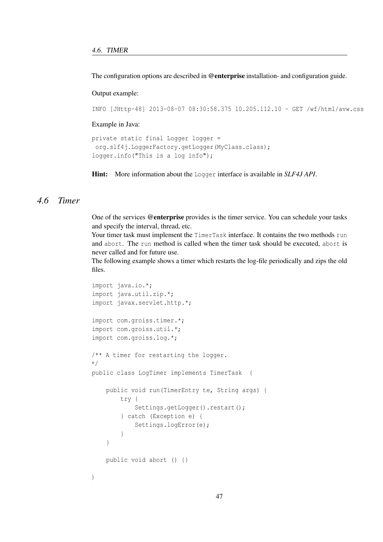The configuration options are described in @enterprise installation- and configuration guide.

Output example:

INFO [JHttp-48] 2013-08-07 08:30:58.375 10.205.112.10 - GET /wf/html/avw.css

Example in Java:

```
private static final Logger logger =
org.slf4j.LoggerFactory.getLogger(MyClass.class);
logger.info("This is a log info");
```
Hint: More information about the Logger interface is available in *SLF4J API*.

## *4.6 Timer*

One of the services @enterprise provides is the timer service. You can schedule your tasks and specify the interval, thread, etc.

Your timer task must implement the TimerTask interface. It contains the two methods run and abort. The run method is called when the timer task should be executed, abort is never called and for future use.

The following example shows a timer which restarts the log-file periodically and zips the old files.

```
import java.io.*;
import java.util.zip.*;
import javax.servlet.http.*;
import com.groiss.timer.*;
import com.groiss.util.*;
import com.groiss.log.*;
/** A timer for restarting the logger.
*/
public class LogTimer implements TimerTask {
    public void run(TimerEntry te, String args) {
        try {
            Settings.getLogger().restart();
        } catch (Exception e) {
            Settings.logError(e);
        }
    }
    public void abort () {}
}
```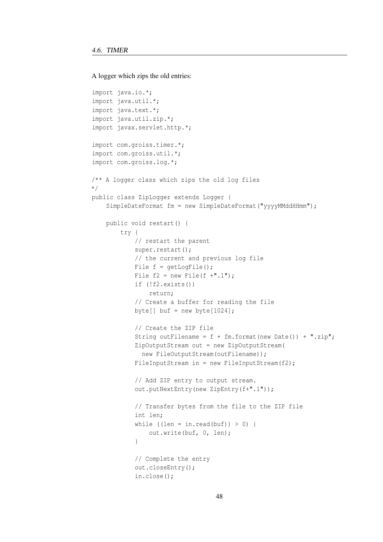A logger which zips the old entries:

```
import java.io.*;
import java.util.*;
import java.text.*;
import java.util.zip.*;
import javax.servlet.http.*;
import com.groiss.timer.*;
import com.groiss.util.*;
import com.groiss.log.*;
/** A logger class which zips the old log files
*/
public class ZipLogger extends Logger {
    SimpleDateFormat fm = new SimpleDateFormat ("yyyyMMddHHmm");
    public void restart() {
        try {
            // restart the parent
            super.restart();
            // the current and previous log file
            File f = getLogFile();
            File f2 = new File(f + " . 1");
            if (!f2.exists())
                return;
            // Create a buffer for reading the file
            byte[] buf = new byte[1024];
            // Create the ZIP file
            String outFilename = f + fm.format(new Date()) + ".zip";ZipOutputStream out = new ZipOutputStream(
              new FileOutputStream(outFilename));
            FileInputStream in = new FileInputStream(f2);
            // Add ZIP entry to output stream.
            out.putNextEntry(new ZipEntry(f+".1"));
            // Transfer bytes from the file to the ZIP file
            int len;
            while ((len = in.read(buf)) > 0) {
                out.write(buf, 0, len);
            }
            // Complete the entry
            out.closeEntry();
            in.close();
```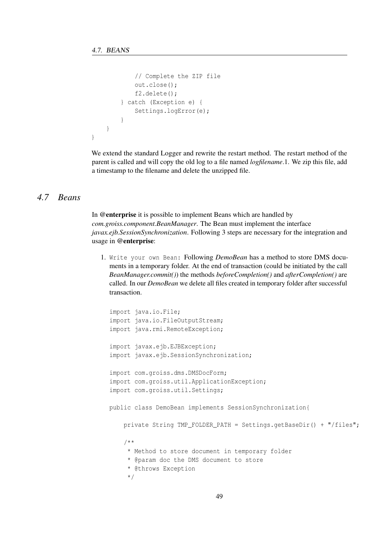}

```
// Complete the ZIP file
        out.close();
        f2.delete();
    } catch (Exception e) {
        Settings.logError(e);
    }
}
```
We extend the standard Logger and rewrite the restart method. The restart method of the parent is called and will copy the old log to a file named *logfilename*.1. We zip this file, add a timestamp to the filename and delete the unzipped file.

## *4.7 Beans*

In @enterprise it is possible to implement Beans which are handled by *com.groiss.component.BeanManager*. The Bean must implement the interface *javax.ejb.SessionSynchronization*. Following 3 steps are necessary for the integration and usage in @enterprise:

1. Write your own Bean: Following *DemoBean* has a method to store DMS documents in a temporary folder. At the end of transaction (could be initiated by the call *BeanManager.commit()*) the methods *beforeCompletion()* and *afterCompletion()* are called. In our *DemoBean* we delete all files created in temporary folder after successful transaction.

```
import java.io.File;
import java.io.FileOutputStream;
import java.rmi.RemoteException;
import javax.ejb.EJBException;
import javax.ejb.SessionSynchronization;
import com.groiss.dms.DMSDocForm;
import com.groiss.util.ApplicationException;
import com.groiss.util.Settings;
public class DemoBean implements SessionSynchronization{
    private String TMP_FOLDER_PATH = Settings.getBaseDir() + "/files";
    /**
     * Method to store document in temporary folder
     * @param doc the DMS document to store
     * @throws Exception
     */
```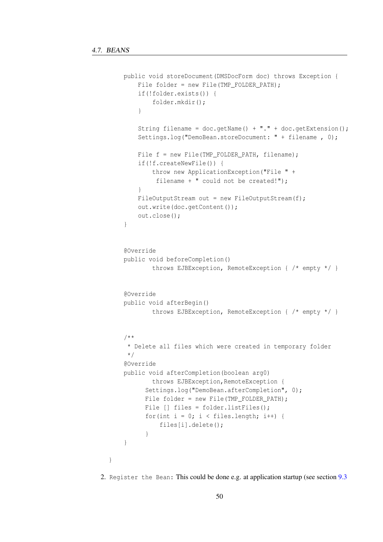}

```
public void storeDocument(DMSDocForm doc) throws Exception {
    File folder = new File(TMP_FOLDER_PATH);
    if(!folder.exists()) {
        folder.mkdir();
    }
    String filename = doc.getName() + "." + doc.getExtension();
    Settings.log("DemoBean.storeDocument: " + filename , 0);
   File f = new File(TMP_FOLDER_PATH, filename);
    if(!f.createNewFile()) {
        throw new ApplicationException("File " +
         filename + " could not be created!");
    }
   FileOutputStream out = new FileOutputStream(f);
    out.write(doc.getContent());
   out.close();
}
@Override
public void beforeCompletion()
        throws EJBException, RemoteException { /* empty */ }
@Override
public void afterBegin()
        throws EJBException, RemoteException { /* empty */ }
/**
 * Delete all files which were created in temporary folder
*/
@Override
public void afterCompletion(boolean arg0)
        throws EJBException,RemoteException {
      Settings.log("DemoBean.afterCompletion", 0);
      File folder = new File(TMP FOLDER PATH);
      File [] files = folder.listFiles();
      for(int i = 0; i < files.length; i++) {
          files[i].delete();
      }
}
```
2. Register the Bean: This could be done e.g. at application startup (see section [9.3](#page-89-0)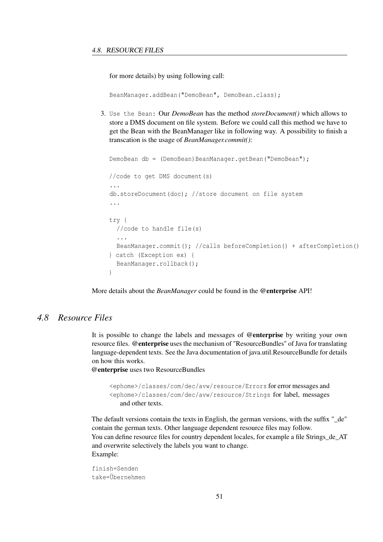for more details) by using following call:

```
BeanManager.addBean("DemoBean", DemoBean.class);
```
3. Use the Bean: Our *DemoBean* has the method *storeDocument()* which allows to store a DMS document on file system. Before we could call this method we have to get the Bean with the BeanManager like in following way. A possibility to finish a transcation is the usage of *BeanManager.commit()*:

```
DemoBean db = (DemoBean)BeanManager.getBean("DemoBean");
//code to get DMS document(s)
...
db.storeDocument(doc); //store document on file system
...
try {
  //code to handle file(s)
  ...
  BeanManager.commit(); //calls beforeCompletion() + afterCompletion()
} catch (Exception ex) {
  BeanManager.rollback();
}
```
More details about the *BeanManager* could be found in the @enterprise API!

## *4.8 Resource Files*

<span id="page-50-0"></span>It is possible to change the labels and messages of @enterprise by writing your own resource files. @enterprise uses the mechanism of "ResourceBundles" of Java for translating language-dependent texts. See the Java documentation of java.util.ResourceBundle for details on how this works.

@enterprise uses two ResourceBundles

```
<ephome>/classes/com/dec/avw/resource/Errors for error messages and
<ephome>/classes/com/dec/avw/resource/Strings for label, messages
   and other texts.
```
The default versions contain the texts in English, the german versions, with the suffix "\_de" contain the german texts. Other language dependent resource files may follow. You can define resource files for country dependent locales, for example a file Strings\_de\_AT and overwrite selectively the labels you want to change. Example:

```
finish=Senden
take=Übernehmen
```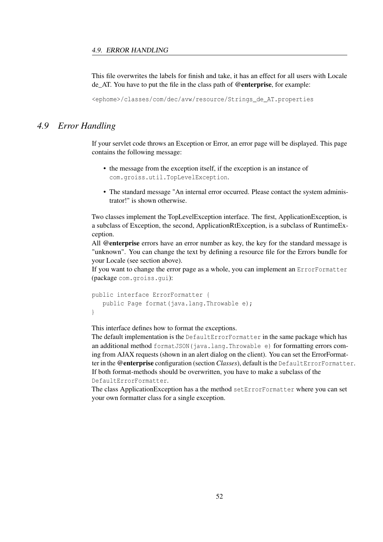This file overwrites the labels for finish and take, it has an effect for all users with Locale de AT. You have to put the file in the class path of  $@$ **enterprise**, for example:

<ephome>/classes/com/dec/avw/resource/Strings\_de\_AT.properties

## *4.9 Error Handling*

If your servlet code throws an Exception or Error, an error page will be displayed. This page contains the following message:

- the message from the exception itself, if the exception is an instance of com.groiss.util.TopLevelException.
- The standard message "An internal error occurred. Please contact the system administrator!" is shown otherwise.

Two classes implement the TopLevelException interface. The first, ApplicationException, is a subclass of Exception, the second, ApplicationRtException, is a subclass of RuntimeException.

All **@enterprise** errors have an error number as key, the key for the standard message is "unknown". You can change the text by defining a resource file for the Errors bundle for your Locale (see section above).

If you want to change the error page as a whole, you can implement an ErrorFormatter (package com.groiss.gui):

```
public interface ErrorFormatter {
   public Page format(java.lang.Throwable e);
}
```
This interface defines how to format the exceptions.

The default implementation is the DefaultErrorFormatter in the same package which has an additional method formatJSON(java.lang.Throwable e) for formatting errors coming from AJAX requests (shown in an alert dialog on the client). You can set the ErrorFormatter in the @enterprise configuration (section *Classes*), default is the DefaultErrorFormatter. If both format-methods should be overwritten, you have to make a subclass of the DefaultErrorFormatter.

The class ApplicationException has a the method setErrorFormatter where you can set your own formatter class for a single exception.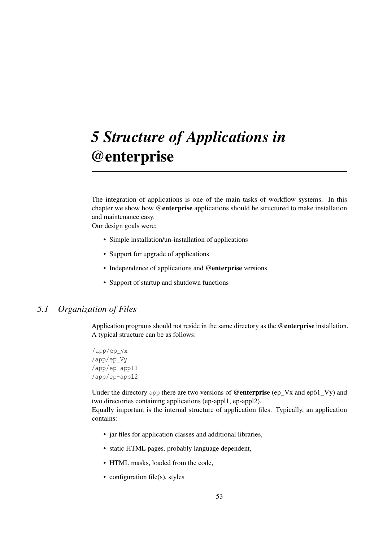# *5 Structure of Applications in* @enterprise

The integration of applications is one of the main tasks of workflow systems. In this chapter we show how @enterprise applications should be structured to make installation and maintenance easy.

Our design goals were:

- Simple installation/un-installation of applications
- Support for upgrade of applications
- Independence of applications and @enterprise versions
- Support of startup and shutdown functions

## *5.1 Organization of Files*

Application programs should not reside in the same directory as the @enterprise installation. A typical structure can be as follows:

```
/app/ep_Vx
/app/ep_Vy
/app/ep-appl1
/app/ep-appl2
```
Under the directory app there are two versions of @enterprise (ep\_Vx and ep61\_Vy) and two directories containing applications (ep-appl1, ep-appl2).

Equally important is the internal structure of application files. Typically, an application contains:

- jar files for application classes and additional libraries,
- static HTML pages, probably language dependent,
- HTML masks, loaded from the code,
- configuration file(s), styles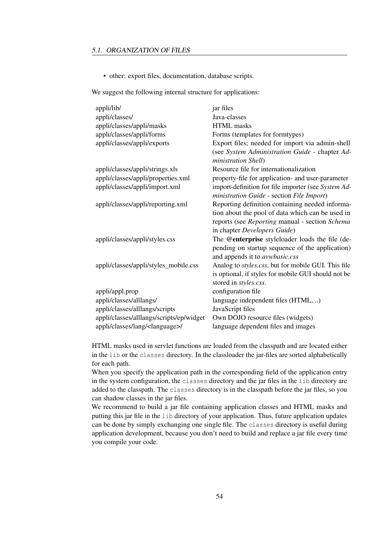• other: export files, documentation, database scripts.

We suggest the following internal structure for applications:

| appli/lib/                                 | jar files                                                   |
|--------------------------------------------|-------------------------------------------------------------|
| appli/classes/                             | Java-classes                                                |
| appli/classes/appli/masks                  | <b>HTML</b> masks                                           |
| appli/classes/appli/forms                  | Forms (templates for formtypes)                             |
| appli/classes/appli/exports                | Export files; needed for import via admin-shell             |
|                                            | (see System Administration Guide - chapter Ad-              |
|                                            | ministration Shell)                                         |
| appli/classes/appli/strings.xls            | Resource file for internationalization                      |
| appli/classes/appli/properties.xml         | property-file for application- and user-parameter           |
| appli/classes/appli/import.xml             | import-definition for file importer (see System Ad-         |
|                                            | ministration Guide - section File Import)                   |
| appli/classes/appli/reporting.xml          | Reporting definition containing needed informa-             |
|                                            | tion about the pool of data which can be used in            |
|                                            | reports (see Reporting manual - section Schema              |
|                                            | in chapter Developers Guide)                                |
| appli/classes/appli/styles.css             | The @enterprise styleloader loads the file (de-             |
|                                            | pending on startup sequence of the application)             |
|                                            | and appends it to <i>avwbasic.css</i>                       |
| appli/classes/appli/styles_mobile.css      | Analog to <i>styles.css</i> , but for mobile GUI. This file |
|                                            | is optional, if styles for mobile GUI should not be         |
|                                            | stored in styles.css.                                       |
| appli/appl.prop                            | configuration file                                          |
| appli/classes/alllangs/                    | language independent files (HTML, )                         |
| appli/classes/alllangs/scripts             | JavaScript files                                            |
| appli/classes/alllangs/scripts/ep/widget   | Own DOJO resource files (widgets)                           |
| appli/classes/lang/ <language>/</language> | language dependent files and images                         |

HTML masks used in servlet functions are loaded from the classpath and are located either in the lib or the classes directory. In the classloader the jar-files are sorted alphabetically for each path.

When you specify the application path in the corresponding field of the application entry in the system configuration, the classes directory and the jar files in the lib directory are added to the classpath. The classes directory is in the classpath before the jar files, so you can shadow classes in the jar files.

We recommend to build a jar file containing application classes and HTML masks and putting this jar file in the lib directory of your application. Thus, future application updates can be done by simply exchanging one single file. The classes directory is useful during application development, because you don't need to build and replace a jar file every time you compile your code.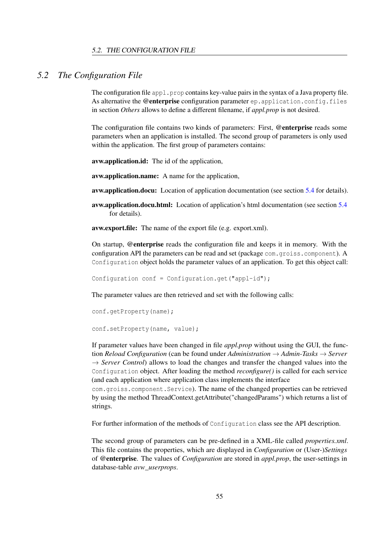## *5.2 The Configuration File*

<span id="page-54-0"></span>The configuration file  $\alpha$ ppl.prop contains key-value pairs in the syntax of a Java property file. As alternative the @enterprise configuration parameter ep.application.config.files in section *Others* allows to define a different filename, if *appl.prop* is not desired.

The configuration file contains two kinds of parameters: First, @enterprise reads some parameters when an application is installed. The second group of parameters is only used within the application. The first group of parameters contains:

avw.application.id: The id of the application,

avw.application.name: A name for the application,

- avw.application.docu: Location of application documentation (see section [5.4](#page-58-0) for details).
- avw.application.docu.html: Location of application's html documentation (see section [5.4](#page-58-0) for details).

avw.export.file: The name of the export file (e.g. export.xml).

On startup, @enterprise reads the configuration file and keeps it in memory. With the configuration API the parameters can be read and set (package com.groiss.component). A Configuration object holds the parameter values of an application. To get this object call:

Configuration conf = Configuration.get("appl-id");

The parameter values are then retrieved and set with the following calls:

```
conf.getProperty(name);
```

```
conf.setProperty(name, value);
```
If parameter values have been changed in file *appl.prop* without using the GUI, the function *Reload Configuration* (can be found under *Administration* → *Admin-Tasks* → *Server*  $\rightarrow$  *Server Control*) allows to load the changes and transfer the changed values into the Configuration object. After loading the method *reconfigure()* is called for each service (and each application where application class implements the interface

com.groiss.component.Service). The name of the changed properties can be retrieved by using the method ThreadContext.getAttribute("changedParams") which returns a list of strings.

For further information of the methods of Configuration class see the API description.

The second group of parameters can be pre-defined in a XML-file called *properties.xml*. This file contains the properties, which are displayed in *Configuration* or (User-)*Settings* of @enterprise. The values of *Configuration* are stored in *appl.prop*, the user-settings in database-table *avw\_userprops*.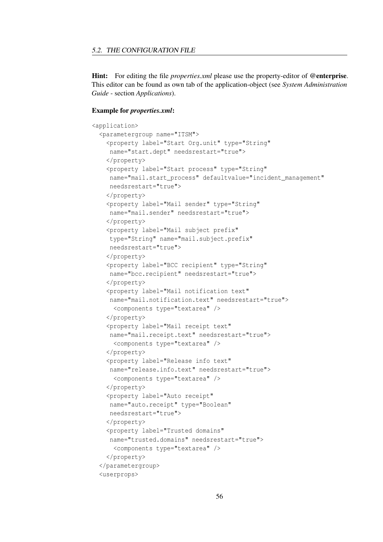Hint: For editing the file *properties.xml* please use the property-editor of @enterprise. This editor can be found as own tab of the application-object (see *System Administration Guide* - section *Applications*).

#### Example for *properties.xml*:

```
<application>
  <parametergroup name="ITSM">
    <property label="Start Org.unit" type="String"
    name="start.dept" needsrestart="true">
    </property>
    <property label="Start process" type="String"
    name="mail.start_process" defaultvalue="incident_management"
    needsrestart="true">
    </property>
    <property label="Mail sender" type="String"
    name="mail.sender" needsrestart="true">
    </property>
    <property label="Mail subject prefix"
    type="String" name="mail.subject.prefix"
    needsrestart="true">
    </property>
    <property label="BCC recipient" type="String"
    name="bcc.recipient" needsrestart="true">
    </property>
    <property label="Mail notification text"
    name="mail.notification.text" needsrestart="true">
      <components type="textarea" />
    </property>
    <property label="Mail receipt text"
    name="mail.receipt.text" needsrestart="true">
      <components type="textarea" />
    </property>
    <property label="Release info text"
    name="release.info.text" needsrestart="true">
      <components type="textarea" />
    </property>
    <property label="Auto receipt"
    name="auto.receipt" type="Boolean"
    needsrestart="true">
    </property>
    <property label="Trusted domains"
    name="trusted.domains" needsrestart="true">
      <components type="textarea" />
    </property>
  </parametergroup>
  <userprops>
```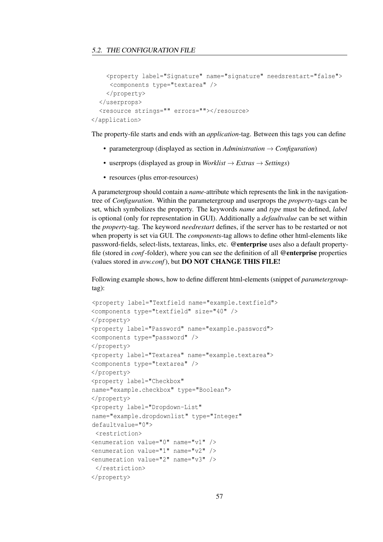```
<property label="Signature" name="signature" needsrestart="false">
    <components type="textarea" />
    </property>
  </userprops>
  <resource strings="" errors=""></resource>
</application>
```
The property-file starts and ends with an *application*-tag. Between this tags you can define

- parametergroup (displayed as section in *Administration* → *Configuration*)
- userprops (displayed as group in *Worklist*  $\rightarrow$  *Extras*  $\rightarrow$  *Settings*)
- resources (plus error-resources)

A parametergroup should contain a *name*-attribute which represents the link in the navigationtree of *Configuration*. Within the parametergroup and userprops the *property*-tags can be set, which symbolizes the property. The keywords *name* and *type* must be defined, *label* is optional (only for representation in GUI). Additionally a *defaultvalue* can be set within the *property*-tag. The keyword *needrestart* defines, if the server has to be restarted or not when property is set via GUI. The *components*-tag allows to define other html-elements like password-fields, select-lists, textareas, links, etc. @enterprise uses also a default propertyfile (stored in *conf*-folder), where you can see the definition of all @enterprise properties (values stored in *avw.conf*), but DO NOT CHANGE THIS FILE!

Following example shows, how to define different html-elements (snippet of *parametergroup*tag):

```
<property label="Textfield name="example.textfield">
<components type="textfield" size="40" />
</property>
<property label="Password" name="example.password">
<components type="password" />
</property>
<property label="Textarea" name="example.textarea">
<components type="textarea" />
</property>
<property label="Checkbox"
name="example.checkbox" type="Boolean">
</property>
<property label="Dropdown-List"
name="example.dropdownlist" type="Integer"
defaultvalue="0">
 <restriction>
<enumeration value="0" name="v1" />
<enumeration value="1" name="v2" />
<enumeration value="2" name="v3" />
 </restriction>
</property>
```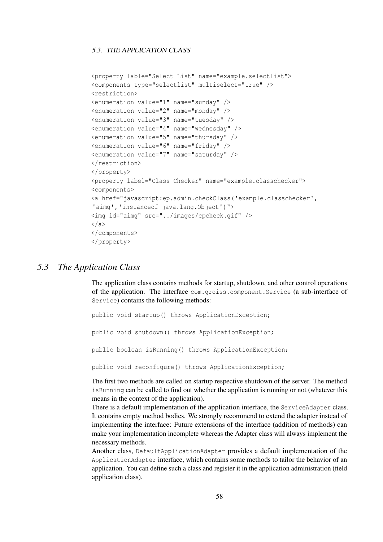```
<property lable="Select-List" name="example.selectlist">
<components type="selectlist" multiselect="true" />
<restriction>
<enumeration value="1" name="sunday" />
<enumeration value="2" name="monday" />
<enumeration value="3" name="tuesday" />
<enumeration value="4" name="wednesday" />
<enumeration value="5" name="thursday" />
<enumeration value="6" name="friday" />
<enumeration value="7" name="saturday" />
</restriction>
</property>
<property label="Class Checker" name="example.classchecker">
<components>
<a href="javascript:ep.admin.checkClass('example.classchecker',
'aimg','instanceof java.lang.Object')">
<img id="aimg" src="../images/cpcheck.gif" />
</a>
</components>
</property>
```
## *5.3 The Application Class*

The application class contains methods for startup, shutdown, and other control operations of the application. The interface com.groiss.component.Service (a sub-interface of Service) contains the following methods:

```
public void startup() throws ApplicationException;
public void shutdown() throws ApplicationException;
public boolean isRunning() throws ApplicationException;
public void reconfigure() throws ApplicationException;
```
The first two methods are called on startup respective shutdown of the server. The method isRunning can be called to find out whether the application is running or not (whatever this means in the context of the application).

There is a default implementation of the application interface, the ServiceAdapter class. It contains empty method bodies. We strongly recommend to extend the adapter instead of implementing the interface: Future extensions of the interface (addition of methods) can make your implementation incomplete whereas the Adapter class will always implement the necessary methods.

Another class, DefaultApplicationAdapter provides a default implementation of the ApplicationAdapter interface, which contains some methods to tailor the behavior of an application. You can define such a class and register it in the application administration (field application class).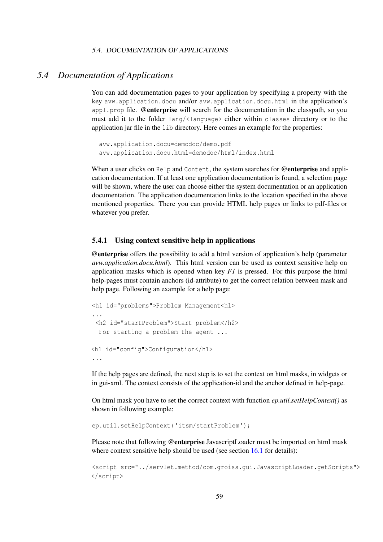## *5.4 Documentation of Applications*

<span id="page-58-0"></span>You can add documentation pages to your application by specifying a property with the key avw.application.docu and/or avw.application.docu.html in the application's appl.prop file. @enterprise will search for the documentation in the classpath, so you must add it to the folder lang/<language> either within classes directory or to the application jar file in the lib directory. Here comes an example for the properties:

```
avw.application.docu=demodoc/demo.pdf
avw.application.docu.html=demodoc/html/index.html
```
When a user clicks on Help and Content, the system searches for **@enterprise** and application documentation. If at least one application documentation is found, a selection page will be shown, where the user can choose either the system documentation or an application documentation. The application documentation links to the location specified in the above mentioned properties. There you can provide HTML help pages or links to pdf-files or whatever you prefer.

#### 5.4.1 Using context sensitive help in applications

@enterprise offers the possibility to add a html version of application's help (parameter *avw.application.docu.html*). This html version can be used as context sensitive help on application masks which is opened when key *F1* is pressed. For this purpose the html help-pages must contain anchors (id-attribute) to get the correct relation between mask and help page. Following an example for a help page:

```
<h1 id="problems">Problem Management<h1>
...
 <h2 id="startProblem">Start problem</h2>
  For starting a problem the agent ...
<h1 id="config">Configuration</h1>
...
```
If the help pages are defined, the next step is to set the context on html masks, in widgets or in gui-xml. The context consists of the application-id and the anchor defined in help-page.

On html mask you have to set the correct context with function *ep.util.setHelpContext()* as shown in following example:

ep.util.setHelpContext('itsm/startProblem');

Please note that following @enterprise JavascriptLoader must be imported on html mask where context sensitive help should be used (see section [16.1](#page-215-0) for details):

```
<script src="../servlet.method/com.groiss.gui.JavascriptLoader.getScripts">
</script>
```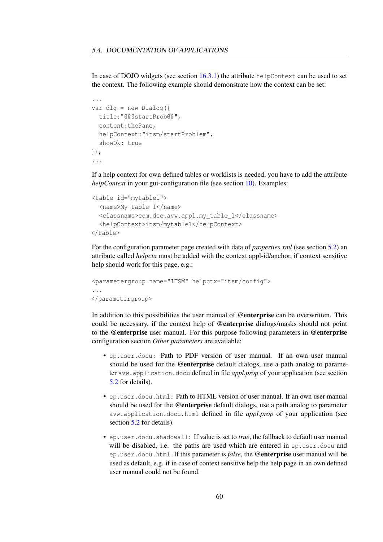In case of DOJO widgets (see section  $16.3.1$ ) the attribute helpContext can be used to set the context. The following example should demonstrate how the context can be set:

```
...
var dlg = new Dialog({
  title:"@@@startProb@@",
  content:thePane,
  helpContext:"itsm/startProblem",
  showOk: true
});
...
```
If a help context for own defined tables or worklists is needed, you have to add the attribute *helpContext* in your gui-configuration file (see section [10\)](#page-109-0). Examples:

```
<table id="mytable1">
  <name>My table 1</name>
  <classname>com.dec.avw.appl.my_table_1</classname>
  <helpContext>itsm/mytable1</helpContext>
</table>
```
For the configuration parameter page created with data of *properties.xml* (see section [5.2\)](#page-54-0) an attribute called *helpctx* must be added with the context appl-id/anchor, if context sensitive help should work for this page, e.g.:

```
<parametergroup name="ITSM" helpctx="itsm/config">
...
</parametergroup>
```
In addition to this possibilities the user manual of @enterprise can be overwritten. This could be necessary, if the context help of @enterprise dialogs/masks should not point to the @enterprise user manual. For this purpose following parameters in @enterprise configuration section *Other parameters* are available:

- ep.user.docu: Path to PDF version of user manual. If an own user manual should be used for the @enterprise default dialogs, use a path analog to parameter avw.application.docu defined in file *appl.prop* of your application (see section [5.2](#page-54-0) for details).
- ep.user.docu.html: Path to HTML version of user manual. If an own user manual should be used for the @enterprise default dialogs, use a path analog to parameter avw.application.docu.html defined in file *appl.prop* of your application (see section [5.2](#page-54-0) for details).
- ep.user.docu.shadowall: If value is set to *true*, the fallback to default user manual will be disabled, i.e. the paths are used which are entered in ep.user.docu and ep.user.docu.html. If this parameter is *false*, the @enterprise user manual will be used as default, e.g. if in case of context sensitive help the help page in an own defined user manual could not be found.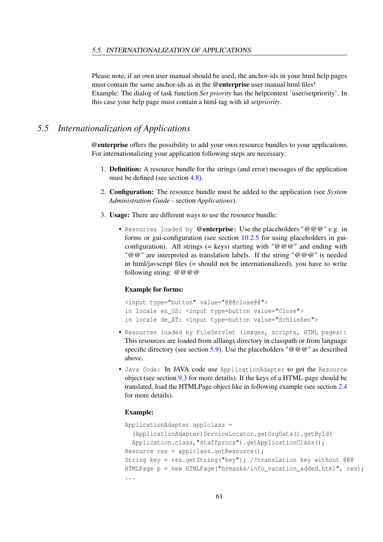Please note, if an own user manual should be used, the anchor-ids in your html help pages must contain the same anchor-ids as in the @enterprise user manual html files! Example: The dialog of task function *Set priority* has the helpcontext 'user/setpriority'. In this case your help page must contain a html-tag with id *setpriority*.

## *5.5 Internationalization of Applications*

@enterprise offers the possibility to add your own resource bundles to your applications. For internationalizing your application following steps are necessary:

- 1. Definition: A resource bundle for the strings (and error) messages of the application must be defined (see section [4.8\)](#page-50-0).
- 2. Configuration: The resource bundle must be added to the application (see *System Administration Guide* - section *Applications*).
- 3. Usage: There are different ways to use the resource bundle:
	- Resources loaded by @enterprise: Use the placeholders "@@@" e.g. in forms or gui-configuration (see section  $10.2.5$  for using placeholders in guiconfiguration). All strings (= keys) starting with " $@@@"$  and ending with "@@" are interpreted as translation labels. If the string "@@@" is needed in html/javscript files (= should not be internationalized), you have to write following string:  $@@@@$

#### Example for forms:

```
<input type="button" value="@@@close@@">
in locale en_US: <input type=button value="Close">
in locale de_AT: <input type=button value="Schließen">
```
- Resources loaded by FileServlet (images, scripts, HTML pages): This resources are loaded from alllangs directory in classpath or from language specific directory (see section [5.9\)](#page-63-0). Use the placeholders " $@@@"$  as described above.
- Java Code: In JAVA code use ApplicationAdapter to get the Resource object (see section [9.3](#page-89-0) for more details). If the keys of a HTML-page should be translated, load the HTMLPage object like in following example (see section [2.4](#page-12-0) for more details).

#### Example:

```
ApplicationAdapter applclass =
  (ApplicationAdapter)ServiceLocator.getOrgData().getById(
  Application.class,"staffprocs").getApplicationClass();
Resource res = applclass.getResource();
String key = res.getString("key"); //translation key without @@@
HTMLPage p = new HTMLPage('hrmasks/info vacation added.html", res);...
```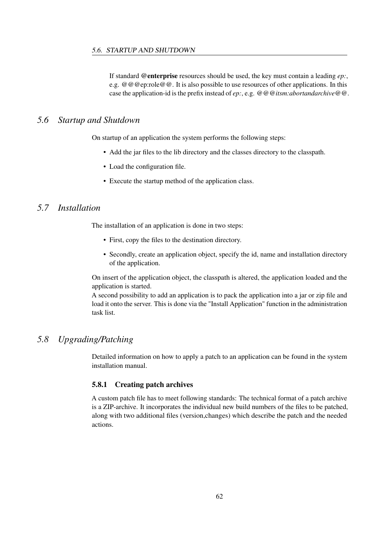If standard @enterprise resources should be used, the key must contain a leading *ep:*, e.g. @@@ep:role@@. It is also possible to use resources of other applications. In this case the application-id is the prefix instead of *ep:*, e.g. *@@@itsm:abortandarchive@@*.

## *5.6 Startup and Shutdown*

On startup of an application the system performs the following steps:

- Add the jar files to the lib directory and the classes directory to the classpath.
- Load the configuration file.
- Execute the startup method of the application class.

## *5.7 Installation*

The installation of an application is done in two steps:

- First, copy the files to the destination directory.
- Secondly, create an application object, specify the id, name and installation directory of the application.

On insert of the application object, the classpath is altered, the application loaded and the application is started.

A second possibility to add an application is to pack the application into a jar or zip file and load it onto the server. This is done via the "Install Application" function in the administration task list.

## *5.8 Upgrading/Patching*

Detailed information on how to apply a patch to an application can be found in the system installation manual.

#### 5.8.1 Creating patch archives

A custom patch file has to meet following standards: The technical format of a patch archive is a ZIP-archive. It incorporates the individual new build numbers of the files to be patched, along with two additional files (version,changes) which describe the patch and the needed actions.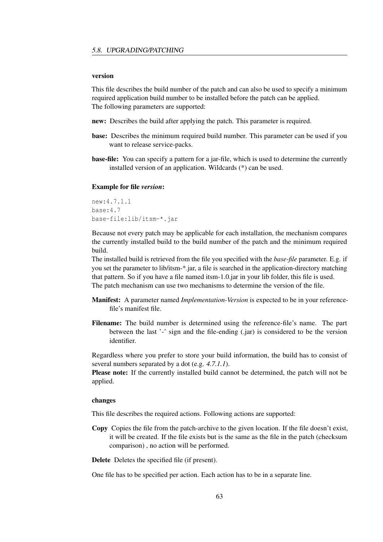#### version

This file describes the build number of the patch and can also be used to specify a minimum required application build number to be installed before the patch can be applied. The following parameters are supported:

- new: Describes the build after applying the patch. This parameter is required.
- base: Describes the minimum required build number. This parameter can be used if you want to release service-packs.
- base-file: You can specify a pattern for a jar-file, which is used to determine the currently installed version of an application. Wildcards (\*) can be used.

#### Example for file *version*:

```
new:4.7.1.1
base:4.7
base-file:lib/itsm-*.jar
```
Because not every patch may be applicable for each installation, the mechanism compares the currently installed build to the build number of the patch and the minimum required build.

The installed build is retrieved from the file you specified with the *base-file* parameter. E.g. if you set the parameter to lib/itsm-\*.jar, a file is searched in the application-directory matching that pattern. So if you have a file named itsm-1.0.jar in your lib folder, this file is used. The patch mechanism can use two mechanisms to determine the version of the file.

- Manifest: A parameter named *Implementation-Version* is expected to be in your referencefile's manifest file.
- Filename: The build number is determined using the reference-file's name. The part between the last '-' sign and the file-ending (.jar) is considered to be the version identifier.

Regardless where you prefer to store your build information, the build has to consist of several numbers separated by a dot (e.g. *4.7.1.1*).

Please note: If the currently installed build cannot be determined, the patch will not be applied.

#### changes

This file describes the required actions. Following actions are supported:

Copy Copies the file from the patch-archive to the given location. If the file doesn't exist, it will be created. If the file exists but is the same as the file in the patch (checksum comparison) , no action will be performed.

Delete Deletes the specified file (if present).

One file has to be specified per action. Each action has to be in a separate line.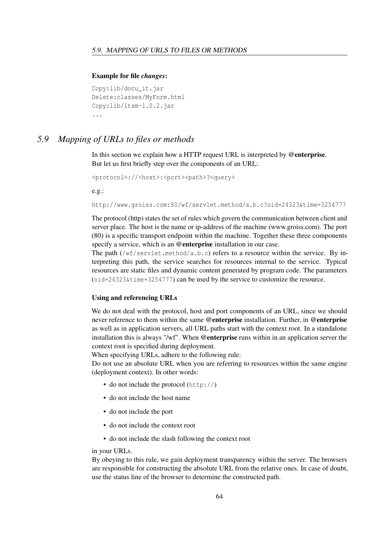#### Example for file *changes*:

```
Copy:lib/docu_it.jar
Delete:classes/MyForm.html
Copy:lib/itsm-1.0.2.jar
...
```
## *5.9 Mapping of URLs to files or methods*

<span id="page-63-0"></span>In this section we explain how a HTTP request URL is interpreted by @enterprise. But let us first briefly step over the components of an URL:

```
<protocol>://<host>:<port><path>?<query>
```
e.g.:

http://www.groiss.com:80/wf/servlet.method/a.b.c?oid=24323&time=3254777

The protocol (http) states the set of rules which govern the communication between client and server place. The host is the name or ip-address of the machine (www.groiss.com). The port (80) is a specific transport endpoint within the machine. Together these three components specify a service, which is an @enterprise installation in our case.

The path  $(\sqrt{wf}/\sqrt{se^{\frac{1}{\pi}}}t)$  method/a.b.c) refers to a resource within the service. By interpreting this path, the service searches for resources internal to the service. Typical resources are static files and dynamic content generated by program code. The parameters (oid=24323&time=3254777) can be used by the service to customize the resource.

#### Using and referencing URLs

We do not deal with the protocol, host and port components of an URL, since we should never reference to them within the same @enterprise installation. Further, in @enterprise as well as in application servers, all URL paths start with the context root. In a standalone installation this is always "/wf". When @enterprise runs within in an application server the context root is specified during deployment.

When specifying URLs, adhere to the following rule:

Do not use an absolute URL when you are referring to resources within the same engine (deployment context). In other words:

- do not include the protocol (http://)
- do not include the host name
- do not include the port
- do not include the context root
- do not include the slash following the context root

#### in your URLs.

By obeying to this rule, we gain deployment transparency within the server. The browsers are responsible for constructing the absolute URL from the relative ones. In case of doubt, use the status line of the browser to determine the constructed path.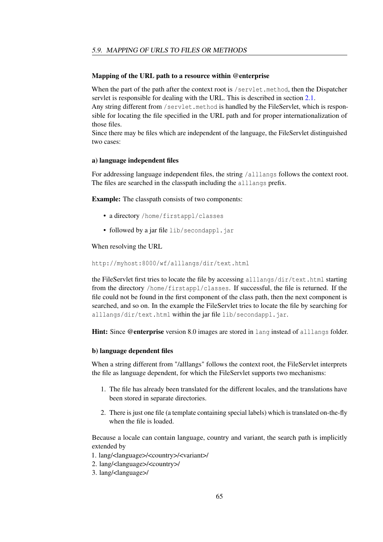#### Mapping of the URL path to a resource within @enterprise

When the part of the path after the context root is /servlet.method, then the Dispatcher servlet is responsible for dealing with the URL. This is described in section [2.1.](#page-10-0) Any string different from /servlet.method is handled by the FileServlet, which is respon-

sible for locating the file specified in the URL path and for proper internationalization of those files.

Since there may be files which are independent of the language, the FileServlet distinguished two cases:

#### a) language independent files

For addressing language independent files, the string /alllangs follows the context root. The files are searched in the classpath including the alllangs prefix.

Example: The classpath consists of two components:

- a directory /home/firstappl/classes
- followed by a jar file lib/secondappl.jar

When resolving the URL

http://myhost:8000/wf/alllangs/dir/text.html

the FileServlet first tries to locate the file by accessing alllangs/dir/text.html starting from the directory /home/firstappl/classes. If successful, the file is returned. If the file could not be found in the first component of the class path, then the next component is searched, and so on. In the example the FileServlet tries to locate the file by searching for alllangs/dir/text.html within the jar file lib/secondappl.jar.

Hint: Since @enterprise version 8.0 images are stored in lang instead of alllangs folder.

#### b) language dependent files

When a string different from "/alllangs" follows the context root, the FileServlet interprets the file as language dependent, for which the FileServlet supports two mechanisms:

- 1. The file has already been translated for the different locales, and the translations have been stored in separate directories.
- 2. There is just one file (a template containing special labels) which is translated on-the-fly when the file is loaded.

Because a locale can contain language, country and variant, the search path is implicitly extended by

- 1. lang/<language>/<country>/<variant>/
- 2. lang/<language>/<country>/
- 3. lang/<language>/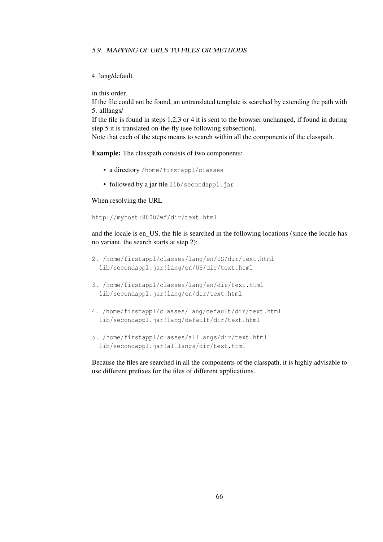#### 4. lang/default

in this order.

If the file could not be found, an untranslated template is searched by extending the path with 5. alllangs/

If the file is found in steps 1,2,3 or 4 it is sent to the browser unchanged, if found in during step 5 it is translated on-the-fly (see following subsection).

Note that each of the steps means to search within all the components of the classpath.

Example: The classpath consists of two components:

- a directory /home/firstappl/classes
- followed by a jar file lib/secondappl.jar

#### When resolving the URL

http://myhost:8000/wf/dir/text.html

and the locale is en\_US, the file is searched in the following locations (since the locale has no variant, the search starts at step 2):

- 2. /home/firstappl/classes/lang/en/US/dir/text.html lib/secondappl.jar!lang/en/US/dir/text.html
- 3. /home/firstappl/classes/lang/en/dir/text.html lib/secondappl.jar!lang/en/dir/text.html
- 4. /home/firstappl/classes/lang/default/dir/text.html lib/secondappl.jar!lang/default/dir/text.html
- 5. /home/firstappl/classes/alllangs/dir/text.html lib/secondappl.jar!alllangs/dir/text.html

Because the files are searched in all the components of the classpath, it is highly advisable to use different prefixes for the files of different applications.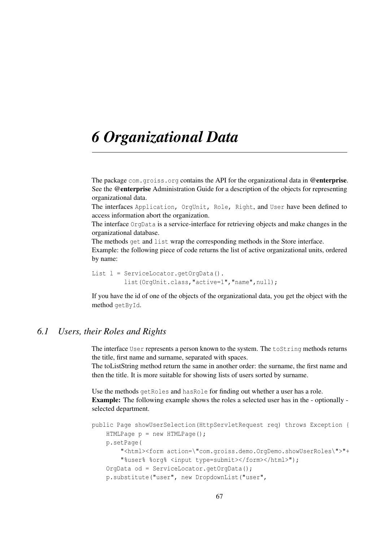## <span id="page-66-0"></span>*6 Organizational Data*

The package com. groiss.org contains the API for the organizational data in  $\omega$  enterprise. See the @enterprise Administration Guide for a description of the objects for representing organizational data.

The interfaces Application, OrgUnit, Role, Right, and User have been defined to access information abort the organization.

The interface OrgData is a service-interface for retrieving objects and make changes in the organizational database.

The methods get and list wrap the corresponding methods in the Store interface. Example: the following piece of code returns the list of active organizational units, ordered by name:

```
List l = ServiceLocator.getOrgData().
         list(OrgUnit.class, "active=1", "name", null);
```
If you have the id of one of the objects of the organizational data, you get the object with the method getById.

## *6.1 Users, their Roles and Rights*

The interface User represents a person known to the system. The toString methods returns the title, first name and surname, separated with spaces.

The toListString method return the same in another order: the surname, the first name and then the title. It is more suitable for showing lists of users sorted by surname.

Use the methods getRoles and hasRole for finding out whether a user has a role. Example: The following example shows the roles a selected user has in the - optionally selected department.

```
public Page showUserSelection(HttpServletRequest req) throws Exception {
   HTMLPage p = new HTMLPage();
   p.setPage(
        "<html><form action=\"com.groiss.demo.OrgDemo.showUserRoles\">"+
        "%user% %org% <input type=submit></form></html>");
    OrgData od = ServiceLocator.getOrgData();
    p.substitute("user", new DropdownList("user",
```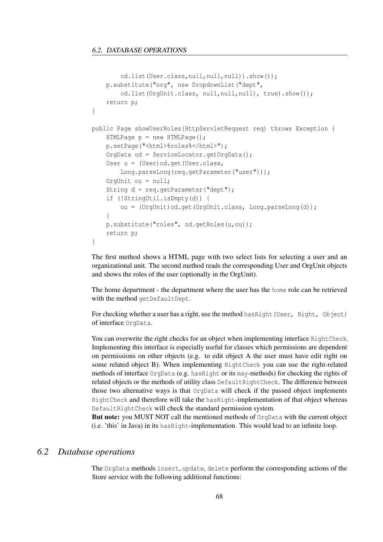```
od.list(User.class,null,null,null)).show());
    p.substitute("org", new DropdownList("dept",
        od.list(OrgUnit.class, null,null,null), true).show());
    return p;
}
public Page showUserRoles(HttpServletRequest req) throws Exception {
    HTMLPage p = new HTMLPage();
    p.setPage("<html>%roles%</html>");
    OrgData od = ServiceLocator.getOrgData();
    User u = (User)od.get(User.class,
        Long.parseLong(req.getParameter("user")));
    OrgUnit ou = null;
    String d = req.getParameter("dept");
    if (!StringUtil.isEmpty(d)) {
        ou = (OrgUnit)od.get(OrgUnit.class, Long.parseLong(d));
    }
    p.substitute("roles", od.getRoles(u,ou));
    return p;
}
```
The first method shows a HTML page with two select lists for selecting a user and an organizational unit. The second method reads the corresponding User and OrgUnit objects and shows the roles of the user (optionally in the OrgUnit).

The home department - the department where the user has the home role can be retrieved with the method getDefaultDept.

For checking whether a user has a right, use the method has Right (User, Right, Object) of interface OrgData.

You can overwrite the right checks for an object when implementing interface RightCheck. Implementing this interface is especially useful for classes which permissions are dependent on permissions on other objects (e.g. to edit object A the user must have edit right on some related object B). When implementing RightCheck you can use the right-related methods of interface OrgData (e.g. hasRight or its may-methods) for checking the rights of related objects or the methods of utility class DefaultRightCheck. The difference between those two alternative ways is that OrgData will check if the passed object implements RightCheck and therefore will take the hasRight-implementation of that object whereas DefaultRightCheck will check the standard permission system.

**But note:** you MUST NOT call the mentioned methods of  $OrgData$  with the current object (i.e. 'this' in Java) in its hasRight-implementation. This would lead to an infinite loop.

#### *6.2 Database operations*

The OrgData methods insert, update, delete perform the corresponding actions of the Store service with the following additional functions: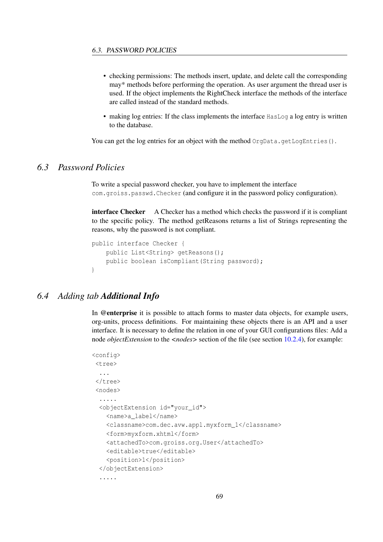- checking permissions: The methods insert, update, and delete call the corresponding may\* methods before performing the operation. As user argument the thread user is used. If the object implements the RightCheck interface the methods of the interface are called instead of the standard methods.
- making log entries: If the class implements the interface HasLoq a log entry is written to the database.

You can get the log entries for an object with the method  $\text{OrgData.getLogEntries}()$ .

## *6.3 Password Policies*

To write a special password checker, you have to implement the interface com.groiss.passwd.Checker (and configure it in the password policy configuration).

interface Checker A Checker has a method which checks the password if it is compliant to the specific policy. The method getReasons returns a list of Strings representing the reasons, why the password is not compliant.

```
public interface Checker {
    public List<String> getReasons();
    public boolean isCompliant(String password);
}
```
## *6.4 Adding tab Additional Info*

In @enterprise it is possible to attach forms to master data objects, for example users, org-units, process definitions. For maintaining these objects there is an API and a user interface. It is necessary to define the relation in one of your GUI configurations files: Add a node *objectExtension* to the *<nodes*> section of the file (see section [10.2.4\)](#page-129-0), for example:

```
<config>
<tree>
  ...
 </tree>
 <nodes>
  .....
  <objectExtension id="your_id">
    <name>a_label</name>
    <classname>com.dec.avw.appl.myxform_1</classname>
    <form>myxform.xhtml</form>
    <attachedTo>com.groiss.org.User</attachedTo>
    <editable>true</editable>
    <position>1</position>
  </objectExtension>
  .....
```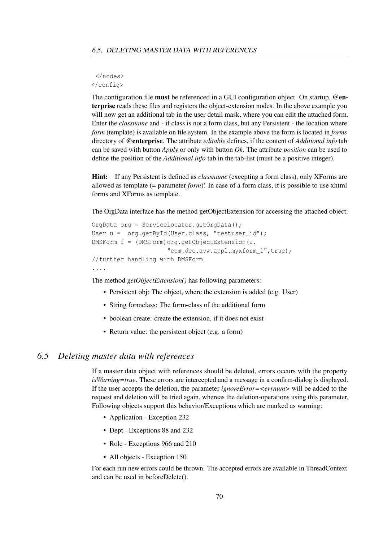</nodes> </config>

The configuration file **must** be referenced in a GUI configuration object. On startup, @enterprise reads these files and registers the object-extension nodes. In the above example you will now get an additional tab in the user detail mask, where you can edit the attached form. Enter the *classname* and - if class is not a form class, but any Persistent - the location where *form* (template) is available on file system. In the example above the form is located in *forms* directory of @enterprise. The attribute *editable* defines, if the content of *Additional info* tab can be saved with button *Apply* or only with button *Ok*. The attribute *position* can be used to define the position of the *Additional info* tab in the tab-list (must be a positive integer).

Hint: If any Persistent is defined as *classname* (excepting a form class), only XForms are allowed as template (= parameter *form*)! In case of a form class, it is possible to use xhtml forms and XForms as template.

The OrgData interface has the method getObjectExtension for accessing the attached object:

```
OrgData org = ServiceLocator.getOrgData();
User u = org.getById(User.class, "testuser_id");
DMSForm f = (DMSForm) org.getObjectExtension(u,
                     "com.dec.avw.appl.myxform_1",true);
//further handling with DMSForm
....
```
The method *getObjectExtension()* has following parameters:

- Persistent obj: The object, where the extension is added (e.g. User)
- String formclass: The form-class of the additional form
- boolean create: create the extension, if it does not exist
- Return value: the persistent object (e.g. a form)

## *6.5 Deleting master data with references*

If a master data object with references should be deleted, errors occurs with the property *isWarning=true*. These errors are intercepted and a message in a confirm-dialog is displayed. If the user accepts the deletion, the parameter *ignoreError=<errnum>* will be added to the request and deletion will be tried again, whereas the deletion-operations using this parameter. Following objects support this behavior/Exceptions which are marked as warning:

- Application Exception 232
- Dept Exceptions 88 and 232
- Role Exceptions 966 and 210
- All objects Exception 150

For each run new errors could be thrown. The accepted errors are available in ThreadContext and can be used in beforeDelete().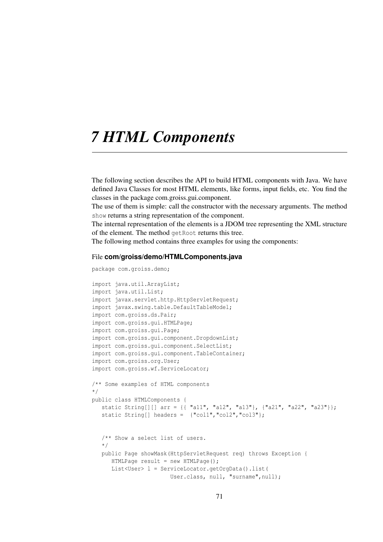## *7 HTML Components*

The following section describes the API to build HTML components with Java. We have defined Java Classes for most HTML elements, like forms, input fields, etc. You find the classes in the package com.groiss.gui.component.

The use of them is simple: call the constructor with the necessary arguments. The method show returns a string representation of the component.

The internal representation of the elements is a JDOM tree representing the XML structure of the element. The method getRoot returns this tree.

The following method contains three examples for using the components:

#### File **com/groiss/demo/HTMLComponents.java**

package com.groiss.demo;

```
import java.util.ArrayList;
import java.util.List;
import javax.servlet.http.HttpServletRequest;
import javax.swing.table.DefaultTableModel;
import com.groiss.ds.Pair;
import com.groiss.gui.HTMLPage;
import com.groiss.gui.Page;
import com.groiss.gui.component.DropdownList;
import com.groiss.gui.component.SelectList;
import com.groiss.gui.component.TableContainer;
import com.groiss.org.User;
import com.groiss.wf.ServiceLocator;
/** Some examples of HTML components
*/
public class HTMLComponents {
   static String[][] arr = { { "a11", 'a12", 'a13"}}, { "a21", 'a22", 'a23"} };static String[] headers = {"col1","col2","col3"};
   /** Show a select list of users.
   */
   public Page showMask(HttpServletRequest req) throws Exception {
      HTMLPage result = new HTMLPage() :
      List<User> l = ServiceLocator.getOrgData().list(
                        User.class, null, "surname",null);
```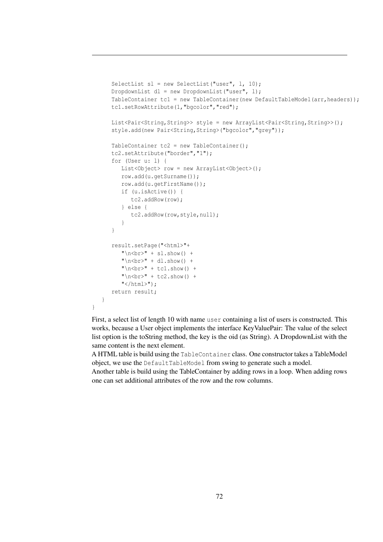```
SelectList sl = new SelectList("user", l, 10);
  DropdownList dl = new DropdownList("user", l);
   TableContainer tc1 = new TableContainer(new DefaultTableModel(arr, headers));
   tc1.setRowAttribute(1,"bgcolor","red");
   List<Pair<String, String>> style = new ArrayList<Pair<String, String>>();
   style.add(new Pair<String, String>("bgcolor", "grey"));
  TableContainer tc2 = new TableContainer();
  tc2.setAttribute("border","1");
   for (User u: l) {
     List<Object> row = new ArrayList<Object>();
     row.add(u.getSurname());
      row.add(u.getFirstName());
      if (u.isActive()) {
        tc2.addRow(row);
      } else {
        tc2.addRow(row,style,null);
      }
   }
   result.setPage("<html>"+
      "\n<br>" + sl.show() +
      "\ln kbr>" + dl.show() +
      "\n<br>" + tc1.show() +
      "\n<br>" + tc2.show() +
      "</html>");
  return result;
}
```
First, a select list of length 10 with name user containing a list of users is constructed. This works, because a User object implements the interface KeyValuePair: The value of the select list option is the toString method, the key is the oid (as String). A DropdownList with the same content is the next element.

}

A HTML table is build using the TableContainer class. One constructor takes a TableModel object, we use the DefaultTableModel from swing to generate such a model.

Another table is build using the TableContainer by adding rows in a loop. When adding rows one can set additional attributes of the row and the row columns.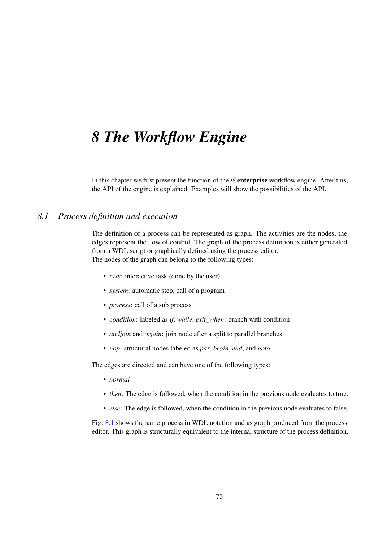# *8 The Workflow Engine*

In this chapter we first present the function of the **@enterprise** workflow engine. After this, the API of the engine is explained. Examples will show the possibilities of the API.

# *8.1 Process definition and execution*

The definition of a process can be represented as graph. The activities are the nodes, the edges represent the flow of control. The graph of the process definition is either generated from a WDL script or graphically defined using the process editor. The nodes of the graph can belong to the following types:

- *task*: interactive task (done by the user)
- *system*: automatic step, call of a program
- *process*: call of a sub process
- *condition*: labeled as *if*, *while*, *exit\_when*: branch with condition
- *andjoin* and *orjoin*: join node after a split to parallel branches
- *nop*: structural nodes labeled as *par*, *begin*, *end*, and *goto*

The edges are directed and can have one of the following types:

- *normal*
- *then*: The edge is followed, when the condition in the previous node evaluates to true.
- *else*: The edge is followed, when the condition in the previous node evaluates to false.

Fig. [8.1](#page-73-0) shows the same process in WDL notation and as graph produced from the process editor. This graph is structurally equivalent to the internal structure of the process definition.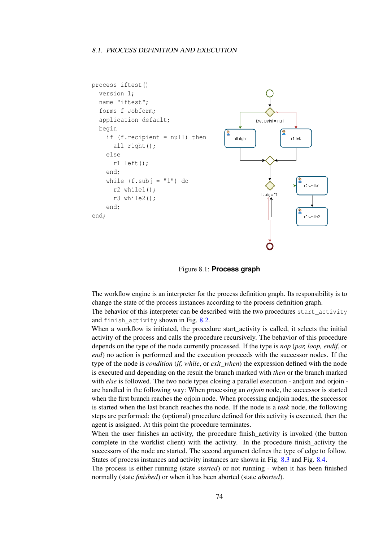

<span id="page-73-0"></span>Figure 8.1: **Process graph**

The workflow engine is an interpreter for the process definition graph. Its responsibility is to change the state of the process instances according to the process definition graph.

The behavior of this interpreter can be described with the two procedures start\_activity and finish\_activity shown in Fig. [8.2.](#page-74-0)

When a workflow is initiated, the procedure start activity is called, it selects the initial activity of the process and calls the procedure recursively. The behavior of this procedure depends on the type of the node currently processed. If the type is *nop* (*par, loop, endif*, or *end*) no action is performed and the execution proceeds with the successor nodes. If the type of the node is *condition* (*if, while*, or *exit\_when*) the expression defined with the node is executed and depending on the result the branch marked with *then* or the branch marked with *else* is followed. The two node types closing a parallel execution - andjoin and orjoin are handled in the following way: When processing an *orjoin* node, the successor is started when the first branch reaches the orjoin node. When processing andjoin nodes, the successor is started when the last branch reaches the node. If the node is a *task* node, the following steps are performed: the (optional) procedure defined for this activity is executed, then the agent is assigned. At this point the procedure terminates.

When the user finishes an activity, the procedure finish activity is invoked (the button complete in the worklist client) with the activity. In the procedure finish\_activity the successors of the node are started. The second argument defines the type of edge to follow. States of process instances and activity instances are shown in Fig. [8.3](#page-75-0) and Fig. [8.4.](#page-75-1)

The process is either running (state *started*) or not running - when it has been finished normally (state *finished*) or when it has been aborted (state *aborted*).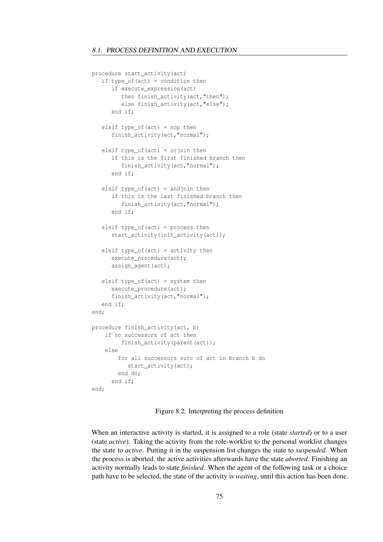```
procedure start_activity(act)
   if type_of(act) = condition then
      if execute_expression(act)
         then finish_activity(act,"then");
         else finish_activity(act,"else");
      end if;
   elsif type of(act) = nop then
      finish_activity(act,"normal");
   elsif type of(act) = origin thenif this is the first finished branch then
         finish_activity(act,"normal");
      end if;
   elsif type_of(act) = andjoin then
      if this is the last finished branch then
         finish_activity(act,"normal");
      end if;
   elsif type_of(act) = process then
      start_activity(init_activity(act));
   elsif type_of(act) = activity then
      execute procedure(act);
      assign_agent(act);
   elsif type of(act) = system then
      execute procedure(act);
      finish_activity(act,"normal");
   end if;
end;
procedure finish_activity(act, b)
    if no successors of act then
         finish_activity(parent(act));
    else
        for all successors succ of act in branch b do
           start_activity(act);
        end do;
      end if;
end;
```
<span id="page-74-0"></span>Figure 8.2: Interpreting the process definition

When an interactive activity is started, it is assigned to a role (state *started*) or to a user (state *active*). Taking the activity from the role-worklist to the personal worklist changes the state to *active*. Putting it in the suspension list changes the state to *suspended*. When the process is aborted, the active activities afterwards have the state *aborted*. Finishing an activity normally leads to state *finished*. When the agent of the following task or a choice path have to be selected, the state of the activity is *waiting*, until this action has been done.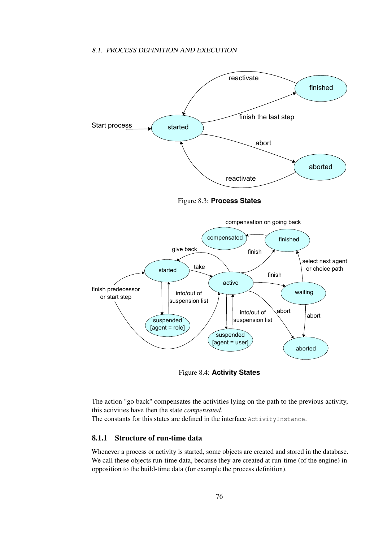#### 8.1. PROCESS DEFINITION AND EXECUTION



<span id="page-75-0"></span>Figure 8.3: **Process States**



<span id="page-75-1"></span>Figure 8.4: **Activity States**

The action "go back" compensates the activities lying on the path to the previous activity, this activities have then the state *compensated*. The constants for this states are defined in the interface ActivityInstance.

## 8.1.1 Structure of run-time data

Whenever a process or activity is started, some objects are created and stored in the database. We call these objects run-time data, because they are created at run-time (of the engine) in opposition to the build-time data (for example the process definition).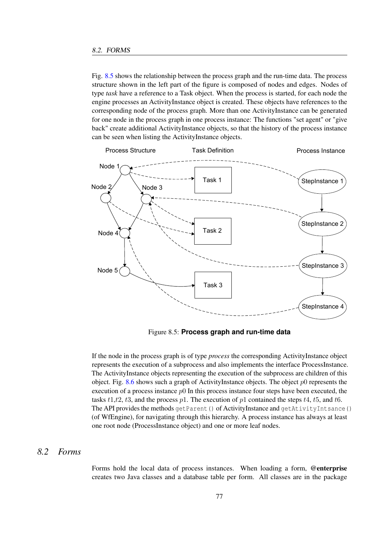Fig. [8.5](#page-76-0) shows the relationship between the process graph and the run-time data. The process structure shown in the left part of the figure is composed of nodes and edges. Nodes of type *task* have a reference to a Task object. When the process is started, for each node the engine processes an ActivityInstance object is created. These objects have references to the corresponding node of the process graph. More than one ActivityInstance can be generated for one node in the process graph in one process instance: The functions "set agent" or "give back" create additional ActivityInstance objects, so that the history of the process instance can be seen when listing the ActivityInstance objects.



<span id="page-76-0"></span>Figure 8.5: **Process graph and run-time data**

If the node in the process graph is of type *process* the corresponding ActivityInstance object represents the execution of a subprocess and also implements the interface ProcessInstance. The ActivityInstance objects representing the execution of the subprocess are children of this object. Fig. [8.6](#page-77-0) shows such a graph of ActivityInstance objects. The object  $p0$  represents the execution of a process instance  $p0$  In this process instance four steps have been executed, the tasks  $t1,t2$ ,  $t3$ , and the process  $p1$ . The execution of  $p1$  contained the steps  $t4$ ,  $t5$ , and  $t6$ . The API provides the methods getParent() of ActivityInstance and getAtivityIntsance() (of WfEngine), for navigating through this hierarchy. A process instance has always at least one root node (ProcessInstance object) and one or more leaf nodes.

## *8.2 Forms*

Forms hold the local data of process instances. When loading a form, @enterprise creates two Java classes and a database table per form. All classes are in the package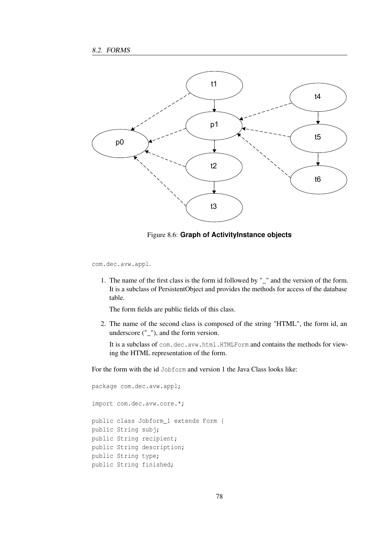

<span id="page-77-0"></span>Figure 8.6: **Graph of ActivityInstance objects**

com.dec.avw.appl.

1. The name of the first class is the form id followed by "\_" and the version of the form. It is a subclass of PersistentObject and provides the methods for access of the database table.

The form fields are public fields of this class.

2. The name of the second class is composed of the string "HTML", the form id, an underscore ("\_"), and the form version.

It is a subclass of com.dec.avw.html.HTMLForm and contains the methods for viewing the HTML representation of the form.

For the form with the id Jobform and version 1 the Java Class looks like:

```
package com.dec.avw.appl;
import com.dec.avw.core.*;
public class Jobform_1 extends Form {
public String subj;
public String recipient;
public String description;
public String type;
public String finished;
```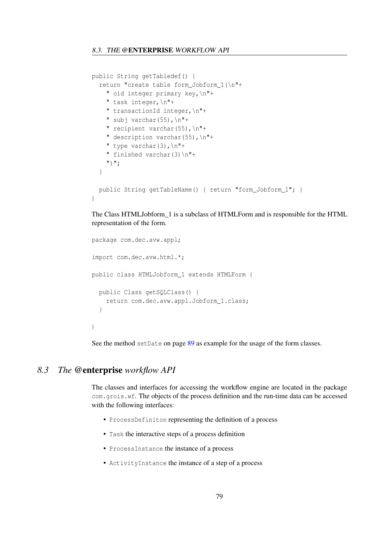```
public String getTabledef() {
  return "create table form_Jobform_1(\n"+
    " oid integer primary key, \n"+
    " task integer,\n"+
    " transactionId integer,\n"+
    " subj varchar(55), \n\frac{m+1}{2}" recipient varchar(55), \n\frac{m+1}{2}" description varchar(55), \n\frac{m}{+}" type varchar(3), \n\frac{m+1}{2}" finished varchar(3) \n\frac{m+1}{2}")";
  }
  public String getTableName() { return "form_Jobform 1"; }
}
```
The Class HTMLJobform\_1 is a subclass of HTMLForm and is responsible for the HTML representation of the form.

```
package com.dec.avw.appl;
import com.dec.avw.html.*;
public class HTMLJobform_1 extends HTMLForm {
  public Class getSQLClass() {
    return com.dec.avw.appl.Jobform_1.class;
  }
}
```
See the method setDate on page [89](#page-88-0) as example for the usage of the form classes.

# *8.3 The* @enterprise *workflow API*

The classes and interfaces for accessing the workflow engine are located in the package com.grois.wf. The objects of the process definition and the run-time data can be accessed with the following interfaces:

- ProcessDefiniton representing the definition of a process
- Task the interactive steps of a process definition
- ProcessInstance the instance of a process
- ActivityInstance the instance of a step of a process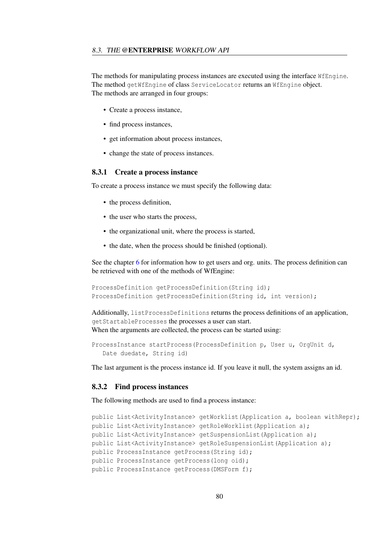The methods for manipulating process instances are executed using the interface WfEngine. The method getWfEngine of class ServiceLocator returns an WfEngine object. The methods are arranged in four groups:

- Create a process instance,
- find process instances,
- get information about process instances,
- change the state of process instances.

## 8.3.1 Create a process instance

To create a process instance we must specify the following data:

- the process definition,
- the user who starts the process,
- the organizational unit, where the process is started,
- the date, when the process should be finished (optional).

See the chapter [6](#page-66-0) for information how to get users and org. units. The process definition can be retrieved with one of the methods of WfEngine:

```
ProcessDefinition getProcessDefinition(String id);
ProcessDefinition getProcessDefinition(String id, int version);
```
Additionally, listProcessDefinitions returns the process definitions of an application, getStartableProcesses the processes a user can start. When the arguments are collected, the process can be started using:

```
ProcessInstance startProcess(ProcessDefinition p, User u, OrgUnit d,
   Date duedate, String id)
```
The last argument is the process instance id. If you leave it null, the system assigns an id.

### 8.3.2 Find process instances

The following methods are used to find a process instance:

```
public List<ActivityInstance> getWorklist(Application a, boolean withRepr);
public List<ActivityInstance> getRoleWorklist(Application a);
public List<ActivityInstance> getSuspensionList(Application a);
public List<ActivityInstance> getRoleSuspensionList(Application a);
public ProcessInstance getProcess(String id);
public ProcessInstance getProcess(long oid);
public ProcessInstance getProcess(DMSForm f);
```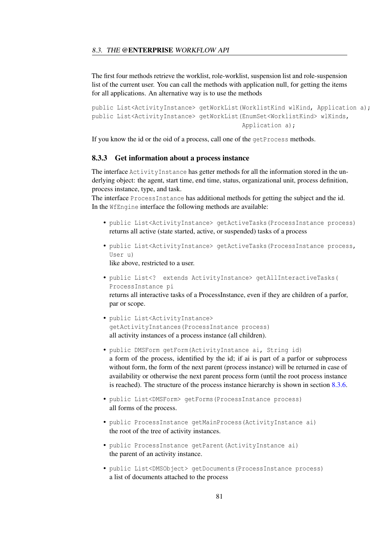The first four methods retrieve the worklist, role-worklist, suspension list and role-suspension list of the current user. You can call the methods with application null, for getting the items for all applications. An alternative way is to use the methods

```
public List<ActivityInstance> getWorkList(WorklistKind wlKind, Application a);
public List<ActivityInstance> getWorkList(EnumSet<WorklistKind> wlKinds,
                                          Application a);
```
If you know the id or the oid of a process, call one of the get Process methods.

## 8.3.3 Get information about a process instance

The interface ActivityInstance has getter methods for all the information stored in the underlying object: the agent, start time, end time, status, organizational unit, process definition, process instance, type, and task.

The interface ProcessInstance has additional methods for getting the subject and the id. In the WfEngine interface the following methods are available:

- public List<ActivityInstance> getActiveTasks(ProcessInstance process) returns all active (state started, active, or suspended) tasks of a process
- public List<ActivityInstance> getActiveTasks(ProcessInstance process, User u)

like above, restricted to a user.

- public List<? extends ActivityInstance> getAllInteractiveTasks( ProcessInstance pi returns all interactive tasks of a ProcessInstance, even if they are children of a parfor, par or scope.
- public List<ActivityInstance> getActivityInstances(ProcessInstance process) all activity instances of a process instance (all children).
- public DMSForm getForm(ActivityInstance ai, String id) a form of the process, identified by the id; if ai is part of a parfor or subprocess without form, the form of the next parent (process instance) will be returned in case of availability or otherwise the next parent process form (until the root process instance is reached). The structure of the process instance hierarchy is shown in section [8.3.6.](#page-81-0)
- public List<DMSForm> getForms(ProcessInstance process) all forms of the process.
- public ProcessInstance getMainProcess(ActivityInstance ai) the root of the tree of activity instances.
- public ProcessInstance getParent(ActivityInstance ai) the parent of an activity instance.
- public List<DMSObject> getDocuments(ProcessInstance process) a list of documents attached to the process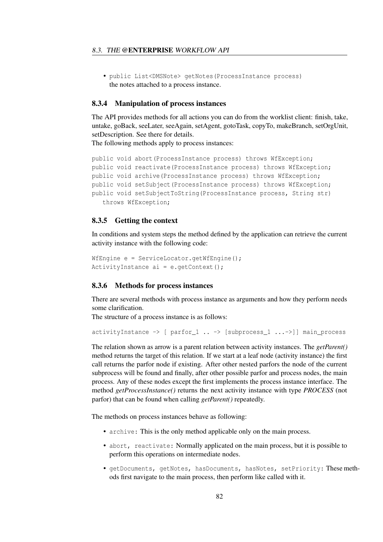• public List<DMSNote> getNotes(ProcessInstance process) the notes attached to a process instance.

#### 8.3.4 Manipulation of process instances

The API provides methods for all actions you can do from the worklist client: finish, take, untake, goBack, seeLater, seeAgain, setAgent, gotoTask, copyTo, makeBranch, setOrgUnit, setDescription. See there for details.

The following methods apply to process instances:

```
public void abort(ProcessInstance process) throws WfException;
public void reactivate(ProcessInstance process) throws WfException;
public void archive(ProcessInstance process) throws WfException;
public void setSubject(ProcessInstance process) throws WfException;
public void setSubjectToString(ProcessInstance process, String str)
   throws WfException;
```
#### 8.3.5 Getting the context

In conditions and system steps the method defined by the application can retrieve the current activity instance with the following code:

```
WfEngine e = ServiceLocator.getWfEngine();
ActivityInstance ai = e.getContext();
```
## <span id="page-81-0"></span>8.3.6 Methods for process instances

There are several methods with process instance as arguments and how they perform needs some clarification.

The structure of a process instance is as follows:

```
activityInstance -> [ parfor_1 .. -> [subprocess_1 ...->]] main_process
```
The relation shown as arrow is a parent relation between activity instances. The *getParent()* method returns the target of this relation. If we start at a leaf node (activity instance) the first call returns the parfor node if existing. After other nested parfors the node of the current subprocess will be found and finally, after other possible parfor and process nodes, the main process. Any of these nodes except the first implements the process instance interface. The method *getProcessInstance()* returns the next activity instance with type *PROCESS* (not parfor) that can be found when calling *getParent()* repeatedly.

The methods on process instances behave as following:

- archive: This is the only method applicable only on the main process.
- abort, reactivate: Normally applicated on the main process, but it is possible to perform this operations on intermediate nodes.
- getDocuments, getNotes, hasDocuments, hasNotes, setPriority: These methods first navigate to the main process, then perform like called with it.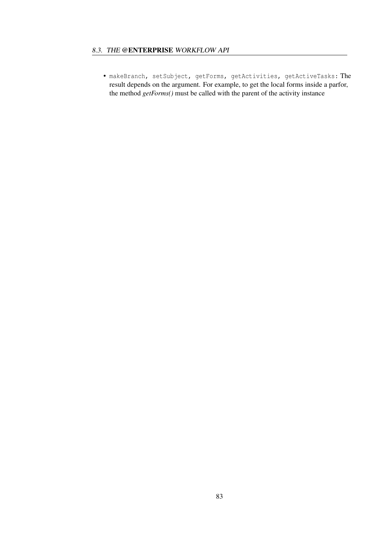## 8.3. THE @ENTERPRISE WORKFLOW API

• makeBranch, setSubject, getForms, getActivities, getActiveTasks: The result depends on the argument. For example, to get the local forms inside a parfor, the method *getForms()* must be called with the parent of the activity instance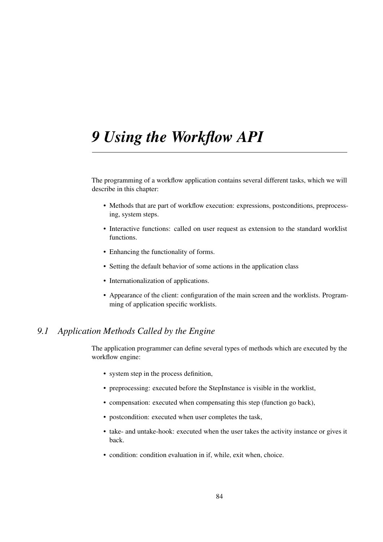# *9 Using the Workflow API*

The programming of a workflow application contains several different tasks, which we will describe in this chapter:

- Methods that are part of workflow execution: expressions, postconditions, preprocessing, system steps.
- Interactive functions: called on user request as extension to the standard worklist functions.
- Enhancing the functionality of forms.
- Setting the default behavior of some actions in the application class
- Internationalization of applications.
- Appearance of the client: configuration of the main screen and the worklists. Programming of application specific worklists.

# *9.1 Application Methods Called by the Engine*

The application programmer can define several types of methods which are executed by the workflow engine:

- system step in the process definition,
- preprocessing: executed before the StepInstance is visible in the worklist,
- compensation: executed when compensating this step (function go back),
- postcondition: executed when user completes the task,
- take- and untake-hook: executed when the user takes the activity instance or gives it back.
- condition: condition evaluation in if, while, exit when, choice.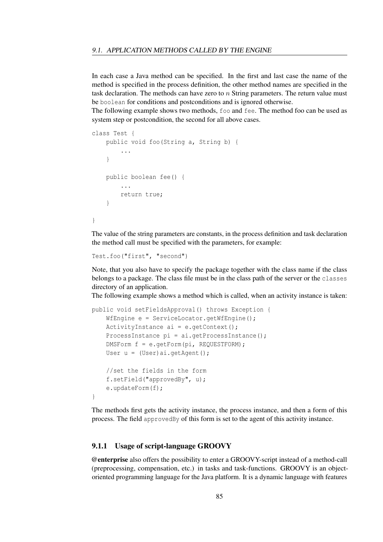In each case a Java method can be specified. In the first and last case the name of the method is specified in the process definition, the other method names are specified in the task declaration. The methods can have zero to  $n$  String parameters. The return value must be boolean for conditions and postconditions and is ignored otherwise.

The following example shows two methods, foo and fee. The method foo can be used as system step or postcondition, the second for all above cases.

```
class Test {
    public void foo(String a, String b) {
        ...
    }
    public boolean fee() {
        ...
        return true;
    }
}
```
The value of the string parameters are constants, in the process definition and task declaration the method call must be specified with the parameters, for example:

```
Test.foo("first", "second")
```
Note, that you also have to specify the package together with the class name if the class belongs to a package. The class file must be in the class path of the server or the classes directory of an application.

The following example shows a method which is called, when an activity instance is taken:

```
public void setFieldsApproval() throws Exception {
    WfEngine e = ServiceLocator.getWfEngine();
    ActivityInstance ai = e.getContext();
    ProcessInstance pi = ai.getProcessInstance();
    DMSForm f = e.getForm(pi, REQUESTFORM);
    User u = (User) ai.getAgent();
    //set the fields in the form
    f.setField("approvedBy", u);
    e.updateForm(f);
}
```
The methods first gets the activity instance, the process instance, and then a form of this process. The field approvedBy of this form is set to the agent of this activity instance.

#### 9.1.1 Usage of script-language GROOVY

@enterprise also offers the possibility to enter a GROOVY-script instead of a method-call (preprocessing, compensation, etc.) in tasks and task-functions. GROOVY is an objectoriented programming language for the Java platform. It is a dynamic language with features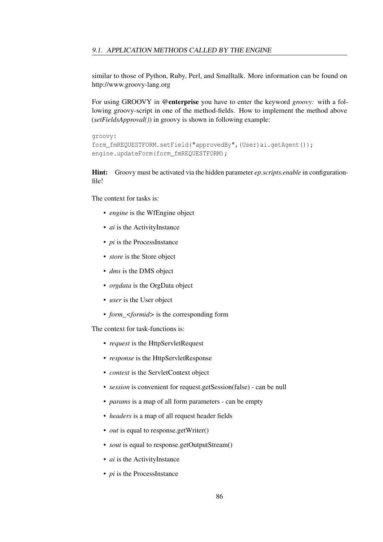similar to those of Python, Ruby, Perl, and Smalltalk. More information can be found on http://www.groovy-lang.org

For using GROOVY in @enterprise you have to enter the keyword *groovy:* with a following groovy-script in one of the method-fields. How to implement the method above (*setFieldsApproval()*) in groovy is shown in following example:

```
groovy:
form fmREQUESTFORM.setField("approvedBy",(User)ai.getAgent());
engine.updateForm(form fmREQUESTFORM);
```
Hint: Groovy must be activated via the hidden parameter *ep.scripts.enable* in configurationfile!

The context for tasks is:

- *engine* is the WfEngine object
- *ai* is the ActivityInstance
- *pi* is the ProcessInstance
- *store* is the Store object
- *dms* is the DMS object
- *orgdata* is the OrgData object
- *user* is the User object
- *form <formid>* is the corresponding form

The context for task-functions is:

- *request* is the HttpServletRequest
- *response* is the HttpServletResponse
- *context* is the ServletContext object
- *session* is convenient for request.getSession(false) can be null
- *params* is a map of all form parameters can be empty
- *headers* is a map of all request header fields
- *out* is equal to response.getWriter()
- *sout* is equal to response.getOutputStream()
- *ai* is the ActivityInstance
- *pi* is the ProcessInstance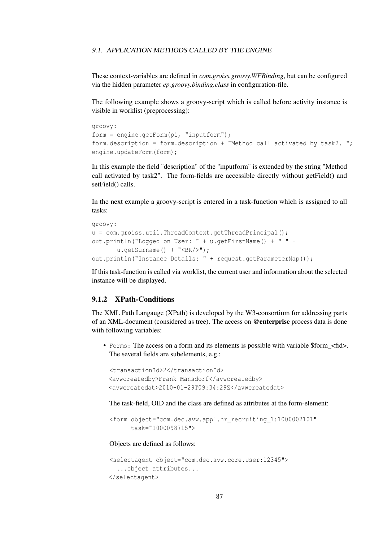These context-variables are defined in *com.groiss.groovy.WFBinding*, but can be configured via the hidden parameter *ep.groovy.binding.class* in configuration-file.

The following example shows a groovy-script which is called before activity instance is visible in worklist (preprocessing):

```
groovy:
form = engine.getForm(pi, "inputform");
form.description = form.description + "Method call activated by task2. ";
engine.updateForm(form);
```
In this example the field "description" of the "inputform" is extended by the string "Method call activated by task2". The form-fields are accessible directly without getField() and setField() calls.

In the next example a groovy-script is entered in a task-function which is assigned to all tasks:

```
groovy:
u = com.groiss.util.ThreadContext.getThreadPrincipal();
out.println("Logged on User: " + u.getFirstName() + " " +
       u.getSurname() + " <BR/>>');
out.println("Instance Details: " + request.getParameterMap());
```
If this task-function is called via worklist, the current user and information about the selected instance will be displayed.

#### 9.1.2 XPath-Conditions

The XML Path Langauge (XPath) is developed by the W3-consortium for addressing parts of an XML-document (considered as tree). The access on @enterprise process data is done with following variables:

• Forms: The access on a form and its elements is possible with variable \$form\_<fid>. The several fields are subelements, e.g.:

```
<transactionId>2</transactionId>
<avwcreatedby>Frank Mansdorf</avwcreatedby>
<avwcreatedat>2010-01-29T09:34:29Z</avwcreatedat>
```
The task-field, OID and the class are defined as attributes at the form-element:

<form object="com.dec.avw.appl.hr\_recruiting\_1:1000002101" task="1000098715">

Objects are defined as follows:

```
<selectagent object="com.dec.avw.core.User:12345">
  ...object attributes...
</selectagent>
```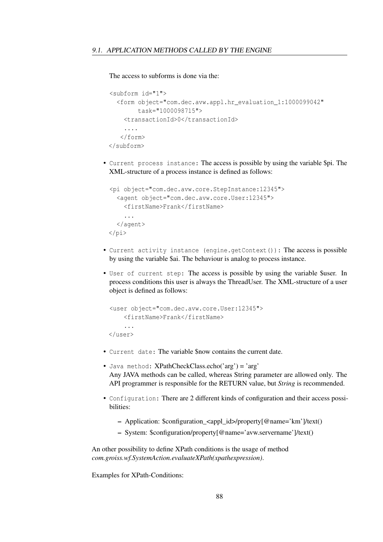The access to subforms is done via the:

```
<subform id="1">
  <form object="com.dec.avw.appl.hr_evaluation_1:1000099042"
        task="1000098715">
    <transactionId>0</transactionId>
    ....
   </form>
</subform>
```
• Current process instance: The access is possible by using the variable \$pi. The XML-structure of a process instance is defined as follows:

```
<pi object="com.dec.avw.core.StepInstance:12345">
  <agent object="com.dec.avw.core.User:12345">
    <firstName>Frank</firstName>
    ...
  </agent>
\langle/pi\rangle
```
- Current activity instance (engine.getContext()): The access is possible by using the variable \$ai. The behaviour is analog to process instance.
- User of current step: The access is possible by using the variable \$user. In process conditions this user is always the ThreadUser. The XML-structure of a user object is defined as follows:

```
<user object="com.dec.avw.core.User:12345">
    <firstName>Frank</firstName>
    ...
</user>
```
- Current date: The variable \$now contains the current date.
- Java method: XPathCheckClass.echo('arg') = 'arg' Any JAVA methods can be called, whereas String parameter are allowed only. The API programmer is responsible for the RETURN value, but *String* is recommended.
- Configuration: There are 2 different kinds of configuration and their access possibilities:
	- Application: \$configuration\_<appl\_id>/property[@name='km']/text()
	- System: \$configuration/property[@name='avw.servername']/text()

An other possibility to define XPath conditions is the usage of method *com.groiss.wf.SystemAction.evaluateXPath(xpathexpression)*.

Examples for XPath-Conditions: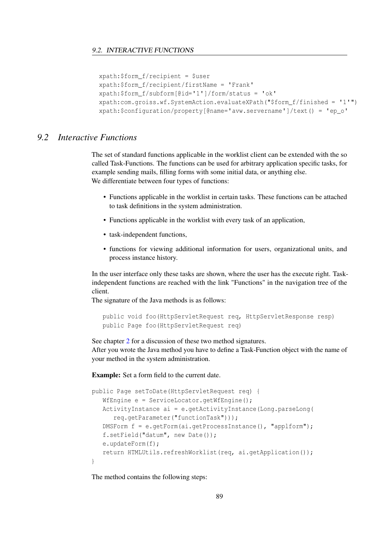```
xpath:$form f/recipher = $userxpath:$form_f/recipient/firstName = 'Frank'
xpath:$form_f/subform[@id='1']/form/status = 'ok'
xpath:com.groiss.wf.SystemAction.evaluateXPath("$form_f/finished = '1'")
xpath:$configuration/property[@name='avw.servername']/text() = 'ep_o'
```
# *9.2 Interactive Functions*

<span id="page-88-0"></span>The set of standard functions applicable in the worklist client can be extended with the so called Task-Functions. The functions can be used for arbitrary application specific tasks, for example sending mails, filling forms with some initial data, or anything else. We differentiate between four types of functions:

- Functions applicable in the worklist in certain tasks. These functions can be attached to task definitions in the system administration.
- Functions applicable in the worklist with every task of an application,
- task-independent functions,
- functions for viewing additional information for users, organizational units, and process instance history.

In the user interface only these tasks are shown, where the user has the execute right. Taskindependent functions are reached with the link "Functions" in the navigation tree of the client.

The signature of the Java methods is as follows:

```
public void foo(HttpServletRequest req, HttpServletResponse resp)
public Page foo(HttpServletRequest req)
```
See chapter [2](#page-9-0) for a discussion of these two method signatures.

After you wrote the Java method you have to define a Task-Function object with the name of your method in the system administration.

Example: Set a form field to the current date.

```
public Page setToDate(HttpServletRequest req) {
   WfEngine e = ServiceLocator.getWfEngine();
   ActivityInstance ai = e.getActivityInstance(Long.parseLong(
      req.getParameter("functionTask")));
   DMSForm f = e.getForm(ai.getProcessInstance(), "applform");
   f.setField("datum", new Date());
   e.updateForm(f);
   return HTMLUtils.refreshWorklist(req, ai.getApplication());
}
```
The method contains the following steps: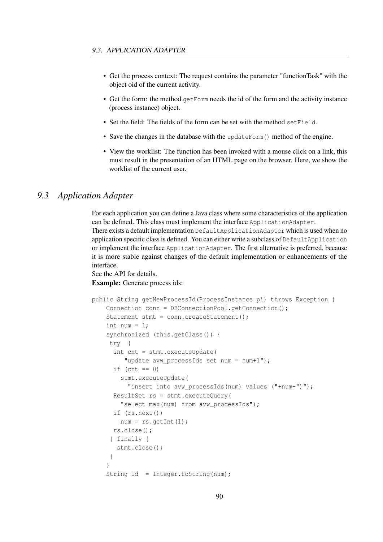- Get the process context: The request contains the parameter "functionTask" with the object oid of the current activity.
- Get the form: the method getForm needs the id of the form and the activity instance (process instance) object.
- Set the field: The fields of the form can be set with the method setField.
- Save the changes in the database with the updateForm() method of the engine.
- View the worklist: The function has been invoked with a mouse click on a link, this must result in the presentation of an HTML page on the browser. Here, we show the worklist of the current user.

# *9.3 Application Adapter*

For each application you can define a Java class where some characteristics of the application can be defined. This class must implement the interface ApplicationAdapter. There exists a default implementation DefaultApplicationAdapter which is used when no application specific class is defined. You can either write a subclass of DefaultApplication or implement the interface ApplicationAdapter. The first alternative is preferred, because it is more stable against changes of the default implementation or enhancements of the interface.

See the API for details. Example: Generate process ids:

```
public String getNewProcessId(ProcessInstance pi) throws Exception {
    Connection conn = DBConnectionPool.getConnection();
    Statement stmt = conn.createStatement();
    int num = 1;
    synchronized (this.getClass()) {
    try {
      int cnt = stmt.executeUpdate(
         "update avw processIds set num = num+1");
      if (cnt == 0)
        stmt.executeUpdate(
          "insert into avw_processIds(num) values ("+num+")");
      ResultSet rs = stmt.executeQuery(
        "select max(num) from avw_processIds");
      if (rs.next())
        num = rs.getInt(1);rs.close();
     } finally {
       stmt.close();
     }
    }
    String id = Integer.toString(num);
```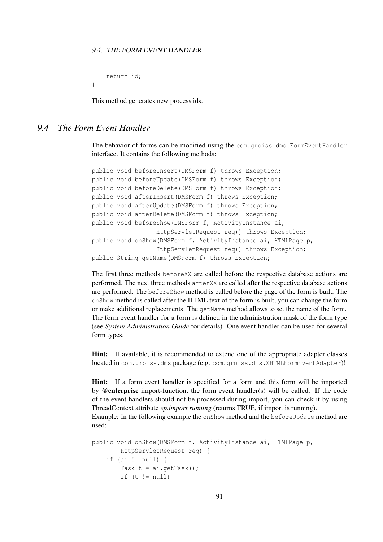```
return id;
}
```
This method generates new process ids.

# *9.4 The Form Event Handler*

The behavior of forms can be modified using the com.groiss.dms.FormEventHandler interface. It contains the following methods:

```
public void beforeInsert(DMSForm f) throws Exception;
public void beforeUpdate(DMSForm f) throws Exception;
public void beforeDelete(DMSForm f) throws Exception;
public void afterInsert(DMSForm f) throws Exception;
public void afterUpdate(DMSForm f) throws Exception;
public void afterDelete(DMSForm f) throws Exception;
public void beforeShow(DMSForm f, ActivityInstance ai,
                  HttpServletRequest req)) throws Exception;
public void onShow(DMSForm f, ActivityInstance ai, HTMLPage p,
                  HttpServletRequest req)) throws Exception;
public String getName(DMSForm f) throws Exception;
```
The first three methods beforeXX are called before the respective database actions are performed. The next three methods afterXX are called after the respective database actions are performed. The beforeShow method is called before the page of the form is built. The onShow method is called after the HTML text of the form is built, you can change the form or make additional replacements. The getName method allows to set the name of the form. The form event handler for a form is defined in the administration mask of the form type (see *System Administration Guide* for details). One event handler can be used for several form types.

Hint: If available, it is recommended to extend one of the appropriate adapter classes located in com.groiss.dms package (e.g. com.groiss.dms.XHTMLFormEventAdapter)!

Hint: If a form event handler is specified for a form and this form will be imported by @enterprise import-function, the form event handler(s) will be called. If the code of the event handlers should not be processed during import, you can check it by using ThreadContext attribute *ep.import.running* (returns TRUE, if import is running).

Example: In the following example the onShow method and the beforeUpdate method are used:

```
public void onShow(DMSForm f, ActivityInstance ai, HTMLPage p,
        HttpServletRequest req) {
   if (ai != null) {
       Task t = ai.getTask();
        if (t != null)
```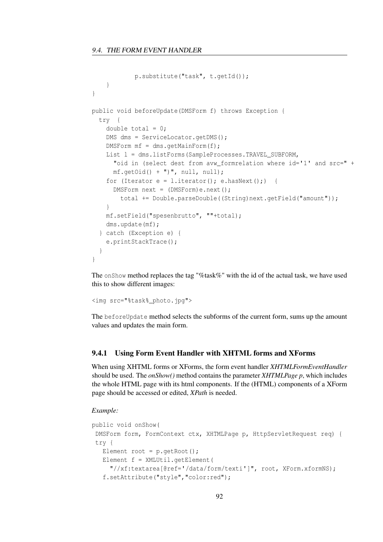```
p.substitute("task", t.getId());
    }
}
public void beforeUpdate(DMSForm f) throws Exception {
  try {
    double total = 0;
    DMS dms = ServiceLocator.getDMS();
   DMSForm mf = dms.getMainForm(f);List l = dms.listForms(SampleProcess.TRAVEL_SUBFORM,"oid in (select dest from avw_formrelation where id='1' and src=" +
     mf.getOid() + ")", null, null);
    for (Iterator e = 1.iterator(); e.hasNext();) {
      DMSForm next = (DMSForm)e.next();
        total += Double.parseDouble((String)next.getField("amount"));
    }
   mf.setField("spesenbrutto", ""+total);
    dms.update(mf);
  } catch (Exception e) {
    e.printStackTrace();
  }
}
```
The onShow method replaces the tag "%task%" with the id of the actual task, we have used this to show different images:

<img src="%task%\_photo.jpg">

The beforeUpdate method selects the subforms of the current form, sums up the amount values and updates the main form.

#### 9.4.1 Using Form Event Handler with XHTML forms and XForms

When using XHTML forms or XForms, the form event handler *XHTMLFormEventHandler* should be used. The *onShow()* method contains the parameter *XHTMLPage p*, which includes the whole HTML page with its html components. If the (HTML) components of a XForm page should be accessed or edited, *XPath* is needed.

*Example:*

```
public void onShow(
DMSForm form, FormContext ctx, XHTMLPage p, HttpServletRequest req) {
try {
   Element root = p.getRoot();
   Element f = XMLUtil.getElement(
     "//xf:textarea[@ref='/data/form/texti']", root, XForm.xformNS);
   f.setAttribute("style","color:red");
```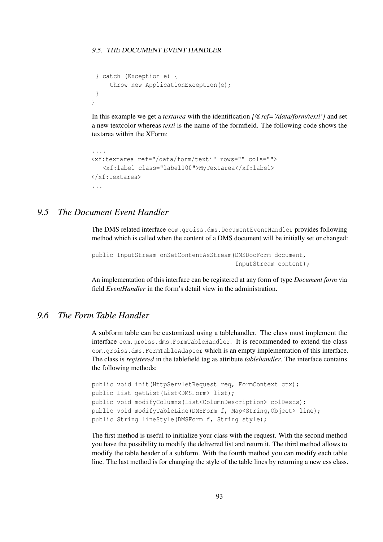```
} catch (Exception e) {
     throw new ApplicationException(e);
 }
}
```
In this example we get a *textarea* with the identification *[@ref='/data/form/texti']* and set a new textcolor whereas *texti* is the name of the formfield. The following code shows the textarea within the XForm:

```
....
<xf:textarea ref="/data/form/texti" rows="" cols="">
   <xf:label class="label100">MyTextarea</xf:label>
</xf:textarea>
...
```
# *9.5 The Document Event Handler*

The DMS related interface com.groiss.dms.DocumentEventHandler provides following method which is called when the content of a DMS document will be initially set or changed:

```
public InputStream onSetContentAsStream(DMSDocForm document,
                                        InputStream content);
```
An implementation of this interface can be registered at any form of type *Document form* via field *EventHandler* in the form's detail view in the administration.

# *9.6 The Form Table Handler*

A subform table can be customized using a tablehandler. The class must implement the interface com.groiss.dms.FormTableHandler. It is recommended to extend the class com.groiss.dms.FormTableAdapter which is an empty implementation of this interface. The class is *registered* in the tablefield tag as attribute *tablehandler*. The interface contains the following methods:

```
public void init(HttpServletRequest req, FormContext ctx);
public List getList(List<DMSForm> list);
public void modifyColumns(List<ColumnDescription> colDescs);
public void modifyTableLine(DMSForm f, Map<String,Object> line);
public String lineStyle(DMSForm f, String style);
```
The first method is useful to initialize your class with the request. With the second method you have the possibility to modify the delivered list and return it. The third method allows to modify the table header of a subform. With the fourth method you can modify each table line. The last method is for changing the style of the table lines by returning a new css class.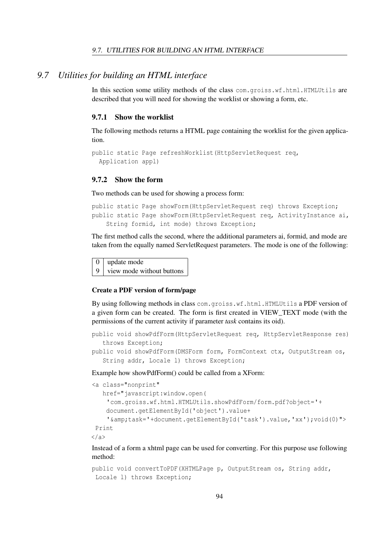# *9.7 Utilities for building an HTML interface*

In this section some utility methods of the class com.groiss.wf.html.HTMLUtils are described that you will need for showing the worklist or showing a form, etc.

### 9.7.1 Show the worklist

The following methods returns a HTML page containing the worklist for the given application.

```
public static Page refreshWorklist(HttpServletRequest req,
 Application appl)
```
## 9.7.2 Show the form

Two methods can be used for showing a process form:

```
public static Page showForm(HttpServletRequest req) throws Exception;
public static Page showForm(HttpServletRequest req, ActivityInstance ai,
    String formid, int mode) throws Exception;
```
The first method calls the second, where the additional parameters ai, formid, and mode are taken from the equally named ServletRequest parameters. The mode is one of the following:

0 | update mode 9 view mode without buttons

#### Create a PDF version of form/page

By using following methods in class com.groiss.wf.html.HTMLUtils a PDF version of a given form can be created. The form is first created in VIEW\_TEXT mode (with the permissions of the current activity if parameter *task* contains its oid).

```
public void showPdfForm(HttpServletRequest req, HttpServletResponse res)
   throws Exception;
```

```
public void showPdfForm(DMSForm form, FormContext ctx, OutputStream os,
   String addr, Locale l) throws Exception;
```
Example how showPdfForm() could be called from a XForm:

```
<a class="nonprint"
   href="javascript:window.open(
    'com.groiss.wf.html.HTMLUtils.showPdfForm/form.pdf?object='+
    document.getElementById('object').value+
    '&task='+document.getElementById('task').value,'xx');void(0)">
Print
</a>
```
Instead of a form a xhtml page can be used for converting. For this purpose use following method:

```
public void convertToPDF(XHTMLPage p, OutputStream os, String addr,
Locale 1) throws Exception:
```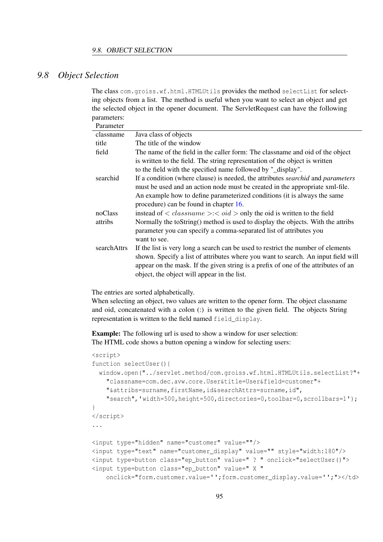# *9.8 Object Selection*

The class com.groiss.wf.html.HTMLUtils provides the method selectList for selecting objects from a list. The method is useful when you want to select an object and get the selected object in the opener document. The ServletRequest can have the following parameters:

Parameter

| classname   | Java class of objects                                                                                |
|-------------|------------------------------------------------------------------------------------------------------|
| title       | The title of the window                                                                              |
| field       | The name of the field in the caller form: The classname and oid of the object                        |
|             | is written to the field. The string representation of the object is written                          |
|             | to the field with the specified name followed by "_display".                                         |
| searchid    | If a condition (where clause) is needed, the attributes <i>searchid</i> and <i>parameters</i>        |
|             | must be used and an action node must be created in the appropriate xml-file.                         |
|             | An example how to define parameterized conditions (it is always the same                             |
|             | procedure) can be found in chapter 16.                                                               |
| noClass     | instead of $\langle$ <i>classname</i> $>\times$ <i>coid</i> $>$ only the oid is written to the field |
| attribs     | Normally the toString() method is used to display the objects. With the attribs                      |
|             | parameter you can specify a comma-separated list of attributes you                                   |
|             | want to see.                                                                                         |
| searchAttrs | If the list is very long a search can be used to restrict the number of elements                     |
|             | shown. Specify a list of attributes where you want to search. An input field will                    |
|             | appear on the mask. If the given string is a prefix of one of the attributes of an                   |
|             | object, the object will appear in the list.                                                          |

The entries are sorted alphabetically.

When selecting an object, two values are written to the opener form. The object classname and oid, concatenated with a colon (:) is written to the given field. The objects String representation is written to the field named field\_display.

Example: The following url is used to show a window for user selection: The HTML code shows a button opening a window for selecting users:

```
<script>
function selectUser(){
 window.open("../servlet.method/com.groiss.wf.html.HTMLUtils.selectList?"+
    "classname=com.dec.avw.core.User&title=User&field=customer"+
    "&attribs=surname,firstName,id&searchAttrs=surname,id",
    "search",'width=500,height=500,directories=0,toolbar=0,scrollbars=1');
}
</script>
...
<input type="hidden" name="customer" value=""/>
<input type="text" name="customer_display" value="" style="width:180"/>
<input type=button class="ep_button" value=" ? " onclick="selectUser()">
<input type=button class="ep_button" value=" X "
   onclick="form.customer.value='';form.customer_display.value='';"></td>
```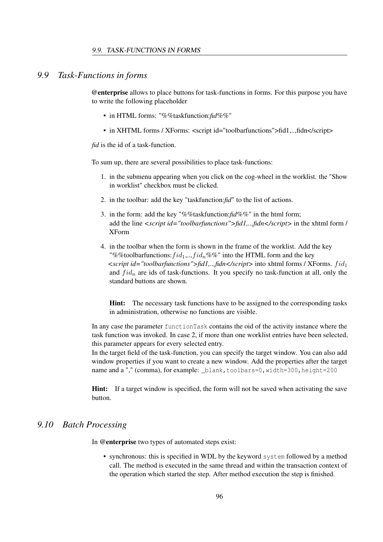# *9.9 Task-Functions in forms*

@enterprise allows to place buttons for task-functions in forms. For this purpose you have to write the following placeholder

- in HTML forms: "%%taskfunction:*fid*%%"
- in XHTML forms / XForms: <script id="toolbarfunctions">fid1,..,fidn</script>

*fid* is the id of a task-function.

To sum up, there are several possibilities to place task-functions:

- 1. in the submenu appearing when you click on the cog-wheel in the worklist. the "Show in worklist" checkbox must be clicked.
- 2. in the toolbar: add the key "taskfunction:*fid*" to the list of actions.
- 3. in the form: add the key "%%taskfunction:*fid*%%" in the html form; add the line *<script id="toolbarfunctions">fid1,..,fidn</script>* in the xhtml form / XForm
- 4. in the toolbar when the form is shown in the frame of the worklist. Add the key "%%toolbarfunctions:  $fid_1,..,fid_n\%$ %" into the HTML form and the key *<script id="toolbarfunctions">fid1,..,fidn</script>* into xhtml forms / XForms. f id<sup>1</sup> and  $f \circ id_n$  are ids of task-functions. It you specify no task-function at all, only the standard buttons are shown.

Hint: The necessary task functions have to be assigned to the corresponding tasks in administration, otherwise no functions are visible.

In any case the parameter functionTask contains the oid of the activity instance where the task function was invoked. In case 2, if more than one worklist entries have been selected, this parameter appears for every selected entry.

In the target field of the task-function, you can specify the target window. You can also add window properties if you want to create a new window. Add the properties after the target name and a "," (comma), for example:  $blank, toobars=0, width=300, height=200$ 

Hint: If a target window is specified, the form will not be saved when activating the save button.

## *9.10 Batch Processing*

In @enterprise two types of automated steps exist:

• synchronous: this is specified in WDL by the keyword system followed by a method call. The method is executed in the same thread and within the transaction context of the operation which started the step. After method execution the step is finished.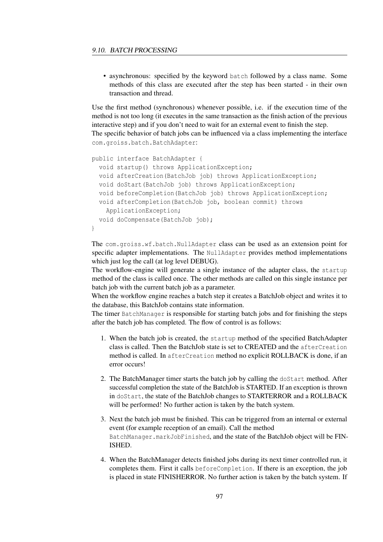• asynchronous: specified by the keyword batch followed by a class name. Some methods of this class are executed after the step has been started - in their own transaction and thread.

Use the first method (synchronous) whenever possible, i.e. if the execution time of the method is not too long (it executes in the same transaction as the finish action of the previous interactive step) and if you don't need to wait for an external event to finish the step. The specific behavior of batch jobs can be influenced via a class implementing the interface com.groiss.batch.BatchAdapter:

```
public interface BatchAdapter {
 void startup() throws ApplicationException;
 void afterCreation(BatchJob job) throws ApplicationException;
 void doStart(BatchJob job) throws ApplicationException;
 void beforeCompletion(BatchJob job) throws ApplicationException;
 void afterCompletion(BatchJob job, boolean commit) throws
    ApplicationException;
 void doCompensate(BatchJob job);
}
```
The com.groiss.wf.batch.NullAdapter class can be used as an extension point for specific adapter implementations. The NullAdapter provides method implementations which just log the call (at log level DEBUG).

The workflow-engine will generate a single instance of the adapter class, the startup method of the class is called once. The other methods are called on this single instance per batch job with the current batch job as a parameter.

When the workflow engine reaches a batch step it creates a BatchJob object and writes it to the database, this BatchJob contains state information.

The timer BatchManager is responsible for starting batch jobs and for finishing the steps after the batch job has completed. The flow of control is as follows:

- 1. When the batch job is created, the startup method of the specified BatchAdapter class is called. Then the BatchJob state is set to CREATED and the afterCreation method is called. In afterCreation method no explicit ROLLBACK is done, if an error occurs!
- 2. The BatchManager timer starts the batch job by calling the doStart method. After successful completion the state of the BatchJob is STARTED. If an exception is thrown in doStart, the state of the BatchJob changes to STARTERROR and a ROLLBACK will be performed! No further action is taken by the batch system.
- 3. Next the batch job must be finished. This can be triggered from an internal or external event (for example reception of an email). Call the method BatchManager.markJobFinished, and the state of the BatchJob object will be FIN-ISHED.
- 4. When the BatchManager detects finished jobs during its next timer controlled run, it completes them. First it calls beforeCompletion. If there is an exception, the job is placed in state FINISHERROR. No further action is taken by the batch system. If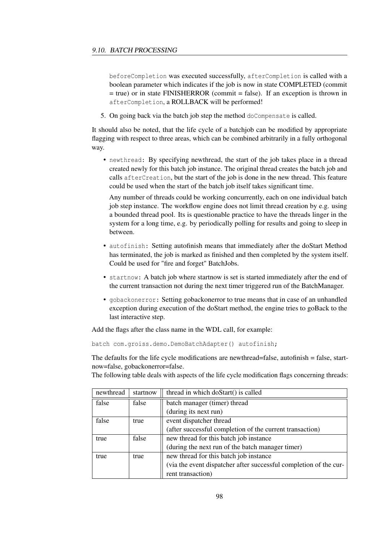beforeCompletion was executed successfully, afterCompletion is called with a boolean parameter which indicates if the job is now in state COMPLETED (commit  $=$  true) or in state FINISHERROR (commit  $=$  false). If an exception is thrown in afterCompletion, a ROLLBACK will be performed!

5. On going back via the batch job step the method doCompensate is called.

It should also be noted, that the life cycle of a batchjob can be modified by appropriate flagging with respect to three areas, which can be combined arbitrarily in a fully orthogonal way.

• newthread: By specifying newthread, the start of the job takes place in a thread created newly for this batch job instance. The original thread creates the batch job and calls afterCreation, but the start of the job is done in the new thread. This feature could be used when the start of the batch job itself takes significant time.

Any number of threads could be working concurrently, each on one individual batch job step instance. The workflow engine does not limit thread creation by e.g. using a bounded thread pool. Its is questionable practice to have the threads linger in the system for a long time, e.g. by periodically polling for results and going to sleep in between.

- autofinish: Setting autofinish means that immediately after the doStart Method has terminated, the job is marked as finished and then completed by the system itself. Could be used for "fire and forget" BatchJobs.
- startnow: A batch job where startnow is set is started immediately after the end of the current transaction not during the next timer triggered run of the BatchManager.
- gobackonerror: Setting gobackonerror to true means that in case of an unhandled exception during execution of the doStart method, the engine tries to goBack to the last interactive step.

Add the flags after the class name in the WDL call, for example:

batch com.groiss.demo.DemoBatchAdapter() autofinish;

The defaults for the life cycle modifications are newthread=false, autofinish = false, startnow=false, gobackonerror=false.

The following table deals with aspects of the life cycle modification flags concerning threads:

| newthread | startnow | thread in which doStart() is called                               |  |  |
|-----------|----------|-------------------------------------------------------------------|--|--|
| false     | false    | batch manager (timer) thread                                      |  |  |
|           |          | (during its next run)                                             |  |  |
| false     | true     | event dispatcher thread                                           |  |  |
|           |          | (after successful completion of the current transaction)          |  |  |
| true      | false    | new thread for this batch job instance                            |  |  |
|           |          | (during the next run of the batch manager timer)                  |  |  |
| true      | true     | new thread for this batch job instance                            |  |  |
|           |          | (via the event dispatcher after successful completion of the cur- |  |  |
|           |          | rent transaction)                                                 |  |  |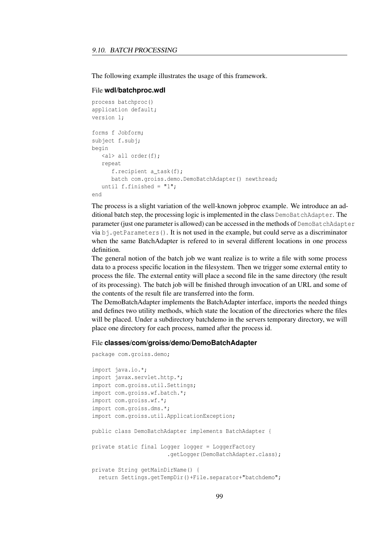The following example illustrates the usage of this framework.

#### File **wdl/batchproc.wdl**

```
process batchproc()
application default;
version 1;
forms f Jobform;
subject f.subj;
begin
   \langleal> all order(f);
   repeat
      f.recipient a_task(f);
      batch com.groiss.demo.DemoBatchAdapter() newthread;
   until f.finished = "1";
end
```
The process is a slight variation of the well-known jobproc example. We introduce an additional batch step, the processing logic is implemented in the class DemoBatchAdapter. The parameter (just one parameter is allowed) can be accessed in the methods of DemoBatchAdapter via bj.getParameters(). It is not used in the example, but could serve as a discriminator when the same BatchAdapter is refered to in several different locations in one process definition.

The general notion of the batch job we want realize is to write a file with some process data to a process specific location in the filesystem. Then we trigger some external entity to process the file. The external entity will place a second file in the same directory (the result of its processing). The batch job will be finished through invocation of an URL and some of the contents of the result file are transferred into the form.

The DemoBatchAdapter implements the BatchAdapter interface, imports the needed things and defines two utility methods, which state the location of the directories where the files will be placed. Under a subdirectory batchdemo in the servers temporary directory, we will place one directory for each process, named after the process id.

#### File **classes/com/groiss/demo/DemoBatchAdapter**

package com.groiss.demo;

```
import java.io.*;
import javax.servlet.http.*;
import com.groiss.util.Settings;
import com.groiss.wf.batch.*;
import com.groiss.wf.*;
import com.groiss.dms.*;
import com.groiss.util.ApplicationException;
public class DemoBatchAdapter implements BatchAdapter {
private static final Logger logger = LoggerFactory
                       .getLogger(DemoBatchAdapter.class);
private String getMainDirName() {
  return Settings.getTempDir()+File.separator+"batchdemo";
```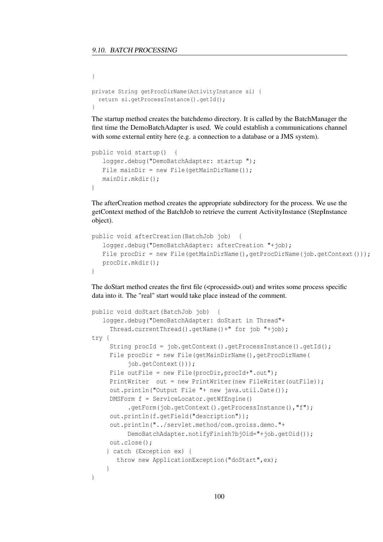}

```
private String getProcDirName(ActivityInstance si) {
 return si.getProcessInstance().getId();
}
```
The startup method creates the batchdemo directory. It is called by the BatchManager the first time the DemoBatchAdapter is used. We could establish a communications channel with some external entity here (e.g. a connection to a database or a JMS system).

```
public void startup() {
   logger.debug("DemoBatchAdapter: startup ");
   File mainDir = new File(\alphaetMainDirName());
   mainDir.mkdir();
}
```
The afterCreation method creates the appropriate subdirectory for the process. We use the getContext method of the BatchJob to retrieve the current ActivityInstance (StepInstance object).

```
public void afterCreation(BatchJob job) {
   logger.debug("DemoBatchAdapter: afterCreation "+job);
   File procDir = new File(qetMainDirName(), qetProcDirName(job.getContext()));
   procDir.mkdir();
}
```
The doStart method creates the first file (<processid>.out) and writes some process specific data into it. The "real" start would take place instead of the comment.

```
public void doStart(BatchJob job) {
   logger.debug("DemoBatchAdapter: doStart in Thread"+
     Thread.currentThread().getName()+" for job "+job);
try {
     String procId = job.getContext().getProcessInstance().getId();
    File procDir = new File(qetMainDirName(), getProcDirName(
          job.getContext()));
    File outFile = new File(procDir, procId+".out");
    PrintWriter out = new PrintWriter(new FileWriter(outFile));
     out.println("Output File "+ new java.util.Date());
    DMSForm f = ServiceLocator.getWfEngine()
          .getForm(job.getContext().getProcessInstance(),"f");
     out.println(f.getField("description"));
     out.println("../servlet.method/com.groiss.demo."+
          DemoBatchAdapter.notifyFinish?bjOid="+job.getOid());
    out.close();
    } catch (Exception ex) {
       throw new ApplicationException("doStart",ex);
    }
}
```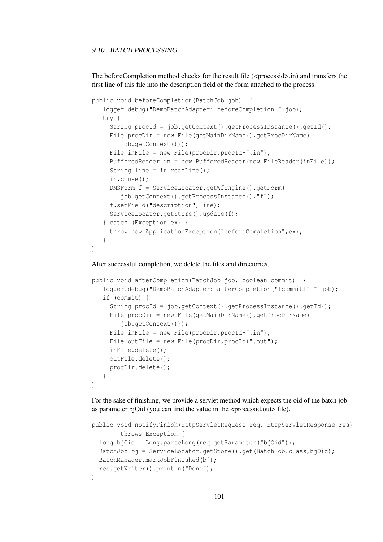The before Completion method checks for the result file ( $\leq$ processid $\geq$ .in) and transfers the first line of this file into the description field of the form attached to the process.

```
public void beforeCompletion(BatchJob job) {
   logger.debug("DemoBatchAdapter: beforeCompletion "+job);
   try {
     String procId = job.getContext().getProcessInstance().getId();
    File procDir = new File(getMainDirName(), getProcDirName(
        job.getContext()));
    File inFile = new File(procDir, procId+".in");
    BufferedReader in = new BufferedReader(new FileReader(inFile));
    String line = in.readLine();
    in.close();
    DMSForm f = ServiceLocator.getWfEngine().getForm(
        job.getContext().getProcessInstance(),"f");
     f.setField("description",line);
    ServiceLocator.getStore().update(f);
   } catch (Exception ex) {
    throw new ApplicationException("beforeCompletion",ex);
   }
}
```
After successful completion, we delete the files and directories.

```
public void afterCompletion(BatchJob job, boolean commit) {
   logger.debug("DemoBatchAdapter: afterCompletion("+commit+" "+job);
   if (commit) {
     String procId = job.getContext().getProcessInstance().getId();
    File procDir = new File(qetMainDirName(), qetProcDirName(
        job.getContext()));
     File inFile = new File(procDir, procId+".in");
    File outFile = new File(procDir, procId+".out");
     inFile.delete();
    outFile.delete();
    procDir.delete();
   }
}
```
For the sake of finishing, we provide a servlet method which expects the oid of the batch job as parameter bjOid (you can find the value in the <processid.out> file).

```
public void notifyFinish(HttpServletRequest req, HttpServletResponse res)
        throws Exception {
  long bjOid = Long.parseLong(req.getParameter("bjOid"));
  BatchJob bj = ServiceLocator.getStore().get(BatchJob.class,bjOid);
  BatchManager.markJobFinished(bj);
  res.getWriter().println("Done");
}
```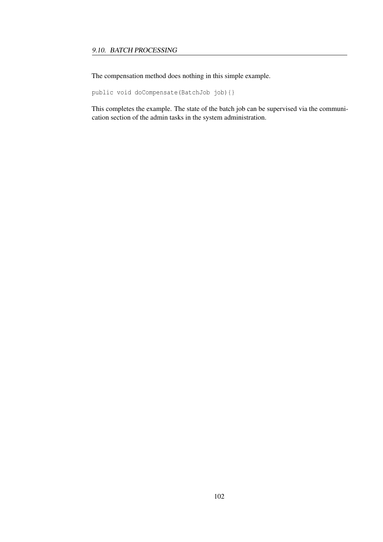## 9.10. BATCH PROCESSING

The compensation method does nothing in this simple example.

```
public void doCompensate(BatchJob job){}
```
This completes the example. The state of the batch job can be supervised via the communication section of the admin tasks in the system administration.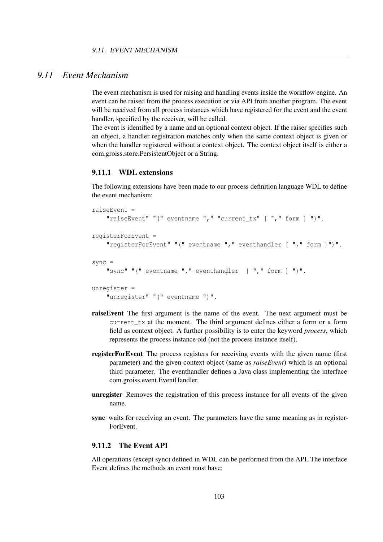## *9.11 Event Mechanism*

The event mechanism is used for raising and handling events inside the workflow engine. An event can be raised from the process execution or via API from another program. The event will be received from all process instances which have registered for the event and the event handler, specified by the receiver, will be called.

The event is identified by a name and an optional context object. If the raiser specifies such an object, a handler registration matches only when the same context object is given or when the handler registered without a context object. The context object itself is either a com.groiss.store.PersistentObject or a String.

### 9.11.1 WDL extensions

The following extensions have been made to our process definition language WDL to define the event mechanism:

```
raiseEvent =
    "raiseEvent" "(" eventname "," "current_tx" [ "," form ] ")".
registerForEvent =
    "registerForEvent" "(" eventname "," eventhandler [ "," form ]")".
sync =
    "sync" "(" eventname "," eventhandler [ "," form ] ")".
unregister =
    "unregister" "(" eventname ")".
```
- raiseEvent The first argument is the name of the event. The next argument must be current\_tx at the moment. The third argument defines either a form or a form field as context object. A further possibility is to enter the keyword *process*, which represents the process instance oid (not the process instance itself).
- registerForEvent The process registers for receiving events with the given name (first parameter) and the given context object (same as *raiseEvent*) which is an optional third parameter. The eventhandler defines a Java class implementing the interface com.groiss.event.EventHandler.
- unregister Removes the registration of this process instance for all events of the given name.
- sync waits for receiving an event. The parameters have the same meaning as in register-ForEvent.

## 9.11.2 The Event API

All operations (except sync) defined in WDL can be performed from the API. The interface Event defines the methods an event must have: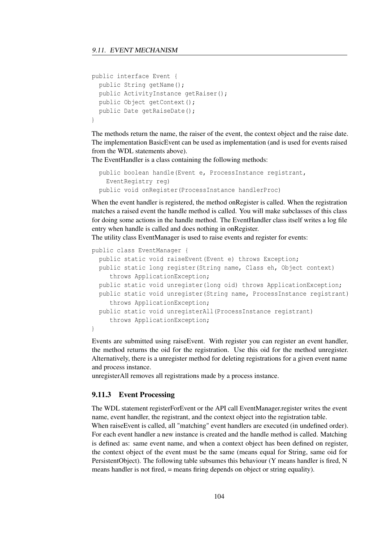```
public interface Event {
 public String getName();
 public ActivityInstance getRaiser();
 public Object getContext();
 public Date getRaiseDate();
}
```
The methods return the name, the raiser of the event, the context object and the raise date. The implementation BasicEvent can be used as implementation (and is used for events raised from the WDL statements above).

The EventHandler is a class containing the following methods:

```
public boolean handle(Event e, ProcessInstance registrant,
  EventRegistry reg)
public void onRegister(ProcessInstance handlerProc)
```
When the event handler is registered, the method onRegister is called. When the registration matches a raised event the handle method is called. You will make subclasses of this class for doing some actions in the handle method. The EventHandler class itself writes a log file entry when handle is called and does nothing in onRegister.

The utility class EventManager is used to raise events and register for events:

```
public class EventManager {
 public static void raiseEvent(Event e) throws Exception;
 public static long register(String name, Class eh, Object context)
     throws ApplicationException;
 public static void unregister(long oid) throws ApplicationException;
 public static void unregister(String name, ProcessInstance registrant)
     throws ApplicationException;
 public static void unregisterAll(ProcessInstance registrant)
     throws ApplicationException;
}
```
Events are submitted using raiseEvent. With register you can register an event handler, the method returns the oid for the registration. Use this oid for the method unregister. Alternatively, there is a unregister method for deleting registrations for a given event name and process instance.

unregisterAll removes all registrations made by a process instance.

### 9.11.3 Event Processing

The WDL statement registerForEvent or the API call EventManager.register writes the event name, event handler, the registrant, and the context object into the registration table. When raiseEvent is called, all "matching" event handlers are executed (in undefined order). For each event handler a new instance is created and the handle method is called. Matching is defined as: same event name, and when a context object has been defined on register, the context object of the event must be the same (means equal for String, same oid for PersistentObject). The following table subsumes this behaviour (Y means handler is fired, N means handler is not fired, = means firing depends on object or string equality).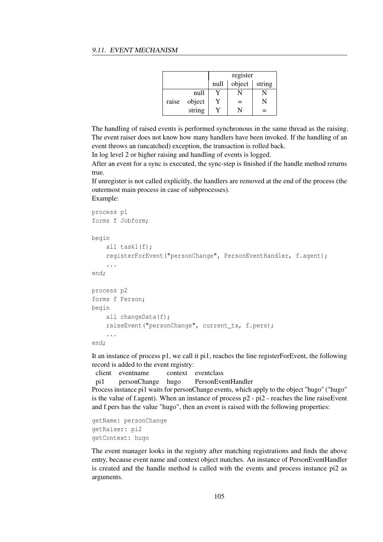|       |        | register |        |        |
|-------|--------|----------|--------|--------|
|       |        | null     | object | string |
|       | null   |          |        |        |
| raise | object |          |        |        |
|       | string |          |        |        |

The handling of raised events is performed synchronous in the same thread as the raising. The event raiser does not know how many handlers have been invoked. If the handling of an event throws an (uncatched) exception, the transaction is rolled back.

In log level 2 or higher raising and handling of events is logged.

After an event for a sync is executed, the sync-step is finished if the handle method returns true.

If unregister is not called explicitly, the handlers are removed at the end of the process (the outermost main process in case of subprocesses).

Example:

```
process p1
forms f Jobform;
begin
    all task1(f);
    registerForEvent("personChange", PersonEventHandler, f.agent);
    ...
end;
process p2
forms f Person;
begin
    all changeData(f);
    raiseEvent("personChange", current_tx, f.pers);
    ...
end;
```
It an instance of process p1, we call it pi1, reaches the line registerForEvent, the following record is added to the event registry:

```
client eventname context eventclass
pi1 personChange hugo PersonEventHandler
```
Process instance pi1 waits for personChange events, which apply to the object "hugo" ("hugo" is the value of f.agent). When an instance of process  $p^2 - pi^2$  - reaches the line raiseEvent and f.pers has the value "hugo", then an event is raised with the following properties:

```
getName: personChange
getRaiser: pi2
getContext: hugo
```
The event manager looks in the registry after matching registrations and finds the above entry, because event name and context object matches. An instance of PersonEventHandler is created and the handle method is called with the events and process instance pi2 as arguments.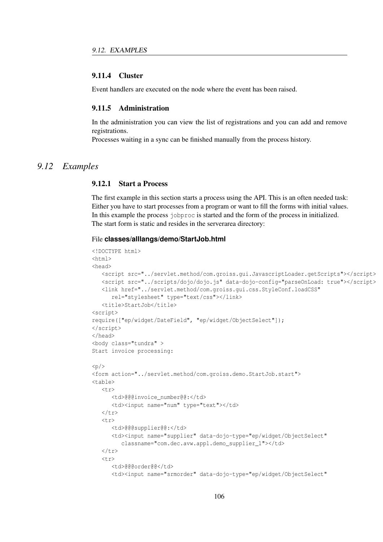## 9.11.4 Cluster

Event handlers are executed on the node where the event has been raised.

#### 9.11.5 Administration

In the administration you can view the list of registrations and you can add and remove registrations.

Processes waiting in a sync can be finished manually from the process history.

# *9.12 Examples*

## 9.12.1 Start a Process

The first example in this section starts a process using the API. This is an often needed task: Either you have to start processes from a program or want to fill the forms with initial values. In this example the process jobproc is started and the form of the process in initialized. The start form is static and resides in the serverarea directory:

#### File **classes/alllangs/demo/StartJob.html**

```
<!DOCTYPE html>
<h+ml><head>
   <script src="../servlet.method/com.groiss.gui.JavascriptLoader.getScripts"></script>
   <script src="../scripts/dojo/dojo.js" data-dojo-config="parseOnLoad: true"></script>
   <link href="../servlet.method/com.groiss.gui.css.StyleConf.loadCSS"
      rel="stylesheet" type="text/css"></link>
   <title>StartJob</title>
<script>
require(["ep/widget/DateField", "ep/widget/ObjectSelect"]);
</script>
</head>
<body class="tundra" >
Start invoice processing:
< p / ><form action="../servlet.method/com.groiss.demo.StartJob.start">
<table>
   <tr>
      <td>@@@invoice_number@@:</td>
      <td><input name="num" type="text"></td>
   \langle/tr>
   <tr>
      <td>@@@supplier@@:</td>
      <td><input name="supplier" data-dojo-type="ep/widget/ObjectSelect"
         classname="com.dec.avw.appl.demo_supplier_1"></td>
   \langletr>
   <tr>
      <td>@@@order@@</td>
      <td><input name="srmorder" data-dojo-type="ep/widget/ObjectSelect"
```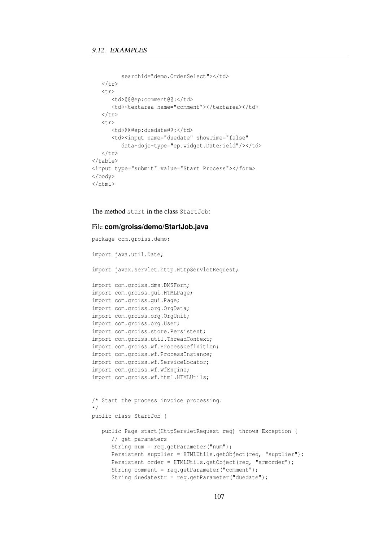```
searchid="demo.OrderSelect"></td>
   \langle t,r \rangle<tr>
      <td>@@@ep:comment@@:</td>
      <td><textarea name="comment"></textarea></td>
   \langle/tr>
   <tr>
      <td>@@@ep:duedate@@:</td>
      <td><input name="duedate" showTime="false"
         data-dojo-type="ep.widget.DateField"/></td>
   \langle/tr>
</table>
<input type="submit" value="Start Process"></form>
</body>
</html>
```
The method start in the class StartJob:

#### File **com/groiss/demo/StartJob.java**

```
package com.groiss.demo;
import java.util.Date;
import javax.servlet.http.HttpServletRequest;
import com.groiss.dms.DMSForm;
import com.groiss.gui.HTMLPage;
import com.groiss.gui.Page;
import com.groiss.org.OrgData;
import com.groiss.org.OrgUnit;
import com.groiss.org.User;
import com.groiss.store.Persistent;
import com.groiss.util.ThreadContext;
import com.groiss.wf.ProcessDefinition;
import com.groiss.wf.ProcessInstance;
import com.groiss.wf.ServiceLocator;
import com.groiss.wf.WfEngine;
import com.groiss.wf.html.HTMLUtils;
/* Start the process invoice processing.
*/
public class StartJob {
   public Page start(HttpServletRequest req) throws Exception {
      // get parameters
      String num = req.getParameter("num");
      Persistent supplier = HTMLUtils.getObject(req, "supplier");
      Persistent order = HTMLUtils.getObject(req, "srmorder");
      String comment = req.getParameter("comment");
      String duedatestr = req.getParameter("duedate");
```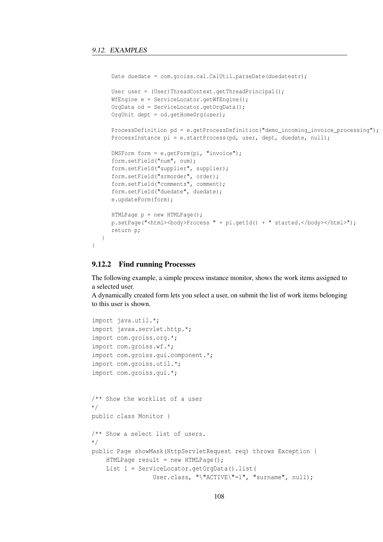```
Date duedate = com.groiss.cal.CalUtil.parseDate(duedatestr);
  User user = (User)ThreadContext.getThreadPrincipal();
   WfEngine e = ServiceLocator.getWfEngine();
   OrgData od = ServiceLocator.getOrgData();
   OrgUnit dept = od.getHomeOrg(user);
  ProcessDefinition pd = e.getProcessDefinition("demo_incoming_invoice_processing");
  ProcessInstance pi = e.startProcess(pd, user, dept, duedate, null);
  DMSForm form = e.getForm(pi, "invoice");
  form.setField("num", num);
  form.setField("supplier", supplier);
  form.setField("srmorder", order);
   form.setField("comments", comment);
   form.setField("duedate", duedate);
  e.updateForm(form);
  HTMLPage p = new HTMLPage();
  p.setPage("<html><body>Process " + pi.getId() + " started.</body></html>");
  return p;
}
```
### 9.12.2 Find running Processes

}

The following example, a simple process instance monitor, shows the work items assigned to a selected user.

A dynamically created form lets you select a user, on submit the list of work items belonging to this user is shown.

```
import java.util.*;
import javax.servlet.http.*;
import com.groiss.org.*;
import com.groiss.wf.*;
import com.groiss.gui.component.*;
import com.groiss.util.*;
import com.groiss.gui.*;
/** Show the worklist of a user
*/
public class Monitor {
/** Show a select list of users.
*/
public Page showMask(HttpServletRequest req) throws Exception {
    HTMLPage result = new HTMLPage();
    List l = ServiceLocator.getOrgData().list(
                 User.class, "\"ACTIVE\"=1", "surname", null);
```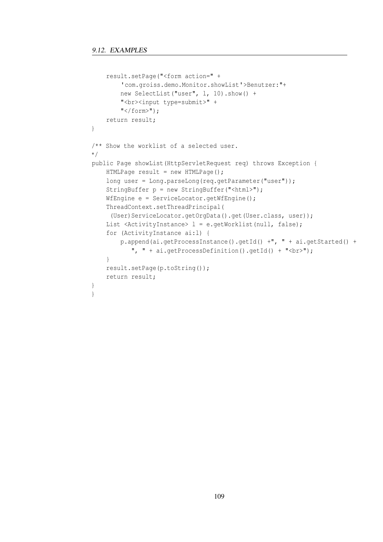```
result.setPage("<form action=" +
         'com.groiss.demo.Monitor.showList'>Benutzer:"+
        new SelectList("user", l, 10).show() +
        "<br ><input type=submit>" +
        "</form>");
    return result;
}
/** Show the worklist of a selected user.
*/
public Page showList(HttpServletRequest req) throws Exception {
    HTMLPage result = new HTMLPage();
    long user = Long.parseLong(req.getParameter("user"));
    StringBuffer p = new StringBuffer("<html>");
    WfEngine e = ServiceLocator.getWfEngine();
    ThreadContext.setThreadPrincipal(
     (User)ServiceLocator.getOrgData().get(User.class, user));
    List <ActivityInstance> 1 = e.getWorklist(null, false);
    for (ActivityInstance ai:l) {
        p.append(ai.getProcessInstance().getId() +", " + ai.getStarted() +
            ", " + ai.getProcessDefinition() . getId() + <math>"</math><math>\langle</math> br><math>\rangle</math>"};}
    result.setPage(p.toString());
    return result;
}
}
```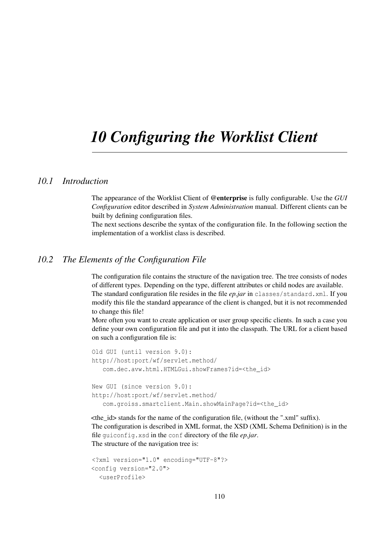# *10 Configuring the Worklist Client*

# *10.1 Introduction*

The appearance of the Worklist Client of @enterprise is fully configurable. Use the *GUI Configuration* editor described in *System Administration* manual. Different clients can be built by defining configuration files.

The next sections describe the syntax of the configuration file. In the following section the implementation of a worklist class is described.

# *10.2 The Elements of the Configuration File*

The configuration file contains the structure of the navigation tree. The tree consists of nodes of different types. Depending on the type, different attributes or child nodes are available. The standard configuration file resides in the file *ep.jar* in classes/standard.xml. If you modify this file the standard appearance of the client is changed, but it is not recommended to change this file!

More often you want to create application or user group specific clients. In such a case you define your own configuration file and put it into the classpath. The URL for a client based on such a configuration file is:

```
Old GUI (until version 9.0):
http://host:port/wf/servlet.method/
   com.dec.avw.html.HTMLGui.showFrames?id=<the_id>
New GUI (since version 9.0):
http://host:port/wf/servlet.method/
   com.groiss.smartclient.Main.showMainPage?id=<the_id>
```
<the\_id> stands for the name of the configuration file, (without the ".xml" suffix). The configuration is described in XML format, the XSD (XML Schema Definition) is in the file guiconfig.xsd in the conf directory of the file *ep.jar*. The structure of the navigation tree is:

```
<?xml version="1.0" encoding="UTF-8"?>
<config version="2.0">
  <userProfile>
```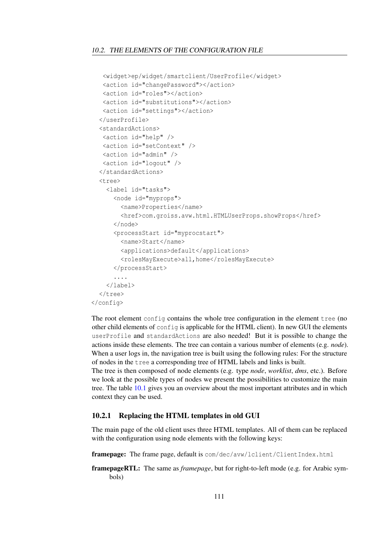```
<widget>ep/widget/smartclient/UserProfile</widget>
   <action id="changePassword"></action>
   <action id="roles"></action>
   <action id="substitutions"></action>
   <action id="settings"></action>
  </userProfile>
  <standardActions>
   <action id="help" />
   <action id="setContext" />
   <action id="admin" />
   <action id="logout" />
  </standardActions>
  <tree>
    <label id="tasks">
      <node id="myprops">
        <name>Properties</name>
        <href>com.groiss.avw.html.HTMLUserProps.showProps</href>
      </node>
      <processStart id="myprocstart">
        <name>Start</name>
        <applications>default</applications>
        <rolesMayExecute>all,home</rolesMayExecute>
      </processStart>
      ....
    </label>
  </tree>
</config>
```
The root element config contains the whole tree configuration in the element tree (no other child elements of config is applicable for the HTML client). In new GUI the elements userProfile and standardActions are also needed! But it is possible to change the actions inside these elements. The tree can contain a various number of elements (e.g. *node*). When a user logs in, the navigation tree is built using the following rules: For the structure of nodes in the tree a corresponding tree of HTML labels and links is built.

The tree is then composed of node elements (e.g. type *node*, *worklist*, *dms*, etc.). Before we look at the possible types of nodes we present the possibilities to customize the main tree. The table [10.1](#page-111-0) gives you an overview about the most important attributes and in which context they can be used.

#### 10.2.1 Replacing the HTML templates in old GUI

The main page of the old client uses three HTML templates. All of them can be replaced with the configuration using node elements with the following keys:

framepage: The frame page, default is com/dec/avw/lclient/ClientIndex.html

framepageRTL: The same as *framepage*, but for right-to-left mode (e.g. for Arabic symbols)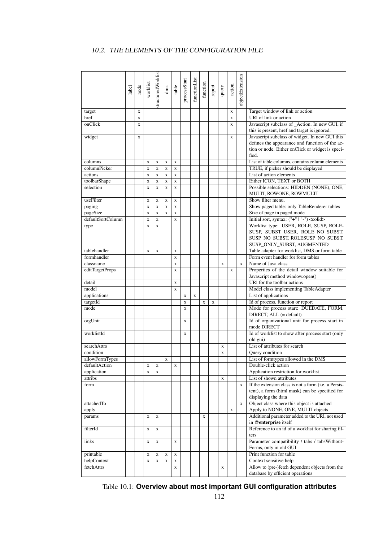## 10.2. THE ELEMENTS OF THE CONFIGURATION FILE

|                   | label | node        | worklist           | structured Worklist | $\rm dms$   | table              | processStart | functionList | function    | report | query       | action      | objectExtension |                                                                                                                                                               |
|-------------------|-------|-------------|--------------------|---------------------|-------------|--------------------|--------------|--------------|-------------|--------|-------------|-------------|-----------------|---------------------------------------------------------------------------------------------------------------------------------------------------------------|
|                   |       |             |                    |                     |             |                    |              |              |             |        |             |             |                 |                                                                                                                                                               |
| target            |       | $\mathbf x$ |                    |                     |             |                    |              |              |             |        |             | $\mathbf x$ |                 | Target window of link or action                                                                                                                               |
| href              |       | $\mathbf X$ |                    |                     |             |                    |              |              |             |        |             | $\mathbf X$ |                 | URI of link or action                                                                                                                                         |
| onClick           |       | X           |                    |                     |             |                    |              |              |             |        |             | $\mathbf X$ |                 | Javascript subclass of _Action. In new GUI, if<br>this is present, href and target is ignored.                                                                |
| widget            |       | X           |                    |                     |             |                    |              |              |             |        |             | X           |                 | Javascript subclass of widget. In new GUI this<br>defines the appearance and function of the ac-<br>tion or node. Either onClick or widget is speci-<br>fied. |
| columns           |       |             | X                  | X                   | X           | $\mathbf x$        |              |              |             |        |             |             |                 | List of table columns, contains column elements                                                                                                               |
| columnPicker      |       |             | $\mathbf X$        | $\mathbf X$         | $\mathbf X$ | X                  |              |              |             |        |             |             |                 | TRUE, if picker should be displayed                                                                                                                           |
| actions           |       |             | $\mathbf X$        | $\mathbf X$         | $\mathbf X$ | $\bf{X}$           |              |              |             |        |             |             |                 | List of action elements                                                                                                                                       |
| toolbarShape      |       |             | $\mathbf x$        | $\mathbf X$         | $\mathbf X$ | $\mathbf X$        |              |              |             |        |             |             |                 | Either ICON, TEXT or BOTH                                                                                                                                     |
| selection         |       |             | $\mathbf X$        | X                   | $\mathbf X$ | X                  |              |              |             |        |             |             |                 | Possible selections: HIDDEN (NONE), ONE,                                                                                                                      |
|                   |       |             |                    |                     |             |                    |              |              |             |        |             |             |                 | MULTI, ROWONE, ROWMULTI                                                                                                                                       |
| useFilter         |       |             | X                  | X                   | X           | X                  |              |              |             |        |             |             |                 | Show filter menu.                                                                                                                                             |
| paging            |       |             | $\bar{\mathbf{x}}$ | $\mathbf x$         | $\mathbf x$ | $\bar{\mathbf{x}}$ |              |              |             |        |             |             |                 | Show paged table: only TableRenderer tables                                                                                                                   |
| pageSize          |       |             | $\mathbf x$        | $\mathbf X$         | X           | $\bf{X}$           |              |              |             |        |             |             |                 | Size of page in paged mode                                                                                                                                    |
| defaultSortColumn |       |             |                    |                     |             |                    |              |              |             |        |             |             |                 | Initial sort, syntax: ("+"   "-") <colid></colid>                                                                                                             |
|                   |       |             | $\mathbf x$        | $\mathbf X$         |             | X                  |              |              |             |        |             |             |                 | Worklist type: USER, ROLE, SUSP, ROLE-                                                                                                                        |
| type              |       |             | $\mathbf x$        | $\mathbf x$         |             |                    |              |              |             |        |             |             |                 | SUSP, SUBST_USER, ROLE_NO_SUBST,<br>SUSP_NO_SUBST, ROLESUSP_NO_SUBST,                                                                                         |
|                   |       |             |                    |                     |             |                    |              |              |             |        |             |             |                 | SUSP_ONLY_SUBST, AUGMENTED                                                                                                                                    |
| tablehandler      |       |             | X                  | $\mathbf X$         |             | X                  |              |              |             |        |             |             |                 | Table adapter for worklist, DMS or form table                                                                                                                 |
| formhandler       |       |             |                    |                     |             | X                  |              |              |             |        |             |             |                 | Form event handler for form tables                                                                                                                            |
| classname         |       |             |                    |                     |             | X                  |              |              |             |        | X           |             | $\mathbf{x}$    | Name of Java class                                                                                                                                            |
| editTargetProps   |       |             |                    |                     |             | X                  |              |              |             |        |             | X           |                 | Properties of the detail window suitable for<br>Javascript method window.open()                                                                               |
| detail            |       |             |                    |                     |             | X                  |              |              |             |        |             |             |                 | URI for the toolbar actions                                                                                                                                   |
| model             |       |             |                    |                     |             | X                  |              |              |             |        |             |             |                 | Model class implementing TableAdapter                                                                                                                         |
| applications      |       |             |                    |                     |             |                    | X            | X            |             |        |             |             |                 | List of applications                                                                                                                                          |
| targetId          |       |             |                    |                     |             |                    | X            |              | X           | X      |             |             |                 | Id of process, function or report                                                                                                                             |
| mode              |       |             |                    |                     |             |                    | $\mathbf X$  |              |             |        |             |             |                 | Mode for process start: DUEDATE, FORM,                                                                                                                        |
|                   |       |             |                    |                     |             |                    |              |              |             |        |             |             |                 | DIRECT, ALL (= default)                                                                                                                                       |
| orgUnit           |       |             |                    |                     |             |                    | X            |              |             |        |             |             |                 | Id of organizational unit for process start in<br>mode DIRECT                                                                                                 |
| worklistId        |       |             |                    |                     |             |                    | X            |              |             |        |             |             |                 | Id of worklist to show after process start (only                                                                                                              |
|                   |       |             |                    |                     |             |                    |              |              |             |        |             |             |                 | old gui)                                                                                                                                                      |
| searchAttrs       |       |             |                    |                     |             |                    |              |              |             |        | X           |             |                 | List of attributes for search                                                                                                                                 |
| condition         |       |             |                    |                     |             |                    |              |              |             |        | X           |             |                 | Query condition                                                                                                                                               |
| allowFormTypes    |       |             |                    |                     | X           |                    |              |              |             |        |             |             |                 | List of formtypes allowed in the DMS                                                                                                                          |
| defaultAction     |       |             | X                  | X                   |             | X                  |              |              |             |        |             |             |                 | Double-click action                                                                                                                                           |
| application       |       |             | $\mathbf x$        | $\mathbf x$         |             |                    |              |              |             |        |             |             |                 | Application restriction for worklist                                                                                                                          |
| attribs           |       |             |                    |                     |             |                    |              |              |             |        | $\mathbf X$ |             |                 | List of shown attributes                                                                                                                                      |
| form              |       |             |                    |                     |             |                    |              |              |             |        |             |             | $\mathbf{x}$    | If the extension class is not a form (i.e. a Persis-                                                                                                          |
|                   |       |             |                    |                     |             |                    |              |              |             |        |             |             |                 | tent), a form (html mask) can be specified for                                                                                                                |
|                   |       |             |                    |                     |             |                    |              |              |             |        |             |             |                 | displaying the data                                                                                                                                           |
| attachedTo        |       |             |                    |                     |             |                    |              |              |             |        |             |             | $\mathbf X$     | Object class where this object is attached                                                                                                                    |
| apply             |       |             |                    |                     |             |                    |              |              |             |        |             | $\mathbf x$ |                 | Apply to NONE, ONE, MULTI objects                                                                                                                             |
| params            |       |             | $\mathbf X$        | X                   |             |                    |              |              | $\mathbf X$ |        |             |             |                 | Additional parameter added to the URI, not used<br>in @enterprise itself                                                                                      |
| filterId          |       |             | $\mathbf X$        | X                   |             |                    |              |              |             |        |             |             |                 | Reference to an id of a worklist for sharing fil-                                                                                                             |
| links             |       |             |                    |                     |             |                    |              |              |             |        |             |             |                 | ters                                                                                                                                                          |
|                   |       |             | $\mathbf X$        | X                   |             | X                  |              |              |             |        |             |             |                 | Parameter compatibility / tabs / tabsWithout-<br>Forms, only in old GUI                                                                                       |
| printable         |       |             | X                  | X                   | $\mathbf X$ | $\mathbf X$        |              |              |             |        |             |             |                 | Print function for table                                                                                                                                      |
| helpContext       |       |             | $\mathbf x$        | $\mathbf X$         | $\mathbf X$ | X                  |              |              |             |        |             |             |                 | Context sensitive help                                                                                                                                        |
| fetchAttrs        |       |             |                    |                     |             | X                  |              |              |             |        | X           |             |                 | Allow to (pre-)fetch dependent objects from the                                                                                                               |
|                   |       |             |                    |                     |             |                    |              |              |             |        |             |             |                 | database by efficient operations                                                                                                                              |

<span id="page-111-0"></span>Table 10.1: **Overview about most important GUI configuration attributes**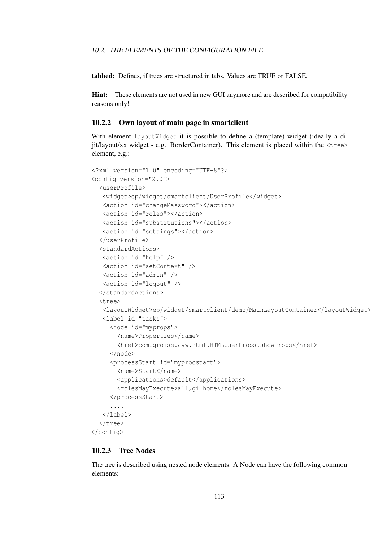tabbed: Defines, if trees are structured in tabs. Values are TRUE or FALSE.

Hint: These elements are not used in new GUI anymore and are described for compatibility reasons only!

#### 10.2.2 Own layout of main page in smartclient

With element layoutWidget it is possible to define a (template) widget (ideally a dijit/layout/xx widget - e.g. BorderContainer). This element is placed within the <tree> element, e.g.:

```
<?xml version="1.0" encoding="UTF-8"?>
<config version="2.0">
  <userProfile>
   <widget>ep/widget/smartclient/UserProfile</widget>
   <action id="changePassword"></action>
   <action id="roles"></action>
   <action id="substitutions"></action>
   <action id="settings"></action>
  </userProfile>
  <standardActions>
   <action id="help" />
   <action id="setContext" />
   <action id="admin" />
   <action id="logout" />
  </standardActions>
  <tree>
   <layoutWidget>ep/widget/smartclient/demo/MainLayoutContainer</layoutWidget>
   <label id="tasks">
     <node id="myprops">
       <name>Properties</name>
       <href>com.groiss.avw.html.HTMLUserProps.showProps</href>
     </node>
     <processStart id="myprocstart">
       <name>Start</name>
       <applications>default</applications>
       <rolesMayExecute>all,gi!home</rolesMayExecute>
     </processStart>
     ....
   \langlelahel>
  \langle/tree>
</config>
```
### <span id="page-112-0"></span>10.2.3 Tree Nodes

The tree is described using nested node elements. A Node can have the following common elements: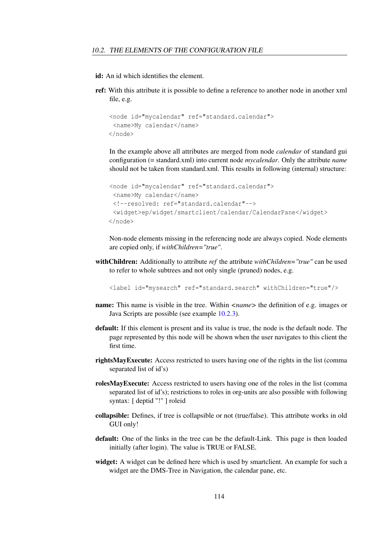- id: An id which identifies the element.
- ref: With this attribute it is possible to define a reference to another node in another xml file, e.g.

```
<node id="mycalendar" ref="standard.calendar">
 <name>My calendar</name>
</node>
```
In the example above all attributes are merged from node *calendar* of standard gui configuration (= standard.xml) into current node *mycalendar*. Only the attribute *name* should not be taken from standard.xml. This results in following (internal) structure:

```
<node id="mycalendar" ref="standard.calendar">
 <name>My calendar</name>
 <!--resolved: ref="standard.calendar"-->
 <widget>ep/widget/smartclient/calendar/CalendarPane</widget>
</node>
```
Non-node elements missing in the referencing node are always copied. Node elements are copied only, if *withChildren="true"*.

withChildren: Additionally to attribute *ref* the attribute *withChildren="true"* can be used to refer to whole subtrees and not only single (pruned) nodes, e.g.

<label id="mysearch" ref="standard.search" withChildren="true"/>

- name: This name is visible in the tree. Within *<name>* the definition of e.g. images or Java Scripts are possible (see example [10.2.3\)](#page-123-0).
- default: If this element is present and its value is true, the node is the default node. The page represented by this node will be shown when the user navigates to this client the first time.
- rightsMayExecute: Access restricted to users having one of the rights in the list (comma separated list of id's)
- rolesMayExecute: Access restricted to users having one of the roles in the list (comma separated list of id's); restrictions to roles in org-units are also possible with following syntax: [ deptid "!" ] roleid
- collapsible: Defines, if tree is collapsible or not (true/false). This attribute works in old GUI only!
- default: One of the links in the tree can be the default-Link. This page is then loaded initially (after login). The value is TRUE or FALSE.
- widget: A widget can be defined here which is used by smartclient. An example for such a widget are the DMS-Tree in Navigation, the calendar pane, etc.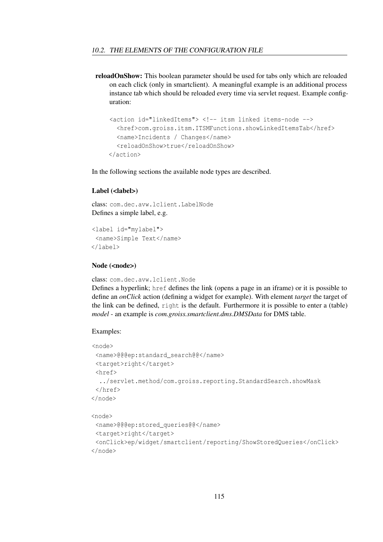reloadOnShow: This boolean parameter should be used for tabs only which are reloaded on each click (only in smartclient). A meaningful example is an additional process instance tab which should be reloaded every time via servlet request. Example configuration:

```
<action id="linkedItems"> <!-- itsm linked items-node -->
  <href>com.groiss.itsm.ITSMFunctions.showLinkedItemsTab</href>
  <name>Incidents / Changes</name>
  <reloadOnShow>true</reloadOnShow>
</action>
```
In the following sections the available node types are described.

#### Label (<label>)

class: com.dec.avw.lclient.LabelNode Defines a simple label, e.g.

```
<label id="mylabel">
 <name>Simple Text</name>
</label>
```
#### Node (<node>)

class: com.dec.avw.lclient.Node

Defines a hyperlink; href defines the link (opens a page in an iframe) or it is possible to define an *onClick* action (defining a widget for example). With element *target* the target of the link can be defined, right is the default. Furthermore it is possible to enter a (table) *model* - an example is *com.groiss.smartclient.dms.DMSData* for DMS table.

Examples:

```
<node>
 <name>@@@ep:standard_search@@</name>
<target>right</target>
 <href>
  ../servlet.method/com.groiss.reporting.StandardSearch.showMask
 </href>
</node>
<node>
 <name>@@@ep:stored_queries@@</name>
 <target>right</target>
 <onClick>ep/widget/smartclient/reporting/ShowStoredQueries</onClick>
```

```
</node>
```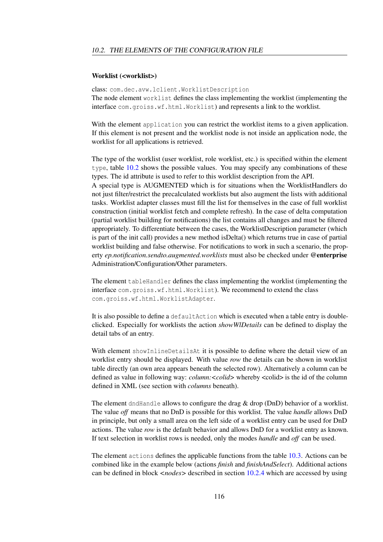#### Worklist (<worklist>)

class: com.dec.avw.lclient.WorklistDescription The node element worklist defines the class implementing the worklist (implementing the interface com.groiss.wf.html.Worklist) and represents a link to the worklist.

With the element application you can restrict the worklist items to a given application. If this element is not present and the worklist node is not inside an application node, the worklist for all applications is retrieved.

The type of the worklist (user worklist, role worklist, etc.) is specified within the element type, table [10.2](#page-116-0) shows the possible values. You may specify any combinations of these types. The id attribute is used to refer to this worklist description from the API. A special type is AUGMENTED which is for situations when the WorklistHandlers do not just filter/restrict the precalculated worklists but also augment the lists with additional tasks. Worklist adapter classes must fill the list for themselves in the case of full worklist construction (initial worklist fetch and complete refresh). In the case of delta computation (partial worklist building for notifications) the list contains all changes and must be filtered appropriately. To differentiate between the cases, the WorklistDescription parameter (which is part of the init call) provides a new method isDelta() which returns true in case of partial worklist building and false otherwise. For notifications to work in such a scenario, the property *ep.notification.sendto.augmented.worklists* must also be checked under @enterprise Administration/Configuration/Other parameters.

The element tableHandler defines the class implementing the worklist (implementing the interface com.groiss.wf.html.Worklist). We recommend to extend the class com.groiss.wf.html.WorklistAdapter.

It is also possible to define a defaultAction which is executed when a table entry is doubleclicked. Especially for worklists the action *showWlDetails* can be defined to display the detail tabs of an entry.

With element showInlineDetailsAt it is possible to define where the detail view of an worklist entry should be displayed. With value *row* the details can be shown in worklist table directly (an own area appears beneath the selected row). Alternatively a column can be defined as value in following way: *column:<colid>* whereby <colid> is the id of the column defined in XML (see section with *columns* beneath).

The element dndHandle allows to configure the drag  $\&$  drop (DnD) behavior of a worklist. The value *off* means that no DnD is possible for this worklist. The value *handle* allows DnD in principle, but only a small area on the left side of a worklist entry can be used for DnD actions. The value *row* is the default behavior and allows DnD for a worklist entry as known. If text selection in worklist rows is needed, only the modes *handle* and *off* can be used.

The element actions defines the applicable functions from the table [10.3.](#page-116-1) Actions can be combined like in the example below (actions *finish* and *finishAndSelect*). Additional actions can be defined in block *<nodes>* described in section [10.2.4](#page-129-0) which are accessed by using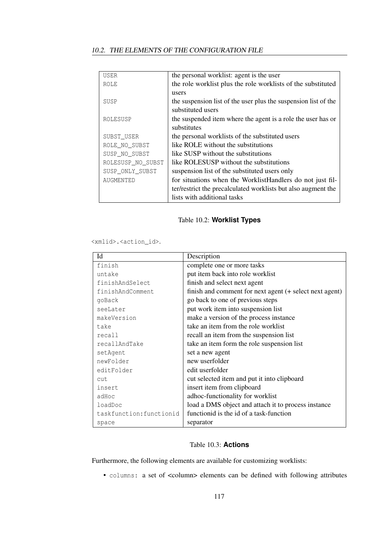### 10.2. THE ELEMENTS OF THE CONFIGURATION FILE

| <b>USER</b>       | the personal worklist: agent is the user                        |
|-------------------|-----------------------------------------------------------------|
| ROLE              | the role worklist plus the role worklists of the substituted    |
|                   | users                                                           |
| SUSP              | the suspension list of the user plus the suspension list of the |
|                   | substituted users                                               |
| ROLESUSP          | the suspended item where the agent is a role the user has or    |
|                   | substitutes                                                     |
| SUBST_USER        | the personal worklists of the substituted users                 |
| ROLE_NO_SUBST     | like ROLE without the substitutions                             |
| SUSP_NO_SUBST     | like SUSP without the substitutions                             |
| ROLESUSP_NO_SUBST | like ROLESUSP without the substitutions                         |
| SUSP_ONLY_SUBST   | suspension list of the substituted users only                   |
| <b>AUGMENTED</b>  | for situations when the WorklistHandlers do not just fil-       |
|                   | ter/restrict the precalculated worklists but also augment the   |
|                   | lists with additional tasks                                     |

## <span id="page-116-0"></span>Table 10.2: **Worklist Types**

<xmlid>.<action\_id>.

| Id                       | Description                                                |
|--------------------------|------------------------------------------------------------|
| finish                   | complete one or more tasks                                 |
| untake                   | put item back into role worklist                           |
| finishAndSelect          | finish and select next agent                               |
| finishAndComment         | finish and comment for next agent $(+)$ select next agent) |
| goBack                   | go back to one of previous steps                           |
| seeLater                 | put work item into suspension list                         |
| makeVersion              | make a version of the process instance                     |
| take                     | take an item from the role worklist                        |
| recall                   | recall an item from the suspension list                    |
| recallAndTake            | take an item form the role suspension list                 |
| setAgent                 | set a new agent                                            |
| newFolder                | new userfolder                                             |
| editFolder               | edit userfolder                                            |
| cut.                     | cut selected item and put it into clipboard                |
| insert                   | insert item from clipboard                                 |
| adHoc                    | adhoc-functionality for worklist                           |
| loadDoc                  | load a DMS object and attach it to process instance        |
| taskfunction: functionid | functionid is the id of a task-function                    |
| space                    | separator                                                  |

#### <span id="page-116-1"></span>Table 10.3: **Actions**

Furthermore, the following elements are available for customizing worklists:

• columns: a set of <column> elements can be defined with following attributes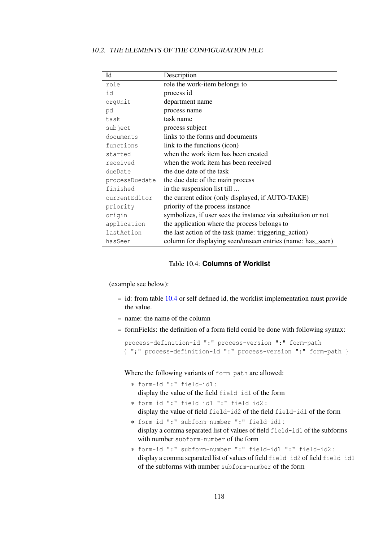| Id             | Description                                                   |
|----------------|---------------------------------------------------------------|
| role           | role the work-item belongs to                                 |
| id             | process id                                                    |
| orgUnit        | department name                                               |
| pd             | process name                                                  |
| task           | task name                                                     |
| subject        | process subject                                               |
| documents      | links to the forms and documents                              |
| functions      | link to the functions (icon)                                  |
| started        | when the work item has been created                           |
| received       | when the work item has been received                          |
| dueDate        | the due date of the task                                      |
| processDuedate | the due date of the main process                              |
| finished       | in the suspension list till                                   |
| currentEditor  | the current editor (only displayed, if AUTO-TAKE)             |
| priority       | priority of the process instance                              |
| origin         | symbolizes, if user sees the instance via substitution or not |
| application    | the application where the process belongs to                  |
| lastAction     | the last action of the task (name: triggering_action)         |
| hasSeen        | column for displaying seen/unseen entries (name: has_seen)    |

#### <span id="page-117-0"></span>Table 10.4: **Columns of Worklist**

(example see below):

- id: from table [10.4](#page-117-0) or self defined id, the worklist implementation must provide the value.
- name: the name of the column
- formFields: the definition of a form field could be done with following syntax:

```
process-definition-id ":" process-version ":" form-path
{ ";" process-definition-id ":" process-version ":" form-path }
```
Where the following variants of form-path are allowed:

- \* form-id ":" field-id1 : display the value of the field field-id1 of the form
- \* form-id ":" field-id1 ":" field-id2 : display the value of field field-id2 of the field field-id1 of the form
- \* form-id ":" subform-number ":" field-id1 : display a comma separated list of values of field field-id1 of the subforms with number subform-number of the form
- \* form-id ":" subform-number ":" field-id1 ":" field-id2 : display a comma separated list of values of field field-id2 of field field-id1 of the subforms with number subform-number of the form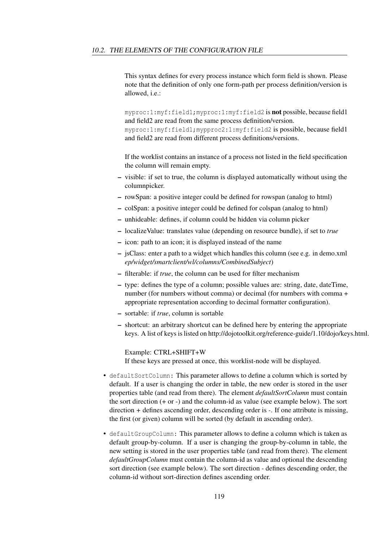This syntax defines for every process instance which form field is shown. Please note that the definition of only one form-path per process definition/version is allowed, i.e.:

myproc:1:myf:field1;myproc:1:myf:field2 is not possible, because field1 and field2 are read from the same process definition/version.

myproc:1:myf:field1;mypproc2:1:myf:field2 is possible, because field1 and field2 are read from different process definitions/versions.

If the worklist contains an instance of a process not listed in the field specification the column will remain empty.

- visible: if set to true, the column is displayed automatically without using the columnpicker.
- rowSpan: a positive integer could be defined for rowspan (analog to html)
- colSpan: a positive integer could be defined for colspan (analog to html)
- unhideable: defines, if column could be hidden via column picker
- localizeValue: translates value (depending on resource bundle), if set to *true*
- icon: path to an icon; it is displayed instead of the name
- jsClass: enter a path to a widget which handles this column (see e.g. in demo.xml *ep/widget/smartclient/wl/columns/CombinedSubject*)
- filterable: if *true*, the column can be used for filter mechanism
- type: defines the type of a column; possible values are: string, date, dateTime, number (for numbers without comma) or decimal (for numbers with comma + appropriate representation according to decimal formatter configuration).
- sortable: if *true*, column is sortable
- shortcut: an arbitrary shortcut can be defined here by entering the appropriate keys. A list of keys is listed on http://dojotoolkit.org/reference-guide/1.10/dojo/keys.html.

Example: CTRL+SHIFT+W

If these keys are pressed at once, this worklist-node will be displayed.

- defaultSortColumn: This parameter allows to define a column which is sorted by default. If a user is changing the order in table, the new order is stored in the user properties table (and read from there). The element *defaultSortColumn* must contain the sort direction (+ or -) and the column-id as value (see example below). The sort direction *+* defines ascending order, descending order is *-*. If one attribute is missing, the first (or given) column will be sorted (by default in ascending order).
- defaultGroupColumn: This parameter allows to define a column which is taken as default group-by-column. If a user is changing the group-by-column in table, the new setting is stored in the user properties table (and read from there). The element *defaultGroupColumn* must contain the column-id as value and optional the descending sort direction (see example below). The sort direction *-* defines descending order, the column-id without sort-direction defines ascending order.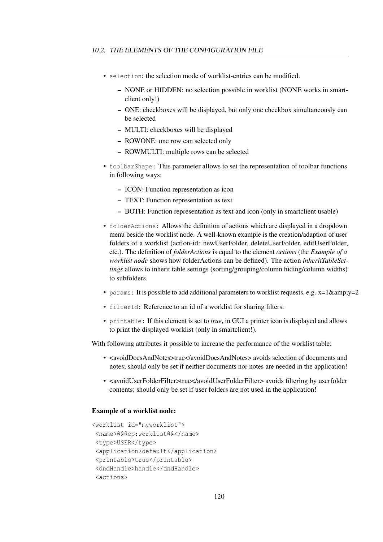- selection: the selection mode of worklist-entries can be modified.
	- NONE or HIDDEN: no selection possible in worklist (NONE works in smartclient only!)
	- ONE: checkboxes will be displayed, but only one checkbox simultaneously can be selected
	- MULTI: checkboxes will be displayed
	- ROWONE: one row can selected only
	- ROWMULTI: multiple rows can be selected
- toolbarShape: This parameter allows to set the representation of toolbar functions in following ways:
	- ICON: Function representation as icon
	- TEXT: Function representation as text
	- BOTH: Function representation as text and icon (only in smartclient usable)
- folderActions: Allows the definition of actions which are displayed in a dropdown menu beside the worklist node. A well-known example is the creation/adaption of user folders of a worklist (action-id: newUserFolder, deleteUserFolder, editUserFolder, etc.). The definition of *folderActions* is equal to the element *actions* (the *Example of a worklist node* shows how folderActions can be defined). The action *inheritTableSettings* allows to inherit table settings (sorting/grouping/column hiding/column widths) to subfolders.
- params: It is possible to add additional parameters to worklist requests, e.g.  $x=1$  & amp;  $y=2$
- filterId: Reference to an id of a worklist for sharing filters.
- printable: If this element is set to *true*, in GUI a printer icon is displayed and allows to print the displayed worklist (only in smartclient!).

With following attributes it possible to increase the performance of the worklist table:

- <avoidDocsAndNotes>true</avoidDocsAndNotes> avoids selection of documents and notes; should only be set if neither documents nor notes are needed in the application!
- <avoidUserFolderFilter>true</avoidUserFolderFilter> avoids filtering by userfolder contents; should only be set if user folders are not used in the application!

#### Example of a worklist node:

```
<worklist id="myworklist">
 <name>@@@ep:worklist@@</name>
 <type>USER</type>
 <application>default</application>
 <printable>true</printable>
 <dndHandle>handle</dndHandle>
 <actions>
```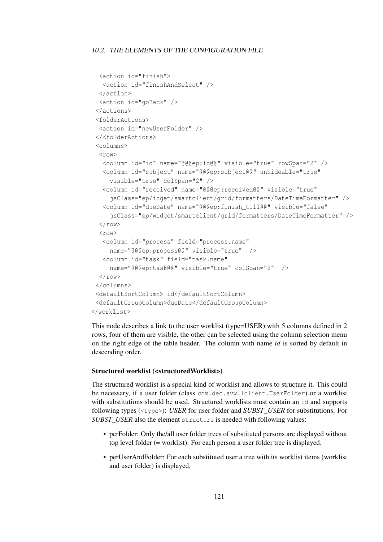```
<action id="finish">
  <action id="finishAndSelect" />
 </action>
 <action id="goBack" />
 </actions>
 <folderActions>
 <action id="newUserFolder" />
 </<folderActions>
 <columns>
  <row><column id="id" name="@@@ep:id@@" visible="true" rowSpan="2" />
   <column id="subject" name="@@@ep:subject@@" unhideable="true"
     visible="true" colSpan="2" />
   <column id="received" name="@@@ep:received@@" visible="true"
     jsClass="ep/idget/smartclient/grid/formatters/DateTimeFormatter" />
   <column id="dueDate" name="@@@ep:finish_till@@" visible="false"
     jsClass="ep/widget/smartclient/grid/formatters/DateTimeFormatter" />
  \langle/row>
  \langlerow\rangle<column id="process" field="process.name"
     name="@@@ep:process@@" visible="true" />
   <column id="task" field="task.name"
     name="@@@ep:task@@" visible="true" colSpan="2" />
  \langle/row>
 </columns>
 <defaultSortColumn>-id</defaultSortColumn>
 <defaultGroupColumn>dueDate</defaultGroupColumn>
</worklist>
```
This node describes a link to the user worklist (type=USER) with 5 columns defined in 2 rows, four of them are visible, the other can be selected using the column selection menu on the right edge of the table header. The column with name *id* is sorted by default in descending order.

#### Structured worklist (<structuredWorklist>)

The structured worklist is a special kind of worklist and allows to structure it. This could be necessary, if a user folder (class com.dec.avw.lclient.UserFolder) or a worklist with substitutions should be used. Structured worklists must contain an id and supports following types (<type>): *USER* for user folder and *SUBST\_USER* for substitutions. For *SUBST\_USER* also the element structure is needed with following values:

- perFolder: Only the/all user folder trees of substituted persons are displayed without top level folder (= worklist). For each person a user folder tree is displayed.
- perUserAndFolder: For each substituted user a tree with its worklist items (worklist and user folder) is displayed.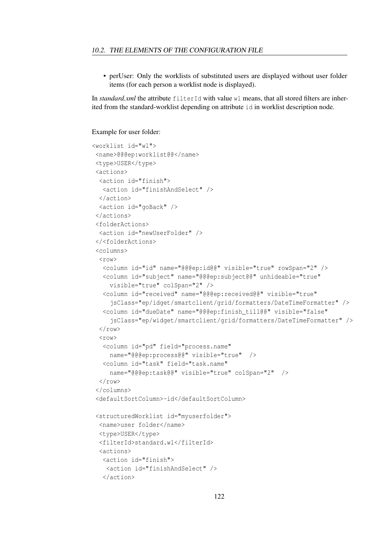• perUser: Only the worklists of substituted users are displayed without user folder items (for each person a worklist node is displayed).

In *standard.xml* the attribute filterId with value wl means, that all stored filters are inherited from the standard-worklist depending on attribute id in worklist description node.

Example for user folder:

```
<worklist id="wl">
 <name>@@@ep:worklist@@</name>
<type>USER</type>
<actions>
 <action id="finish">
  <action id="finishAndSelect" />
 </action>
 <action id="goBack" />
 </actions>
 <folderActions>
 <action id="newUserFolder" />
</<folderActions>
 <columns>
 \langlerow\rangle<column id="id" name="@@@ep:id@@" visible="true" rowSpan="2" />
   <column id="subject" name="@@@ep:subject@@" unhideable="true"
     visible="true" colSpan="2" />
   <column id="received" name="@@@ep:received@@" visible="true"
     jsClass="ep/idget/smartclient/grid/formatters/DateTimeFormatter" />
   <column id="dueDate" name="@@@ep:finish_till@@" visible="false"
     jsClass="ep/widget/smartclient/grid/formatters/DateTimeFormatter" />
  \langle/row>
  <row><column id="pd" field="process.name"
     name="@@@ep:process@@" visible="true" />
   <column id="task" field="task.name"
     name="@@@ep:task@@" visible="true" colSpan="2" />
 \langle row>
 </columns>
 <defaultSortColumn>-id</defaultSortColumn>
<structuredWorklist id="myuserfolder">
 <name>user folder</name>
 <type>USER</type>
 <filterId>standard.wl</filterId>
  <actions>
   <action id="finish">
   <action id="finishAndSelect" />
   </action>
```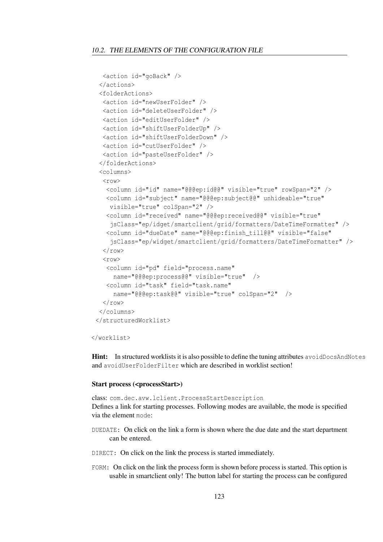```
<action id="goBack" />
 </actions>
 <folderActions>
 <action id="newUserFolder" />
 <action id="deleteUserFolder" />
 <action id="editUserFolder" />
 <action id="shiftUserFolderUp" />
 <action id="shiftUserFolderDown" />
 <action id="cutUserFolder" />
 <action id="pasteUserFolder" />
 </folderActions>
 <columns>
 <row><column id="id" name="@@@ep:id@@" visible="true" rowSpan="2" />
   <column id="subject" name="@@@ep:subject@@" unhideable="true"
   visible="true" colSpan="2" />
   <column id="received" name="@@@ep:received@@" visible="true"
    jsClass="ep/idget/smartclient/grid/formatters/DateTimeFormatter" />
   <column id="dueDate" name="@@@ep:finish_till@@" visible="false"
    jsClass="ep/widget/smartclient/grid/formatters/DateTimeFormatter" />
  \langle/row>
 \langlerow\rangle<column id="pd" field="process.name"
     name="@@@ep:process@@" visible="true" />
   <column id="task" field="task.name"
     name="@@@ep:task@@" visible="true" colSpan="2" />
 \langlerow>
 </columns>
</structuredWorklist>
```

```
</worklist>
```
**Hint:** In structured worklists it is also possible to define the tuning attributes avoidDocsAndNotes and avoidUserFolderFilter which are described in worklist section!

#### Start process (<processStart>)

class: com.dec.avw.lclient.ProcessStartDescription Defines a link for starting processes. Following modes are available, the mode is specified via the element mode:

- DUEDATE: On click on the link a form is shown where the due date and the start department can be entered.
- DIRECT: On click on the link the process is started immediately.
- FORM: On click on the link the process form is shown before process is started. This option is usable in smartclient only! The button label for starting the process can be configured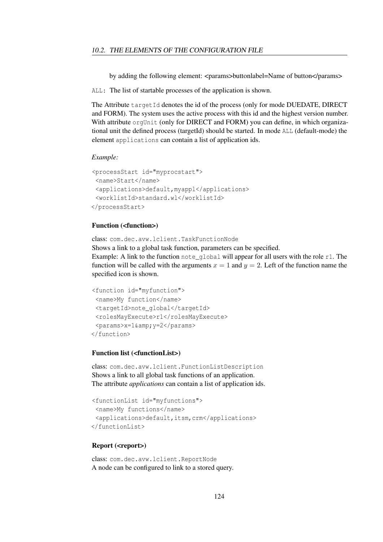by adding the following element: <params>buttonlabel=Name of button</params>

ALL: The list of startable processes of the application is shown.

The Attribute targetId denotes the id of the process (only for mode DUEDATE, DIRECT and FORM). The system uses the active process with this id and the highest version number. With attribute orgUnit (only for DIRECT and FORM) you can define, in which organizational unit the defined process (targetId) should be started. In mode ALL (default-mode) the element applications can contain a list of application ids.

#### *Example:*

```
<processStart id="myprocstart">
<name>Start</name>
<applications>default,myappl</applications>
 <worklistId>standard.wl</worklistId>
</processStart>
```
#### <span id="page-123-0"></span>Function (<function>)

class: com.dec.avw.lclient.TaskFunctionNode Shows a link to a global task function, parameters can be specified. Example: A link to the function note\_global will appear for all users with the role r1. The function will be called with the arguments  $x = 1$  and  $y = 2$ . Left of the function name the specified icon is shown.

```
<function id="myfunction">
 <name>My function</name>
<targetId>note_global</targetId>
<rolesMayExecute>r1</rolesMayExecute>
 <params>x=1&amp;y=2</params>
</function>
```
#### Function list (<functionList>)

class: com.dec.avw.lclient.FunctionListDescription Shows a link to all global task functions of an application. The attribute *applications* can contain a list of application ids.

```
<functionList id="myfunctions">
 <name>My functions</name>
 <applications>default,itsm,crm</applications>
</functionList>
```
#### Report (<report>)

class: com.dec.avw.lclient.ReportNode A node can be configured to link to a stored query.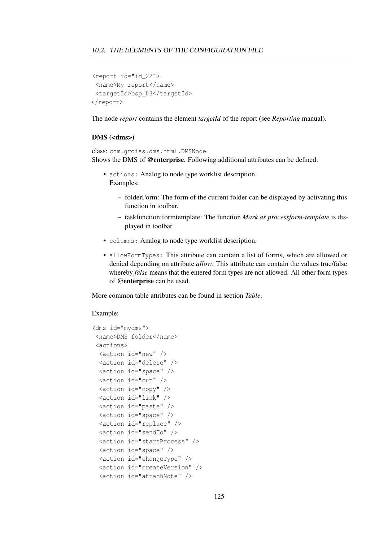```
<report id="id_22">
 <name>My report</name>
 <targetId>bsp_03</targetId>
</report>
```
The node *report* contains the element *targetId* of the report (see *Reporting* manual).

#### DMS (<dms>)

class: com.groiss.dms.html.DMSNode Shows the DMS of @enterprise. Following additional attributes can be defined:

- actions: Analog to node type worklist description. Examples:
	- folderForm: The form of the current folder can be displayed by activating this function in toolbar.
	- taskfunction:formtemplate: The function *Mark as processform-template* is displayed in toolbar.
- columns: Analog to node type worklist description.
- allowFormTypes: This attribute can contain a list of forms, which are allowed or denied depending on attribute *allow*. This attribute can contain the values true/false whereby *false* means that the entered form types are not allowed. All other form types of @enterprise can be used.

More common table attributes can be found in section *Table*.

#### Example:

```
<dms id="mydms">
 <name>DMS folder</name>
<actions>
 <action id="new" />
 <action id="delete" />
 <action id="space" />
 <action id="cut" />
 <action id="copy" />
 <action id="link" />
 <action id="paste" />
 <action id="space" />
 <action id="replace" />
 <action id="sendTo" />
 <action id="startProcess" />
 <action id="space" />
 <action id="changeType" />
 <action id="createVersion" />
  <action id="attachNote" />
```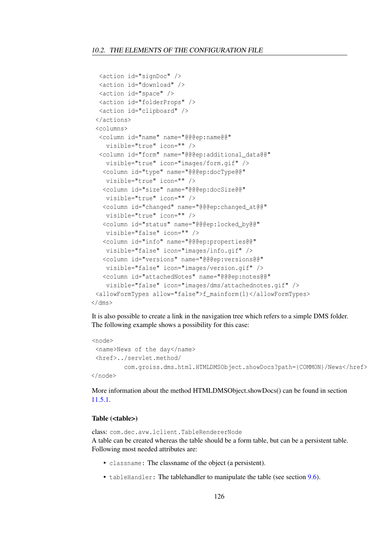```
<action id="signDoc" />
  <action id="download" />
  <action id="space" />
  <action id="folderProps" />
  <action id="clipboard" />
 </actions>
 <columns>
  <column id="name" name="@@@ep:name@@"
    visible="true" icon="" />
  <column id="form" name="@@@ep:additional_data@@"
    visible="true" icon="images/form.gif" />
   <column id="type" name="@@@ep:docType@@"
    visible="true" icon="" />
   <column id="size" name="@@@ep:docSize@@"
    visible="true" icon="" />
   <column id="changed" name="@@@ep:changed_at@@"
   visible="true" icon="" />
   <column id="status" name="@@@ep:locked_by@@"
   visible="false" icon="" />
   <column id="info" name="@@@ep:properties@@"
    visible="false" icon="images/info.gif" />
   <column id="versions" name="@@@ep:versions@@"
    visible="false" icon="images/version.gif" />
   <column id="attachedNotes" name="@@@ep:notes@@"
    visible="false" icon="images/dms/attachednotes.gif" />
 <allowFormTypes allow="false">f_mainform(1)</allowFormTypes>
\langle dms>
```
It is also possible to create a link in the navigation tree which refers to a simple DMS folder. The following example shows a possibility for this case:

```
<node>
<name>News of the day</name>
 <href>../servlet.method/
         com.groiss.dms.html.HTMLDMSObject.showDocs?path={COMMON}/News</href>
</node>
```
More information about the method HTMLDMSObject.showDocs() can be found in section [11.5.1.](#page-146-0)

#### Table (<table>)

class: com.dec.avw.lclient.TableRendererNode

A table can be created whereas the table should be a form table, but can be a persistent table. Following most needed attributes are:

- classname: The classname of the object (a persistent).
- tableHandler: The tablehandler to manipulate the table (see section [9.6\)](#page-92-0).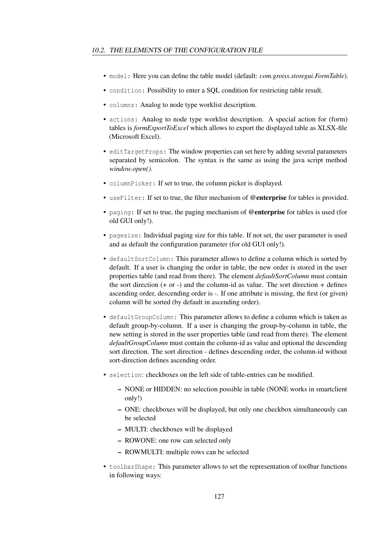- model: Here you can define the table model (default: *com.groiss.storegui.FormTable*).
- condition: Possibility to enter a SQL condition for restricting table result.
- columns: Analog to node type worklist description.
- actions: Analog to node type worklist description. A special action for (form) tables is *formExportToExcel* which allows to export the displayed table as XLSX-file (Microsoft Excel).
- editTargetProps: The window properties can set here by adding several parameters separated by semicolon. The syntax is the same as using the java script method *window.open()*.
- columnPicker: If set to true, the column picker is displayed.
- useFilter: If set to true, the filter mechanism of @enterprise for tables is provided.
- paging: If set to true, the paging mechanism of @enterprise for tables is used (for old GUI only!).
- pagesize: Individual paging size for this table. If not set, the user parameter is used and as default the configuration parameter (for old GUI only!).
- defaultSortColumn: This parameter allows to define a column which is sorted by default. If a user is changing the order in table, the new order is stored in the user properties table (and read from there). The element *defaultSortColumn* must contain the sort direction (+ or -) and the column-id as value. The sort direction *+* defines ascending order, descending order is *-*. If one attribute is missing, the first (or given) column will be sorted (by default in ascending order).
- defaultGroupColumn: This parameter allows to define a column which is taken as default group-by-column. If a user is changing the group-by-column in table, the new setting is stored in the user properties table (and read from there). The element *defaultGroupColumn* must contain the column-id as value and optional the descending sort direction. The sort direction *-* defines descending order, the column-id without sort-direction defines ascending order.
- selection: checkboxes on the left side of table-entries can be modified.
	- NONE or HIDDEN: no selection possible in table (NONE works in smartclient only!)
	- ONE: checkboxes will be displayed, but only one checkbox simultaneously can be selected
	- MULTI: checkboxes will be displayed
	- ROWONE: one row can selected only
	- ROWMULTI: multiple rows can be selected
- toolbarShape: This parameter allows to set the representation of toolbar functions in following ways: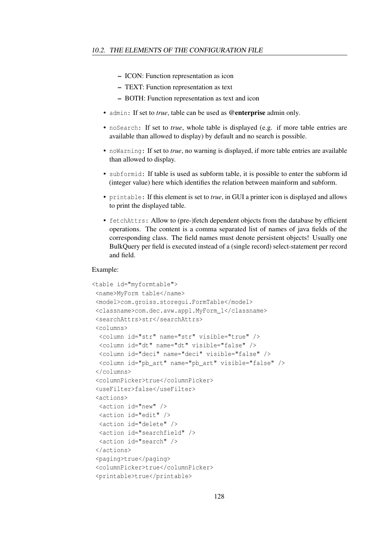- ICON: Function representation as icon
- TEXT: Function representation as text
- BOTH: Function representation as text and icon
- admin: If set to *true*, table can be used as @enterprise admin only.
- noSearch: If set to *true*, whole table is displayed (e.g. if more table entries are available than allowed to display) by default and no search is possible.
- noWarning: If set to *true*, no warning is displayed, if more table entries are available than allowed to display.
- subformid: If table is used as subform table, it is possible to enter the subform id (integer value) here which identifies the relation between mainform and subform.
- printable: If this element is set to *true*, in GUI a printer icon is displayed and allows to print the displayed table.
- fetchAttrs: Allow to (pre-)fetch dependent objects from the database by efficient operations. The content is a comma separated list of names of java fields of the corresponding class. The field names must denote persistent objects! Usually one BulkQuery per field is executed instead of a (single record) select-statement per record and field.

#### Example:

```
<table id="myformtable">
 <name>MyForm table</name>
 <model>com.groiss.storegui.FormTable</model>
 <classname>com.dec.avw.appl.MyForm_1</classname>
 <searchAttrs>str</searchAttrs>
 <columns>
 <column id="str" name="str" visible="true" />
 <column id="dt" name="dt" visible="false" />
 <column id="deci" name="deci" visible="false" />
 <column id="pb_art" name="pb_art" visible="false" />
 </columns>
 <columnPicker>true</columnPicker>
 <useFilter>false</useFilter>
 <actions>
 \lambda <action id="new" />
 <action id="edit" />
 <action id="delete" />
 <action id="searchfield" />
 <action id="search" />
 </actions>
 <paging>true</paging>
 <columnPicker>true</columnPicker>
 <printable>true</printable>
```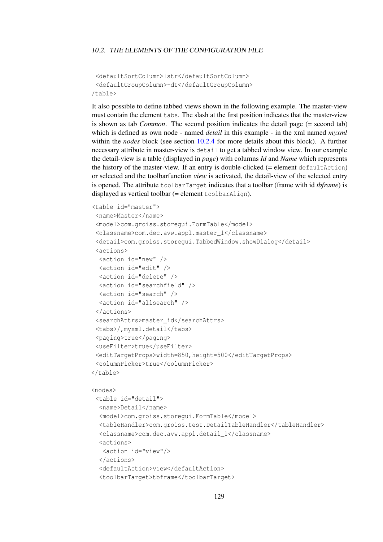```
<defaultSortColumn>+str</defaultSortColumn>
 <defaultGroupColumn>-dt</defaultGroupColumn>
/table>
```
It also possible to define tabbed views shown in the following example. The master-view must contain the element tabs. The slash at the first position indicates that the master-view is shown as tab *Common*. The second position indicates the detail page (= second tab) which is defined as own node - named *detail* in this example - in the xml named *myxml* within the *nodes* block (see section [10.2.4](#page-129-0) for more details about this block). A further necessary attribute in master-view is detail to get a tabbed window view. In our example the detail-view is a table (displayed in *page*) with columns *Id* and *Name* which represents the history of the master-view. If an entry is double-clicked (= element defaultAction) or selected and the toolbarfunction *view* is activated, the detail-view of the selected entry is opened. The attribute toolbarTarget indicates that a toolbar (frame with id *tbframe*) is displayed as vertical toolbar (= element toolbarAlign).

```
<table id="master">
 <name>Master</name>
 <model>com.groiss.storegui.FormTable</model>
 <classname>com.dec.avw.appl.master_1</classname>
 <detail>com.groiss.storegui.TabbedWindow.showDialog</detail>
 <actions>
  \lambda <action id="new" \lambda<action id="edit" />
  <action id="delete" />
  <action id="searchfield" />
  <action id="search" />
  <action id="allsearch" />
 </actions>
 <searchAttrs>master_id</searchAttrs>
 <tabs>/,myxml.detail</tabs>
 <paging>true</paging>
 <useFilter>true</useFilter>
 <editTargetProps>width=850,height=500</editTargetProps>
 <columnPicker>true</columnPicker>
</table>
```
#### <nodes>

```
<table id="detail">
<name>Detail</name>
<model>com.groiss.storegui.FormTable</model>
<tableHandler>com.groiss.test.DetailTableHandler</tableHandler>
<classname>com.dec.avw.appl.detail_1</classname>
<actions>
 <action id="view"/>
</actions>
 <defaultAction>view</defaultAction>
<toolbarTarget>tbframe</toolbarTarget>
```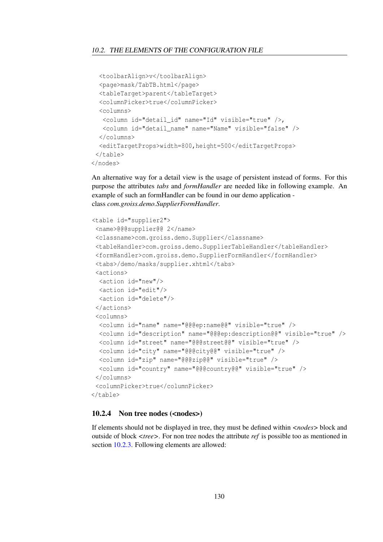```
<toolbarAlign>v</toolbarAlign>
  <page>mask/TabTB.html</page>
  <tableTarget>parent</tableTarget>
  <columnPicker>true</columnPicker>
  <columns>
   <column id="detail_id" name="Id" visible="true" />,
   <column id="detail_name" name="Name" visible="false" />
  </columns>
  <editTargetProps>width=800,height=500</editTargetProps>
 </table>
</nodes>
```
An alternative way for a detail view is the usage of persistent instead of forms. For this purpose the attributes *tabs* and *formHandler* are needed like in following example. An example of such an formHandler can be found in our demo application class *com.groiss.demo.SupplierFormHandler*.

```
<table id="supplier2">
 <name>@@@supplier@@ 2</name>
 <classname>com.groiss.demo.Supplier</classname>
<tableHandler>com.groiss.demo.SupplierTableHandler</tableHandler>
 <formHandler>com.groiss.demo.SupplierFormHandler</formHandler>
 <tabs>/demo/masks/supplier.xhtml</tabs>
 <actions>
 <action id="new"/>
 <action id="edit"/>
 <action id="delete"/>
 </actions>
 <columns>
 <column id="name" name="@@@ep:name@@" visible="true" />
 <column id="description" name="@@@ep:description@@" visible="true" />
 <column id="street" name="@@@street@@" visible="true" />
 <column id="city" name="@@@city@@" visible="true" />
 <column id="zip" name="@@@zip@@" visible="true" />
  <column id="country" name="@@@country@@" visible="true" />
 </columns>
 <columnPicker>true</columnPicker>
</table>
```
#### <span id="page-129-0"></span>10.2.4 Non tree nodes (<nodes>)

If elements should not be displayed in tree, they must be defined within *<nodes>* block and outside of block *<tree>*. For non tree nodes the attribute *ref* is possible too as mentioned in section [10.2.3.](#page-112-0) Following elements are allowed: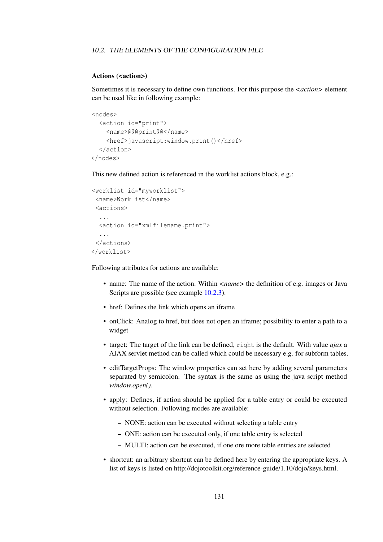#### Actions (<action>)

Sometimes it is necessary to define own functions. For this purpose the *<action*> element can be used like in following example:

```
<nodes>
  <action id="print">
    <name>@@@print@@</name>
    <href>javascript:window.print()</href>
  </action>
</nodes>
```
This new defined action is referenced in the worklist actions block, e.g.:

```
<worklist id="myworklist">
 <name>Worklist</name>
 <actions>
  ...
  <action id="xmlfilename.print">
  ...
 </actions>
</worklist>
```
Following attributes for actions are available:

- name: The name of the action. Within *<name* > the definition of e.g. images or Java Scripts are possible (see example [10.2.3\)](#page-123-0).
- href: Defines the link which opens an iframe
- onClick: Analog to href, but does not open an iframe; possibility to enter a path to a widget
- target: The target of the link can be defined, right is the default. With value *ajax* a AJAX servlet method can be called which could be necessary e.g. for subform tables.
- editTargetProps: The window properties can set here by adding several parameters separated by semicolon. The syntax is the same as using the java script method *window.open()*.
- apply: Defines, if action should be applied for a table entry or could be executed without selection. Following modes are available:
	- NONE: action can be executed without selecting a table entry
	- ONE: action can be executed only, if one table entry is selected
	- MULTI: action can be executed, if one ore more table entries are selected
- shortcut: an arbitrary shortcut can be defined here by entering the appropriate keys. A list of keys is listed on http://dojotoolkit.org/reference-guide/1.10/dojo/keys.html.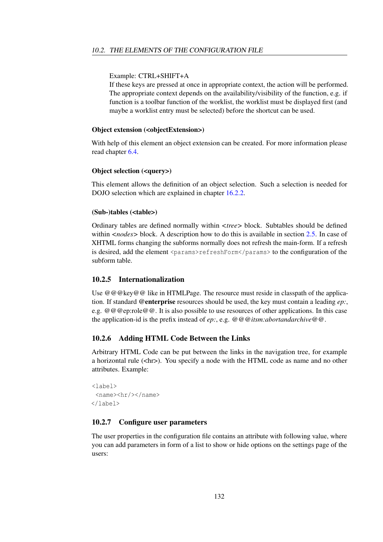#### Example: CTRL+SHIFT+A

If these keys are pressed at once in appropriate context, the action will be performed. The appropriate context depends on the availability/visibility of the function, e.g. if function is a toolbar function of the worklist, the worklist must be displayed first (and maybe a worklist entry must be selected) before the shortcut can be used.

#### Object extension (<objectExtension>)

With help of this element an object extension can be created. For more information please read chapter [6.4.](#page-68-0)

#### Object selection (<query>)

This element allows the definition of an object selection. Such a selection is needed for DOJO selection which are explained in chapter [16.2.2.](#page-218-0)

#### (Sub-)tables (<table>)

Ordinary tables are defined normally within *<tree>* block. Subtables should be defined within *<nodes*> block. A description how to do this is available in section [2.5.](#page-15-0) In case of XHTML forms changing the subforms normally does not refresh the main-form. If a refresh is desired, add the element <params>refreshForm</params> to the configuration of the subform table.

#### 10.2.5 Internationalization

Use  $@@$   $@$  key $@@$  like in HTMLPage. The resource must reside in classpath of the application. If standard @enterprise resources should be used, the key must contain a leading *ep:*, e.g. @@@ep:role@@. It is also possible to use resources of other applications. In this case the application-id is the prefix instead of *ep:*, e.g. *@@@itsm:abortandarchive@@*.

#### 10.2.6 Adding HTML Code Between the Links

Arbitrary HTML Code can be put between the links in the navigation tree, for example a horizontal rule  $(\langle \text{hr}\rangle)$ . You specify a node with the HTML code as name and no other attributes. Example:

```
<label>
 <name><hr/></name>
</label>
```
#### 10.2.7 Configure user parameters

The user properties in the configuration file contains an attribute with following value, where you can add parameters in form of a list to show or hide options on the settings page of the users: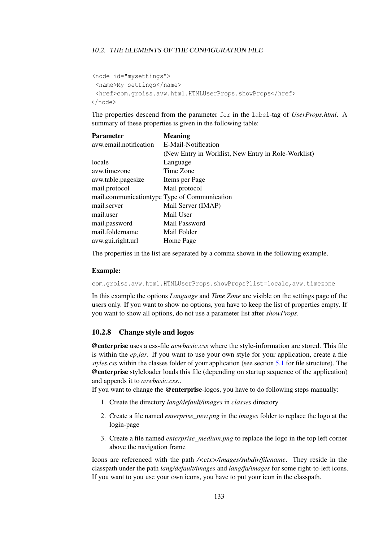```
<node id="mysettings">
 <name>My settings</name>
 <href>com.groiss.avw.html.HTMLUserProps.showProps</href>
</node>
```
The properties descend from the parameter for in the label-tag of *UserProps.html*. A summary of these properties is given in the following table:

| <b>Parameter</b>       | <b>Meaning</b>                                      |
|------------------------|-----------------------------------------------------|
| ayw.email.notification | E-Mail-Notification                                 |
|                        | (New Entry in Worklist, New Entry in Role-Worklist) |
| locale                 | Language                                            |
| avw.timezone           | Time Zone                                           |
| avw.table.pagesize     | Items per Page                                      |
| mail.protocol          | Mail protocol                                       |
|                        | mail.communication type Type of Communication       |
| mail.server            | Mail Server (IMAP)                                  |
| mail.user              | Mail User                                           |
| mail.password          | Mail Password                                       |
| mail.foldername        | Mail Folder                                         |
| avw.gui.right.url      | Home Page                                           |

The properties in the list are separated by a comma shown in the following example.

#### Example:

com.groiss.avw.html.HTMLUserProps.showProps?list=locale,avw.timezone

In this example the options *Language* and *Time Zone* are visible on the settings page of the users only. If you want to show no options, you have to keep the list of properties empty. If you want to show all options, do not use a parameter list after *showProps*.

#### 10.2.8 Change style and logos

@enterprise uses a css-file *avwbasic.css* where the style-information are stored. This file is within the *ep.jar*. If you want to use your own style for your application, create a file *styles.css* within the classes folder of your application (see section [5.1](#page-52-0) for file structure). The @enterprise styleloader loads this file (depending on startup sequence of the application) and appends it to *avwbasic.css*..

If you want to change the @enterprise-logos, you have to do following steps manually:

- 1. Create the directory *lang/default/images* in *classes* directory
- 2. Create a file named *enterprise\_new.png* in the *images* folder to replace the logo at the login-page
- 3. Create a file named *enterprise\_medium.png* to replace the logo in the top left corner above the navigation frame

Icons are referenced with the path */<ctx>/images/subdir/filename*. They reside in the classpath under the path *lang/default/images* and *lang/fa/images* for some right-to-left icons. If you want to you use your own icons, you have to put your icon in the classpath.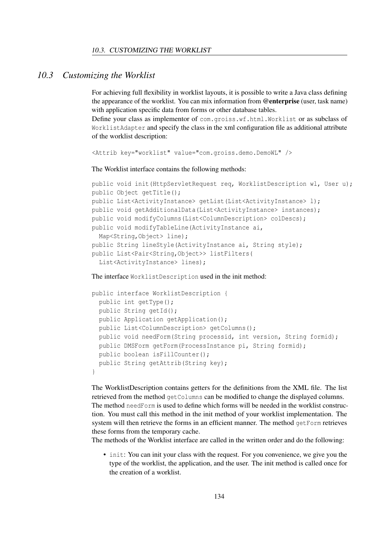## *10.3 Customizing the Worklist*

For achieving full flexibility in worklist layouts, it is possible to write a Java class defining the appearance of the worklist. You can mix information from @enterprise (user, task name) with application specific data from forms or other database tables.

Define your class as implementor of com.groiss.wf.html.Worklist or as subclass of WorklistAdapter and specify the class in the xml configuration file as additional attribute of the worklist description:

<Attrib key="worklist" value="com.groiss.demo.DemoWL" />

The Worklist interface contains the following methods:

```
public void init(HttpServletRequest req, WorklistDescription wl, User u);
public Object getTitle();
public List<ActivityInstance> getList(List<ActivityInstance> l);
public void getAdditionalData(List<ActivityInstance> instances);
public void modifyColumns(List<ColumnDescription> colDescs);
public void modifyTableLine(ActivityInstance ai,
  Map<String, Object> line);
public String lineStyle(ActivityInstance ai, String style);
public List<Pair<String,Object>> listFilters(
  List<ActivityInstance> lines);
```
The interface WorklistDescription used in the init method:

```
public interface WorklistDescription {
 public int getType();
 public String getId();
 public Application getApplication();
 public List<ColumnDescription> getColumns();
 public void needForm(String processid, int version, String formid);
 public DMSForm getForm(ProcessInstance pi, String formid);
 public boolean isFillCounter();
 public String getAttrib(String key);
}
```
The WorklistDescription contains getters for the definitions from the XML file. The list retrieved from the method getColumns can be modified to change the displayed columns. The method needForm is used to define which forms will be needed in the worklist construction. You must call this method in the init method of your worklist implementation. The system will then retrieve the forms in an efficient manner. The method getForm retrieves these forms from the temporary cache.

The methods of the Worklist interface are called in the written order and do the following:

• init: You can init your class with the request. For you convenience, we give you the type of the worklist, the application, and the user. The init method is called once for the creation of a worklist.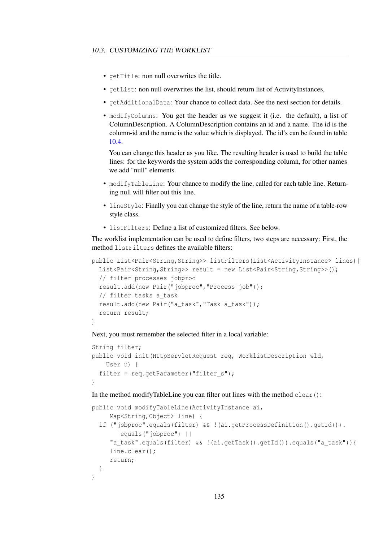- getTitle: non null overwrites the title.
- getList: non null overwrites the list, should return list of ActivityInstances,
- getAdditionalData: Your chance to collect data. See the next section for details.
- modifyColumns: You get the header as we suggest it (i.e. the default), a list of ColumnDescription. A ColumnDescription contains an id and a name. The id is the column-id and the name is the value which is displayed. The id's can be found in table [10.4.](#page-117-0)

You can change this header as you like. The resulting header is used to build the table lines: for the keywords the system adds the corresponding column, for other names we add "null" elements.

- modifyTableLine: Your chance to modify the line, called for each table line. Returning null will filter out this line.
- lineStyle: Finally you can change the style of the line, return the name of a table-row style class.
- listFilters: Define a list of customized filters. See below.

The worklist implementation can be used to define filters, two steps are necessary: First, the method listFilters defines the available filters:

```
public List<Pair<String,String>> listFilters(List<ActivityInstance> lines){
 List<Pair<String, String>> result = new List<Pair<String, String>>();
 // filter processes jobproc
 result.add(new Pair("jobproc","Process job"));
 // filter tasks a_task
 result.add(new Pair("a_task","Task a_task"));
 return result;
}
```
Next, you must remember the selected filter in a local variable:

```
String filter;
public void init(HttpServletRequest req, WorklistDescription wld,
    User u) {
  filter = req.getParameter("filter_s");
}
```
In the method modifyTableLine you can filter out lines with the method  $\text{clear}()$ :

```
public void modifyTableLine(ActivityInstance ai,
    Map<String,Object> line) {
 if ("jobproc".equals(filter) && !(ai.getProcessDefinition().getId()).
        equals("jobproc") ||
     "a_task".equals(filter) && !(ai.getTask().getId()).equals("a_task")){
     line.clear();
     return;
  }
}
```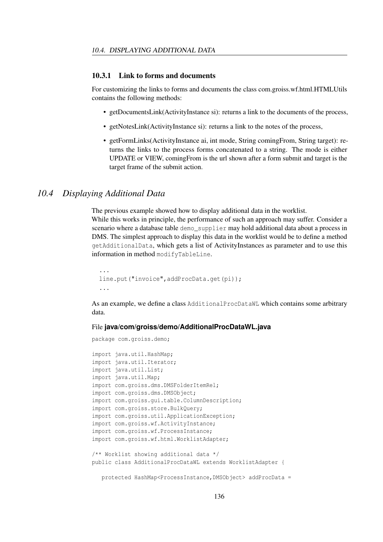#### 10.3.1 Link to forms and documents

For customizing the links to forms and documents the class com.groiss.wf.html.HTMLUtils contains the following methods:

- getDocumentsLink(ActivityInstance si): returns a link to the documents of the process,
- getNotesLink(ActivityInstance si): returns a link to the notes of the process,
- getFormLinks(ActivityInstance ai, int mode, String comingFrom, String target): returns the links to the process forms concatenated to a string. The mode is either UPDATE or VIEW, comingFrom is the url shown after a form submit and target is the target frame of the submit action.

## *10.4 Displaying Additional Data*

The previous example showed how to display additional data in the worklist. While this works in principle, the performance of such an approach may suffer. Consider a scenario where a database table demo\_supplier may hold additional data about a process in DMS. The simplest approach to display this data in the worklist would be to define a method getAdditionalData, which gets a list of ActivityInstances as parameter and to use this information in method modifyTableLine.

```
...
line.put("invoice",addProcData.get(pi));
...
```
As an example, we define a class AdditionalProcDataWL which contains some arbitrary data.

#### File **java/com/groiss/demo/AdditionalProcDataWL.java**

package com.groiss.demo;

```
import java.util.HashMap;
import java.util.Iterator;
import java.util.List;
import java.util.Map;
import com.groiss.dms.DMSFolderItemRel;
import com.groiss.dms.DMSObject;
import com.groiss.gui.table.ColumnDescription;
import com.groiss.store.BulkQuery;
import com.groiss.util.ApplicationException;
import com.groiss.wf.ActivityInstance;
import com.groiss.wf.ProcessInstance;
import com.groiss.wf.html.WorklistAdapter;
/** Worklist showing additional data */
public class AdditionalProcDataWL extends WorklistAdapter {
```
protected HashMap<ProcessInstance,DMSObject> addProcData =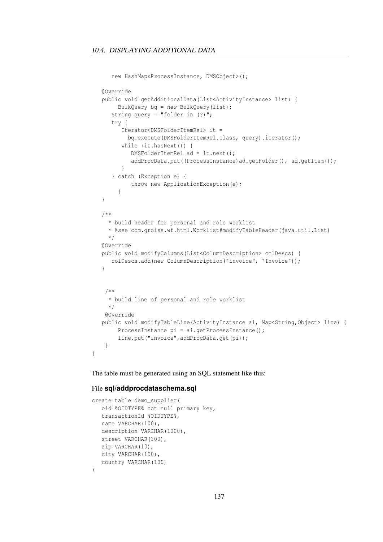```
new HashMap<ProcessInstance, DMSObject>();
  @Override
  public void getAdditionalData(List<ActivityInstance> list) {
       BulkQuery bq = new BulkQuery(list);
     String query = "folder in (?)";
     try {
        Iterator<DMSFolderItemRel> it =
          bq.execute(DMSFolderItemRel.class, query).iterator();
        while (it.hasNext()) {
           DMSFolderItemRel ad = it.next();
           addProcData.put((ProcessInstance)ad.getFolder(), ad.getItem());
         }
      } catch (Exception e) {
           throw new ApplicationException(e);
        }
   }
   /**
     * build header for personal and role worklist
    * @see com.groiss.wf.html.Worklist#modifyTableHeader(java.util.List)
    */
   @Override
  public void modifyColumns(List<ColumnDescription> colDescs) {
     colDescs.add(new ColumnDescription("invoice", "Invoice"));
   }
    /**
    * build line of personal and role worklist
    */
    @Override
  public void modifyTableLine(ActivityInstance ai, Map<String,Object> line) {
       ProcessInstance pi = ai.getProcessInstance();
       line.put("invoice",addProcData.get(pi));
   }
}
```
The table must be generated using an SQL statement like this:

#### File **sql/addprocdataschema.sql**

```
create table demo_supplier(
  oid %OIDTYPE% not null primary key,
  transactionId %OIDTYPE%,
  name VARCHAR(100),
  description VARCHAR(1000),
  street VARCHAR(100),
  zip VARCHAR(10),
  city VARCHAR(100),
  country VARCHAR(100)
\lambda
```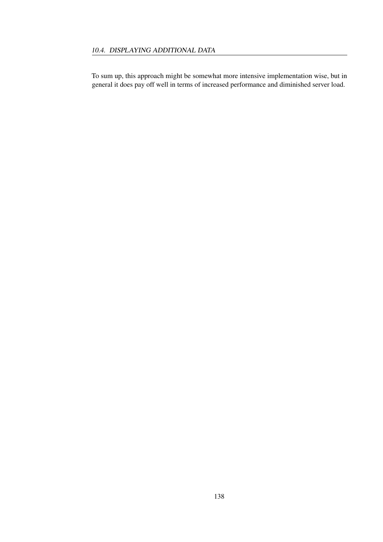To sum up, this approach might be somewhat more intensive implementation wise, but in general it does pay off well in terms of increased performance and diminished server load.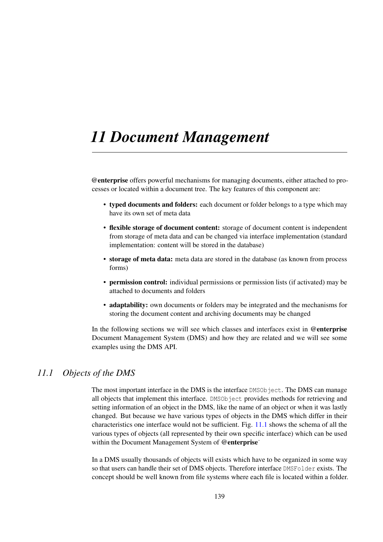# *11 Document Management*

@enterprise offers powerful mechanisms for managing documents, either attached to processes or located within a document tree. The key features of this component are:

- typed documents and folders: each document or folder belongs to a type which may have its own set of meta data
- flexible storage of document content: storage of document content is independent from storage of meta data and can be changed via interface implementation (standard implementation: content will be stored in the database)
- storage of meta data: meta data are stored in the database (as known from process forms)
- permission control: individual permissions or permission lists (if activated) may be attached to documents and folders
- adaptability: own documents or folders may be integrated and the mechanisms for storing the document content and archiving documents may be changed

In the following sections we will see which classes and interfaces exist in @enterprise Document Management System (DMS) and how they are related and we will see some examples using the DMS API.

# *11.1 Objects of the DMS*

The most important interface in the DMS is the interface DMSOb ject. The DMS can manage all objects that implement this interface. DMSObject provides methods for retrieving and setting information of an object in the DMS, like the name of an object or when it was lastly changed. But because we have various types of objects in the DMS which differ in their characteristics one interface would not be sufficient. Fig. [11.1](#page-139-0) shows the schema of all the various types of objects (all represented by their own specific interface) which can be used within the Document Management System of @enterprise<sup>†</sup>

In a DMS usually thousands of objects will exists which have to be organized in some way so that users can handle their set of DMS objects. Therefore interface DMSFolder exists. The concept should be well known from file systems where each file is located within a folder.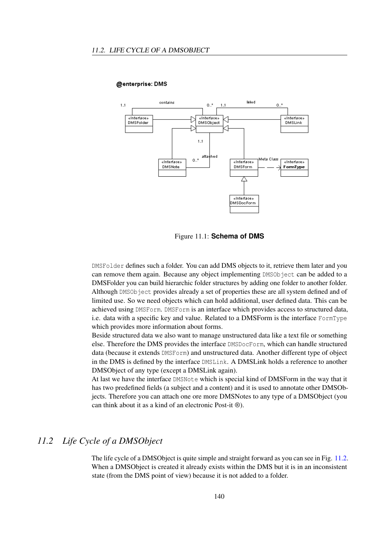#### @enterprise: DMS



<span id="page-139-0"></span>Figure 11.1: **Schema of DMS**

DMSFolder defines such a folder. You can add DMS objects to it, retrieve them later and you can remove them again. Because any object implementing DMSObject can be added to a DMSFolder you can build hierarchic folder structures by adding one folder to another folder. Although DMSObject provides already a set of properties these are all system defined and of limited use. So we need objects which can hold additional, user defined data. This can be achieved using DMSForm. DMSForm is an interface which provides access to structured data, i.e. data with a specific key and value. Related to a DMSForm is the interface FormType which provides more information about forms.

Beside structured data we also want to manage unstructured data like a text file or something else. Therefore the DMS provides the interface DMSDocForm, which can handle structured data (because it extends DMSForm) and unstructured data. Another different type of object in the DMS is defined by the interface DMSLink. A DMSLink holds a reference to another DMSObject of any type (except a DMSLink again).

At last we have the interface DMSNote which is special kind of DMSForm in the way that it has two predefined fields (a subject and a content) and it is used to annotate other DMSObjects. Therefore you can attach one ore more DMSNotes to any type of a DMSObject (you can think about it as a kind of an electronic Post-it ®).

## *11.2 Life Cycle of a DMSObject*

The life cycle of a DMSObject is quite simple and straight forward as you can see in Fig. [11.2.](#page-140-0) When a DMSObject is created it already exists within the DMS but it is in an inconsistent state (from the DMS point of view) because it is not added to a folder.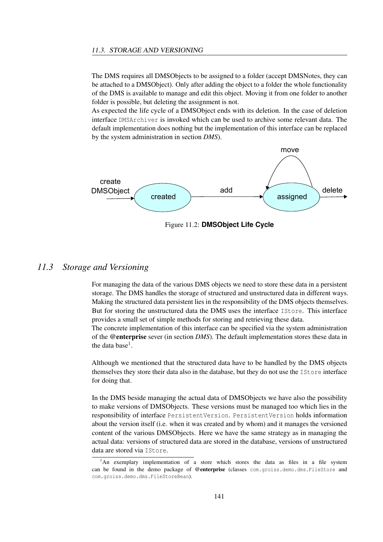The DMS requires all DMSObjects to be assigned to a folder (accept DMSNotes, they can be attached to a DMSObject). Only after adding the object to a folder the whole functionality of the DMS is available to manage and edit this object. Moving it from one folder to another folder is possible, but deleting the assignment is not.

As expected the life cycle of a DMSObject ends with its deletion. In the case of deletion interface DMSArchiver is invoked which can be used to archive some relevant data. The default implementation does nothing but the implementation of this interface can be replaced by the system administration in section *DMS*).



<span id="page-140-0"></span>Figure 11.2: **DMSObject Life Cycle**

## *11.3 Storage and Versioning*

For managing the data of the various DMS objects we need to store these data in a persistent storage. The DMS handles the storage of structured and unstructured data in different ways. Making the structured data persistent lies in the responsibility of the DMS objects themselves. But for storing the unstructured data the DMS uses the interface IStore. This interface provides a small set of simple methods for storing and retrieving these data.

The concrete implementation of this interface can be specified via the system administration of the @enterprise sever (in section *DMS*). The default implementation stores these data in the data base<sup>[1](#page-140-1)</sup>.

Although we mentioned that the structured data have to be handled by the DMS objects themselves they store their data also in the database, but they do not use the IStore interface for doing that.

In the DMS beside managing the actual data of DMSObjects we have also the possibility to make versions of DMSObjects. These versions must be managed too which lies in the responsibility of interface PersistentVersion. PersistentVersion holds information about the version itself (i.e. when it was created and by whom) and it manages the versioned content of the various DMSObjects. Here we have the same strategy as in managing the actual data: versions of structured data are stored in the database, versions of unstructured data are stored via IStore.

<span id="page-140-1"></span><sup>1</sup>An exemplary implementation of a store which stores the data as files in a file system can be found in the demo package of @enterprise (classes com.groiss.demo.dms.FileStore and com.groiss.demo.dms.FileStoreBean).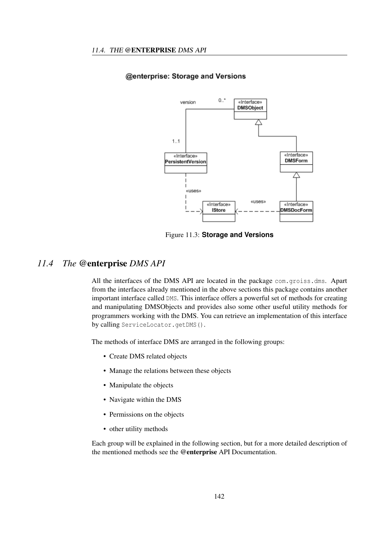## @enterprise: Storage and Versions



Figure 11.3: **Storage and Versions**

# *11.4 The* @enterprise *DMS API*

All the interfaces of the DMS API are located in the package com.groiss.dms. Apart from the interfaces already mentioned in the above sections this package contains another important interface called DMS. This interface offers a powerful set of methods for creating and manipulating DMSObjects and provides also some other useful utility methods for programmers working with the DMS. You can retrieve an implementation of this interface by calling ServiceLocator.getDMS().

The methods of interface DMS are arranged in the following groups:

- Create DMS related objects
- Manage the relations between these objects
- Manipulate the objects
- Navigate within the DMS
- Permissions on the objects
- other utility methods

Each group will be explained in the following section, but for a more detailed description of the mentioned methods see the @enterprise API Documentation.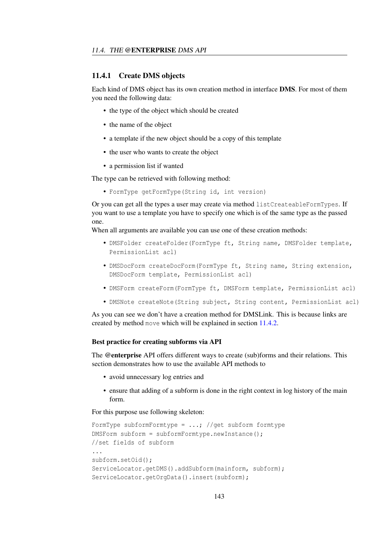#### 11.4.1 Create DMS objects

Each kind of DMS object has its own creation method in interface DMS. For most of them you need the following data:

- the type of the object which should be created
- the name of the object
- a template if the new object should be a copy of this template
- the user who wants to create the object
- a permission list if wanted

The type can be retrieved with following method:

• FormType getFormType(String id, int version)

Or you can get all the types a user may create via method listCreateableFormTypes. If you want to use a template you have to specify one which is of the same type as the passed one.

When all arguments are available you can use one of these creation methods:

- DMSFolder createFolder(FormType ft, String name, DMSFolder template, PermissionList acl)
- DMSDocForm createDocForm(FormType ft, String name, String extension, DMSDocForm template, PermissionList acl)
- DMSForm createForm(FormType ft, DMSForm template, PermissionList acl)
- DMSNote createNote(String subject, String content, PermissionList acl)

As you can see we don't have a creation method for DMSLink. This is because links are created by method move which will be explained in section [11.4.2.](#page-143-0)

#### Best practice for creating subforms via API

The @enterprise API offers different ways to create (sub)forms and their relations. This section demonstrates how to use the available API methods to

- avoid unnecessary log entries and
- ensure that adding of a subform is done in the right context in log history of the main form.

For this purpose use following skeleton:

```
FormType subformFormtype = \ldots; //get subform formtype
DMSForm subform = subformFormtype.newInstance();
//set fields of subform
...
subform.setOid();
ServiceLocator.getDMS().addSubform(mainform, subform);
ServiceLocator.getOrgData().insert(subform);
```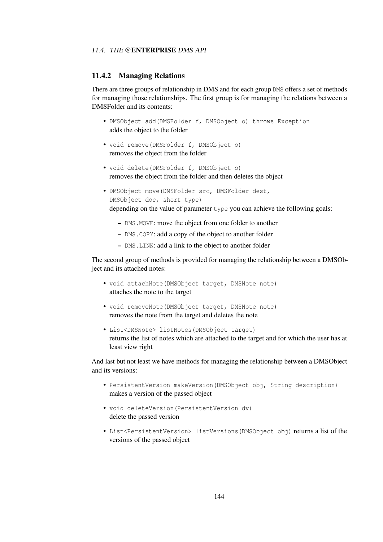#### <span id="page-143-0"></span>11.4.2 Managing Relations

There are three groups of relationship in DMS and for each group DMS offers a set of methods for managing those relationships. The first group is for managing the relations between a DMSFolder and its contents:

- DMSObject add(DMSFolder f, DMSObject o) throws Exception adds the object to the folder
- void remove(DMSFolder f, DMSObject o) removes the object from the folder
- void delete(DMSFolder f, DMSObject o) removes the object from the folder and then deletes the object
- DMSObject move(DMSFolder src, DMSFolder dest, DMSObject doc, short type)

depending on the value of parameter type you can achieve the following goals:

- DMS.MOVE: move the object from one folder to another
- DMS.COPY: add a copy of the object to another folder
- DMS.LINK: add a link to the object to another folder

The second group of methods is provided for managing the relationship between a DMSObject and its attached notes:

- void attachNote(DMSObject target, DMSNote note) attaches the note to the target
- void removeNote(DMSObject target, DMSNote note) removes the note from the target and deletes the note
- List<DMSNote> listNotes(DMSObject target) returns the list of notes which are attached to the target and for which the user has at least view right

And last but not least we have methods for managing the relationship between a DMSObject and its versions:

- PersistentVersion makeVersion(DMSObject obj, String description) makes a version of the passed object
- void deleteVersion(PersistentVersion dv) delete the passed version
- List<PersistentVersion> listVersions(DMSObject obj) returns a list of the versions of the passed object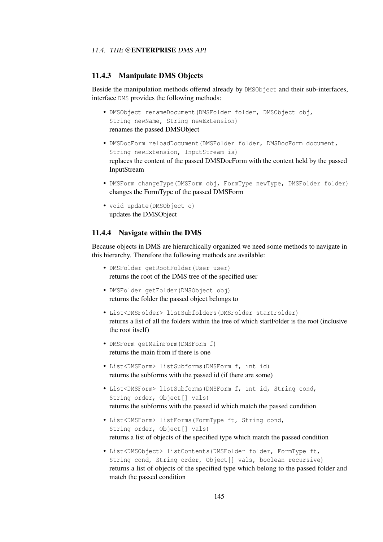## 11.4.3 Manipulate DMS Objects

Beside the manipulation methods offered already by DMSObject and their sub-interfaces, interface DMS provides the following methods:

- DMSObject renameDocument(DMSFolder folder, DMSObject obj, String newName, String newExtension) renames the passed DMSObject
- DMSDocForm reloadDocument(DMSFolder folder, DMSDocForm document, String newExtension, InputStream is) replaces the content of the passed DMSDocForm with the content held by the passed InputStream
- DMSForm changeType(DMSForm obj, FormType newType, DMSFolder folder) changes the FormType of the passed DMSForm
- void update(DMSObject o) updates the DMSObject

# 11.4.4 Navigate within the DMS

Because objects in DMS are hierarchically organized we need some methods to navigate in this hierarchy. Therefore the following methods are available:

- DMSFolder getRootFolder(User user) returns the root of the DMS tree of the specified user
- DMSFolder getFolder(DMSObject obj) returns the folder the passed object belongs to
- List<DMSFolder> listSubfolders(DMSFolder startFolder) returns a list of all the folders within the tree of which startFolder is the root (inclusive the root itself)
- DMSForm getMainForm(DMSForm f) returns the main from if there is one
- List<DMSForm> listSubforms(DMSForm f, int id) returns the subforms with the passed id (if there are some)
- List<DMSForm> listSubforms(DMSForm f, int id, String cond, String order, Object[] vals) returns the subforms with the passed id which match the passed condition
- List<DMSForm> listForms(FormType ft, String cond, String order, Object[] vals) returns a list of objects of the specified type which match the passed condition
- List<DMSObject> listContents(DMSFolder folder, FormType ft, String cond, String order, Object[] vals, boolean recursive) returns a list of objects of the specified type which belong to the passed folder and match the passed condition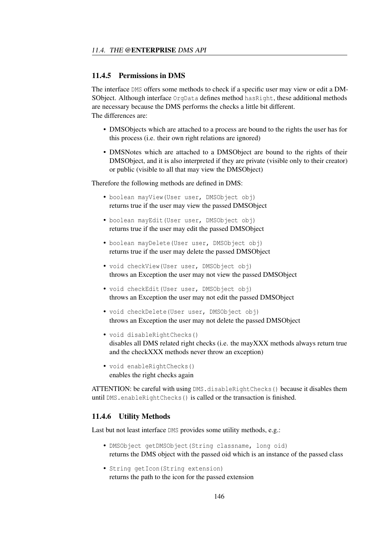## 11.4.5 Permissions in DMS

The interface DMS offers some methods to check if a specific user may view or edit a DM-SObject. Although interface  $\text{OrgData}$  defines method hasRight, these additional methods are necessary because the DMS performs the checks a little bit different. The differences are:

- DMSObjects which are attached to a process are bound to the rights the user has for this process (i.e. their own right relations are ignored)
- DMSNotes which are attached to a DMSObject are bound to the rights of their DMSObject, and it is also interpreted if they are private (visible only to their creator) or public (visible to all that may view the DMSObject)

Therefore the following methods are defined in DMS:

- boolean mayView(User user, DMSObject obj) returns true if the user may view the passed DMSObject
- boolean mayEdit(User user, DMSObject obj) returns true if the user may edit the passed DMSObject
- boolean mayDelete(User user, DMSObject obj) returns true if the user may delete the passed DMSObject
- void checkView(User user, DMSObject obj) throws an Exception the user may not view the passed DMSObject
- void checkEdit(User user, DMSObject obj) throws an Exception the user may not edit the passed DMSObject
- void checkDelete(User user, DMSObject obj) throws an Exception the user may not delete the passed DMSObject
- void disableRightChecks() disables all DMS related right checks (i.e. the mayXXX methods always return true and the checkXXX methods never throw an exception)
- void enableRightChecks() enables the right checks again

ATTENTION: be careful with using DMS.disableRightChecks() because it disables them until DMS.enableRightChecks() is called or the transaction is finished.

# 11.4.6 Utility Methods

Last but not least interface DMS provides some utility methods, e.g.:

- DMSObject getDMSObject(String classname, long oid) returns the DMS object with the passed oid which is an instance of the passed class
- String getIcon(String extension) returns the path to the icon for the passed extension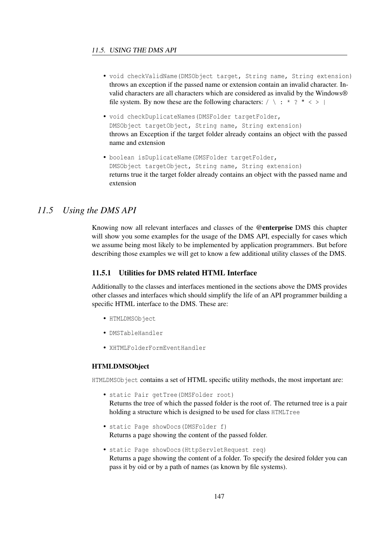- void checkValidName(DMSObject target, String name, String extension) throws an exception if the passed name or extension contain an invalid character. Invalid characters are all characters which are considered as invalid by the Windows® file system. By now these are the following characters: / \ : \* ? " < > |
- void checkDuplicateNames(DMSFolder targetFolder, DMSObject targetObject, String name, String extension) throws an Exception if the target folder already contains an object with the passed name and extension
- boolean isDuplicateName(DMSFolder targetFolder, DMSObject targetObject, String name, String extension) returns true it the target folder already contains an object with the passed name and extension

# *11.5 Using the DMS API*

Knowing now all relevant interfaces and classes of the @enterprise DMS this chapter will show you some examples for the usage of the DMS API, especially for cases which we assume being most likely to be implemented by application programmers. But before describing those examples we will get to know a few additional utility classes of the DMS.

# 11.5.1 Utilities for DMS related HTML Interface

Additionally to the classes and interfaces mentioned in the sections above the DMS provides other classes and interfaces which should simplify the life of an API programmer building a specific HTML interface to the DMS. These are:

- HTMLDMSObject
- DMSTableHandler
- XHTMLFolderFormEventHandler

#### HTMLDMSObject

HTMLDMSObject contains a set of HTML specific utility methods, the most important are:

- static Pair getTree(DMSFolder root) Returns the tree of which the passed folder is the root of. The returned tree is a pair holding a structure which is designed to be used for class HTMLTree
- static Page showDocs(DMSFolder f) Returns a page showing the content of the passed folder.
- static Page showDocs(HttpServletRequest req) Returns a page showing the content of a folder. To specify the desired folder you can pass it by oid or by a path of names (as known by file systems).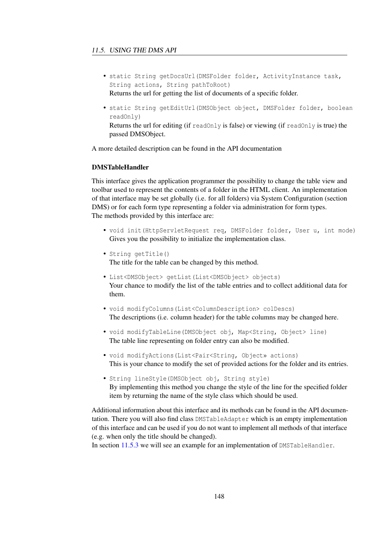- static String getDocsUrl(DMSFolder folder, ActivityInstance task, String actions, String pathToRoot) Returns the url for getting the list of documents of a specific folder.
- static String getEditUrl(DMSObject object, DMSFolder folder, boolean readOnly)

Returns the url for editing (if readOnly is false) or viewing (if readOnly is true) the passed DMSObject.

A more detailed description can be found in the API documentation

# DMSTableHandler

This interface gives the application programmer the possibility to change the table view and toolbar used to represent the contents of a folder in the HTML client. An implementation of that interface may be set globally (i.e. for all folders) via System Configuration (section DMS) or for each form type representing a folder via administration for form types. The methods provided by this interface are:

- void init(HttpServletRequest req, DMSFolder folder, User u, int mode) Gives you the possibility to initialize the implementation class.
- String getTitle() The title for the table can be changed by this method.
- List<DMSObject> getList(List<DMSObject> objects) Your chance to modify the list of the table entries and to collect additional data for them.
- void modifyColumns(List<ColumnDescription> colDescs) The descriptions (i.e. column header) for the table columns may be changed here.
- void modifyTableLine(DMSObject obj, Map<String, Object> line) The table line representing on folder entry can also be modified.
- void modifyActions(List<Pair<String, Object» actions) This is your chance to modify the set of provided actions for the folder and its entries.
- String lineStyle(DMSObject obj, String style) By implementing this method you change the style of the line for the specified folder item by returning the name of the style class which should be used.

Additional information about this interface and its methods can be found in the API documentation. There you will also find class DMSTableAdapter which is an empty implementation of this interface and can be used if you do not want to implement all methods of that interface (e.g. when only the title should be changed).

In section [11.5.3](#page-150-0) we will see an example for an implementation of DMSTableHandler.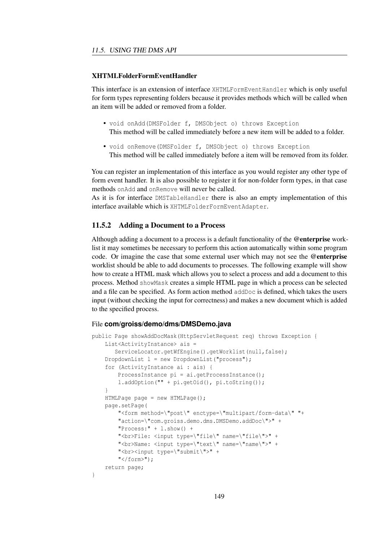#### XHTMLFolderFormEventHandler

This interface is an extension of interface XHTMLFormEventHandler which is only useful for form types representing folders because it provides methods which will be called when an item will be added or removed from a folder.

- void onAdd(DMSFolder f, DMSObject o) throws Exception This method will be called immediately before a new item will be added to a folder.
- void onRemove(DMSFolder f, DMSObject o) throws Exception This method will be called immediately before a item will be removed from its folder.

You can register an implementation of this interface as you would register any other type of form event handler. It is also possible to register it for non-folder form types, in that case methods onAdd and onRemove will never be called.

As it is for interface DMSTableHandler there is also an empty implementation of this interface available which is XHTMLFolderFormEventAdapter.

# 11.5.2 Adding a Document to a Process

Although adding a document to a process is a default functionality of the @enterprise worklist it may sometimes be necessary to perform this action automatically within some program code. Or imagine the case that some external user which may not see the @enterprise worklist should be able to add documents to processes. The following example will show how to create a HTML mask which allows you to select a process and add a document to this process. Method showMask creates a simple HTML page in which a process can be selected and a file can be specified. As form action method addDoc is defined, which takes the users input (without checking the input for correctness) and makes a new document which is added to the specified process.

#### File **com/groiss/demo/dms/DMSDemo.java**

```
public Page showAddDocMask(HttpServletRequest req) throws Exception {
    List<ActivityInstance> ais =
       ServiceLocator.getWfEngine().getWorklist(null,false);
    DropdownList l = new DropdownList("process");for (ActivityInstance ai : ais) {
        ProcessInstance pi = ai.getProcessInstance();
        l.addOption("" + pi.getOid(), pi.toString());
    }
    HTMLPage page = new HTMLPage();
    page.setPage(
        "<form method=\"post\" enctype=\"multipart/form-data\" "+
        "action=\"com.groiss.demo.dms.DMSDemo.addDoc\">" +
        "Process: " + 1.show() +"<br>File: <input type=\"file\" name=\"file\">" +
        "<br>Name: <input type=\"text\" name=\"name\">" +
        "<br>>>>>><input type=\"submit\">" +
        "</form>");
   return page;
}
```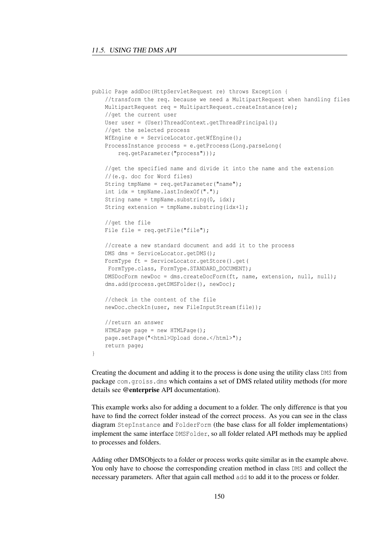```
public Page addDoc(HttpServletRequest re) throws Exception {
    //transform the req. because we need a MultipartRequest when handling files
   MultipartRequest req = MultipartRequest.createInstance(re);
    //get the current user
    User user = (User)ThreadContext.getThreadPrincipal();
    //get the selected process
    WfEngine e = ServiceLocator.getWfEngine();
   ProcessInstance process = e.getProcess(Long.parseLong(
       req.getParameter("process")));
    //get the specified name and divide it into the name and the extension
    //(e.g. doc for Word files)
    String tmpName = req.getParameter("name");
    int idx = tmpName.lastIndexOf(".");
    String name = tmpName.substring(0, idx);String extension = tmpName.substring(idx+1);
    //get the file
    File file = req.qetFile("file");
    //create a new standard document and add it to the process
    DMS dms = ServiceLocator.getDMS();
    FormType ft = ServiceLocator.getStore().get(
    FormType.class, FormType.STANDARD_DOCUMENT);
    DMSDocForm newDoc = dms.createDocForm(ft, name, extension, null, null);
    dms.add(process.getDMSFolder(), newDoc);
    //check in the content of the file
    newDoc.checkIn(user, new FileInputStream(file));
    //return an answer
   HTMLPage page = new HTMLPage();
   page.setPage("<html>Upload done.</html>");
   return page;
}
```
Creating the document and adding it to the process is done using the utility class DMS from package com.groiss.dms which contains a set of DMS related utility methods (for more details see @enterprise API documentation).

This example works also for adding a document to a folder. The only difference is that you have to find the correct folder instead of the correct process. As you can see in the class diagram StepInstance and FolderForm (the base class for all folder implementations) implement the same interface DMSFolder, so all folder related API methods may be applied to processes and folders.

Adding other DMSObjects to a folder or process works quite similar as in the example above. You only have to choose the corresponding creation method in class DMS and collect the necessary parameters. After that again call method add to add it to the process or folder.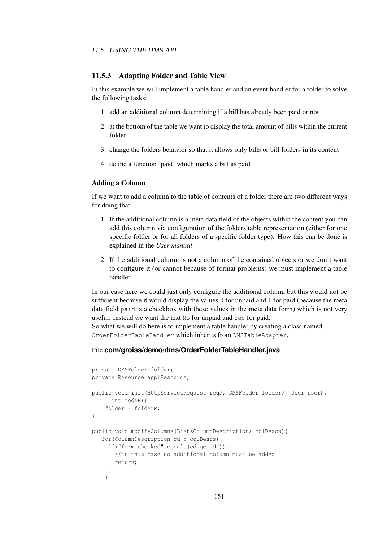# <span id="page-150-0"></span>11.5.3 Adapting Folder and Table View

In this example we will implement a table handler and an event handler for a folder to solve the following tasks:

- 1. add an additional column determining if a bill has already been paid or not
- 2. at the bottom of the table we want to display the total amount of bills within the current folder
- 3. change the folders behavior so that it allows only bills or bill folders in its content
- 4. define a function 'paid' which marks a bill as paid

#### Adding a Column

If we want to add a column to the table of contents of a folder there are two different ways for doing that:

- 1. If the additional column is a meta data field of the objects within the content you can add this column via configuration of the folders table representation (either for one specific folder or for all folders of a specific folder type). How this can be done is explained in the *User manual*.
- 2. If the additional column is not a column of the contained objects or we don't want to configure it (or cannot because of format problems) we must implement a table handler.

In our case here we could just only configure the additional column but this would not be sufficient because it would display the values 0 for unpaid and 1 for paid (because the meta data field paid is a checkbox with these values in the meta data form) which is not very useful. Instead we want the text No for unpaid and Yes for paid.

So what we will do here is to implement a table handler by creating a class named OrderFolderTableHandler which inherits from DMSTableAdapter.

#### File **com/groiss/demo/dms/OrderFolderTableHandler.java**

```
private DMSFolder folder;
private Resource applResource;
public void init(HttpServletRequest reqP, DMSFolder folderP, User userP,
      int modeP){
    folder = folderP;
}
public void modifyColumns(List<ColumnDescription> colDescs){
   for(ColumnDescription cd : colDescs){
     if("form.checked".equals(cd.getId())){
       //in this case no additional column must be added
       return;
     }
    }
```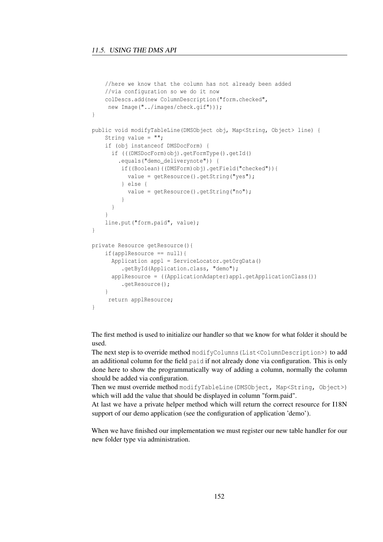```
//here we know that the column has not already been added
    //via configuration so we do it now
    colDescs.add(new ColumnDescription("form.checked",
    new Image("../images/check.gif")));
}
public void modifyTableLine(DMSObject obj, Map<String, Object> line) {
    String value = "";
    if (obj instanceof DMSDocForm) {
      if (((DMSDocForm)obj).getFormType().getId()
        .equals("demo_deliverynote")) {
         if((Boolean)((DMSForm)obj).getField("checked")){
           value = getResource().getString("yes");
         } else {
           value = getResource().getString("no");
         }
      }
    }
    line.put("form.paid", value);
}
private Resource getResource(){
    if(applResource == null){
      Application appl = ServiceLocator.getOrgData()
         .getById(Application.class, "demo");
      applResource = ((ApplicationAdapter)appl.getApplicationClass())
         .getResource();
    }
     return applResource;
}
```
The first method is used to initialize our handler so that we know for what folder it should be used.

The next step is to override method modifyColumns(List<ColumnDescription>) to add an additional column for the field paid if not already done via configuration. This is only done here to show the programmatically way of adding a column, normally the column should be added via configuration.

Then we must override method modifyTableLine(DMSObject, Map<String, Object>) which will add the value that should be displayed in column "form.paid".

At last we have a private helper method which will return the correct resource for I18N support of our demo application (see the configuration of application 'demo').

When we have finished our implementation we must register our new table handler for our new folder type via administration.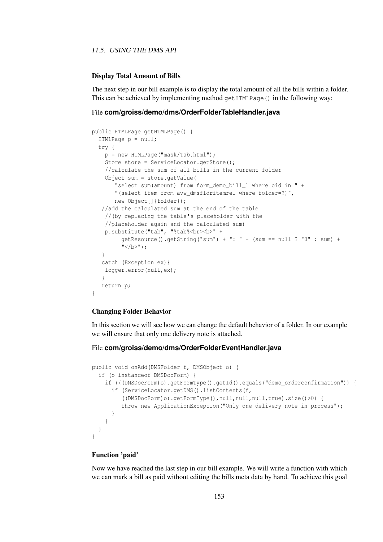#### Display Total Amount of Bills

The next step in our bill example is to display the total amount of all the bills within a folder. This can be achieved by implementing method getHTMLPage() in the following way:

#### File **com/groiss/demo/dms/OrderFolderTableHandler.java**

```
public HTMLPage getHTMLPage() {
 HTMLPage p = null;try {
   p = new HTMLPage("mask/Tab.html");
   Store store = ServiceLocator.getStore();
    //calculate the sum of all bills in the current folder
   Object sum = store.getValue(
       "select sum(amount) from form_demo_bill_1 where oid in " +
       "(select item from avw_dmsfldritemrel where folder=?)",
      new Object[]{folder});
   //add the calculated sum at the end of the table
    //(by replacing the table's placeholder with the
   //placeholder again and the calculated sum)
   p.substitute("tab", "%tab%<br><b>" +
         getResource() .getString("sum") + ": " + (sum == null ? "0" : sum) +" </b>");
   }
  catch (Exception ex){
   logger.error(null,ex);
   }
   return p;
}
```
#### Changing Folder Behavior

In this section we will see how we can change the default behavior of a folder. In our example we will ensure that only one delivery note is attached.

#### File **com/groiss/demo/dms/OrderFolderEventHandler.java**

```
public void onAdd(DMSFolder f, DMSObject o) {
  if (o instanceof DMSDocForm) {
    if (((DMSDocForm)o).getFormType().getId().equals("demo_orderconfirmation")) {
      if (ServiceLocator.getDMS().listContents(f,
         ((DMSDocForm)o).getFormType(),null,null,null,true).size()>0) {
         throw new ApplicationException("Only one delivery note in process");
      }
    }
  }
}
```
#### Function 'paid'

Now we have reached the last step in our bill example. We will write a function with which we can mark a bill as paid without editing the bills meta data by hand. To achieve this goal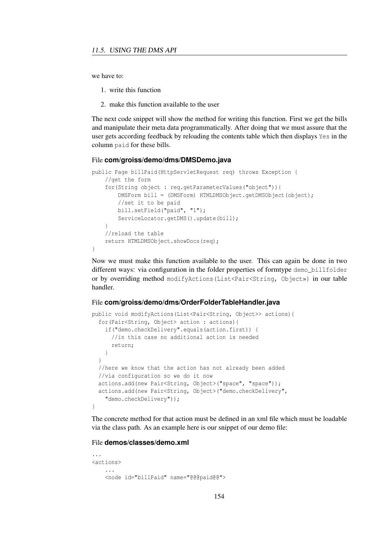we have to:

- 1. write this function
- 2. make this function available to the user

The next code snippet will show the method for writing this function. First we get the bills and manipulate their meta data programmatically. After doing that we must assure that the user gets according feedback by reloading the contents table which then displays Yes in the column paid for these bills.

#### File **com/groiss/demo/dms/DMSDemo.java**

```
public Page billPaid(HttpServletRequest req) throws Exception {
    //get the form
    for(String object : req.getParameterValues("object")){
       DMSForm bill = (DMSForm) HTMLDMSObject.getDMSObject(object);
       //set it to be paid
       bill.setField("paid", "1");
       ServiceLocator.getDMS().update(bill);
    }
    //reload the table
    return HTMLDMSObject.showDocs(req);
}
```
Now we must make this function available to the user. This can again be done in two different ways: via configuration in the folder properties of formtype demo\_billfolder or by overriding method modifyActions(List<Pair<String, Object») in our table handler.

#### File **com/groiss/demo/dms/OrderFolderTableHandler.java**

```
public void modifyActions(List<Pair<String, Object>> actions){
 for(Pair<String, Object> action : actions){
    if("demo.checkDelivery".equals(action.first)) {
      //in this case no additional action is needed
      return;
   }
  }
  //here we know that the action has not already been added
 //via configuration so we do it now
 actions.add(new Pair<String, Object>("space", "space"));
 actions.add(new Pair<String, Object>("demo.checkDelivery",
    "demo.checkDelivery"));
}
```
The concrete method for that action must be defined in an xml file which must be loadable via the class path. As an example here is our snippet of our demo file:

#### File **demos/classes/demo.xml**

```
...
<actions>
    ...
    <node id="billPaid" name="@@@paid@@">
```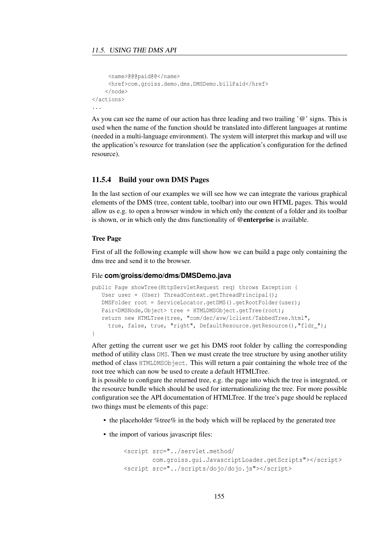```
<name>@@@paid@@</name>
     <href>com.groiss.demo.dms.DMSDemo.billPaid</href>
    </node>
</actions>
...
```
As you can see the name of our action has three leading and two trailing  $\partial$  ' signs. This is used when the name of the function should be translated into different languages at runtime (needed in a multi-language environment). The system will interpret this markup and will use the application's resource for translation (see the application's configuration for the defined resource).

#### 11.5.4 Build your own DMS Pages

In the last section of our examples we will see how we can integrate the various graphical elements of the DMS (tree, content table, toolbar) into our own HTML pages. This would allow us e.g. to open a browser window in which only the content of a folder and its toolbar is shown, or in which only the dms functionality of @enterprise is available.

#### Tree Page

First of all the following example will show how we can build a page only containing the dms tree and send it to the browser.

#### File **com/groiss/demo/dms/DMSDemo.java**

```
public Page showTree(HttpServletRequest req) throws Exception {
  User user = (User) ThreadContext.getThreadPrincipal();
  DMSFolder root = ServiceLocator.getDMS().getRootFolder(user);
  Pair<DMSNode,Object> tree = HTMLDMSObject.getTree(root);
  return new HTMLTree(tree, "com/dec/avw/lclient/TabbedTree.html",
    true, false, true, "right", DefaultResource.getResource(),"fldr_");
}
```
After getting the current user we get his DMS root folder by calling the corresponding method of utility class DMS. Then we must create the tree structure by using another utility method of class HTMLDMSObject. This will return a pair containing the whole tree of the root tree which can now be used to create a default HTMLTree.

It is possible to configure the returned tree, e.g. the page into which the tree is integrated, or the resource bundle which should be used for internationalizing the tree. For more possible configuration see the API documentation of HTMLTree. If the tree's page should be replaced two things must be elements of this page:

- the placeholder % tree% in the body which will be replaced by the generated tree
- the import of various javascript files:

```
<script src="../servlet.method/
       com.groiss.gui.JavascriptLoader.getScripts"></script>
<script src="../scripts/dojo/dojo.js"></script>
```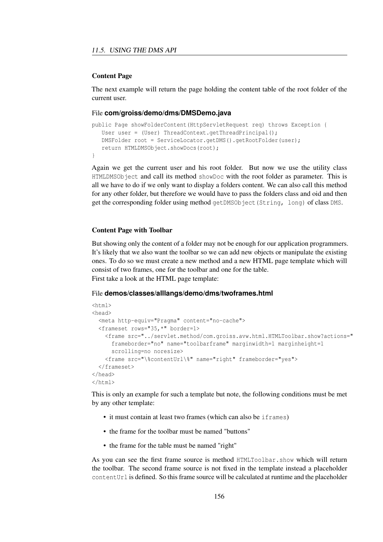#### Content Page

The next example will return the page holding the content table of the root folder of the current user.

#### File **com/groiss/demo/dms/DMSDemo.java**

```
public Page showFolderContent(HttpServletRequest req) throws Exception {
   User user = (User) ThreadContext.getThreadPrincipal();
  DMSFolder root = ServiceLocator.getDMS().getRootFolder(user);
   return HTMLDMSObject.showDocs(root);
}
```
Again we get the current user and his root folder. But now we use the utility class HTMLDMSObject and call its method showDoc with the root folder as parameter. This is all we have to do if we only want to display a folders content. We can also call this method for any other folder, but therefore we would have to pass the folders class and oid and then get the corresponding folder using method getDMSObject (String, long) of class DMS.

#### Content Page with Toolbar

But showing only the content of a folder may not be enough for our application programmers. It's likely that we also want the toolbar so we can add new objects or manipulate the existing ones. To do so we must create a new method and a new HTML page template which will consist of two frames, one for the toolbar and one for the table. First take a look at the HTML page template:

## File **demos/classes/alllangs/demo/dms/twoframes.html**

```
<html>
<head>
  <meta http-equiv="Pragma" content="no-cache">
  <frameset rows="35,*" border=1>
    <frame src="../servlet.method/com.groiss.avw.html.HTMLToolbar.show?actions="
      frameborder="no" name="toolbarframe" marginwidth=1 marginheight=1
      scrolling=no noresize>
    <frame src="\%contentUrl\%" name="right" frameborder="yes">
  </frameset>
</head>
\langle/html>
```
This is only an example for such a template but note, the following conditions must be met by any other template:

- it must contain at least two frames (which can also be iframes)
- the frame for the toolbar must be named "buttons"
- the frame for the table must be named "right"

As you can see the first frame source is method HTMLToolbar.show which will return the toolbar. The second frame source is not fixed in the template instead a placeholder contentUrl is defined. So this frame source will be calculated at runtime and the placeholder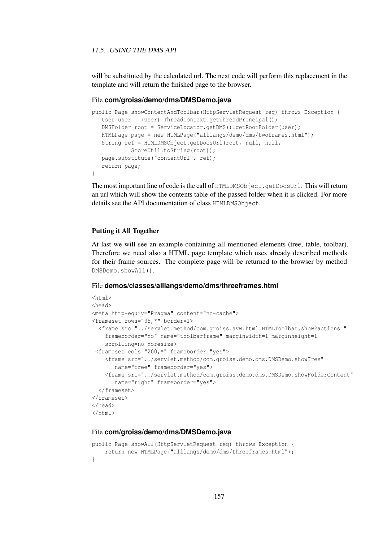will be substituted by the calculated url. The next code will perform this replacement in the template and will return the finished page to the browser.

#### File **com/groiss/demo/dms/DMSDemo.java**

```
public Page showContentAndToolbar(HttpServletRequest req) throws Exception {
  User user = (User) ThreadContext.getThreadPrincipal();
  DMSFolder root = ServiceLocator.getDMS().getRootFolder(user);
  HTMLPage page = new HTMLPage("alllangs/demo/dms/twoframes.html");
  String ref = HTMLDMSObject.getDocsUrl(root, null, null,
            StoreUtil.toString(root));
   page.substitute("contentUrl", ref);
   return page;
}
```
The most important line of code is the call of HTMLDMSObject.getDocsUrl. This will return an url which will show the contents table of the passed folder when it is clicked. For more details see the API documentation of class HTMLDMSObject.

#### Putting it All Together

At last we will see an example containing all mentioned elements (tree, table, toolbar). Therefore we need also a HTML page template which uses already described methods for their frame sources. The complete page will be returned to the browser by method DMSDemo.showAll().

#### File **demos/classes/alllangs/demo/dms/threeframes.html**

```
<html>
<head>
<meta http-equiv="Pragma" content="no-cache">
<frameset rows="35,*" border=1>
  <frame src="../servlet.method/com.groiss.avw.html.HTMLToolbar.show?actions="
    frameborder="no" name="toolbarframe" marginwidth=1 marginheight=1
   scrolling=no noresize>
<frameset cols="200,*" frameborder="yes">
    <frame src="../servlet.method/com.groiss.demo.dms.DMSDemo.showTree"
      name="tree" frameborder="yes">
    <frame src="../servlet.method/com.groiss.demo.dms.DMSDemo.showFolderContent"
      name="right" frameborder="yes">
 </frameset>
</frameset>
</head>
</html>
```
## File **com/groiss/demo/dms/DMSDemo.java**

```
public Page showAll(HttpServletRequest req) throws Exception {
    return new HTMLPage("alllangs/demo/dms/threeframes.html");
}
```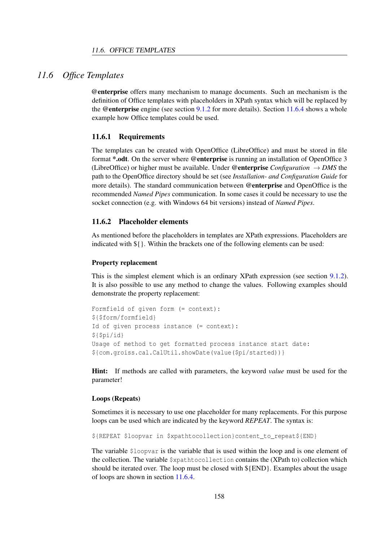# *11.6 Office Templates*

<span id="page-157-0"></span>@enterprise offers many mechanism to manage documents. Such an mechanism is the definition of Office templates with placeholders in XPath syntax which will be replaced by the @enterprise engine (see section [9.1.2](#page-86-0) for more details). Section [11.6.4](#page-159-0) shows a whole example how Office templates could be used.

#### 11.6.1 Requirements

The templates can be created with OpenOffice (LibreOffice) and must be stored in file format \*.odt. On the server where @enterprise is running an installation of OpenOffice 3 (LibreOffice) or higher must be available. Under @enterprise *Configuration*  $\rightarrow$  *DMS* the path to the OpenOffice directory should be set (see *Installation- and Configuration Guide* for more details). The standard communication between @enterprise and OpenOffice is the recommended *Named Pipes* communication. In some cases it could be necessary to use the socket connection (e.g. with Windows 64 bit versions) instead of *Named Pipes*.

# 11.6.2 Placeholder elements

As mentioned before the placeholders in templates are XPath expressions. Placeholders are indicated with \${}. Within the brackets one of the following elements can be used:

#### Property replacement

This is the simplest element which is an ordinary XPath expression (see section [9.1.2\)](#page-86-0). It is also possible to use any method to change the values. Following examples should demonstrate the property replacement:

```
Formfield of given form (= context):
${$form/formfield}
Id of given process instance (= context):
${$pi/d}
Usage of method to get formatted process instance start date:
${com.groiss.cal.CalUtil.showDate(value($pi/started))}
```
Hint: If methods are called with parameters, the keyword *value* must be used for the parameter!

#### Loops (Repeats)

Sometimes it is necessary to use one placeholder for many replacements. For this purpose loops can be used which are indicated by the keyword *REPEAT*. The syntax is:

\${REPEAT \$loopvar in \$xpathtocollection}content\_to\_repeat\${END}

The variable \$loopvar is the variable that is used within the loop and is one element of the collection. The variable  $\frac{2x}{x}$  variable  $\frac{2x}{x}$  contains the (XPath to) collection which should be iterated over. The loop must be closed with \${END}. Examples about the usage of loops are shown in section [11.6.4.](#page-159-0)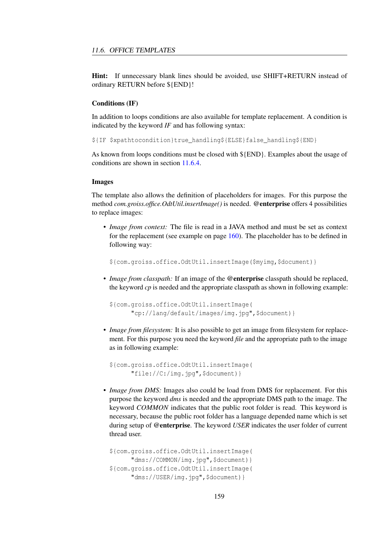Hint: If unnecessary blank lines should be avoided, use SHIFT+RETURN instead of ordinary RETURN before \${END}!

#### Conditions (IF)

In addition to loops conditions are also available for template replacement. A condition is indicated by the keyword *IF* and has following syntax:

\${IF \$xpathtocondition}true\_handling\${ELSE}false\_handling\${END}

As known from loops conditions must be closed with \${END}. Examples about the usage of conditions are shown in section [11.6.4.](#page-159-0)

#### Images

The template also allows the definition of placeholders for images. For this purpose the method *com.groiss.office.OdtUtil.insertImage()* is needed. @enterprise offers 4 possibilities to replace images:

• *Image from context:* The file is read in a JAVA method and must be set as context for the replacement (see example on page [160\)](#page-159-0). The placeholder has to be defined in following way:

\${com.groiss.office.OdtUtil.insertImage(\$myimg,\$document)}

• *Image from classpath:* If an image of the @enterprise classpath should be replaced, the keyword *cp* is needed and the appropriate classpath as shown in following example:

```
${com.groiss.office.OdtUtil.insertImage(
      "cp://lang/default/images/img.jpg",$document)}
```
• *Image from filesystem:* It is also possible to get an image from filesystem for replacement. For this purpose you need the keyword *file* and the appropriate path to the image as in following example:

\${com.groiss.office.OdtUtil.insertImage( "file://C:/img.jpg",\$document)}

• *Image from DMS:* Images also could be load from DMS for replacement. For this purpose the keyword *dms* is needed and the appropriate DMS path to the image. The keyword *COMMON* indicates that the public root folder is read. This keyword is necessary, because the public root folder has a language depended name which is set during setup of @enterprise. The keyword *USER* indicates the user folder of current thread user.

```
${com.groiss.office.OdtUtil.insertImage(
      "dms://COMMON/img.jpg",$document)}
${com.groiss.office.OdtUtil.insertImage(
      "dms://USER/img.jpg",$document)}
```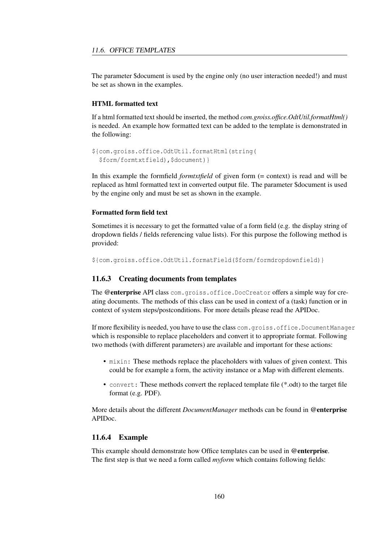The parameter \$document is used by the engine only (no user interaction needed!) and must be set as shown in the examples.

## HTML formatted text

If a html formatted text should be inserted, the method *com.groiss.office.OdtUtil.formatHtml()* is needed. An example how formatted text can be added to the template is demonstrated in the following:

```
${com.groiss.office.OdtUtil.formatHtml(string(
  $form/formtxtfield),$document)}
```
In this example the formfield *formtxtfield* of given form (= context) is read and will be replaced as html formatted text in converted output file. The parameter \$document is used by the engine only and must be set as shown in the example.

#### Formatted form field text

Sometimes it is necessary to get the formatted value of a form field (e.g. the display string of dropdown fields / fields referencing value lists). For this purpose the following method is provided:

```
${com.groiss.office.OdtUtil.formatField($form/formdropdownfield)}
```
# 11.6.3 Creating documents from templates

The **@enterprise** API class com.groiss.office.DocCreator offers a simple way for creating documents. The methods of this class can be used in context of a (task) function or in context of system steps/postconditions. For more details please read the APIDoc.

If more flexibility is needed, you have to use the class com.groiss.office.DocumentManager which is responsible to replace placeholders and convert it to appropriate format. Following two methods (with different parameters) are available and important for these actions:

- mixin: These methods replace the placeholders with values of given context. This could be for example a form, the activity instance or a Map with different elements.
- convert: These methods convert the replaced template file (\*.odt) to the target file format (e.g. PDF).

More details about the different *DocumentManager* methods can be found in @enterprise APIDoc.

## <span id="page-159-0"></span>11.6.4 Example

This example should demonstrate how Office templates can be used in @enterprise. The first step is that we need a form called *myform* which contains following fields: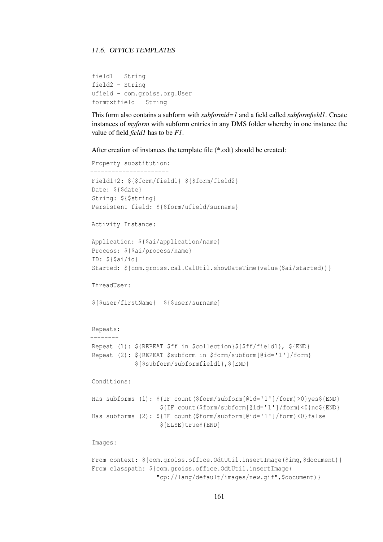```
field1 - String
field2 - String
ufield - com.groiss.org.User
formtxtfield - String
```
This form also contains a subform with *subformid=1* and a field called *subformfield1*. Create instances of *myform* with subform entries in any DMS folder whereby in one instance the value of field *field1* has to be *F1*.

After creation of instances the template file (\*.odt) should be created:

```
Property substitution:
----------------------
Field1+2: ${$form/field1} ${$form/field2}
Date: ${$date}
String: ${$string}
Persistent field: ${$form/ufield/surname}
Activity Instance:
------------------
Application: ${$ai/application/name}
Process: ${$ai/process/name}
ID: ${$ai/id}
Started: \S{com.groiss.cal.CalUtil.showDateTime(value($ai/started))}
ThreadUser:
-----------
${$user/firstName} ${$user/surname}
Repeats:
--------
Repeat (1): ${REPEAT $ff in $collection}${$ff/field1}, ${END}
Repeat (2): ${REPEAT $subform in $form/subform[@id='1']/form}
            ${$subform/subformfield1},${END}
Conditions:
-----------
Has subforms (1): \S[IF count(\Sform/subform[\text{did}='1']/form)>0}yes${END}
                    ${IF count($form/subform[@id='1']/form)<0}no${END}
Has subforms (2): \S{IF count}(\Sform/subform[6id='1'])/form<0}{false}${ELSE}true${END}
Images:
-------
From context: \S{com.groiss.office.OdtUtil.insertImage($img,$document)}
From classpath: ${com.groiss.office.OdtUtil.insertImage(
                   "cp://lang/default/images/new.gif",$document)}
```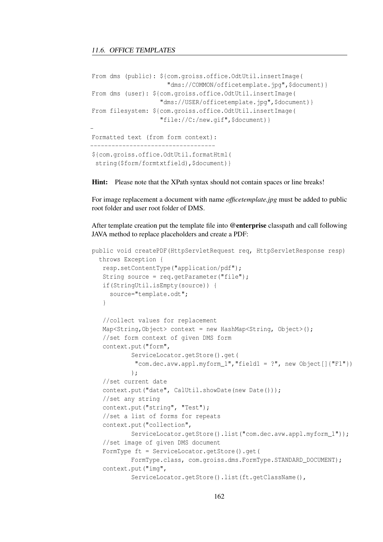```
From dms (public): ${com.groiss.office.OdtUtil.insertImage(
                      "dms://COMMON/officetemplate.jpg",$document)}
From dms (user): ${com.groiss.office.OdtUtil.insertImage(
                   "dms://USER/officetemplate.jpg",$document)}
From filesystem: ${com.groiss.office.OdtUtil.insertImage(
                   "file://C:/new.gif",$document)}
-
Formatted text (from form context):
-----------------------------------
${com.groiss.office.OdtUtil.formatHtml(
 string($form/formtxtfield), $document) }
```
Hint: Please note that the XPath syntax should not contain spaces or line breaks!

For image replacement a document with name *officetemplate.jpg* must be added to public root folder and user root folder of DMS.

After template creation put the template file into @enterprise classpath and call following JAVA method to replace placeholders and create a PDF:

```
public void createPDF(HttpServletRequest req, HttpServletResponse resp)
  throws Exception {
   resp.setContentType("application/pdf");
   String source = req.getParameter("file");
   if(StringUtil.isEmpty(source)) {
     source="template.odt";
   }
   //collect values for replacement
   Map<String,Object> context = new HashMap<String, Object>();
   //set form context of given DMS form
   context.put("form",
           ServiceLocator.getStore().get(
            "com.dec.avw.appl.myform 1", "field1 = ?", new Object[]{"F1"})
           );
   //set current date
   context.put("date", CalUtil.showDate(new Date()));
   //set any string
   context.put("string", "Test");
   //set a list of forms for repeats
   context.put("collection",
           ServiceLocator.getStore().list("com.dec.avw.appl.myform_1"));
   //set image of given DMS document
   FormType ft = ServiceLocator.getStore().get(
           FormType.class, com.groiss.dms.FormType.STANDARD_DOCUMENT);
   context.put("img",
           ServiceLocator.getStore().list(ft.getClassName(),
```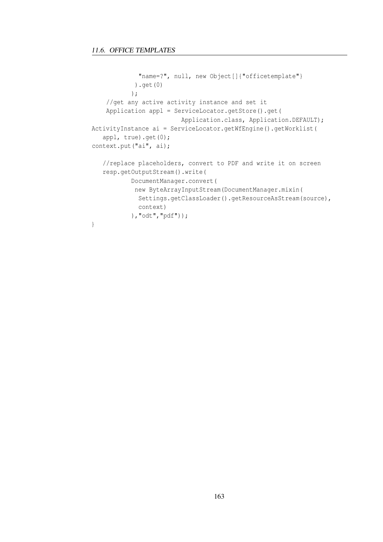```
"name=?", null, new Object[]{"officetemplate"}
            ).get(0)
           );
    //get any active activity instance and set it
    Application appl = ServiceLocator.getStore().get(
                         Application.class, Application.DEFAULT);
ActivityInstance ai = ServiceLocator.getWfEngine().getWorklist(
   appl, true).get(0);
context.put("ai", ai);
   //replace placeholders, convert to PDF and write it on screen
   resp.getOutputStream().write(
           DocumentManager.convert(
            new ByteArrayInputStream(DocumentManager.mixin(
             Settings.getClassLoader().getResourceAsStream(source),
             context)
           ),"odt","pdf"));
}
```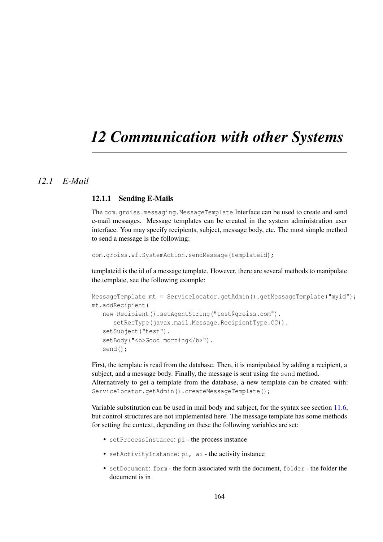# *12 Communication with other Systems*

# *12.1 E-Mail*

#### 12.1.1 Sending E-Mails

The com.groiss.messaging.MessageTemplate Interface can be used to create and send e-mail messages. Message templates can be created in the system administration user interface. You may specify recipients, subject, message body, etc. The most simple method to send a message is the following:

com.groiss.wf.SystemAction.sendMessage(templateid);

templateid is the id of a message template. However, there are several methods to manipulate the template, see the following example:

```
MessageTemplate mt = ServiceLocator.getAdmin().getMessageTemplate("myid");
mt.addRecipient(
   new Recipient().setAgentString("test@groiss.com").
      setRecType(javax.mail.Message.RecipientType.CC)).
   setSubject("test").
   setBody("<br/>b>Good morning</b>").
   send();
```
First, the template is read from the database. Then, it is manipulated by adding a recipient, a subject, and a message body. Finally, the message is sent using the send method. Alternatively to get a template from the database, a new template can be created with: ServiceLocator.getAdmin().createMessageTemplate();

Variable substitution can be used in mail body and subject, for the syntax see section [11.6,](#page-157-0) but control structures are not implemented here. The message template has some methods for setting the context, depending on these the following variables are set:

- setProcessInstance: pi the process instance
- setActivityInstance: pi, ai the activity instance
- setDocument: form the form associated with the document, folder the folder the document is in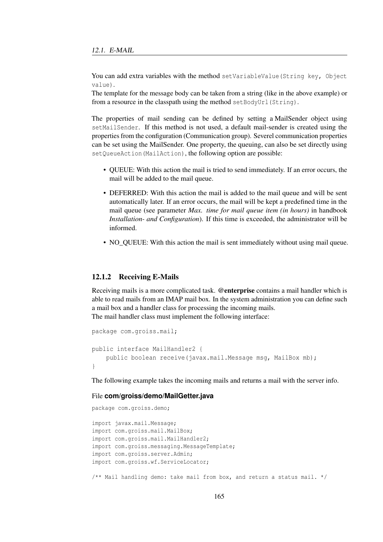You can add extra variables with the method setVariableValue (String key, Object value).

The template for the message body can be taken from a string (like in the above example) or from a resource in the classpath using the method setBodyUrl(String).

The properties of mail sending can be defined by setting a MailSender object using setMailSender. If this method is not used, a default mail-sender is created using the properties from the configuration (Communication group). Severel communication properties can be set using the MailSender. One property, the queuing, can also be set directly using setOueueAction(MailAction), the following option are possible:

- QUEUE: With this action the mail is tried to send immediately. If an error occurs, the mail will be added to the mail queue.
- DEFERRED: With this action the mail is added to the mail queue and will be sent automatically later. If an error occurs, the mail will be kept a predefined time in the mail queue (see parameter *Max. time for mail queue item (in hours)* in handbook *Installation- and Configuration*). If this time is exceeded, the administrator will be informed.
- NO\_QUEUE: With this action the mail is sent immediately without using mail queue.

# 12.1.2 Receiving E-Mails

Receiving mails is a more complicated task. @enterprise contains a mail handler which is able to read mails from an IMAP mail box. In the system administration you can define such a mail box and a handler class for processing the incoming mails. The mail handler class must implement the following interface:

```
package com.groiss.mail;
public interface MailHandler2 {
    public boolean receive(javax.mail.Message msg, MailBox mb);
}
```
The following example takes the incoming mails and returns a mail with the server info.

#### File **com/groiss/demo/MailGetter.java**

```
package com.groiss.demo;
import javax.mail.Message;
import com.groiss.mail.MailBox;
import com.groiss.mail.MailHandler2;
import com.groiss.messaging.MessageTemplate;
import com.groiss.server.Admin;
import com.groiss.wf.ServiceLocator;
/** Mail handling demo: take mail from box, and return a status mail. */
```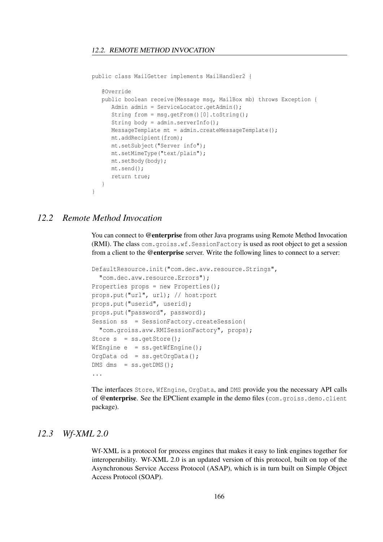public class MailGetter implements MailHandler2 {

```
@Override
public boolean receive(Message msg, MailBox mb) throws Exception {
   Admin admin = ServiceLocator.getAdmin();
   String from = msg.getFrom()[0].toString();
   String body = admin.serverInfo();
   MessageTemplate mt = admin.createMessageTemplate();
   mt.addRecipient(from);
   mt.setSubject("Server info");
   mt.setMimeType("text/plain");
   mt.setBody(body);
  mt.send();
   return true;
}
```
# *12.2 Remote Method Invocation*

}

You can connect to @enterprise from other Java programs using Remote Method Invocation (RMI). The class com.groiss.wf.SessionFactory is used as root object to get a session from a client to the @enterprise server. Write the following lines to connect to a server:

```
DefaultResource.init("com.dec.avw.resource.Strings",
  "com.dec.avw.resource.Errors");
Properties props = new Properties();
props.put("url", url); // host:port
props.put("userid", userid);
props.put("password", password);
Session ss = SessionFactory.createSession(
  "com.groiss.avw.RMISessionFactory", props);
Store s = ss.getStore();
WfEngine e = ss.getWfEngine();
OrgData od = ss.getOrgData();
DMS dms = ss.getDMS();
...
```
The interfaces Store, WfEngine, OrgData, and DMS provide you the necessary API calls of @enterprise. See the EPClient example in the demo files (com.groiss.demo.client package).

# *12.3 Wf-XML 2.0*

Wf-XML is a protocol for process engines that makes it easy to link engines together for interoperability. Wf-XML 2.0 is an updated version of this protocol, built on top of the Asynchronous Service Access Protocol (ASAP), which is in turn built on Simple Object Access Protocol (SOAP).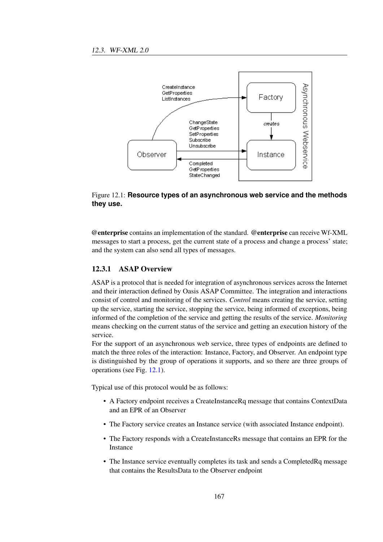

# <span id="page-166-0"></span>Figure 12.1: **Resource types of an asynchronous web service and the methods they use.**

@enterprise contains an implementation of the standard. @enterprise can receive Wf-XML messages to start a process, get the current state of a process and change a process' state; and the system can also send all types of messages.

# 12.3.1 ASAP Overview

ASAP is a protocol that is needed for integration of asynchronous services across the Internet and their interaction defined by Oasis ASAP Committee. The integration and interactions consist of control and monitoring of the services. *Control* means creating the service, setting up the service, starting the service, stopping the service, being informed of exceptions, being informed of the completion of the service and getting the results of the service. *Monitoring* means checking on the current status of the service and getting an execution history of the service.

For the support of an asynchronous web service, three types of endpoints are defined to match the three roles of the interaction: Instance, Factory, and Observer. An endpoint type is distinguished by the group of operations it supports, and so there are three groups of operations (see Fig. [12.1\)](#page-166-0).

Typical use of this protocol would be as follows:

- A Factory endpoint receives a CreateInstanceRq message that contains ContextData and an EPR of an Observer
- The Factory service creates an Instance service (with associated Instance endpoint).
- The Factory responds with a CreateInstanceRs message that contains an EPR for the Instance
- The Instance service eventually completes its task and sends a CompletedRq message that contains the ResultsData to the Observer endpoint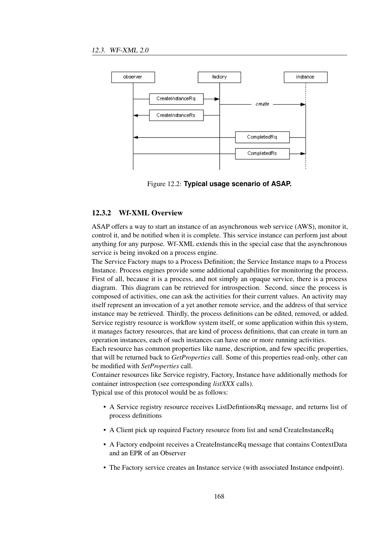

Figure 12.2: **Typical usage scenario of ASAP.**

# 12.3.2 Wf-XML Overview

ASAP offers a way to start an instance of an asynchronous web service (AWS), monitor it, control it, and be notified when it is complete. This service instance can perform just about anything for any purpose. Wf-XML extends this in the special case that the asynchronous service is being invoked on a process engine.

The Service Factory maps to a Process Definition; the Service Instance maps to a Process Instance. Process engines provide some additional capabilities for monitoring the process. First of all, because it is a process, and not simply an opaque service, there is a process diagram. This diagram can be retrieved for introspection. Second, since the process is composed of activities, one can ask the activities for their current values. An activity may itself represent an invocation of a yet another remote service, and the address of that service instance may be retrieved. Thirdly, the process definitions can be edited, removed, or added. Service registry resource is workflow system itself, or some application within this system, it manages factory resources, that are kind of process definitions, that can create in turn an operation instances, each of such instances can have one or more running activities.

Each resource has common properties like name, description, and few specific properties, that will be returned back to *GetProperties* call. Some of this properties read-only, other can be modified with *SetProperties* call.

Container resources like Service registry, Factory, Instance have additionally methods for container introspection (see corresponding *listXXX* calls).

Typical use of this protocol would be as follows:

- A Service registry resource receives ListDefintionsRq message, and returns list of process definitions
- A Client pick up required Factory resource from list and send CreateInstanceRq
- A Factory endpoint receives a CreateInstanceRq message that contains ContextData and an EPR of an Observer
- The Factory service creates an Instance service (with associated Instance endpoint).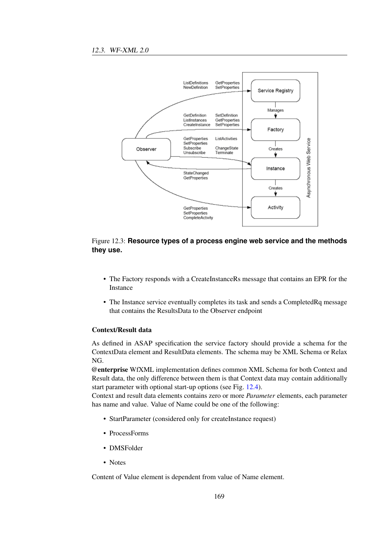

# Figure 12.3: **Resource types of a process engine web service and the methods they use.**

- The Factory responds with a CreateInstanceRs message that contains an EPR for the Instance
- The Instance service eventually completes its task and sends a CompletedRq message that contains the ResultsData to the Observer endpoint

# Context/Result data

As defined in ASAP specification the service factory should provide a schema for the ContextData element and ResultData elements. The schema may be XML Schema or Relax NG.

@enterprise WfXML implementation defines common XML Schema for both Context and Result data, the only difference between them is that Context data may contain additionally start parameter with optional start-up options (see Fig. [12.4\)](#page-169-0).

Context and result data elements contains zero or more *Parameter* elements, each parameter has name and value. Value of Name could be one of the following:

- StartParameter (considered only for createInstance request)
- ProcessForms
- DMSFolder
- Notes

Content of Value element is dependent from value of Name element.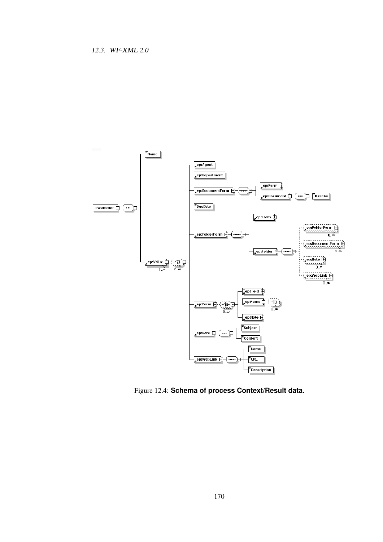

<span id="page-169-0"></span>Figure 12.4: **Schema of process Context/Result data.**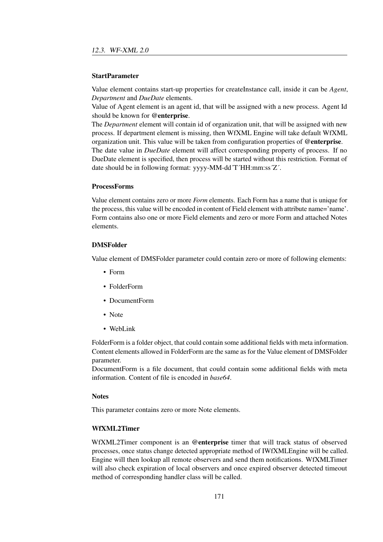#### **StartParameter**

Value element contains start-up properties for createInstance call, inside it can be *Agent*, *Department* and *DueDate* elements.

Value of Agent element is an agent id, that will be assigned with a new process. Agent Id should be known for @enterprise.

The *Department* element will contain id of organization unit, that will be assigned with new process. If department element is missing, then WfXML Engine will take default WfXML organization unit. This value will be taken from configuration properties of @enterprise. The date value in *DueDate* element will affect corresponding property of process. If no DueDate element is specified, then process will be started without this restriction. Format of date should be in following format: yyyy-MM-dd´T´HH:mm:ss´Z´.

#### ProcessForms

Value element contains zero or more *Form* elements. Each Form has a name that is unique for the process, this value will be encoded in content of Field element with attribute name='name'. Form contains also one or more Field elements and zero or more Form and attached Notes elements.

# DMSFolder

Value element of DMSFolder parameter could contain zero or more of following elements:

- Form
- FolderForm
- DocumentForm
- Note
- WebLink

FolderForm is a folder object, that could contain some additional fields with meta information. Content elements allowed in FolderForm are the same as for the Value element of DMSFolder parameter.

DocumentForm is a file document, that could contain some additional fields with meta information. Content of file is encoded in *base64*.

#### **Notes**

This parameter contains zero or more Note elements.

# WfXML2Timer

WfXML2Timer component is an @enterprise timer that will track status of observed processes, once status change detected appropriate method of IWfXMLEngine will be called. Engine will then lookup all remote observers and send them notifications. WfXMLTimer will also check expiration of local observers and once expired observer detected timeout method of corresponding handler class will be called.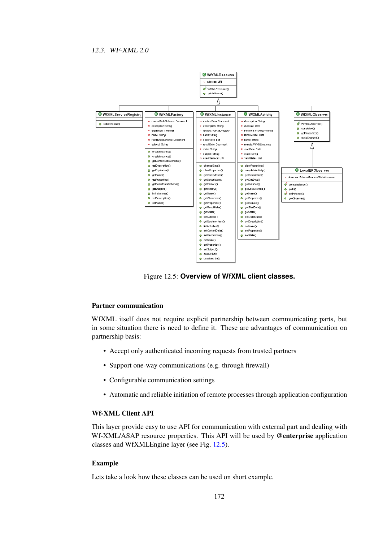

<span id="page-171-0"></span>Figure 12.5: **Overview of WfXML client classes.**

#### Partner communication

WfXML itself does not require explicit partnership between communicating parts, but in some situation there is need to define it. These are advantages of communication on partnership basis:

- Accept only authenticated incoming requests from trusted partners
- Support one-way communications (e.g. through firewall)
- Configurable communication settings
- Automatic and reliable initiation of remote processes through application configuration

# Wf-XML Client API

This layer provide easy to use API for communication with external part and dealing with Wf-XML/ASAP resource properties. This API will be used by @enterprise application classes and WfXMLEngine layer (see Fig. [12.5\)](#page-171-0).

#### Example

Lets take a look how these classes can be used on short example.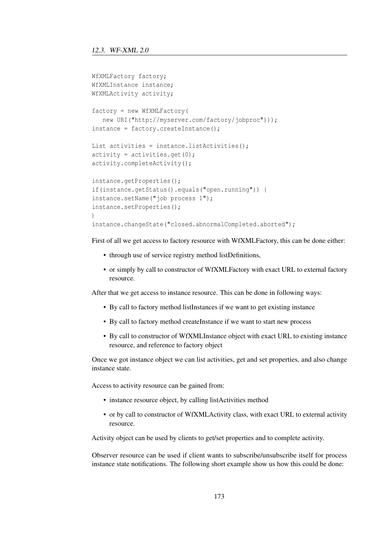```
WfXMLFactory factory;
WfXMLInstance instance;
WfXMLActivity activity;
factory = new WfXMLFactory(
   new URI("http://myserver.com/factory/jobproc")));
instance = factory.createInstance();
List activities = instance.listActivities();
activity = activities.get(0);activity.completeActivity();
instance.getProperties();
if(instance.getStatus().equals("open.running")) {
instance.setName("job process 1");
instance.setProperties();
}
instance.changeState("closed.abnormalCompleted.aborted");
```
First of all we get access to factory resource with WfXMLFactory, this can be done either:

- through use of service registry method listDefinitions,
- or simply by call to constructor of WfXMLFactory with exact URL to external factory resource.

After that we get access to instance resource. This can be done in following ways:

- By call to factory method listInstances if we want to get existing instance
- By call to factory method createInstance if we want to start new process
- By call to constructor of WfXMLInstance object with exact URL to existing instance resource, and reference to factory object

Once we got instance object we can list activities, get and set properties, and also change instance state.

Access to activity resource can be gained from:

- instance resource object, by calling listActivities method
- or by call to constructor of WfXMLActivity class, with exact URL to external activity resource.

Activity object can be used by clients to get/set properties and to complete activity.

Observer resource can be used if client wants to subscribe/unsubscribe itself for process instance state notifications. The following short example show us how this could be done: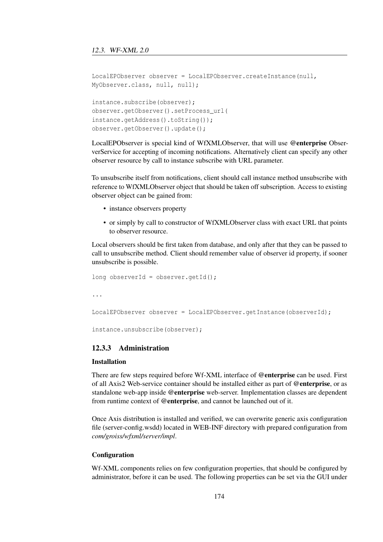```
LocalEPObserver observer = LocalEPObserver.createInstance(null,
MyObserver.class, null, null);
```

```
instance.subscribe(observer);
observer.getObserver().setProcess_url(
instance.getAddress().toString());
observer.getObserver().update();
```
LocalEPObserver is special kind of WfXMLObserver, that will use @enterprise ObserverService for accepting of incoming notifications. Alternatively client can specify any other observer resource by call to instance subscribe with URL parameter.

To unsubscribe itself from notifications, client should call instance method unsubscribe with reference to WfXMLObserver object that should be taken off subscription. Access to existing observer object can be gained from:

- instance observers property
- or simply by call to constructor of WfXMLObserver class with exact URL that points to observer resource.

Local observers should be first taken from database, and only after that they can be passed to call to unsubscribe method. Client should remember value of observer id property, if sooner unsubscribe is possible.

```
long observerId = observer.getId();
...
LocalEPObserver observer = LocalEPObserver.getInstance(observerId);
```
instance.unsubscribe(observer);

# 12.3.3 Administration

#### Installation

There are few steps required before Wf-XML interface of @enterprise can be used. First of all Axis2 Web-service container should be installed either as part of @enterprise, or as standalone web-app inside @enterprise web-server. Implementation classes are dependent from runtime context of @enterprise, and cannot be launched out of it.

Once Axis distribution is installed and verified, we can overwrite generic axis configuration file (server-config.wsdd) located in WEB-INF directory with prepared configuration from *com/groiss/wfxml/server/impl*.

#### **Configuration**

Wf-XML components relies on few configuration properties, that should be configured by administrator, before it can be used. The following properties can be set via the GUI under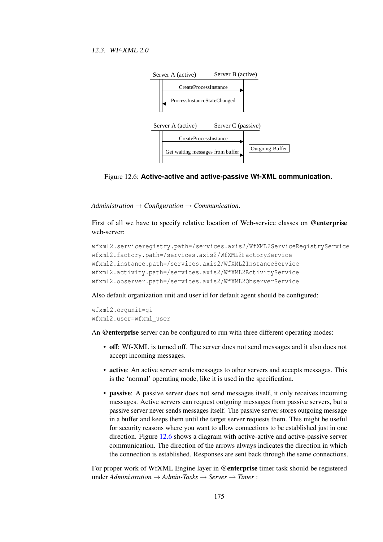

<span id="page-174-0"></span>Figure 12.6: **Active-active and active-passive Wf-XML communication.**

*Administration* → *Configuration* → *Communication*.

First of all we have to specify relative location of Web-service classes on @enterprise web-server:

```
wfxml2.serviceregistry.path=/services.axis2/WfXML2ServiceRegistryService
wfxml2.factory.path=/services.axis2/WfXML2FactoryService
wfxml2.instance.path=/services.axis2/WfXML2InstanceService
wfxml2.activity.path=/services.axis2/WfXML2ActivityService
wfxml2.observer.path=/services.axis2/WfXML2ObserverService
```
Also default organization unit and user id for default agent should be configured:

```
wfxml2.orgunit=gi
wfxml2.user=wfxml_user
```
An @enterprise server can be configured to run with three different operating modes:

- off: Wf-XML is turned off. The server does not send messages and it also does not accept incoming messages.
- active: An active server sends messages to other servers and accepts messages. This is the 'normal' operating mode, like it is used in the specification.
- passive: A passive server does not send messages itself, it only receives incoming messages. Active servers can request outgoing messages from passive servers, but a passive server never sends messages itself. The passive server stores outgoing message in a buffer and keeps them until the target server requests them. This might be useful for security reasons where you want to allow connections to be established just in one direction. Figure [12.6](#page-174-0) shows a diagram with active-active and active-passive server communication. The direction of the arrows always indicates the direction in which the connection is established. Responses are sent back through the same connections.

For proper work of WfXML Engine layer in @enterprise timer task should be registered  $under$  *Administration*  $\rightarrow$  *Admin-Tasks*  $\rightarrow$  *Server*  $\rightarrow$  *Timer* :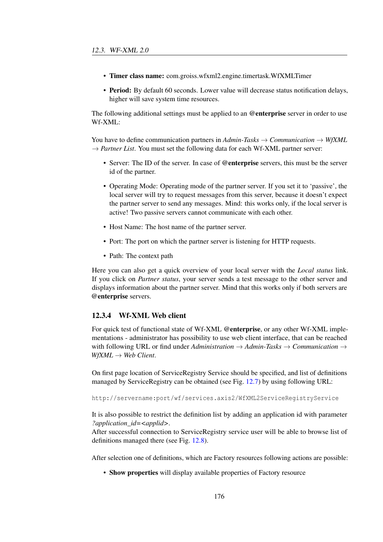- Timer class name: com.groiss.wfxml2.engine.timertask.WfXMLTimer
- Period: By default 60 seconds. Lower value will decrease status notification delays, higher will save system time resources.

The following additional settings must be applied to an @enterprise server in order to use Wf-XML:

You have to define communication partners in  $Admin\text{-}Tasks \rightarrow Communication \rightarrow WfXML$  $\rightarrow$  *Partner List.* You must set the following data for each Wf-XML partner server:

- Server: The ID of the server. In case of @enterprise servers, this must be the server id of the partner.
- Operating Mode: Operating mode of the partner server. If you set it to 'passive', the local server will try to request messages from this server, because it doesn't expect the partner server to send any messages. Mind: this works only, if the local server is active! Two passive servers cannot communicate with each other.
- Host Name: The host name of the partner server.
- Port: The port on which the partner server is listening for HTTP requests.
- Path: The context path

Here you can also get a quick overview of your local server with the *Local status* link. If you click on *Partner status*, your server sends a test message to the other server and displays information about the partner server. Mind that this works only if both servers are @enterprise servers.

# 12.3.4 Wf-XML Web client

For quick test of functional state of Wf-XML @enterprise, or any other Wf-XML implementations - administrator has possibility to use web client interface, that can be reached with following URL or find under *Administration* → *Admin-Tasks* → *Communication* → *WfXML* → *Web Client*.

On first page location of ServiceRegistry Service should be specified, and list of definitions managed by ServiceRegistry can be obtained (see Fig. [12.7\)](#page-176-0) by using following URL:

http://servername:port/wf/services.axis2/WfXML2ServiceRegistryService

It is also possible to restrict the definition list by adding an application id with parameter *?application\_id=<applid>*.

After successful connection to ServiceRegistry service user will be able to browse list of definitions managed there (see Fig. [12.8\)](#page-176-1).

After selection one of definitions, which are Factory resources following actions are possible:

• Show properties will display available properties of Factory resource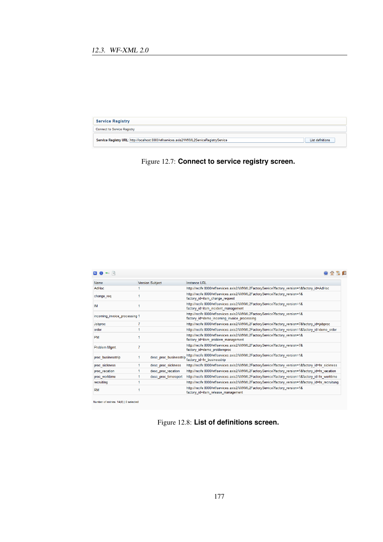| <b>Service Registry</b>                                                                    |                         |
|--------------------------------------------------------------------------------------------|-------------------------|
| <b>Connect to Service Registry</b>                                                         |                         |
| Service Registry URL: http://localhost:8000/wf/services.axis2/WfXML2ServiceRegistryService | <b>List definitions</b> |

<span id="page-176-0"></span>Figure 12.7: **Connect to service registry screen.**

| G 6 10 2                      |                        | 2000                                                                                                                              |
|-------------------------------|------------------------|-----------------------------------------------------------------------------------------------------------------------------------|
| Name                          | <b>Version Subject</b> | Instance URL                                                                                                                      |
| AdHoc                         |                        | http://recife:8000/wf/services.axis2/WfXML2FactoryService?factory version=1&factory id=AdHoc                                      |
| change req                    |                        | http://recife:8000/wf/services.axis2/WfXML2FactoryService?factory_version=1&<br>factory id=itsm change request                    |
| IM                            |                        | http://recife:8000/wf/services.axis2/WfXML2FactoryService?factory version=1&<br>factory id=itsm incident management               |
| incoming invoice processing 1 |                        | http://recife:8000/wf/services.axis2/WfXML2FactoryService?factory_version=1&<br>factory_id=demo_incoming_invoice_processing       |
| <b>Jobproc</b>                |                        | http://recife:8000/wf/services.axis2/WfXML2FactoryService?factory_version=7&factory_id=jobproc                                    |
| order                         |                        | http://recife:8000/wf/services.axis2/WfXML2FactoryService?factory_version=1&factory_id=demo_order                                 |
| <b>PM</b>                     |                        | http://recife:8000/wf/services.axis2/WfXML2FactoryService?factory version=1&<br>factory id=itsm problem management                |
| Problem Mamt.                 |                        | http://recife:8000/wf/services.axis2/WfXML2FactoryService?factory version=7&<br>factory id=demo problemproc                       |
| proc businesstrip             |                        | http://recife:8000/wf/services.axis2/WfXML2FactoryService?factory version=1&<br>desc_proc_businesstrip factory_id=hr_businesstrip |
| proc sickness                 | desc proc sickness     | http://recife:8000/wf/services.axis2/WfXML2FactoryService?factory version=1&factory id=hr sickness                                |
| proc vacation                 | desc proc vacation     | http://recife:8000/wf/services.axis2/WfXML2FactoryService?factory_version=1&factory_id=hr_vacation                                |
| proc worktime                 | desc proc timereport   | http://recife:8000/wf/services.axis2/WfXML2FactoryService?factory version=1&factory id=hr worktime                                |
| recruiting                    |                        | http://recife:8000/wf/services.axis2/WfXML2FactoryService?factory version=1&factory id=hr recruitung                              |
| <b>RM</b>                     |                        | http://recife:8000/wf/services.axis2/WfXML2FactoryService?factory_version=1&<br>factory id=itsm release management                |

Number of entries: 14(0) | 0 selected

<span id="page-176-1"></span>Figure 12.8: **List of definitions screen.**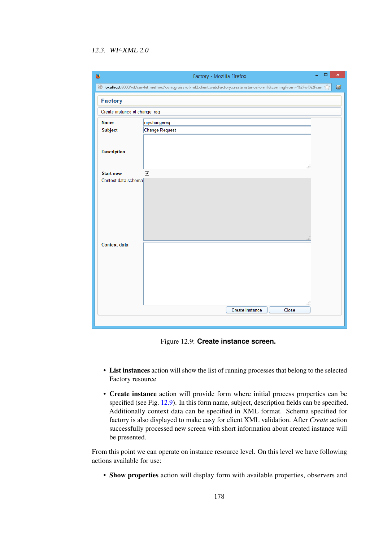| U                                                                                                                        | ▭<br>×<br>Factory - Mozilla Firefox |  |  |  |  |  |  |
|--------------------------------------------------------------------------------------------------------------------------|-------------------------------------|--|--|--|--|--|--|
| → localhost:8000/wf/servlet.method/com.groiss.wfxml2.client.web.Factory.createInstanceForm?&comingFrom=%2Fwf%2Fserv<br>6 |                                     |  |  |  |  |  |  |
| Factory                                                                                                                  |                                     |  |  |  |  |  |  |
|                                                                                                                          | Create instance of change_req       |  |  |  |  |  |  |
| <b>Name</b>                                                                                                              | mychangereq                         |  |  |  |  |  |  |
| <b>Subject</b>                                                                                                           | <b>Change Request</b>               |  |  |  |  |  |  |
|                                                                                                                          |                                     |  |  |  |  |  |  |
| <b>Description</b>                                                                                                       |                                     |  |  |  |  |  |  |
|                                                                                                                          |                                     |  |  |  |  |  |  |
|                                                                                                                          |                                     |  |  |  |  |  |  |
| <b>Start now</b>                                                                                                         | $\blacktriangledown$                |  |  |  |  |  |  |
| Context data schema                                                                                                      |                                     |  |  |  |  |  |  |
|                                                                                                                          |                                     |  |  |  |  |  |  |
|                                                                                                                          |                                     |  |  |  |  |  |  |
|                                                                                                                          |                                     |  |  |  |  |  |  |
|                                                                                                                          |                                     |  |  |  |  |  |  |
|                                                                                                                          |                                     |  |  |  |  |  |  |
|                                                                                                                          |                                     |  |  |  |  |  |  |
| <b>Context data</b>                                                                                                      |                                     |  |  |  |  |  |  |
|                                                                                                                          |                                     |  |  |  |  |  |  |
|                                                                                                                          |                                     |  |  |  |  |  |  |
|                                                                                                                          |                                     |  |  |  |  |  |  |
|                                                                                                                          |                                     |  |  |  |  |  |  |
|                                                                                                                          |                                     |  |  |  |  |  |  |
|                                                                                                                          |                                     |  |  |  |  |  |  |
|                                                                                                                          | Close<br>Create instance            |  |  |  |  |  |  |

<span id="page-177-0"></span>Figure 12.9: **Create instance screen.**

- List instances action will show the list of running processes that belong to the selected Factory resource
- Create instance action will provide form where initial process properties can be specified (see Fig. [12.9\)](#page-177-0). In this form name, subject, description fields can be specified. Additionally context data can be specified in XML format. Schema specified for factory is also displayed to make easy for client XML validation. After *Create* action successfully processed new screen with short information about created instance will be presented.

From this point we can operate on instance resource level. On this level we have following actions available for use:

• Show properties action will display form with available properties, observers and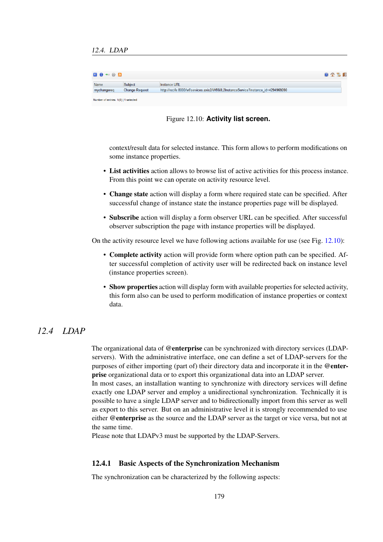| GOOGS                                |                       |                                                                                   | 0 ↑ ? B |
|--------------------------------------|-----------------------|-----------------------------------------------------------------------------------|---------|
| Name                                 | Subject               | Instance URL                                                                      |         |
| mychangereq                          | <b>Change Request</b> | http://recife:8000/wf/services.axis2/WfXML2InstanceService?instance_id=4294969280 |         |
| Number of entries: 1(0)   1 selected |                       |                                                                                   |         |

<span id="page-178-0"></span>

context/result data for selected instance. This form allows to perform modifications on some instance properties.

- List activities action allows to browse list of active activities for this process instance. From this point we can operate on activity resource level.
- Change state action will display a form where required state can be specified. After successful change of instance state the instance properties page will be displayed.
- Subscribe action will display a form observer URL can be specified. After successful observer subscription the page with instance properties will be displayed.

On the activity resource level we have following actions available for use (see Fig. [12.10\)](#page-178-0):

- Complete activity action will provide form where option path can be specified. After successful completion of activity user will be redirected back on instance level (instance properties screen).
- Show properties action will display form with available properties for selected activity, this form also can be used to perform modification of instance properties or context data.

# *12.4 LDAP*

The organizational data of @enterprise can be synchronized with directory services (LDAPservers). With the administrative interface, one can define a set of LDAP-servers for the purposes of either importing (part of) their directory data and incorporate it in the @enterprise organizational data or to export this organizational data into an LDAP server. In most cases, an installation wanting to synchronize with directory services will define exactly one LDAP server and employ a unidirectional synchronization. Technically it is possible to have a single LDAP server and to bidirectionally import from this server as well as export to this server. But on an administrative level it is strongly recommended to use either @enterprise as the source and the LDAP server as the target or vice versa, but not at the same time.

Please note that LDAPv3 must be supported by the LDAP-Servers.

# 12.4.1 Basic Aspects of the Synchronization Mechanism

The synchronization can be characterized by the following aspects: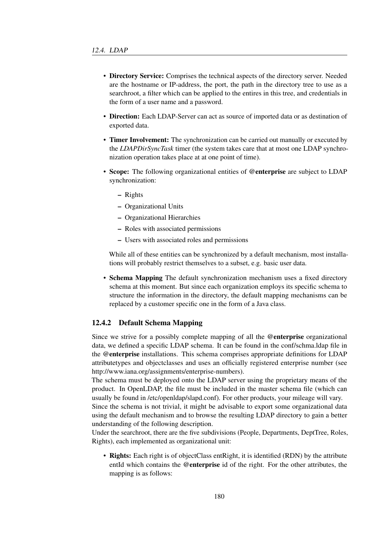- Directory Service: Comprises the technical aspects of the directory server. Needed are the hostname or IP-address, the port, the path in the directory tree to use as a searchroot, a filter which can be applied to the entires in this tree, and credentials in the form of a user name and a password.
- Direction: Each LDAP-Server can act as source of imported data or as destination of exported data.
- Timer Involvement: The synchronization can be carried out manually or executed by the *LDAPDirSyncTask* timer (the system takes care that at most one LDAP synchronization operation takes place at at one point of time).
- Scope: The following organizational entities of @enterprise are subject to LDAP synchronization:
	- Rights
	- Organizational Units
	- Organizational Hierarchies
	- Roles with associated permissions
	- Users with associated roles and permissions

While all of these entities can be synchronized by a default mechanism, most installations will probably restrict themselves to a subset, e.g. basic user data.

• Schema Mapping The default synchronization mechanism uses a fixed directory schema at this moment. But since each organization employs its specific schema to structure the information in the directory, the default mapping mechanisms can be replaced by a customer specific one in the form of a Java class.

## 12.4.2 Default Schema Mapping

Since we strive for a possibly complete mapping of all the @enterprise organizational data, we defined a specific LDAP schema. It can be found in the conf/schma.ldap file in the @enterprise installations. This schema comprises appropriate definitions for LDAP attributetypes and objectclasses and uses an officially registered enterprise number (see http://www.iana.org/assignments/enterprise-numbers).

The schema must be deployed onto the LDAP server using the proprietary means of the product. In OpenLDAP, the file must be included in the master schema file (which can usually be found in /etc/openldap/slapd.conf). For other products, your mileage will vary.

Since the schema is not trivial, it might be advisable to export some organizational data using the default mechanism and to browse the resulting LDAP directory to gain a better understanding of the following description.

Under the searchroot, there are the five subdivisions (People, Departments, DeptTree, Roles, Rights), each implemented as organizational unit:

• Rights: Each right is of objectClass entRight, it is identified (RDN) by the attribute entId which contains the @enterprise id of the right. For the other attributes, the mapping is as follows: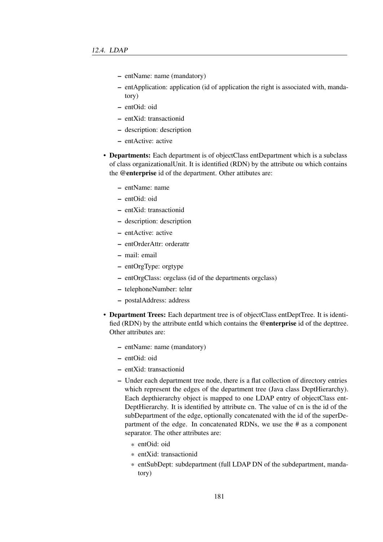- entName: name (mandatory)
- entApplication: application (id of application the right is associated with, mandatory)
- entOid: oid
- entXid: transactionid
- description: description
- entActive: active
- Departments: Each department is of objectClass entDepartment which is a subclass of class organizationalUnit. It is identified (RDN) by the attribute ou which contains the @enterprise id of the department. Other attibutes are:
	- entName: name
	- entOid: oid
	- entXid: transactionid
	- description: description
	- entActive: active
	- entOrderAttr: orderattr
	- mail: email
	- entOrgType: orgtype
	- entOrgClass: orgclass (id of the departments orgclass)
	- telephoneNumber: telnr
	- postalAddress: address
- Department Trees: Each department tree is of objectClass entDeptTree. It is identified (RDN) by the attribute entId which contains the @enterprise id of the depttree. Other attributes are:
	- entName: name (mandatory)
	- entOid: oid
	- entXid: transactionid
	- Under each department tree node, there is a flat collection of directory entries which represent the edges of the department tree (Java class DeptHierarchy). Each depthierarchy object is mapped to one LDAP entry of objectClass ent-DeptHierarchy. It is identified by attribute cn. The value of cn is the id of the subDepartment of the edge, optionally concatenated with the id of the superDepartment of the edge. In concatenated RDNs, we use the # as a component separator. The other attributes are:
		- \* entOid: oid
		- \* entXid: transactionid
		- \* entSubDept: subdepartment (full LDAP DN of the subdepartment, mandatory)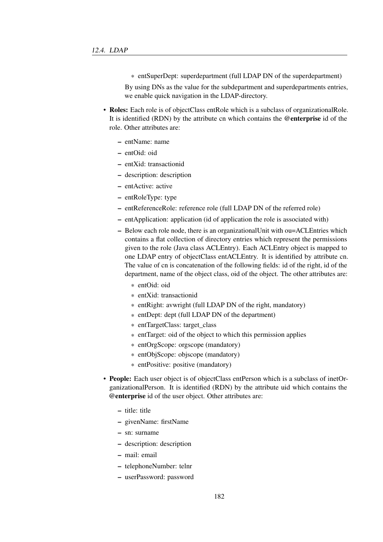\* entSuperDept: superdepartment (full LDAP DN of the superdepartment)

By using DNs as the value for the subdepartment and superdepartments entries, we enable quick navigation in the LDAP-directory.

- Roles: Each role is of objectClass entRole which is a subclass of organizationalRole. It is identified (RDN) by the attribute cn which contains the @enterprise id of the role. Other attributes are:
	- entName: name
	- $=$  entOid: oid
	- entXid: transactionid
	- description: description
	- entActive: active
	- entRoleType: type
	- entReferenceRole: reference role (full LDAP DN of the referred role)
	- entApplication: application (id of application the role is associated with)
	- Below each role node, there is an organizationalUnit with ou=ACLEntries which contains a flat collection of directory entries which represent the permissions given to the role (Java class ACLEntry). Each ACLEntry object is mapped to one LDAP entry of objectClass entACLEntry. It is identified by attribute cn. The value of cn is concatenation of the following fields: id of the right, id of the department, name of the object class, oid of the object. The other attributes are:
		- \* entOid: oid
		- \* entXid: transactionid
		- \* entRight: avwright (full LDAP DN of the right, mandatory)
		- \* entDept: dept (full LDAP DN of the department)
		- \* entTargetClass: target\_class
		- \* entTarget: oid of the object to which this permission applies
		- \* entOrgScope: orgscope (mandatory)
		- \* entObjScope: objscope (mandatory)
		- \* entPositive: positive (mandatory)
- People: Each user object is of objectClass entPerson which is a subclass of inetOrganizationalPerson. It is identified (RDN) by the attribute uid which contains the @enterprise id of the user object. Other attributes are:
	- title: title
	- givenName: firstName
	- sn: surname
	- description: description
	- mail: email
	- telephoneNumber: telnr
	- userPassword: password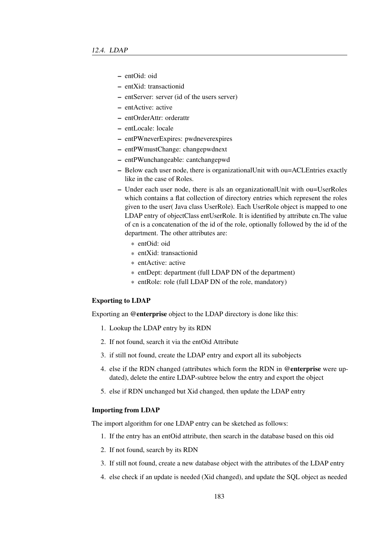- entOid: oid
- entXid: transactionid
- entServer: server (id of the users server)
- entActive: active
- entOrderAttr: orderattr
- entLocale: locale
- entPWneverExpires: pwdneverexpires
- entPWmustChange: changepwdnext
- entPWunchangeable: cantchangepwd
- Below each user node, there is organizationalUnit with ou=ACLEntries exactly like in the case of Roles.
- Under each user node, there is als an organizationalUnit with ou=UserRoles which contains a flat collection of directory entries which represent the roles given to the user( Java class UserRole). Each UserRole object is mapped to one LDAP entry of objectClass entUserRole. It is identified by attribute cn.The value of cn is a concatenation of the id of the role, optionally followed by the id of the department. The other attributes are:
	- \* entOid: oid
	- \* entXid: transactionid
	- \* entActive: active
	- \* entDept: department (full LDAP DN of the department)
	- \* entRole: role (full LDAP DN of the role, mandatory)

#### Exporting to LDAP

Exporting an @enterprise object to the LDAP directory is done like this:

- 1. Lookup the LDAP entry by its RDN
- 2. If not found, search it via the entOid Attribute
- 3. if still not found, create the LDAP entry and export all its subobjects
- 4. else if the RDN changed (attributes which form the RDN in @enterprise were updated), delete the entire LDAP-subtree below the entry and export the object
- 5. else if RDN unchanged but Xid changed, then update the LDAP entry

#### Importing from LDAP

The import algorithm for one LDAP entry can be sketched as follows:

- 1. If the entry has an entOid attribute, then search in the database based on this oid
- 2. If not found, search by its RDN
- 3. If still not found, create a new database object with the attributes of the LDAP entry
- 4. else check if an update is needed (Xid changed), and update the SQL object as needed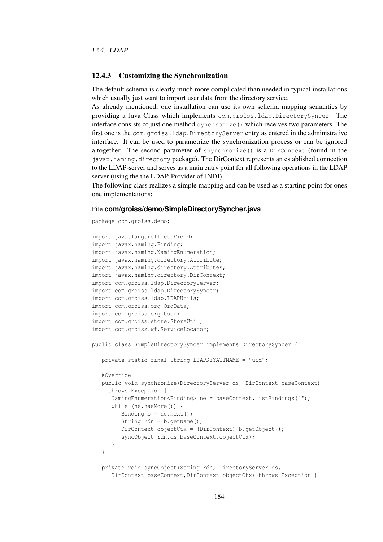#### 12.4.3 Customizing the Synchronization

The default schema is clearly much more complicated than needed in typical installations which usually just want to import user data from the directory service.

As already mentioned, one installation can use its own schema mapping semantics by providing a Java Class which implements com.groiss.ldap.DirectorySyncer. The interface consists of just one method synchronize() which receives two parameters. The first one is the com.groiss.ldap.DirectoryServer entry as entered in the administrative interface. It can be used to parametrize the synchronization process or can be ignored altogether. The second parameter of snynchronize() is a  $DirContext$  (found in the javax.naming.directory package). The DirContext represents an established connection to the LDAP-server and serves as a main entry point for all following operations in the LDAP server (using the the LDAP-Provider of JNDI).

The following class realizes a simple mapping and can be used as a starting point for ones one implementations:

#### File **com/groiss/demo/SimpleDirectorySyncher.java**

```
package com.groiss.demo;
```

```
import java.lang.reflect.Field;
import javax.naming.Binding;
import javax.naming.NamingEnumeration;
import javax.naming.directory.Attribute;
import javax.naming.directory.Attributes;
import javax.naming.directory.DirContext;
import com.groiss.ldap.DirectoryServer;
import com.groiss.ldap.DirectorySyncer;
import com.groiss.ldap.LDAPUtils;
import com.groiss.org.OrgData;
import com.groiss.org.User;
import com.groiss.store.StoreUtil;
import com.groiss.wf.ServiceLocator;
public class SimpleDirectorySyncer implements DirectorySyncer {
   private static final String LDAPKEYATTNAME = "uid";
   @Override
   public void synchronize(DirectoryServer ds, DirContext baseContext)
    throws Exception {
      NamingEnumeration<Binding> ne = baseContext.listBindings("");
      while (ne.hasMore()) {
         Binding b = ne.next();
         String rdn = b.getName();
         DirContext objectCtx = (DirContext) b.getObject();
         syncObject(rdn,ds,baseContext,objectCtx);
      }
   }
   private void syncObject(String rdn, DirectoryServer ds,
      DirContext baseContext,DirContext objectCtx) throws Exception {
```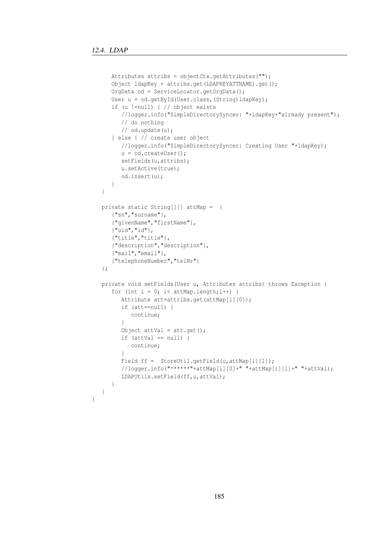}

```
Attributes attribs = objectCtx.getAttributes("");
   Object ldapKey = attribs.get(LDAPKEYATTNAME).get();
   OrgData od = ServiceLocator.getOrgData();
   User u = od.getById(User.class,(String)ldapKey);
   if (u !=null) { // object exists
      //logger.info("SimpleDirectorySyncer: "+ldapKey+"already present");
      // do nothing
      // od.update(u);
   } else { // create user object
      //logger.info("SimpleDirectorySyncer: Creating User "+ldapKey);
      u = od.createUser();
      setFields(u,attribs);
      u.setActive(true);
      od.insert(u);
   }
}
private static String[][] attMap = {
   {"sn","surname"},
   {"givenName","firstName"},
   {"uid","id"},
   {"title","title"},
   {"description","description"},
   {"mail","email"},
   {"telephoneNumber","telNr"}
};
private void setFields(User u, Attributes attribs) throws Exception {
   for (int i = 0; i< attMap.length; i++) {
      Attribute att=attribs.get(attMap[i][0]);
      if (att==null) {
         continue;
      }
      Object attVal = att.get();
      if (attVal == null) {
         continue;
      }
      Field ff = StoreUtil.getField(u,attMap[i][1]);//logger.info("******"+attMap[i][0]+" "+attMap[i][1]+" "+attVal);
      LDAPUtils.setField(ff,u,attVal);
  }
}
```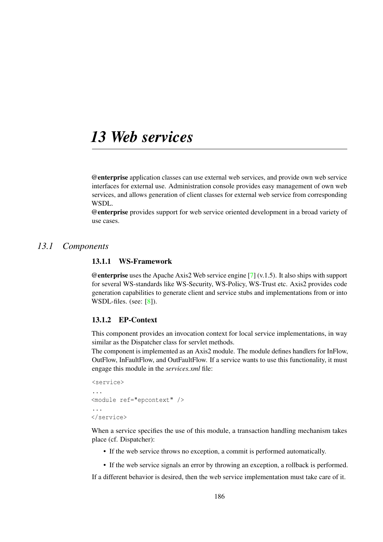## *13 Web services*

@enterprise application classes can use external web services, and provide own web service interfaces for external use. Administration console provides easy management of own web services, and allows generation of client classes for external web service from corresponding WSDL.

@enterprise provides support for web service oriented development in a broad variety of use cases.

## *13.1 Components*

#### 13.1.1 WS-Framework

**@enterprise** uses the Apache Axis2 Web service engine [\[7\]](#page-257-0)  $(v.1.5)$ . It also ships with support for several WS-standards like WS-Security, WS-Policy, WS-Trust etc. Axis2 provides code generation capabilities to generate client and service stubs and implementations from or into WSDL-files. (see: [\[8\]](#page-257-1)).

#### 13.1.2 EP-Context

This component provides an invocation context for local service implementations, in way similar as the Dispatcher class for servlet methods.

The component is implemented as an Axis2 module. The module defines handlers for InFlow, OutFlow, InFaultFlow, and OutFaultFlow. If a service wants to use this functionality, it must engage this module in the *services.xml* file:

```
<service>
...
<module ref="epcontext" />
...
</service>
```
When a service specifies the use of this module, a transaction handling mechanism takes place (cf. Dispatcher):

- If the web service throws no exception, a commit is performed automatically.
- If the web service signals an error by throwing an exception, a rollback is performed.

If a different behavior is desired, then the web service implementation must take care of it.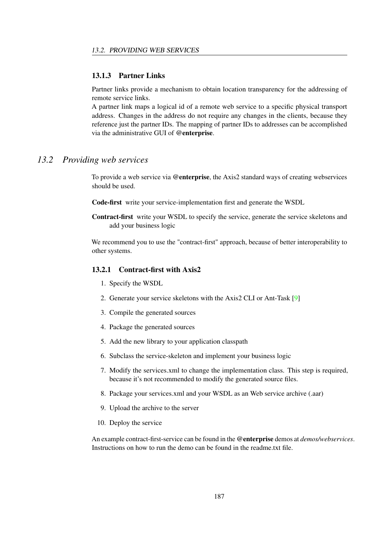#### 13.1.3 Partner Links

Partner links provide a mechanism to obtain location transparency for the addressing of remote service links.

A partner link maps a logical id of a remote web service to a specific physical transport address. Changes in the address do not require any changes in the clients, because they reference just the partner IDs. The mapping of partner IDs to addresses can be accomplished via the administrative GUI of @enterprise.

## *13.2 Providing web services*

To provide a web service via @enterprise, the Axis2 standard ways of creating webservices should be used.

Code-first write your service-implementation first and generate the WSDL

Contract-first write your WSDL to specify the service, generate the service skeletons and add your business logic

We recommend you to use the "contract-first" approach, because of better interoperability to other systems.

#### 13.2.1 Contract-first with Axis2

- 1. Specify the WSDL
- 2. Generate your service skeletons with the Axis2 CLI or Ant-Task [\[9\]](#page-257-2)
- 3. Compile the generated sources
- 4. Package the generated sources
- 5. Add the new library to your application classpath
- 6. Subclass the service-skeleton and implement your business logic
- 7. Modify the services.xml to change the implementation class. This step is required, because it's not recommended to modify the generated source files.
- 8. Package your services.xml and your WSDL as an Web service archive (.aar)
- 9. Upload the archive to the server
- 10. Deploy the service

An example contract-first-service can be found in the @enterprise demos at *demos/webservices*. Instructions on how to run the demo can be found in the readme.txt file.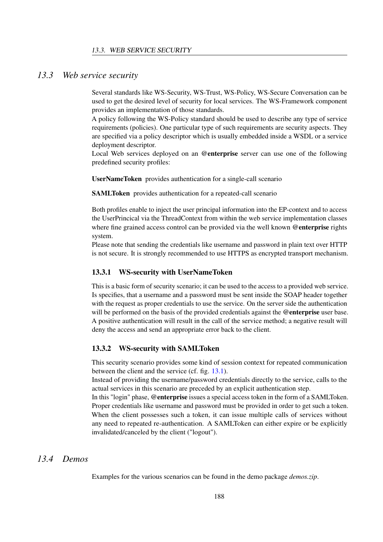## *13.3 Web service security*

Several standards like WS-Security, WS-Trust, WS-Policy, WS-Secure Conversation can be used to get the desired level of security for local services. The WS-Framework component provides an implementation of those standards.

A policy following the WS-Policy standard should be used to describe any type of service requirements (policies). One particular type of such requirements are security aspects. They are specified via a policy descriptor which is usually embedded inside a WSDL or a service deployment descriptor.

Local Web services deployed on an @enterprise server can use one of the following predefined security profiles:

UserNameToken provides authentication for a single-call scenario

SAMLToken provides authentication for a repeated-call scenario

Both profiles enable to inject the user principal information into the EP-context and to access the UserPrincical via the ThreadContext from within the web service implementation classes where fine grained access control can be provided via the well known @enterprise rights system.

Please note that sending the credentials like username and password in plain text over HTTP is not secure. It is strongly recommended to use HTTPS as encrypted transport mechanism.

## 13.3.1 WS-security with UserNameToken

This is a basic form of security scenario; it can be used to the access to a provided web service. Is specifies, that a username and a password must be sent inside the SOAP header together with the request as proper credentials to use the service. On the server side the authentication will be performed on the basis of the provided credentials against the @enterprise user base. A positive authentication will result in the call of the service method; a negative result will deny the access and send an appropriate error back to the client.

#### 13.3.2 WS-security with SAMLToken

This security scenario provides some kind of session context for repeated communication between the client and the service (cf. fig. [13.1\)](#page-188-0).

Instead of providing the username/password credentials directly to the service, calls to the actual services in this scenario are preceded by an explicit authentication step.

In this "login" phase, @enterprise issues a special access token in the form of a SAMLToken. Proper credentials like username and password must be provided in order to get such a token. When the client possesses such a token, it can issue multiple calls of services without any need to repeated re-authentication. A SAMLToken can either expire or be explicitly invalidated/canceled by the client ("logout").

## *13.4 Demos*

Examples for the various scenarios can be found in the demo package *demos.zip*.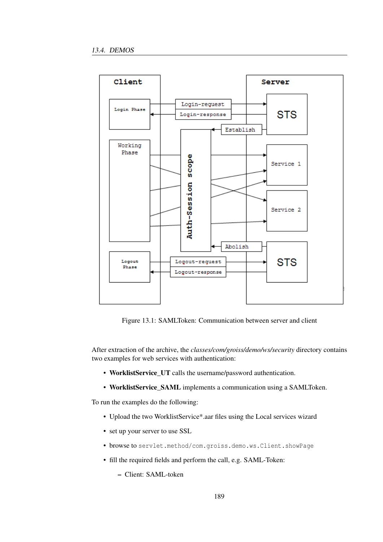

<span id="page-188-0"></span>Figure 13.1: SAMLToken: Communication between server and client

After extraction of the archive, the *classes/com/groiss/demo/ws/security* directory contains two examples for web services with authentication:

- WorklistService\_UT calls the username/password authentication.
- WorklistService\_SAML implements a communication using a SAMLToken.

To run the examples do the following:

- Upload the two WorklistService\*.aar files using the Local services wizard
- set up your server to use SSL
- browse to servlet.method/com.groiss.demo.ws.Client.showPage
- fill the required fields and perform the call, e.g. SAML-Token:
	- Client: SAML-token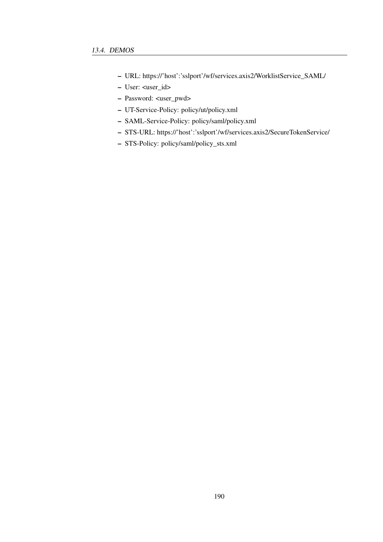- URL: https://'host':'sslport'/wf/services.axis2/WorklistService\_SAML/
- User: <user\_id>
- Password: <user\_pwd>
- UT-Service-Policy: policy/ut/policy.xml
- SAML-Service-Policy: policy/saml/policy.xml
- STS-URL: https://'host':'sslport'/wf/services.axis2/SecureTokenService/
- STS-Policy: policy/saml/policy\_sts.xml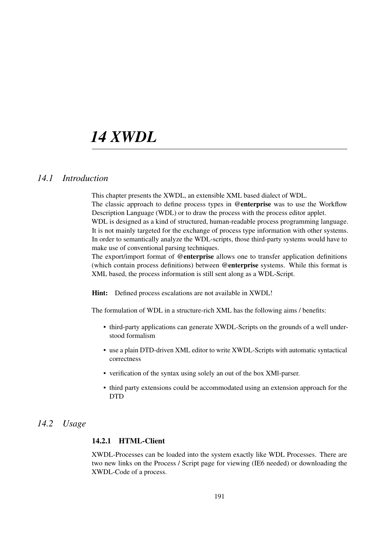## *14 XWDL*

## *14.1 Introduction*

This chapter presents the XWDL, an extensible XML based dialect of WDL. The classic approach to define process types in @enterprise was to use the Workflow Description Language (WDL) or to draw the process with the process editor applet. WDL is designed as a kind of structured, human-readable process programming language. It is not mainly targeted for the exchange of process type information with other systems. In order to semantically analyze the WDL-scripts, those third-party systems would have to make use of conventional parsing techniques.

The export/import format of @enterprise allows one to transfer application definitions (which contain process definitions) between @enterprise systems. While this format is XML based, the process information is still sent along as a WDL-Script.

Hint: Defined process escalations are not available in XWDL!

The formulation of WDL in a structure-rich XML has the following aims / benefits:

- third-party applications can generate XWDL-Scripts on the grounds of a well understood formalism
- use a plain DTD-driven XML editor to write XWDL-Scripts with automatic syntactical correctness
- verification of the syntax using solely an out of the box XMl-parser.
- third party extensions could be accommodated using an extension approach for the DTD

## *14.2 Usage*

## 14.2.1 HTML-Client

XWDL-Processes can be loaded into the system exactly like WDL Processes. There are two new links on the Process / Script page for viewing (IE6 needed) or downloading the XWDL-Code of a process.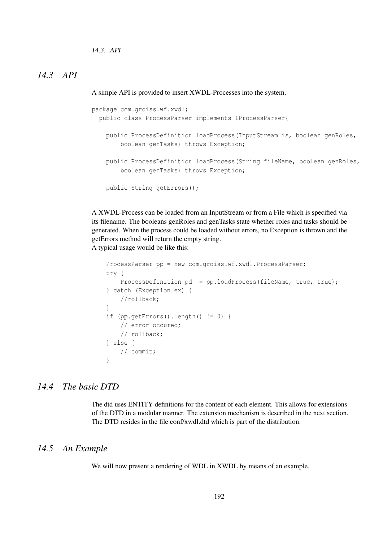## *14.3 API*

A simple API is provided to insert XWDL-Processes into the system.

```
package com.groiss.wf.xwdl;
  public class ProcessParser implements IProcessParser{
    public ProcessDefinition loadProcess(InputStream is, boolean genRoles,
        boolean genTasks) throws Exception;
    public ProcessDefinition loadProcess(String fileName, boolean genRoles,
        boolean genTasks) throws Exception;
    public String getErrors();
```
A XWDL-Process can be loaded from an InputStream or from a File which is specified via its filename. The booleans genRoles and genTasks state whether roles and tasks should be generated. When the process could be loaded without errors, no Exception is thrown and the getErrors method will return the empty string. A typical usage would be like this:

```
ProcessParser pp = new com.groiss.wf.xwdl.ProcessParser;
try {
    ProcessDefinition pd = pp.loadProcess(fileName, true, true);
} catch (Exception ex) {
    //rollback;
}
if (pp.getErrors().length() != 0) {
    // error occured;
   // rollback;
} else {
   // commit;
}
```
## *14.4 The basic DTD*

The dtd uses ENTITY definitions for the content of each element. This allows for extensions of the DTD in a modular manner. The extension mechanism is described in the next section. The DTD resides in the file conf/xwdl.dtd which is part of the distribution.

## *14.5 An Example*

We will now present a rendering of WDL in XWDL by means of an example.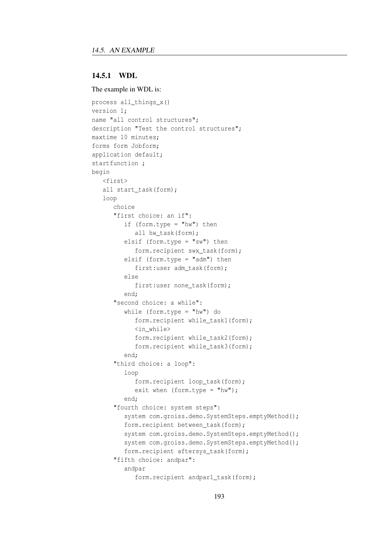## 14.5.1 WDL

#### The example in WDL is:

```
process all_things_x()
version 1;
name "all control structures";
description "Test the control structures";
maxtime 10 minutes;
forms form Jobform;
application default;
startfunction ;
begin
   <first>
   all start_task(form);
   loop
      choice
      "first choice: an if":
         if (form.type = "hw") then
            all hw task(form);
         elsif (form.type = "sw") then
            form.recipient swx task(form);
         elsif (form.type = "adm") then
            first:user adm_task(form);
         else
            first:user none_task(form);
         end;
      "second choice: a while":
         while (form.type = "hw") do
            form.recipient while_task1(form);
            <in_while>
            form.recipient while task2(form);
            form.recipient while_task3(form);
         end;
      "third choice: a loop":
         loop
            form.recipient loop_task(form);
            exit when (form.type = "hw");
         end;
      "fourth choice: system steps":
         system com.groiss.demo.SystemSteps.emptyMethod();
         form.recipient between_task(form);
         system com.groiss.demo.SystemSteps.emptyMethod();
         system com.groiss.demo.SystemSteps.emptyMethod();
         form.recipient aftersys_task(form);
      "fifth choice: andpar":
         andpar
            form.recipient andpar1 task(form);
```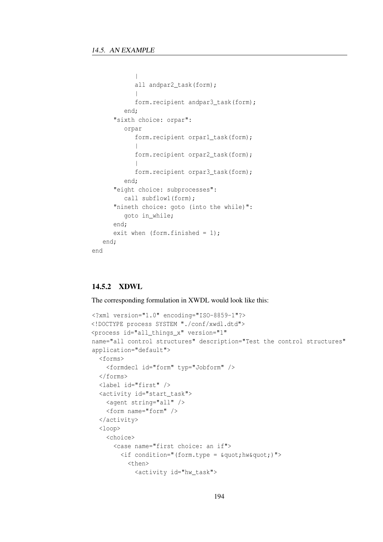```
|
            all andpar2_task(form);
            \vertform.recipient andpar3_task(form);
         end;
      "sixth choice: orpar":
         orpar
            form.recipient orpar1_task(form);
            |
            form.recipient orpar2_task(form);
            |
            form.recipient orpar3_task(form);
         end;
      "eight choice: subprocesses":
         call subflow1(form);
      "nineth choice: goto (into the while)":
         goto in_while;
      end;
      exit when (form.finished = 1);
   end;
end
```
## 14.5.2 XDWL

The corresponding formulation in XWDL would look like this:

```
<?xml version="1.0" encoding="ISO-8859-1"?>
<!DOCTYPE process SYSTEM "./conf/xwdl.dtd">
<process id="all_things_x" version="1"
name="all control structures" description="Test the control structures"
application="default">
  <forms>
    <formdecl id="form" typ="Jobform" />
  </forms>
  <label id="first" />
  <activity id="start_task">
    <agent string="all" />
    <form name="form" />
  </activity>
  <loop>
    <choice>
      <case name="first choice: an if">
        <if condition="(form.type = &quot; hw&quot;)">
          <then>
            <activity id="hw_task">
```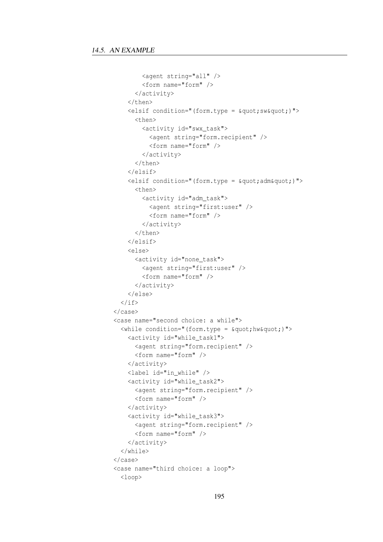```
<agent string="all" />
        <form name="form" />
      </activity>
    </then>
    <elsif condition="(form.type = &quot; sw&quot;)">
      <then>
        <activity id="swx_task">
          <agent string="form.recipient" />
          <form name="form" />
        </activity>
      </then>
    </elsif>
    <elsif condition="(form.type = \omegaquot; adm")">
      <then>
        <activity id="adm_task">
          <agent string="first:user" />
          <form name="form" />
        </activity>
      </then>
    </elsif>
    <else>
      <activity id="none_task">
        <agent string="first:user" />
        <form name="form" />
      </activity>
    </else>
 \langle/if>
</case>
<case name="second choice: a while">
 \langlewhile condition="(form.type = \&quot;hw\&quot;)">
    <activity id="while_task1">
      <agent string="form.recipient" />
      <form name="form" />
    </activity>
    <label id="in_while" />
    <activity id="while_task2">
      <agent string="form.recipient" />
      <form name="form" />
    </activity>
    <activity id="while_task3">
     <agent string="form.recipient" />
      <form name="form" />
    </activity>
 </while>
</case>
<case name="third choice: a loop">
 <loop>
```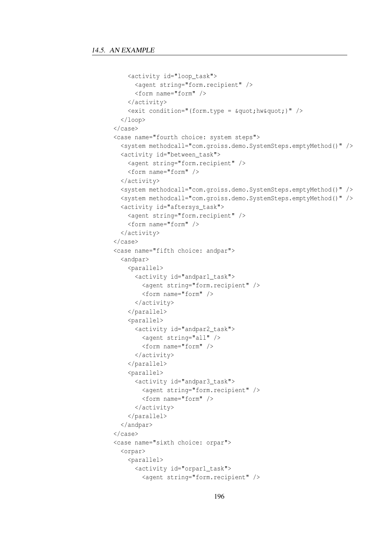```
<activity id="loop_task">
      <agent string="form.recipient" />
      <form name="form" />
    </activity>
    \epsilon <exit condition="(form.type = \epsilonquot;hw\epsilonquot;)" />
 </loop>
</case>
<case name="fourth choice: system steps">
 <system methodcall="com.groiss.demo.SystemSteps.emptyMethod()" />
 <activity id="between_task">
    <agent string="form.recipient" />
    <form name="form" />
 </activity>
 <system methodcall="com.groiss.demo.SystemSteps.emptyMethod()" />
 <system methodcall="com.groiss.demo.SystemSteps.emptyMethod()" />
 <activity id="aftersys_task">
    <agent string="form.recipient" />
    <form name="form" />
 </activity>
</case>
<case name="fifth choice: andpar">
 <andpar>
    <parallel>
      <activity id="andpar1_task">
        <agent string="form.recipient" />
        <form name="form" />
      </activity>
    </parallel>
    <parallel>
      <activity id="andpar2_task">
        <agent string="all" />
        <form name="form" />
      </activity>
    </parallel>
    <parallel>
      <activity id="andpar3_task">
        <agent string="form.recipient" />
        <form name="form" />
      </activity>
    </parallel>
 </andpar>
</case>
<case name="sixth choice: orpar">
 <orpar>
    <parallel>
      <activity id="orpar1_task">
        <agent string="form.recipient" />
```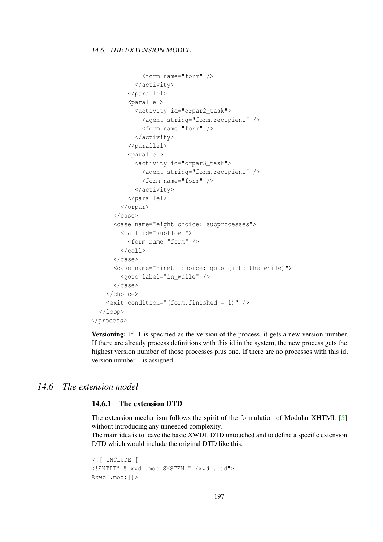```
<form name="form" />
            </activity>
          </parallel>
          <parallel>
            <activity id="orpar2_task">
              <agent string="form.recipient" />
              <form name="form" />
            </activity>
          </parallel>
          <parallel>
            <activity id="orpar3_task">
              <agent string="form.recipient" />
              <form name="form" />
            </activity>
          </parallel>
        </orpar>
      </case>
      <case name="eight choice: subprocesses">
        <call id="subflow1">
          <form name="form" />
        </call>
      </case>
      <case name="nineth choice: goto (into the while)">
        <goto label="in_while" />
      </case>
    </choice>
    \leq condition="(form.finished = 1)" />
  </loop>
</process>
```
Versioning: If -1 is specified as the version of the process, it gets a new version number. If there are already process definitions with this id in the system, the new process gets the highest version number of those processes plus one. If there are no processes with this id, version number 1 is assigned.

## *14.6 The extension model*

#### 14.6.1 The extension DTD

The extension mechanism follows the spirit of the formulation of Modular XHTML [\[5\]](#page-257-3) without introducing any unneeded complexity.

The main idea is to leave the basic XWDL DTD untouched and to define a specific extension DTD which would include the original DTD like this:

```
<![ INCLUDE [
<!ENTITY % xwdl.mod SYSTEM "./xwdl.dtd">
%xwdl.mod;]]>
```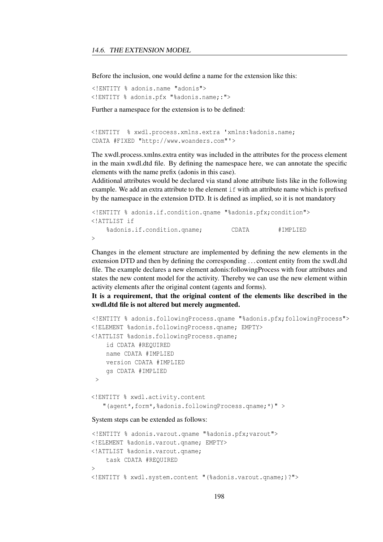Before the inclusion, one would define a name for the extension like this:

```
<!ENTITY % adonis.name "adonis">
<!ENTITY % adonis.pfx "%adonis.name;:">
```
Further a namespace for the extension is to be defined:

```
<!ENTITY % xwdl.process.xmlns.extra 'xmlns:%adonis.name;
CDATA #FIXED "http://www.woanders.com"'>
```
The xwdl.process.xmlns.extra entity was included in the attributes for the process element in the main xwdl.dtd file. By defining the namespace here, we can annotate the specific elements with the name prefix (adonis in this case).

Additional attributes would be declared via stand alone attribute lists like in the following example. We add an extra attribute to the element if with an attribute name which is prefixed by the namespace in the extension DTD. It is defined as implied, so it is not mandatory

```
<!ENTITY % adonis.if.condition.qname "%adonis.pfx;condition">
<!ATTLIST if
   %adonis.if.condition.gname; CDATA #IMPLIED
>
```
Changes in the element structure are implemented by defining the new elements in the extension DTD and then by defining the corresponding . . . content entity from the xwdl.dtd file. The example declares a new element adonis:followingProcess with four attributes and states the new content model for the activity. Thereby we can use the new element within activity elements after the original content (agents and forms).

It is a requirement, that the original content of the elements like described in the xwdl.dtd file is not altered but merely augmented.

```
<!ENTITY % adonis.followingProcess.qname "%adonis.pfx;followingProcess">
<!ELEMENT %adonis.followingProcess.qname; EMPTY>
<!ATTLIST %adonis.followingProcess.qname;
    id CDATA #REQUIRED
    name CDATA #IMPLIED
    version CDATA #IMPLIED
    gs CDATA #IMPLIED
 \rightarrow<!ENTITY % xwdl.activity.content
   "(agent*,form*,%adonis.followingProcess.qname;*)" >
System steps can be extended as follows:
<!ENTITY % adonis.varout.qname "%adonis.pfx;varout">
<!ELEMENT %adonis.varout.qname; EMPTY>
<!ATTLIST %adonis.varout.qname;
    task CDATA #REQUIRED
```
 $\ddot{\phantom{1}}$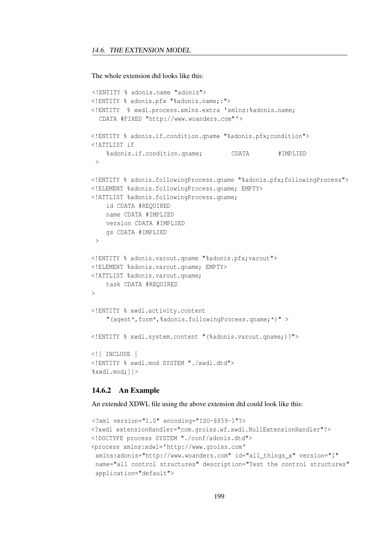The whole extension dtd looks like this:

```
<!ENTITY % adonis.name "adonis">
<!ENTITY % adonis.pfx "%adonis.name;:">
<!ENTITY % xwdl.process.xmlns.extra 'xmlns:%adonis.name;
  CDATA #FIXED "http://www.woanders.com"'>
<!ENTITY % adonis.if.condition.qname "%adonis.pfx;condition">
<!ATTLIST if
   %adonis.if.condition.gname: CDATA #IMPLIED
 >
<!ENTITY % adonis.followingProcess.qname "%adonis.pfx;followingProcess">
<!ELEMENT %adonis.followingProcess.qname; EMPTY>
<!ATTLIST %adonis.followingProcess.qname;
    id CDATA #REQUIRED
    name CDATA #IMPLIED
    version CDATA #IMPLIED
    gs CDATA #IMPLIED
 \rightarrow<!ENTITY % adonis.varout.qname "%adonis.pfx;varout">
<!ELEMENT %adonis.varout.qname; EMPTY>
<!ATTLIST %adonis.varout.qname;
    task CDATA #REQUIRED
\rightarrow<!ENTITY % xwdl.activity.content
    "(agent*,form*,%adonis.followingProcess.qname;*)" >
<!ENTITY % xwdl.system.content "(%adonis.varout.qname;)?">
<![ INCLUDE [
<!ENTITY % xwdl.mod SYSTEM "./xwdl.dtd">
%xwdl.mod;]]>
```
## 14.6.2 An Example

An extended XDWL file using the above extension dtd could look like this:

```
<?xml version="1.0" encoding="ISO-8859-1"?>
<?xwdl extensionHandler="com.groiss.wf.xwdl.NullExtensionHandler"?>
<!DOCTYPE process SYSTEM "./conf/adonis.dtd">
<process xmlns:xdwl='http://www.groiss.com'
 xmlns:adonis="http://www.woanders.com" id="all_things_x" version="1"
 name="all control structures" description="Test the control structures"
 application="default">
```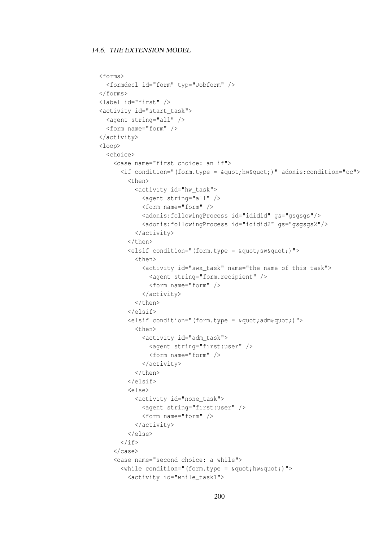```
<forms>
  <formdecl id="form" typ="Jobform" />
</forms>
<label id="first" />
<activity id="start_task">
  <agent string="all" />
  <form name="form" />
</activity>
<loop>
  <choice>
    <case name="first choice: an if">
      <if condition="(form.type = &quot; hw&quot;)" adonis: condition="cc">
        <then>
          <activity id="hw_task">
            <agent string="all" />
            <form name="form" />
            <adonis:followingProcess id="ididid" gs="gsgsgs"/>
             <adonis:followingProcess id="ididid2" gs="gsgsgs2"/>
          </activity>
        </then>
        <elsif condition="(form.type = \text{``quot}; \text{``w``quot};)">
          <then>
             <activity id="swx_task" name="the name of this task">
               <agent string="form.recipient" />
               <form name="form" />
             </activity>
          \langle/then>
        </elsif>
        <elsif condition="(form.type = &quot; adm&quot;)">
          <then>
             <activity id="adm_task">
               <agent string="first:user" />
               <form name="form" />
            </activity>
          \langle/then>
        </elsif>
        <else>
          <activity id="none_task">
            <agent string="first:user" />
            <form name="form" />
          </activity>
        </else>
      \langle/if>
    </case>
    <case name="second choice: a while">
      \lewhile condition="(form.type = \omegaquot;hw\omegaquot;)">
        <activity id="while_task1">
```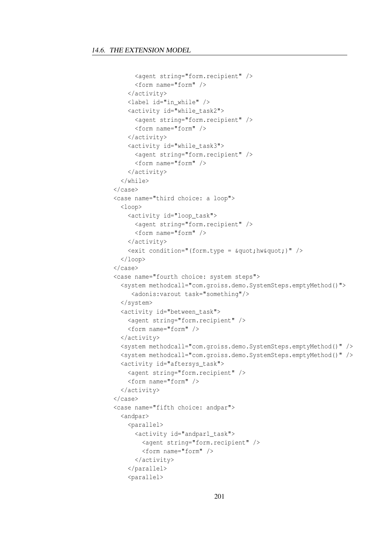```
<agent string="form.recipient" />
      <form name="form" />
    </activity>
    <label id="in_while" />
    <activity id="while_task2">
      <agent string="form.recipient" />
      <form name="form" />
    </activity>
    <activity id="while_task3">
      <agent string="form.recipient" />
      <form name="form" />
    </activity>
 </while>
</case>
<case name="third choice: a loop">
 <loop>
    <activity id="loop_task">
      <agent string="form.recipient" />
      <form name="form" />
    </activity>
    \forallexit condition="(form.type = \omegaquot;hw\omegaquot;)" />
 </loop>
</case>
<case name="fourth choice: system steps">
 <system methodcall="com.groiss.demo.SystemSteps.emptyMethod()">
     <adonis:varout task="something"/>
 </system>
 <activity id="between_task">
    <agent string="form.recipient" />
    <form name="form" />
 </activity>
 <system methodcall="com.groiss.demo.SystemSteps.emptyMethod()" />
 <system methodcall="com.groiss.demo.SystemSteps.emptyMethod()" />
 <activity id="aftersys_task">
    <agent string="form.recipient" />
    <form name="form" />
 </activity>
</case>
<case name="fifth choice: andpar">
 <andpar>
    <parallel>
      <activity id="andpar1_task">
        <agent string="form.recipient" />
        <form name="form" />
      </activity>
    </parallel>
    <parallel>
```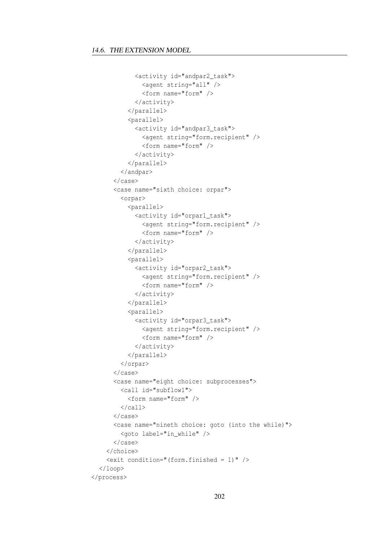```
<activity id="andpar2_task">
              <agent string="all" />
              <form name="form" />
            </activity>
          </parallel>
          <parallel>
            <activity id="andpar3_task">
              <agent string="form.recipient" />
              <form name="form" />
            </activity>
          </parallel>
        </andpar>
      </case>
      <case name="sixth choice: orpar">
        <orpar>
          <parallel>
            <activity id="orpar1_task">
              <agent string="form.recipient" />
              <form name="form" />
            </activity>
          </parallel>
          <parallel>
            <activity id="orpar2_task">
              <agent string="form.recipient" />
              <form name="form" />
            </activity>
          </parallel>
          <parallel>
            <activity id="orpar3_task">
              <agent string="form.recipient" />
              <form name="form" />
            </activity>
          </parallel>
        </orpar>
      </case>
      <case name="eight choice: subprocesses">
        <call id="subflow1">
          <form name="form" />
        </call>
      </case>
      <case name="nineth choice: goto (into the while)">
        <goto label="in_while" />
      </case>
    </choice>
    <exit condition="(form.finished = 1)" />
  </loop>
</process>
```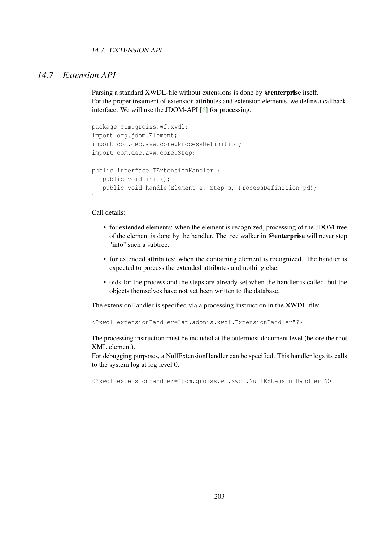## *14.7 Extension API*

Parsing a standard XWDL-file without extensions is done by @enterprise itself. For the proper treatment of extension attributes and extension elements, we define a callbackinterface. We will use the JDOM-API [\[6\]](#page-257-4) for processing.

```
package com.groiss.wf.xwdl;
import org.jdom.Element;
import com.dec.avw.core.ProcessDefinition;
import com.dec.avw.core.Step;
public interface IExtensionHandler {
  public void init();
   public void handle(Element e, Step s, ProcessDefinition pd);
}
```
Call details:

- for extended elements: when the element is recognized, processing of the JDOM-tree of the element is done by the handler. The tree walker in @enterprise will never step "into" such a subtree.
- for extended attributes: when the containing element is recognized. The handler is expected to process the extended attributes and nothing else.
- oids for the process and the steps are already set when the handler is called, but the objects themselves have not yet been written to the database.

The extensionHandler is specified via a processing-instruction in the XWDL-file:

<?xwdl extensionHandler="at.adonis.xwdl.ExtensionHandler"?>

The processing instruction must be included at the outermost document level (before the root XML element).

For debugging purposes, a NullExtensionHandler can be specified. This handler logs its calls to the system log at log level 0.

<?xwdl extensionHandler="com.groiss.wf.xwdl.NullExtensionHandler"?>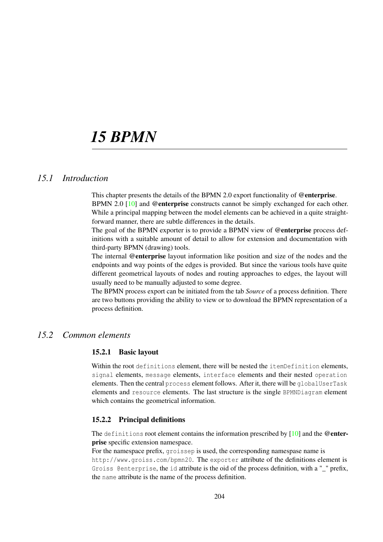## *15 BPMN*

## *15.1 Introduction*

This chapter presents the details of the BPMN 2.0 export functionality of @enterprise. BPMN 2.0 [\[10\]](#page-257-5) and @enterprise constructs cannot be simply exchanged for each other. While a principal mapping between the model elements can be achieved in a quite straightforward manner, there are subtle differences in the details.

The goal of the BPMN exporter is to provide a BPMN view of @enterprise process definitions with a suitable amount of detail to allow for extension and documentation with third-party BPMN (drawing) tools.

The internal @enterprise layout information like position and size of the nodes and the endpoints and way points of the edges is provided. But since the various tools have quite different geometrical layouts of nodes and routing approaches to edges, the layout will usually need to be manually adjusted to some degree.

The BPMN process export can be initiated from the tab *Source* of a process definition. There are two buttons providing the ability to view or to download the BPMN representation of a process definition.

## *15.2 Common elements*

#### 15.2.1 Basic layout

Within the root definitions element, there will be nested the itemDefinition elements, signal elements, message elements, interface elements and their nested operation elements. Then the central process element follows. After it, there will be globalUserTask elements and resource elements. The last structure is the single BPMNDiagram element which contains the geometrical information.

## 15.2.2 Principal definitions

The definitions root element contains the information prescribed by  $[10]$  and the @enterprise specific extension namespace.

For the namespace prefix, groissep is used, the corresponding namespase name is http://www.groiss.com/bpmn20. The exporter attribute of the definitions element is Groiss Genterprise, the id attribute is the oid of the process definition, with a " " prefix, the name attribute is the name of the process definition.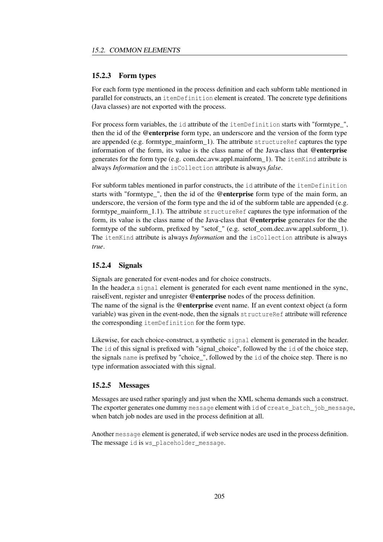## 15.2.3 Form types

For each form type mentioned in the process definition and each subform table mentioned in parallel for constructs, an itemDefinition element is created. The concrete type definitions (Java classes) are not exported with the process.

For process form variables, the id attribute of the itemDefinition starts with "formtype\_", then the id of the @enterprise form type, an underscore and the version of the form type are appended (e.g. formtype mainform 1). The attribute structure Ref captures the type information of the form, its value is the class name of the Java-class that @enterprise generates for the form type (e.g. com.dec.avw.appl.mainform\_1). The itemKind attribute is always *Information* and the isCollection attribute is always *false*.

For subform tables mentioned in parfor constructs, the id attribute of the itemDefinition starts with "formtype", then the id of the **@enterprise** form type of the main form, an underscore, the version of the form type and the id of the subform table are appended (e.g. formtype\_mainform\_1.1). The attribute structureRef captures the type information of the form, its value is the class name of the Java-class that @enterprise generates for the the formtype of the subform, prefixed by "setof\_" (e.g. setof\_com.dec.avw.appl.subform\_1). The itemKind attribute is always *Information* and the isCollection attribute is always *true*.

## 15.2.4 Signals

Signals are generated for event-nodes and for choice constructs.

In the header,a signal element is generated for each event name mentioned in the sync, raiseEvent, register and unregister @enterprise nodes of the process definition. The name of the signal is the **@enterprise** event name. If an event context object (a form variable) was given in the event-node, then the signals structureRef attribute will reference the corresponding itemDefinition for the form type.

Likewise, for each choice-construct, a synthetic signal element is generated in the header. The id of this signal is prefixed with "signal choice", followed by the id of the choice step, the signals name is prefixed by "choice\_", followed by the id of the choice step. There is no type information associated with this signal.

## 15.2.5 Messages

Messages are used rather sparingly and just when the XML schema demands such a construct. The exporter generates one dummy message element with id of create\_batch\_job\_message, when batch job nodes are used in the process definition at all.

Another message element is generated, if web service nodes are used in the process definition. The message id is ws\_placeholder\_message.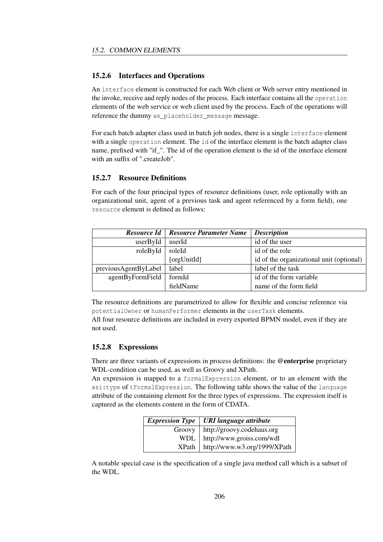## 15.2.6 Interfaces and Operations

An interface element is constructed for each Web client or Web server entry mentioned in the invoke, receive and reply nodes of the process. Each interface contains all the operation elements of the web service or web client used by the process. Each of the operations will reference the dummy ws\_placeholder\_message message.

For each batch adapter class used in batch job nodes, there is a single interface element with a single operation element. The id of the interface element is the batch adapter class name, prefixed with "if ". The id of the operation element is the id of the interface element with an suffix of ".createJob".

## <span id="page-205-0"></span>15.2.7 Resource Definitions

For each of the four principal types of resource definitions (user, role optionally with an organizational unit, agent of a previous task and agent referenced by a form field), one resource element is defined as follows:

| Resource Id          | <b>Resource Parameter Name</b> | <b>Description</b>                       |
|----------------------|--------------------------------|------------------------------------------|
| userById             | userId                         | id of the user                           |
| roleById             | roleId                         | id of the role                           |
|                      | [orgUnitId]                    | id of the organizational unit (optional) |
| previousAgentByLabel | label                          | label of the task                        |
| agentByFormField     | formId                         | id of the form variable                  |
|                      | fieldName                      | name of the form field                   |

The resource definitions are parametrized to allow for flexible and concise reference via potentialOwner or humanPerformer elements in the userTask elements.

All four resource definitions are included in every exported BPMN model, even if they are not used.

#### 15.2.8 Expressions

There are three variants of expressions in process definitions: the @enterprise proprietary WDL-condition can be used, as well as Groovy and XPath.

An expression is mapped to a formalExpression element, or to an element with the xsi:type of tFormalExpression. The following table shows the value of the language attribute of the containing element for the three types of expressions. The expression itself is captured as the elements content in the form of CDATA.

| <b>Expression Type</b> | $ $ URI language attribute           |
|------------------------|--------------------------------------|
| Groovy                 | http://groovy.codehaus.org           |
|                        | WDL   http://www.groiss.com/wdl      |
|                        | XPath   http://www.w3.org/1999/XPath |

A notable special case is the specification of a single java method call which is a subset of the WDL.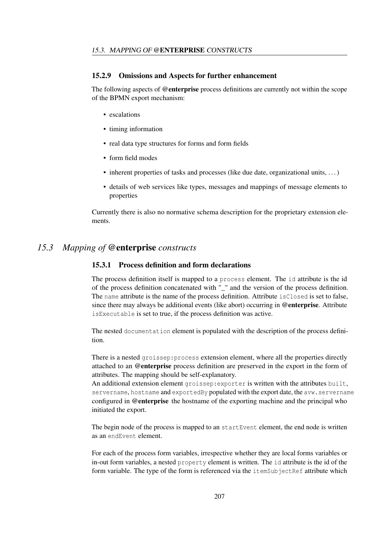#### 15.2.9 Omissions and Aspects for further enhancement

The following aspects of **@enterprise** process definitions are currently not within the scope of the BPMN export mechanism:

- escalations
- timing information
- real data type structures for forms and form fields
- form field modes
- inherent properties of tasks and processes (like due date, organizational units, ...)
- details of web services like types, messages and mappings of message elements to properties

Currently there is also no normative schema description for the proprietary extension elements.

## *15.3 Mapping of* @enterprise *constructs*

#### 15.3.1 Process definition and form declarations

The process definition itself is mapped to a process element. The id attribute is the id of the process definition concatenated with "\_" and the version of the process definition. The name attribute is the name of the process definition. Attribute isClosed is set to false, since there may always be additional events (like abort) occurring in @enterprise. Attribute isExecutable is set to true, if the process definition was active.

The nested documentation element is populated with the description of the process definition.

There is a nested groissep:process extension element, where all the properties directly attached to an @enterprise process definition are preserved in the export in the form of attributes. The mapping should be self-explanatory.

An additional extension element groissep:exporter is written with the attributes built, servername, hostname and exportedBy populated with the export date, the avw.servername configured in @enterprise the hostname of the exporting machine and the principal who initiated the export.

The begin node of the process is mapped to an startEvent element, the end node is written as an endEvent element.

For each of the process form variables, irrespective whether they are local forms variables or in-out form variables, a nested property element is written. The id attribute is the id of the form variable. The type of the form is referenced via the itemSubjectRef attribute which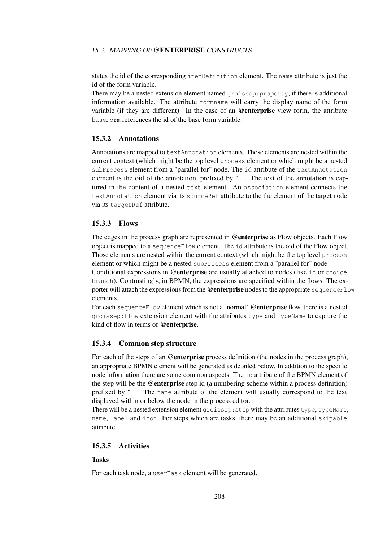states the id of the corresponding itemDefinition element. The name attribute is just the id of the form variable.

There may be a nested extension element named groissep:property, if there is additional information available. The attribute formname will carry the display name of the form variable (if they are different). In the case of an @enterprise view form, the attribute baseForm references the id of the base form variable.

#### 15.3.2 Annotations

Annotations are mapped to textAnnotation elements. Those elements are nested within the current context (which might be the top level process element or which might be a nested subProcess element from a "parallel for" node. The id attribute of the textAnnotation element is the oid of the annotation, prefixed by " ". The text of the annotation is captured in the content of a nested text element. An association element connects the textAnnotation element via its sourceRef attribute to the the element of the target node via its targetRef attribute.

#### 15.3.3 Flows

The edges in the process graph are represented in @enterprise as Flow objects. Each Flow object is mapped to a sequenceFlow element. The id attribute is the oid of the Flow object. Those elements are nested within the current context (which might be the top level process element or which might be a nested subProcess element from a "parallel for" node. Conditional expressions in @enterprise are usually attached to nodes (like if or choice branch). Contrastingly, in BPMN, the expressions are specified within the flows. The exporter will attach the expressions from the **@enterprise** nodes to the appropriate sequenceFlow elements.

For each sequenceFlow element which is not a 'normal' @enterprise flow, there is a nested groissep:flow extension element with the attributes type and typeName to capture the kind of flow in terms of @enterprise.

#### 15.3.4 Common step structure

For each of the steps of an @enterprise process definition (the nodes in the process graph), an appropriate BPMN element will be generated as detailed below. In addition to the specific node information there are some common aspects. The id attribute of the BPMN element of the step will be the @enterprise step id (a numbering scheme within a process definition) prefixed by "\_". The name attribute of the element will usually correspond to the text displayed within or below the node in the process editor.

There will be a nested extension element groissep: step with the attributes type, typeName, name, label and icon. For steps which are tasks, there may be an additional skipable attribute.

#### 15.3.5 Activities

#### Tasks

For each task node, a userTask element will be generated.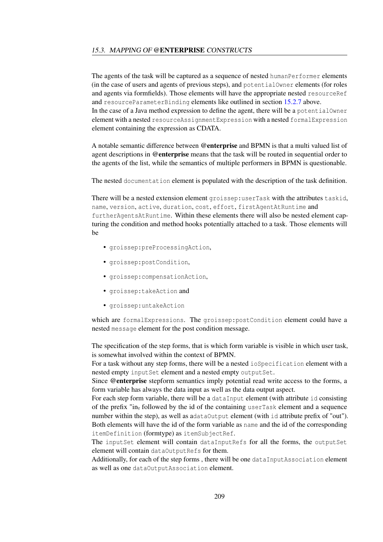The agents of the task will be captured as a sequence of nested humanPerformer elements (in the case of users and agents of previous steps), and potentialOwner elements (for roles and agents via formfields). Those elements will have the appropriate nested resourceRef and resourceParameterBinding elements like outlined in section [15.2.7](#page-205-0) above. In the case of a Java method expression to define the agent, there will be a potentialOwner element with a nested resourceAssignmentExpression with a nested formalExpression

A notable semantic difference between @enterprise and BPMN is that a multi valued list of agent descriptions in @enterprise means that the task will be routed in sequential order to the agents of the list, while the semantics of multiple performers in BPMN is questionable.

The nested documentation element is populated with the description of the task definition.

There will be a nested extension element groissep:userTask with the attributes taskid, name, version, active, duration, cost, effort, firstAgentAtRuntime and furtherAgentsAtRuntime. Within these elements there will also be nested element capturing the condition and method hooks potentially attached to a task. Those elements will be

• groissep:preProcessingAction,

element containing the expression as CDATA.

- groissep:postCondition,
- groissep:compensationAction,
- groissep:takeAction and
- groissep:untakeAction

which are formalExpressions. The groissep:postCondition element could have a nested message element for the post condition message.

The specification of the step forms, that is which form variable is visible in which user task, is somewhat involved within the context of BPMN.

For a task without any step forms, there will be a nested ioSpecification element with a nested empty inputSet element and a nested empty outputSet.

Since @enterprise stepform semantics imply potential read write access to the forms, a form variable has always the data input as well as the data output aspect.

For each step form variable, there will be a dataInput element (with attribute  $id$  consisting of the prefix "in, followed by the id of the containing userTask element and a sequence number within the step), as well as adataOutput element (with id attribute prefix of "out"). Both elements will have the id of the form variable as name and the id of the corresponding itemDefinition (formtype) as itemSubjectRef.

The inputSet element will contain dataInputRefs for all the forms, the outputSet element will contain dataOutputRefs for them.

Additionally, for each of the step forms , there will be one dataInputAssociation element as well as one dataOutputAssociation element.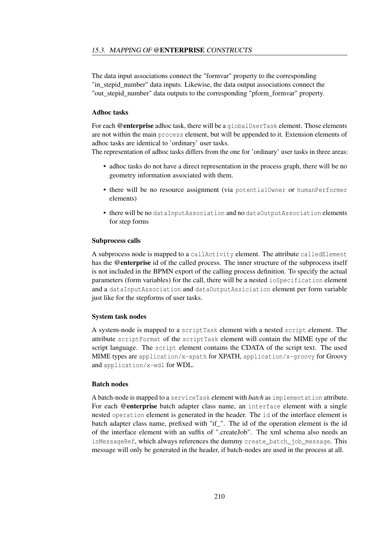The data input associations connect the "formvar" property to the corresponding "in\_stepid\_number" data inputs. Likewise, the data output associations connect the "out\_stepid\_number" data outputs to the corresponding "pform\_formvar" property.

#### Adhoc tasks

For each @enterprise adhoc task, there will be a qlobalUserTask element. Those elements are not within the main process element, but will be appended to it. Extension elements of adhoc tasks are identical to 'ordinary' user tasks.

The representation of adhoc tasks differs from the one for 'ordinary' user tasks in three areas:

- adhoc tasks do not have a direct representation in the process graph, there will be no geometry information associated with them.
- there will be no resource assignment (via potentialOwner or humanPerformer elements)
- there will be no dataInputAssociation and no dataOutputAssociation elements for step forms

#### Subprocess calls

A subprocess node is mapped to a callActivity element. The attribute calledElement has the @enterprise id of the called process. The inner structure of the subprocess itself is not included in the BPMN export of the calling process definition. To specify the actual parameters (form variables) for the call, there will be a nested ioSpecification element and a dataInputAssociation and dataOutputAssiciation element per form variable just like for the stepforms of user tasks.

#### System task nodes

A system-node is mapped to a scriptTask element with a nested script element. The attribute scriptFormat of the scriptTask element will contain the MIME type of the script language. The script element contains the CDATA of the script text. The used MIME types are application/x-xpath for XPATH, application/x-groovy for Groovy and application/x-wdl for WDL.

#### Batch nodes

A batch-node is mapped to a serviceTask element with *batch* as implementation attribute. For each @enterprise batch adapter class name, an interface element with a single nested operation element is generated in the header. The id of the interface element is batch adapter class name, prefixed with "if\_". The id of the operation element is the id of the interface element with an suffix of ".createJob". The xml schema also needs an inMessageRef, which always references the dummy create batch job message. This message will only be generated in the header, if batch-nodes are used in the process at all.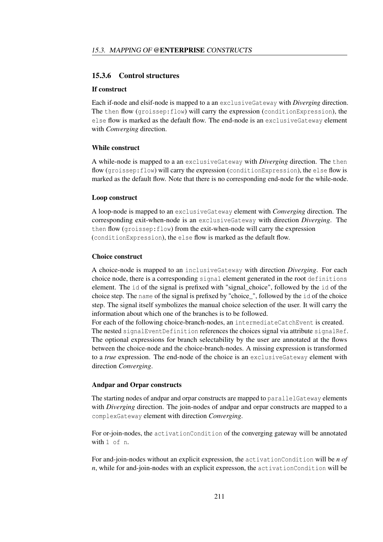#### 15.3.6 Control structures

#### If construct

Each if-node and elsif-node is mapped to a an exclusiveGateway with *Diverging* direction. The then flow (groissep:  $flow$ ) will carry the expression (conditionExpression), the else flow is marked as the default flow. The end-node is an exclusiveGateway element with *Converging* direction.

#### While construct

A while-node is mapped to a an exclusiveGateway with *Diverging* direction. The then flow (groissep:flow) will carry the expression (conditionExpression), the else flow is marked as the default flow. Note that there is no corresponding end-node for the while-node.

#### Loop construct

A loop-node is mapped to an exclusiveGateway element with *Converging* direction. The corresponding exit-when-node is an exclusiveGateway with direction *Diverging*. The then flow (groissep:flow) from the exit-when-node will carry the expression (conditionExpression), the else flow is marked as the default flow.

#### Choice construct

A choice-node is mapped to an inclusiveGateway with direction *Diverging*. For each choice node, there is a corresponding signal element generated in the root definitions element. The id of the signal is prefixed with "signal\_choice", followed by the id of the choice step. The name of the signal is prefixed by "choice\_", followed by the id of the choice step. The signal itself symbolizes the manual choice selection of the user. It will carry the information about which one of the branches is to be followed.

For each of the following choice-branch-nodes, an intermediateCatchEvent is created. The nested signalEventDefinition references the choices signal via attribute signalRef. The optional expressions for branch selectability by the user are annotated at the flows between the choice-node and the choice-branch-nodes. A missing expression is transformed to a *true* expression. The end-node of the choice is an exclusiveGateway element with direction *Converging*.

#### Andpar and Orpar constructs

The starting nodes of andpar and orpar constructs are mapped to parallel Gateway elements with *Diverging* direction. The join-nodes of andpar and orpar constructs are mapped to a complexGateway element with direction *Converging*.

For or-join-nodes, the activationCondition of the converging gateway will be annotated with 1 of n.

For and-join-nodes without an explicit expression, the activationCondition will be *n of n*, while for and-join-nodes with an explicit expresson, the activationCondition will be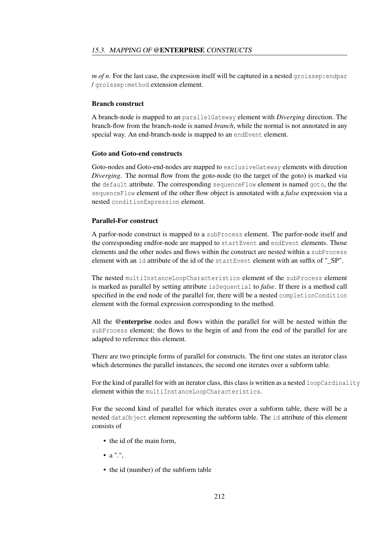*m of n*. For the last case, the expression itself will be captured in a nested groissep: endpar / groissep:method extension element.

#### Branch construct

A branch-node is mapped to an parallelGateway element with *Diverging* direction. The branch-flow from the branch-node is named *branch*, while the normal is not annotated in any special way. An end-branch-node is mapped to an endEvent element.

#### Goto and Goto-end constructs

Goto-nodes and Goto-end-nodes are mapped to exclusiveGateway elements with direction *Diverging*. The normal flow from the goto-node (to the target of the goto) is marked via the default attribute. The corresponding sequenceFlow element is named goto, the the sequenceFlow element of the other flow object is annotated with a *false* expression via a nested conditionExpression element.

#### Parallel-For construct

A parfor-node construct is mapped to a subProcess element. The parfor-node itself and the corresponding endfor-node are mapped to startEvent and endEvent elements. Those elements and the other nodes and flows within the construct are nested within a subProcess element with an id attribute of the id of the startEvent element with an suffix of " SP".

The nested multiInstanceLoopCharacteristics element of the subProcess element is marked as parallel by setting attribute isSequential to *false*. If there is a method call specified in the end node of the parallel for, there will be a nested completionCondition element with the formal expression corresponding to the method.

All the @enterprise nodes and flows within the parallel for will be nested within the subProcess element; the flows to the begin of and from the end of the parallel for are adapted to reference this element.

There are two principle forms of parallel for constructs. The first one states an iterator class which determines the parallel instances, the second one iterates over a subform table.

For the kind of parallel for with an iterator class, this class is written as a nested loopCardinality element within the multiInstanceLoopCharacteristics.

For the second kind of parallel for which iterates over a subform table, there will be a nested dataObject element representing the subform table. The id attribute of this element consists of

- the id of the main form,
- $\bullet$  a ".".
- the id (number) of the subform table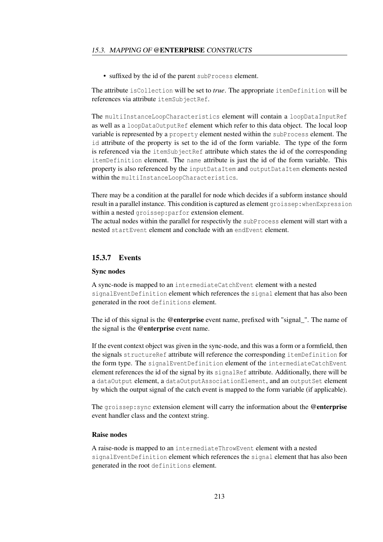• suffixed by the id of the parent subProcess element.

The attribute isCollection will be set to *true*. The appropriate itemDefinition will be references via attribute itemSubjectRef.

The multiInstanceLoopCharacteristics element will contain a loopDataInputRef as well as a loopDataOutputRef element which refer to this data object. The local loop variable is represented by a property element nested within the subProcess element. The id attribute of the property is set to the id of the form variable. The type of the form is referenced via the itemSubjectRef attribute which states the id of the corresponding itemDefinition element. The name attribute is just the id of the form variable. This property is also referenced by the inputDataItem and outputDataItem elements nested within the multiInstanceLoopCharacteristics.

There may be a condition at the parallel for node which decides if a subform instance should result in a parallel instance. This condition is captured as element groissep:whenExpression within a nested groissep:parfor extension element.

The actual nodes within the parallel for respectivly the subProcess element will start with a nested startEvent element and conclude with an endEvent element.

## 15.3.7 Events

#### Sync nodes

A sync-node is mapped to an intermediateCatchEvent element with a nested signalEventDefinition element which references the signal element that has also been generated in the root definitions element.

The id of this signal is the @enterprise event name, prefixed with "signal\_". The name of the signal is the @enterprise event name.

If the event context object was given in the sync-node, and this was a form or a formfield, then the signals structureRef attribute will reference the corresponding itemDefinition for the form type. The signalEventDefinition element of the intermediateCatchEvent element references the id of the signal by its signalRef attribute. Additionally, there will be a dataOutput element, a dataOutputAssociationElement, and an outputSet element by which the output signal of the catch event is mapped to the form variable (if applicable).

The groissep: sync extension element will carry the information about the @enterprise event handler class and the context string.

#### Raise nodes

A raise-node is mapped to an intermediateThrowEvent element with a nested signalEventDefinition element which references the signal element that has also been generated in the root definitions element.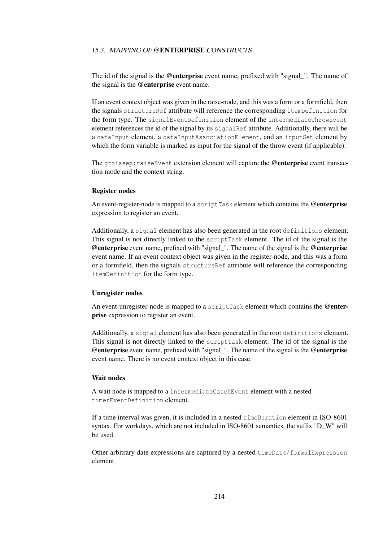The id of the signal is the @enterprise event name, prefixed with "signal\_". The name of the signal is the @enterprise event name.

If an event context object was given in the raise-node, and this was a form or a formfield, then the signals structureRef attribute will reference the corresponding itemDefinition for the form type. The signalEventDefinition element of the intermediateThrowEvent element references the id of the signal by its signalRef attribute. Additionally, there will be a dataInput element, a dataInputAssociationElement, and an inputSet element by which the form variable is marked as input for the signal of the throw event (if applicable).

The groissep: raiseEvent extension element will capture the @enterprise event transaction mode and the context string.

#### Register nodes

An event-register-node is mapped to a scriptTask element which contains the @enterprise expression to register an event.

Additionally, a signal element has also been generated in the root definitions element. This signal is not directly linked to the scriptTask element. The id of the signal is the @enterprise event name, prefixed with "signal\_". The name of the signal is the @enterprise event name. If an event context object was given in the register-node, and this was a form or a formfield, then the signals structureRef attribute will reference the corresponding itemDefinition for the form type.

#### Unregister nodes

An event-unregister-node is mapped to a script Task element which contains the @enterprise expression to register an event.

Additionally, a signal element has also been generated in the root definitions element. This signal is not directly linked to the scriptTask element. The id of the signal is the @enterprise event name, prefixed with "signal\_". The name of the signal is the @enterprise event name. There is no event context object in this case.

#### Wait nodes

A wait node is mapped to a intermediateCatchEvent element with a nested timerEventDefinition element.

If a time interval was given, it is included in a nested timeDuration element in ISO-8601 syntax. For workdays, which are not included in ISO-8601 semantics, the suffix "D\_W" will be used.

Other arbitrary date expressions are captured by a nested timeDate/formalExpression element.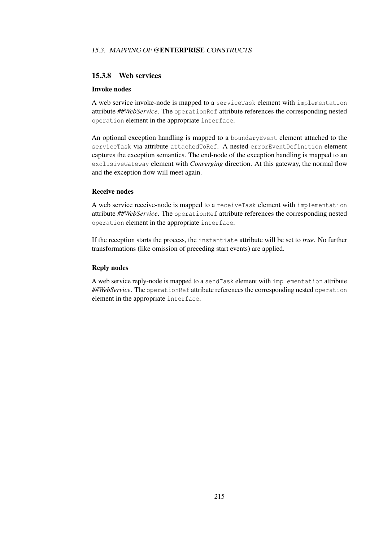## 15.3.8 Web services

#### Invoke nodes

A web service invoke-node is mapped to a serviceTask element with implementation attribute *##WebService*. The operationRef attribute references the corresponding nested operation element in the appropriate interface.

An optional exception handling is mapped to a boundaryEvent element attached to the serviceTask via attribute attachedToRef. A nested errorEventDefinition element captures the exception semantics. The end-node of the exception handling is mapped to an exclusiveGateway element with *Converging* direction. At this gateway, the normal flow and the exception flow will meet again.

#### Receive nodes

A web service receive-node is mapped to a receiveTask element with implementation attribute *##WebService*. The operationRef attribute references the corresponding nested operation element in the appropriate interface.

If the reception starts the process, the instantiate attribute will be set to *true*. No further transformations (like omission of preceding start events) are applied.

#### Reply nodes

A web service reply-node is mapped to a sendTask element with implementation attribute *##WebService*. The operationRef attribute references the corresponding nested operation element in the appropriate interface.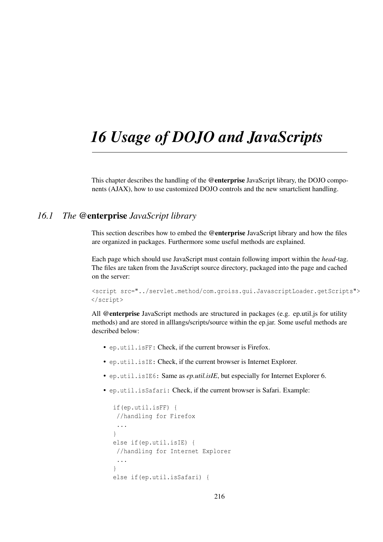# *16 Usage of DOJO and JavaScripts*

This chapter describes the handling of the **@enterprise** JavaScript library, the DOJO components (AJAX), how to use customized DOJO controls and the new smartclient handling.

## *16.1 The* @enterprise *JavaScript library*

This section describes how to embed the @enterprise JavaScript library and how the files are organized in packages. Furthermore some useful methods are explained.

Each page which should use JavaScript must contain following import within the *head*-tag. The files are taken from the JavaScript source directory, packaged into the page and cached on the server:

```
<script src="../servlet.method/com.groiss.gui.JavascriptLoader.getScripts">
</script>
```
All @enterprise JavaScript methods are structured in packages (e.g. ep.util.js for utility methods) and are stored in alllangs/scripts/source within the ep.jar. Some useful methods are described below:

- ep.util.isFF: Check, if the current browser is Firefox.
- ep.util.isIE: Check, if the current browser is Internet Explorer.
- ep.util.isIE6: Same as *ep.util.isIE*, but especially for Internet Explorer 6.
- ep.util.isSafari: Check, if the current browser is Safari. Example:

```
if(ep.util.isFF) {
 //handling for Firefox
 ...
}
else if(ep.util.isIE) {
 //handling for Internet Explorer
 ...
}
else if(ep.util.isSafari) {
```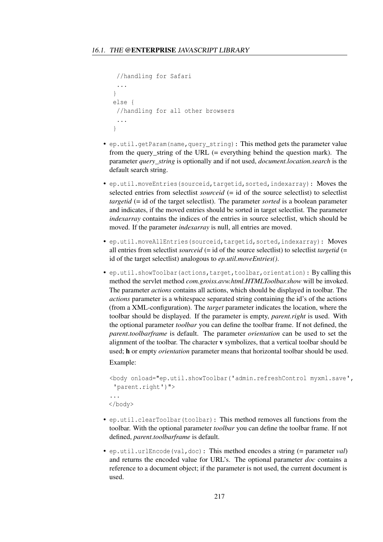```
//handling for Safari
 ...
}
else {
 //handling for all other browsers
 ...
}
```
- ep.util.getParam(name,query\_string): This method gets the parameter value from the query string of the URL ( $=$  everything behind the question mark). The parameter *query\_string* is optionally and if not used, *document.location.search* is the default search string.
- ep.util.moveEntries(sourceid,targetid,sorted,indexarray): Moves the selected entries from selectlist *sourceid* (= id of the source selectlist) to selectlist *targetid* (= id of the target selectlist). The parameter *sorted* is a boolean parameter and indicates, if the moved entries should be sorted in target selectlist. The parameter *indexarray* contains the indices of the entries in source selectlist, which should be moved. If the parameter *indexarray* is null, all entries are moved.
- ep.util.moveAllEntries(sourceid,targetid,sorted,indexarray): Moves all entries from selectlist *sourceid* (= id of the source selectlist) to selectlist *targetid* (= id of the target selectlist) analogous to *ep.util.moveEntries()*.
- ep.util.showToolbar(actions,target,toolbar,orientation): By calling this method the servlet method *com.groiss.avw.html.HTMLToolbar.show* will be invoked. The parameter *actions* contains all actions, which should be displayed in toolbar. The *actions* parameter is a whitespace separated string containing the id's of the actions (from a XML-configuration). The *target* parameter indicates the location, where the toolbar should be displayed. If the parameter is empty, *parent.right* is used. With the optional parameter *toolbar* you can define the toolbar frame. If not defined, the *parent.toolbarframe* is default. The parameter *orientation* can be used to set the alignment of the toolbar. The character v symbolizes, that a vertical toolbar should be used; h or empty *orientation* parameter means that horizontal toolbar should be used.

Example:

```
<body onload="ep.util.showToolbar('admin.refreshControl myxml.save',
 'parent.right')">
...
</body>
```
- ep.util.clearToolbar(toolbar): This method removes all functions from the toolbar. With the optional parameter *toolbar* you can define the toolbar frame. If not defined, *parent.toolbarframe* is default.
- ep.util.urlEncode(val,doc): This method encodes a string (= parameter *val*) and returns the encoded value for URL's. The optional parameter *doc* contains a reference to a document object; if the parameter is not used, the current document is used.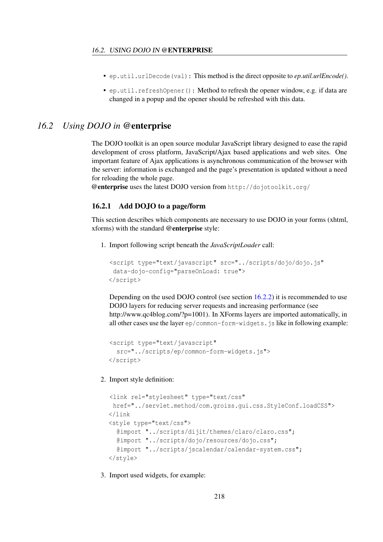- ep.util.urlDecode(val): This method is the direct opposite to *ep.util.urlEncode()*.
- ep.util.refreshOpener(): Method to refresh the opener window, e.g. if data are changed in a popup and the opener should be refreshed with this data.

# *16.2 Using DOJO in* @enterprise

The DOJO toolkit is an open source modular JavaScript library designed to ease the rapid development of cross platform, JavaScript/Ajax based applications and web sites. One important feature of Ajax applications is asynchronous communication of the browser with the server: information is exchanged and the page's presentation is updated without a need for reloading the whole page.

@enterprise uses the latest DOJO version from http://dojotoolkit.org/

# 16.2.1 Add DOJO to a page/form

This section describes which components are necessary to use DOJO in your forms (xhtml, xforms) with the standard @enterprise style:

1. Import following script beneath the *JavaScriptLoader* call:

```
<script type="text/javascript" src="../scripts/dojo/dojo.js"
 data-dojo-config="parseOnLoad: true">
</script>
```
Depending on the used DOJO control (see section [16.2.2\)](#page-218-0) it is recommended to use DOJO layers for reducing server requests and increasing performance (see http://www.qc4blog.com/?p=1001). In XForms layers are imported automatically, in all other cases use the layer ep/common-form-widgets.js like in following example:

```
<script type="text/javascript"
  src="../scripts/ep/common-form-widgets.js">
</script>
```
# 2. Import style definition:

```
<link rel="stylesheet" type="text/css"
href="../servlet.method/com.groiss.gui.css.StyleConf.loadCSS">
\langlelink
<style type="text/css">
  @import "../scripts/dijit/themes/claro/claro.css";
  @import "../scripts/dojo/resources/dojo.css";
  @import "../scripts/jscalendar/calendar-system.css";
</style>
```
3. Import used widgets, for example: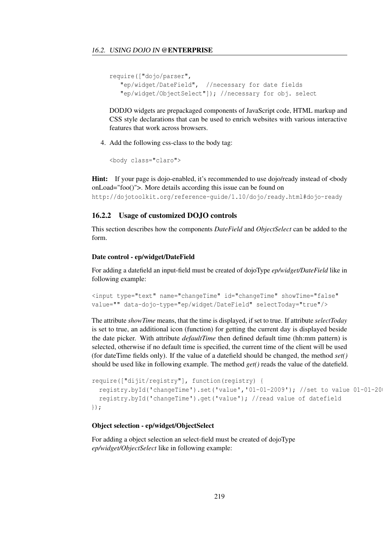```
require(["dojo/parser",
   "ep/widget/DateField", //necessary for date fields
   "ep/widget/ObjectSelect"]); //necessary for obj. select
```
DODJO widgets are prepackaged components of JavaScript code, HTML markup and CSS style declarations that can be used to enrich websites with various interactive features that work across browsers.

4. Add the following css-class to the body tag:

<body class="claro">

Hint: If your page is dojo-enabled, it's recommended to use dojo/ready instead of <br/>body onLoad="foo()">. More details according this issue can be found on http://dojotoolkit.org/reference-guide/1.10/dojo/ready.html#dojo-ready

# <span id="page-218-0"></span>16.2.2 Usage of customized DOJO controls

This section describes how the components *DateField* and *ObjectSelect* can be added to the form.

#### Date control - ep/widget/DateField

For adding a datefield an input-field must be created of dojoType *ep/widget/DateField* like in following example:

```
<input type="text" name="changeTime" id="changeTime" showTime="false"
value="" data-dojo-type="ep/widget/DateField" selectToday="true"/>
```
The attribute *showTime* means, that the time is displayed, if set to true. If attribute *selectToday* is set to true, an additional icon (function) for getting the current day is displayed beside the date picker. With attribute *defaultTime* then defined default time (hh:mm pattern) is selected, otherwise if no default time is specified, the current time of the client will be used (for dateTime fields only). If the value of a datefield should be changed, the method *set()* should be used like in following example. The method *get()* reads the value of the datefield.

```
require(["dijit/registry"], function(registry) {
  registry.byId('changeTime').set('value','01-01-2009'); //set to value 01-01-2009
  registry.byId('changeTime').get('value'); //read value of datefield
});
```
#### Object selection - ep/widget/ObjectSelect

For adding a object selection an select-field must be created of dojoType *ep/widget/ObjectSelect* like in following example: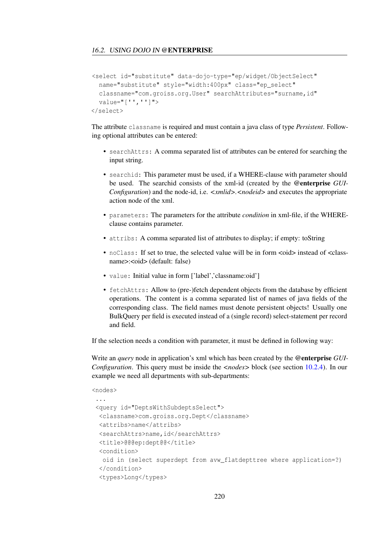```
<select id="substitute" data-dojo-type="ep/widget/ObjectSelect"
  name="substitute" style="width:400px" class="ep_select"
  classname="com.groiss.org.User" searchAttributes="surname,id"
  value="['','']">
</select>
```
The attribute classname is required and must contain a java class of type *Persistent*. Following optional attributes can be entered:

- searchAttrs: A comma separated list of attributes can be entered for searching the input string.
- searchid: This parameter must be used, if a WHERE-clause with parameter should be used. The searchid consists of the xml-id (created by the @enterprise *GUI-Configuration*) and the node-id, i.e. *<xmlid>.<nodeid>* and executes the appropriate action node of the xml.
- parameters: The parameters for the attribute *condition* in xml-file, if the WHEREclause contains parameter.
- attribs: A comma separated list of attributes to display; if empty: toString
- noClass: If set to true, the selected value will be in form  $\langle \text{oid}\rangle$  instead of  $\langle \text{class}$ name>:<oid> (default: false)
- value: Initial value in form ['label','classname:oid']
- fetchAttrs: Allow to (pre-)fetch dependent objects from the database by efficient operations. The content is a comma separated list of names of java fields of the corresponding class. The field names must denote persistent objects! Usually one BulkQuery per field is executed instead of a (single record) select-statement per record and field.

If the selection needs a condition with parameter, it must be defined in following way:

Write an *query* node in application's xml which has been created by the @enterprise *GUI-Configuration*. This query must be inside the *<nodes>* block (see section [10.2.4\)](#page-129-0). In our example we need all departments with sub-departments:

```
<nodes>
 ...
 <query id="DeptsWithSubdeptsSelect">
 <classname>com.groiss.org.Dept</classname>
 <attribs>name</attribs>
 <searchAttrs>name,id</searchAttrs>
 <title>@@@ep:dept@@</title>
  <condition>
  oid in (select superdept from avw_flatdepttree where application=?)
  </condition>
  <types>Long</types>
```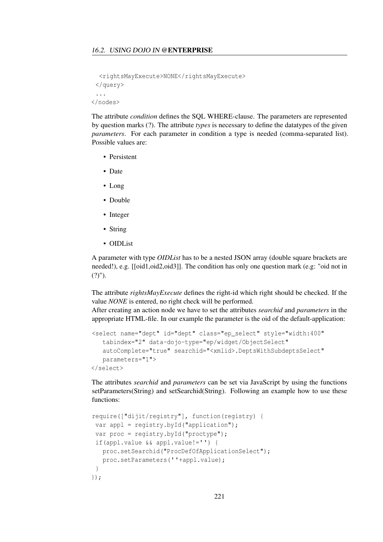```
<rightsMayExecute>NONE</rightsMayExecute>
 </query>
 ...
</nodes>
```
The attribute *condition* defines the SQL WHERE-clause. The parameters are represented by question marks (?). The attribute *types* is necessary to define the datatypes of the given *parameters*. For each parameter in condition a type is needed (comma-separated list). Possible values are:

- Persistent
- Date
- Long
- Double
- Integer
- String
- OIDList

A parameter with type *OIDList* has to be a nested JSON array (double square brackets are needed!), e.g. [[oid1,oid2,oid3]]. The condition has only one question mark (e.g: "oid not in  $(?)$ ").

The attribute *rightsMayExecute* defines the right-id which right should be checked. If the value *NONE* is entered, no right check will be performed.

After creating an action node we have to set the attributes *searchid* and *parameters* in the appropriate HTML-file. In our example the parameter is the oid of the default-application:

```
<select name="dept" id="dept" class="ep_select" style="width:400"
   tabindex="2" data-dojo-type="ep/widget/ObjectSelect"
   autoComplete="true" searchid="<xmlid>.DeptsWithSubdeptsSelect"
  parameters="1">
</select>
```
The attributes *searchid* and *parameters* can be set via JavaScript by using the functions setParameters(String) and setSearchid(String). Following an example how to use these functions:

```
require(["dijit/registry"], function(registry) {
var appl = registry.byId("application");
var proc = registry.byId("proctype");
if(appl.value && appl.value!='') {
   proc.setSearchid("ProcDefOfApplicationSelect");
   proc.setParameters(''+appl.value);
 }
});
```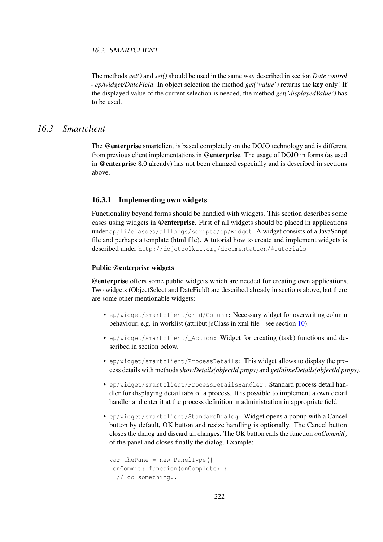The methods *get()* and *set()* should be used in the same way described in section *Date control - ep/widget/DateField*. In object selection the method *get('value')* returns the key only! If the displayed value of the current selection is needed, the method *get('displayedValue')* has to be used.

# *16.3 Smartclient*

The @enterprise smartclient is based completely on the DOJO technology and is different from previous client implementations in @enterprise. The usage of DOJO in forms (as used in @enterprise 8.0 already) has not been changed especially and is described in sections above.

# <span id="page-221-0"></span>16.3.1 Implementing own widgets

Functionality beyond forms should be handled with widgets. This section describes some cases using widgets in @enterprise. First of all widgets should be placed in applications under appli/classes/alllangs/scripts/ep/widget. A widget consists of a JavaScript file and perhaps a template (html file). A tutorial how to create and implement widgets is described under http://dojotoolkit.org/documentation/#tutorials

#### Public @enterprise widgets

@enterprise offers some public widgets which are needed for creating own applications. Two widgets (ObjectSelect and DateField) are described already in sections above, but there are some other mentionable widgets:

- ep/widget/smartclient/grid/Column: Necessary widget for overwriting column behaviour, e.g. in worklist (attribut jsClass in xml file - see section [10\)](#page-109-0).
- ep/widget/smartclient/\_Action: Widget for creating (task) functions and described in section below.
- ep/widget/smartclient/ProcessDetails: This widget allows to display the process details with methods*showDetails(objectId,props)* and *getInlineDetails(objectId,props)*.
- ep/widget/smartclient/ProcessDetailsHandler: Standard process detail handler for displaying detail tabs of a process. It is possible to implement a own detail handler and enter it at the process definition in administration in appropriate field.
- ep/widget/smartclient/StandardDialog: Widget opens a popup with a Cancel button by default, OK button and resize handling is optionally. The Cancel button closes the dialog and discard all changes. The OK button calls the function *onCommit()* of the panel and closes finally the dialog. Example:

```
var thePane = new PanelType({
 onCommit: function(onComplete) {
  // do something..
```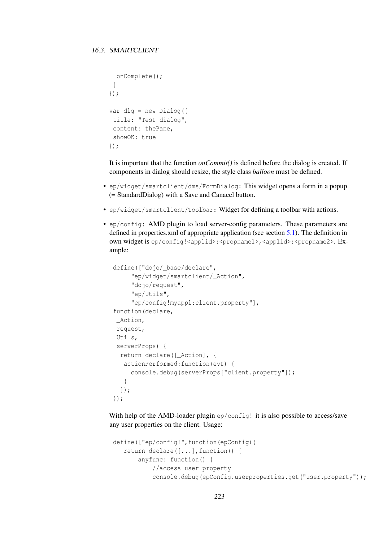```
onComplete();
 }
});
var dlg = new Dialog({
 title: "Test dialog",
 content: thePane,
 showOK: true
});
```
It is important that the function *onCommit()* is defined before the dialog is created. If components in dialog should resize, the style class *balloon* must be defined.

- ep/widget/smartclient/dms/FormDialog: This widget opens a form in a popup (= StandardDialog) with a Save and Canacel button.
- ep/widget/smartclient/Toolbar: Widget for defining a toolbar with actions.
- ep/config: AMD plugin to load server-config parameters. These parameters are defined in properties.xml of appropriate application (see section [5.1\)](#page-52-0). The definition in own widget is ep/config!<applid>:<propname1>,<applid>:<propname2>. Example:

```
define(["dojo/_base/declare",
     "ep/widget/smartclient/_Action",
     "dojo/request",
     "ep/Utils",
     "ep/config!myappl:client.property"],
function(declare,
 Action,
request,
Utils,
 serverProps) {
 return declare([_Action], {
   actionPerformed:function(evt) {
     console.debug(serverProps["client.property"]);
   }
  });
});
```
With help of the AMD-loader plugin ep/config! it is also possible to access/save any user properties on the client. Usage:

```
define(["ep/config!",function(epConfig){
   return declare([...],function() {
       anyfunc: function() {
           //access user property
           console.debug(epConfig.userproperties.get("user.property"));
```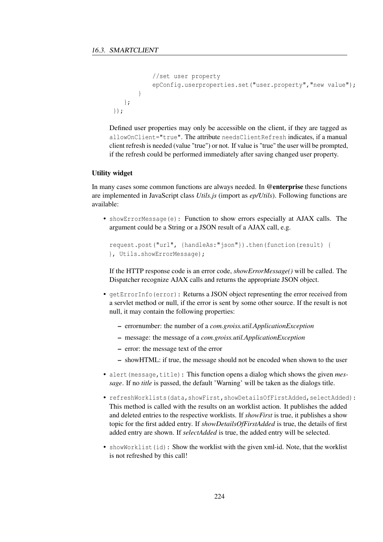```
//set user property
           epConfig.userproperties.set("user.property","new value");
       }
   };
});
```
Defined user properties may only be accessible on the client, if they are tagged as allowOnClient="true". The attribute needsClientRefresh indicates, if a manual client refresh is needed (value "true") or not. If value is "true" the user will be prompted, if the refresh could be performed immediately after saving changed user property.

#### Utility widget

In many cases some common functions are always needed. In @enterprise these functions are implemented in JavaScript class *Utils.js* (import as *ep/Utils*). Following functions are available:

• showErrorMessage(e): Function to show errors especially at AJAX calls. The argument could be a String or a JSON result of a AJAX call, e.g.

```
request.post("url", {handleAs:"json"}).then(function(result) {
}, Utils.showErrorMessage);
```
If the HTTP response code is an error code, *showErrorMessage()* will be called. The Dispatcher recognize AJAX calls and returns the appropriate JSON object.

- getErrorInfo(error): Returns a JSON object representing the error received from a servlet method or null, if the error is sent by some other source. If the result is not null, it may contain the following properties:
	- errornumber: the number of a *com.groiss.util.ApplicationException*
	- message: the message of a *com.groiss.util.ApplicationException*
	- error: the message text of the error
	- showHTML: if true, the message should not be encoded when shown to the user
- alert (message, title): This function opens a dialog which shows the given *message*. If no *title* is passed, the default 'Warning' will be taken as the dialogs title.
- refreshWorklists(data,showFirst,showDetailsOfFirstAdded,selectAdded): This method is called with the results on an worklist action. It publishes the added and deleted entries to the respective worklists. If *showFirst* is true, it publishes a show topic for the first added entry. If *showDetailsOfFirstAdded* is true, the details of first added entry are shown. If *selectAdded* is true, the added entry will be selected.
- showWorklist $(id)$ : Show the worklist with the given xml-id. Note, that the worklist is not refreshed by this call!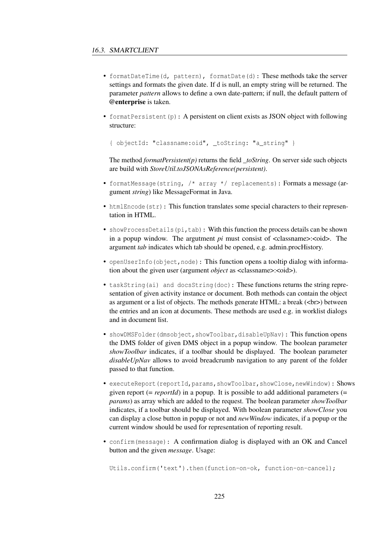- formatDateTime(d, pattern), formatDate(d): These methods take the server settings and formats the given date. If d is null, an empty string will be returned. The parameter *pattern* allows to define a own date-pattern; if null, the default pattern of @enterprise is taken.
- format Persistent(p): A persistent on client exists as JSON object with following structure:

{ objectId: "classname:oid", \_toString: "a\_string" }

The method *formatPersistent(p)* returns the field *\_toString*. On server side such objects are build with *StoreUtil.toJSONAsReference(persistent)*.

- formatMessage(string, /\* array \*/ replacements): Formats a message (argument *string*) like MessageFormat in Java.
- htmlEncode (str): This function translates some special characters to their representation in HTML.
- showProcessDetails(pi,tab): With this function the process details can be shown in a popup window. The argutment *pi* must consist of <classname>:<oid>. The argument *tab* indicates which tab should be opened, e.g. admin.procHistory.
- openUserInfo(object, node): This function opens a tooltip dialog with information about the given user (argument *object* as <classname>:<oid>).
- taskString(ai) and docsString(doc): These functions returns the string representation of given activity instance or document. Both methods can contain the object as argument or a list of objects. The methods generate HTML: a break (<br>>br>>> between the entries and an icon at documents. These methods are used e.g. in worklist dialogs and in document list.
- showDMSFolder(dmsobject,showToolbar,disableUpNav): This function opens the DMS folder of given DMS object in a popup window. The boolean parameter *showToolbar* indicates, if a toolbar should be displayed. The boolean parameter *disableUpNav* allows to avoid breadcrumb navigation to any parent of the folder passed to that function.
- executeReport(reportId, params, showToolbar, showClose, newWindow): Shows given report  $(= reportId)$  in a popup. It is possible to add additional parameters  $(=$ *params*) as array which are added to the request. The boolean parameter *showToolbar* indicates, if a toolbar should be displayed. With boolean parameter *showClose* you can display a close button in popup or not and *newWindow* indicates, if a popup or the current window should be used for representation of reporting result.
- confirm(message): A confirmation dialog is displayed with an OK and Cancel button and the given *message*. Usage:

Utils.confirm('text').then(function-on-ok, function-on-cancel);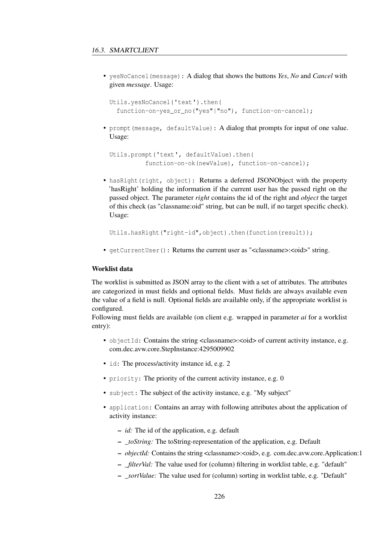• yesNoCancel(message): A dialog that shows the buttons *Yes*, *No* and *Cancel* with given *message*. Usage:

```
Utils.yesNoCancel('text').then(
  function-on-yes_or_no("yes"|"no"), function-on-cancel);
```
• prompt (message, defaultValue): A dialog that prompts for input of one value. Usage:

```
Utils.prompt('text', defaultValue).then(
          function-on-ok(newValue), function-on-cancel);
```
• hasRight(right, object): Returns a deferred JSONObject with the property 'hasRight' holding the information if the current user has the passed right on the passed object. The parameter *right* contains the id of the right and *object* the target of this check (as "classname:oid" string, but can be null, if no target specific check). Usage:

```
Utils.hasRight("right-id",object).then(function(result));
```
• getCurrentUser(): Returns the current user as "<classname>:<oid>" string.

## Worklist data

The worklist is submitted as JSON array to the client with a set of attributes. The attributes are categorized in must fields and optional fields. Must fields are always available even the value of a field is null. Optional fields are available only, if the appropriate worklist is configured.

Following must fields are available (on client e.g. wrapped in parameter *ai* for a worklist entry):

- objectId: Contains the string <classname>:<oid> of current activity instance, e.g. com.dec.avw.core.StepInstance:4295009902
- id: The process/activity instance id, e.g. 2
- priority: The priority of the current activity instance, e.g. 0
- subject: The subject of the activity instance, e.g. "My subject"
- application: Contains an array with following attributes about the application of activity instance:
	- *id:* The id of the application, e.g. default
	- *\_toString:* The toString-representation of the application, e.g. Default
	- *objectId:* Contains the string <classname>:<oid>, e.g. com.dec.avw.core.Application:1
	- *\_filterVal:* The value used for (column) filtering in worklist table, e.g. "default"
	- *\_sortValue:* The value used for (column) sorting in worklist table, e.g. "Default"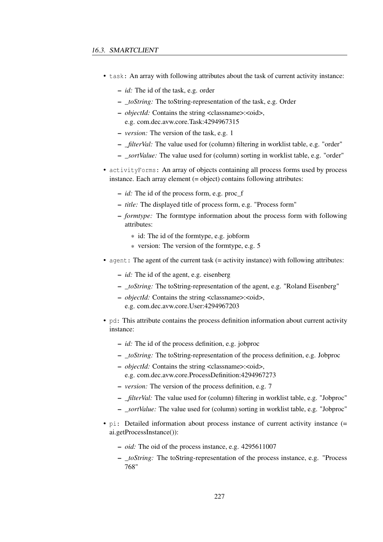- task: An array with following attributes about the task of current activity instance:
	- *id:* The id of the task, e.g. order
	- *\_toString:* The toString-representation of the task, e.g. Order
	- *objectId:* Contains the string <classname>:<oid>, e.g. com.dec.avw.core.Task:4294967315
	- *version:* The version of the task, e.g. 1
	- *\_filterVal:* The value used for (column) filtering in worklist table, e.g. "order"
	- *\_sortValue:* The value used for (column) sorting in worklist table, e.g. "order"
- activityForms: An array of objects containing all process forms used by process instance. Each array element (= object) contains following attributes:
	- *id:* The id of the process form, e.g. proc\_f
	- *title:* The displayed title of process form, e.g. "Process form"
	- *formtype:* The formtype information about the process form with following attributes:
		- \* id: The id of the formtype, e.g. jobform
		- \* version: The version of the formtype, e.g. 5
- agent: The agent of the current task (= activity instance) with following attributes:
	- *id:* The id of the agent, e.g. eisenberg
	- *\_toString:* The toString-representation of the agent, e.g. "Roland Eisenberg"
	- *objectId:* Contains the string <classname>:<oid>, e.g. com.dec.avw.core.User:4294967203
- pd: This attribute contains the process definition information about current activity instance:
	- *id:* The id of the process definition, e.g. jobproc
	- *\_toString:* The toString-representation of the process definition, e.g. Jobproc
	- *objectId:* Contains the string <classname>:<oid>,
		- e.g. com.dec.avw.core.ProcessDefinition:4294967273
	- *version:* The version of the process definition, e.g. 7
	- *\_filterVal:* The value used for (column) filtering in worklist table, e.g. "Jobproc"
	- *\_sortValue:* The value used for (column) sorting in worklist table, e.g. "Jobproc"
- pi: Detailed information about process instance of current activity instance (= ai.getProcessInstance()):
	- *oid:* The oid of the process instance, e.g. 4295611007
	- *\_toString:* The toString-representation of the process instance, e.g. "Process 768"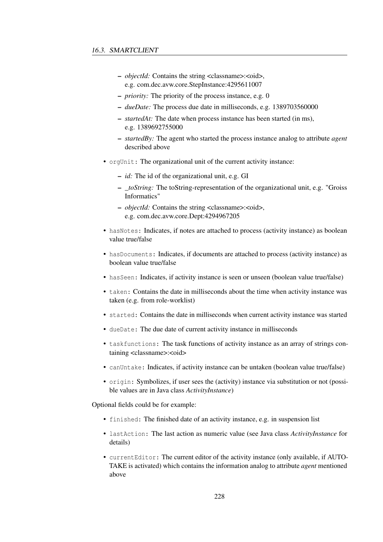- *objectId:* Contains the string <classname>:<oid>, e.g. com.dec.avw.core.StepInstance:4295611007
- *priority:* The priority of the process instance, e.g. 0
- *dueDate:* The process due date in milliseconds, e.g. 1389703560000
- *startedAt:* The date when process instance has been started (in ms), e.g. 1389692755000
- *startedBy:* The agent who started the process instance analog to attribute *agent* described above
- orgUnit: The organizational unit of the current activity instance:
	- *id:* The id of the organizational unit, e.g. GI
	- *\_toString:* The toString-representation of the organizational unit, e.g. "Groiss Informatics"
	- *objectId:* Contains the string <classname>:<oid>, e.g. com.dec.avw.core.Dept:4294967205
- hasNotes: Indicates, if notes are attached to process (activity instance) as boolean value true/false
- hasDocuments: Indicates, if documents are attached to process (activity instance) as boolean value true/false
- hasSeen: Indicates, if activity instance is seen or unseen (boolean value true/false)
- taken: Contains the date in milliseconds about the time when activity instance was taken (e.g. from role-worklist)
- started: Contains the date in milliseconds when current activity instance was started
- dueDate: The due date of current activity instance in milliseconds
- taskfunctions: The task functions of activity instance as an array of strings containing <classname>:<oid>
- canUntake: Indicates, if activity instance can be untaken (boolean value true/false)
- origin: Symbolizes, if user sees the (activity) instance via substitution or not (possible values are in Java class *ActivityInstance*)

Optional fields could be for example:

- finished: The finished date of an activity instance, e.g. in suspension list
- lastAction: The last action as numeric value (see Java class *ActivityInstance* for details)
- currentEditor: The current editor of the activity instance (only available, if AUTO-TAKE is activated) which contains the information analog to attribute *agent* mentioned above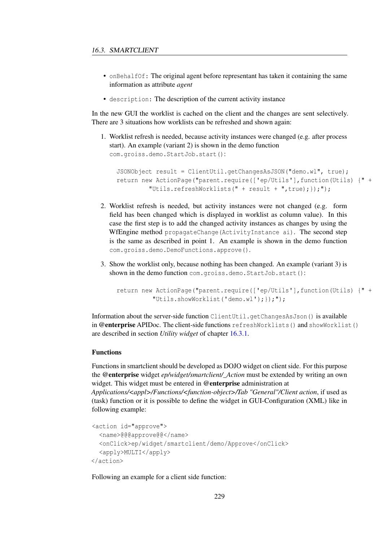- onBehalfOf: The original agent before representant has taken it containing the same information as attribute *agent*
- description: The description of the current activity instance

In the new GUI the worklist is cached on the client and the changes are sent selectively. There are 3 situations how worklists can be refreshed and shown again:

1. Worklist refresh is needed, because activity instances were changed (e.g. after process start). An example (variant 2) is shown in the demo function com.groiss.demo.StartJob.start():

```
JSONObject result = ClientUtil.getChangesAsJSON("demo.wl", true);
return new ActionPage("parent.require(['ep/Utils'],function(Utils) {" +
         "Utils.refreshWorklists(" + result + ",true);});");
```
- 2. Worklist refresh is needed, but activity instances were not changed (e.g. form field has been changed which is displayed in worklist as column value). In this case the first step is to add the changed activity instances as changes by using the WfEngine method propagateChange(ActivityInstance ai). The second step is the same as described in point 1. An example is shown in the demo function com.groiss.demo.DemoFunctions.approve().
- 3. Show the worklist only, because nothing has been changed. An example (variant 3) is shown in the demo function com.groiss.demo.StartJob.start():

```
return new ActionPage("parent.require(['ep/Utils'],function(Utils) {" +
          "Utils.showWorklist('demo.wl');});");
```
Information about the server-side function ClientUtil.getChangesAsJson() is available in @enterprise APIDoc. The client-side functions refreshWorklists() and showWorklist() are described in section *Utility widget* of chapter [16.3.1.](#page-221-0)

#### Functions

Functions in smartclient should be developed as DOJO widget on client side. For this purpose the @enterprise widget *ep/widget/smartclient/\_Action* must be extended by writing an own widget. This widget must be entered in @enterprise administration at

*Applications/<appl>/Functions/<function-object>/Tab "General"/Client action*, if used as (task) function or it is possible to define the widget in GUI-Configuration (XML) like in following example:

```
<action id="approve">
  <name>@@@approve@@</name>
  <onClick>ep/widget/smartclient/demo/Approve</onClick>
  <apply>MULTI</apply>
</action>
```
Following an example for a client side function: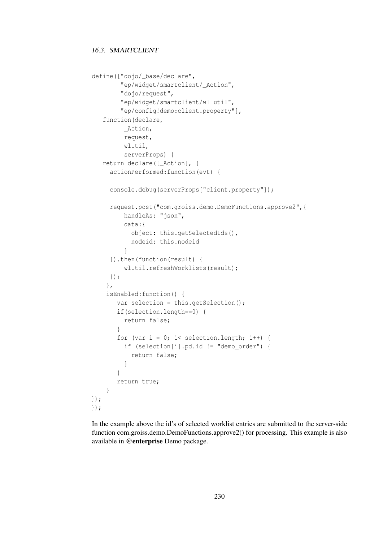```
define(["dojo/_base/declare",
        "ep/widget/smartclient/_Action",
        "dojo/request",
        "ep/widget/smartclient/wl-util",
        "ep/config!demo:client.property"],
   function(declare,
         Action,
         request,
         wlUtil,
         serverProps) {
   return declare([_Action], {
     actionPerformed: function(evt) {
     console.debug(serverProps["client.property"]);
     request.post("com.groiss.demo.DemoFunctions.approve2",{
         handleAs: "json",
         data:{
           object: this.getSelectedIds(),
           nodeid: this.nodeid
         }
     }).then(function(result) {
         wlUtil.refreshWorklists(result);
     });
    },
    isEnabled:function() {
       var selection = this.getSelection();
       if(selection.length==0) {
         return false;
       }
       for (var i = 0; i< selection.length; i++) {
         if (selection[i].pd.id != "demo_order") {
           return false;
         }
       }
       return true;
    }
});
});
```
In the example above the id's of selected worklist entries are submitted to the server-side function com.groiss.demo.DemoFunctions.approve2() for processing. This example is also available in @enterprise Demo package.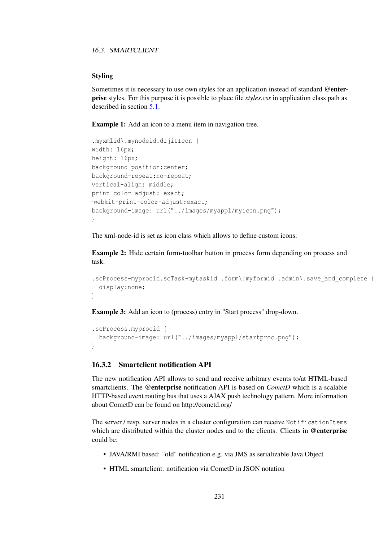# Styling

Sometimes it is necessary to use own styles for an application instead of standard @enterprise styles. For this purpose it is possible to place file *styles.css* in application class path as described in section [5.1.](#page-52-0)

Example 1: Add an icon to a menu item in navigation tree.

```
.myxmlid\.mynodeid.dijitIcon {
width: 16px;
height: 16px;
background-position:center;
background-repeat:no-repeat;
vertical-align: middle;
print-color-adjust: exact;
-webkit-print-color-adjust:exact;
background-image: url("../images/myappl/myicon.png");
}
```
The xml-node-id is set as icon class which allows to define custom icons.

Example 2: Hide certain form-toolbar button in process form depending on process and task.

```
.scProcess-myprocid.scTask-mytaskid .form\:myformid .admin\.save_and_complete {
  display:none;
}
```
Example 3: Add an icon to (process) entry in "Start process" drop-down.

```
.scProcess.myprocid {
 background-image: url("../images/myappl/startproc.png");
}
```
# 16.3.2 Smartclient notification API

The new notification API allows to send and receive arbitrary events to/at HTML-based smartclients. The @enterprise notification API is based on *CometD* which is a scalable HTTP-based event routing bus that uses a AJAX push technology pattern. More information about CometD can be found on http://cometd.org/

The server / resp. server nodes in a cluster configuration can receive NotificationItems which are distributed within the cluster nodes and to the clients. Clients in @enterprise could be:

- JAVA/RMI based: "old" notification e.g. via JMS as serializable Java Object
- HTML smartclient: notification via CometD in JSON notation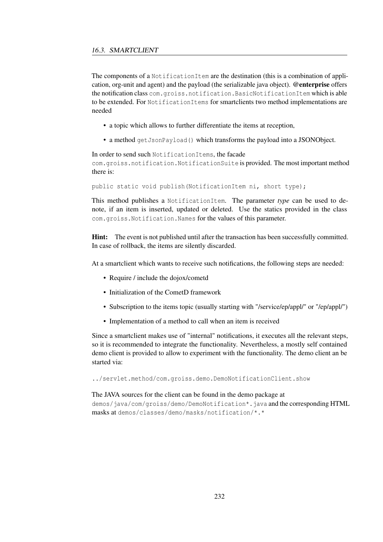The components of a NotificationItem are the destination (this is a combination of application, org-unit and agent) and the payload (the serializable java object). @enterprise offers the notification class com.groiss.notification.BasicNotificationItem which is able to be extended. For NotificationItems for smartclients two method implementations are needed

- a topic which allows to further differentiate the items at reception,
- a method get JsonPayload() which transforms the payload into a JSONObject.

In order to send such NotificationItems, the facade com.groiss.notification.NotificationSuite is provided. The most important method there is:

public static void publish(NotificationItem ni, short type);

This method publishes a NotificationItem. The parameter *type* can be used to denote, if an item is inserted, updated or deleted. Use the statics provided in the class com.groiss.Notification.Names for the values of this parameter.

Hint: The event is not published until after the transaction has been successfully committed. In case of rollback, the items are silently discarded.

At a smartclient which wants to receive such notifications, the following steps are needed:

- Require / include the dojox/cometd
- Initialization of the CometD framework
- Subscription to the items topic (usually starting with "/service/ep/appl/" or "/ep/appl/")
- Implementation of a method to call when an item is received

Since a smartclient makes use of "internal" notifications, it executes all the relevant steps, so it is recommended to integrate the functionality. Nevertheless, a mostly self contained demo client is provided to allow to experiment with the functionality. The demo client an be started via:

../servlet.method/com.groiss.demo.DemoNotificationClient.show

#### The JAVA sources for the client can be found in the demo package at

demos/java/com/groiss/demo/DemoNotification\*.java and the corresponding HTML masks at demos/classes/demo/masks/notification/\*.\*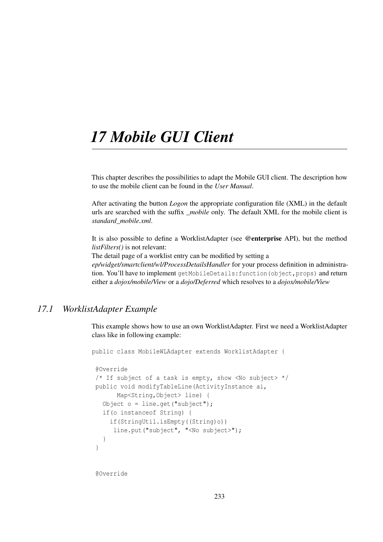# *17 Mobile GUI Client*

This chapter describes the possibilities to adapt the Mobile GUI client. The description how to use the mobile client can be found in the *User Manual*.

After activating the button *Logon* the appropriate configuration file (XML) in the default urls are searched with the suffix *mobile* only. The default XML for the mobile client is *standard\_mobile.xml*.

It is also possible to define a WorklistAdapter (see @enterprise API), but the method *listFilters()* is not relevant:

The detail page of a worklist entry can be modified by setting a *ep/widget/smartclient/wl/ProcessDetailsHandler* for your process definition in administration. You'll have to implement getMobileDetails:function(object,props) and return either a *dojox/mobile/View* or a *dojo/Deferred* which resolves to a *dojox/mobile/View*

# *17.1 WorklistAdapter Example*

This example shows how to use an own WorklistAdapter. First we need a WorklistAdapter class like in following example:

```
public class MobileWLAdapter extends WorklistAdapter {
@Override
/* If subject of a task is empty, show <No subject> */
public void modifyTableLine(ActivityInstance ai,
       Map<String,Object> line) {
   Object o = line.get("subject");if(o instanceof String) {
    if(StringUtil.isEmpty((String)o))
      line.put("subject", "<No subject>");
   }
 }
```
@Override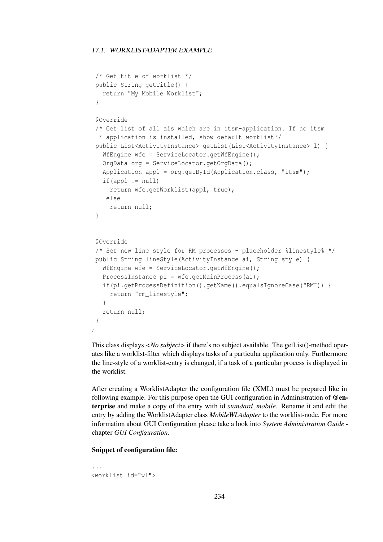```
/* Get title of worklist */
public String getTitle() {
   return "My Mobile Worklist";
 }
@Override
 /* Get list of all ais which are in itsm-application. If no itsm
  * application is installed, show default worklist*/
public List<ActivityInstance> getList(List<ActivityInstance> l) {
   WfEngine wfe = ServiceLocator.getWfEngine();
   OrgData org = ServiceLocator.getOrgData();
  Application appl = org.getById(Application.class, "itsm");
   if(\text{app1} != null)return wfe.getWorklist(appl, true);
   else
    return null;
 }
@Override
 /* Set new line style for RM processes - placeholder %linestyle% */
public String lineStyle(ActivityInstance ai, String style) {
   WfEngine wfe = ServiceLocator.getWfEngine();
  ProcessInstance pi = wfe.getMainProcess(ai);
   if(pi.getProcessDefinition().getName().equalsIgnoreCase("RM")) {
     return "rm_linestyle";
   }
   return null;
 }
}
```
This class displays *<No subject>* if there's no subject available. The getList()-method operates like a worklist-filter which displays tasks of a particular application only. Furthermore the line-style of a worklist-entry is changed, if a task of a particular process is displayed in the worklist.

After creating a WorklistAdapter the configuration file (XML) must be prepared like in following example. For this purpose open the GUI configuration in Administration of @enterprise and make a copy of the entry with id *standard\_mobile*. Rename it and edit the entry by adding the WorklistAdapter class *MobileWLAdapter* to the worklist-node. For more information about GUI Configuration please take a look into *System Administration Guide* chapter *GUI Configuration*.

# Snippet of configuration file:

```
...
<worklist id="wl">
```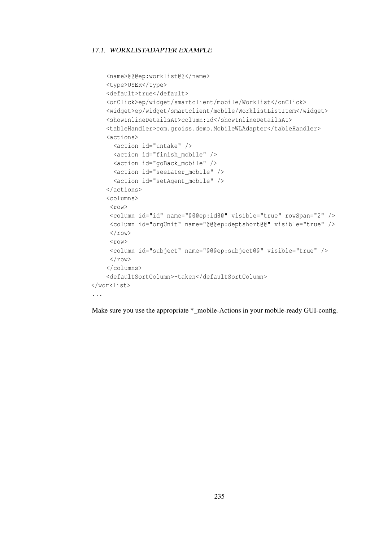```
<name>@@@ep:worklist@@</name>
    <type>USER</type>
    <default>true</default>
    <onClick>ep/widget/smartclient/mobile/Worklist</onClick>
    <widget>ep/widget/smartclient/mobile/WorklistListItem</widget>
    <showInlineDetailsAt>column:id</showInlineDetailsAt>
    <tableHandler>com.groiss.demo.MobileWLAdapter</tableHandler>
    <actions>
      <action id="untake" />
      <action id="finish_mobile" />
      <action id="goBack_mobile" />
      <action id="seeLater_mobile" />
      <action id="setAgent_mobile" />
    </actions>
    <columns>
     <row>
     <column id="id" name="@@@ep:id@@" visible="true" rowSpan="2" />
     <column id="orgUnit" name="@@@ep:deptshort@@" visible="true" />
     \langle row>
     <row><column id="subject" name="@@@ep:subject@@" visible="true" />
     \langle/row\rangle</columns>
    <defaultSortColumn>-taken</defaultSortColumn>
</worklist>
...
```
Make sure you use the appropriate \*\_mobile-Actions in your mobile-ready GUI-config.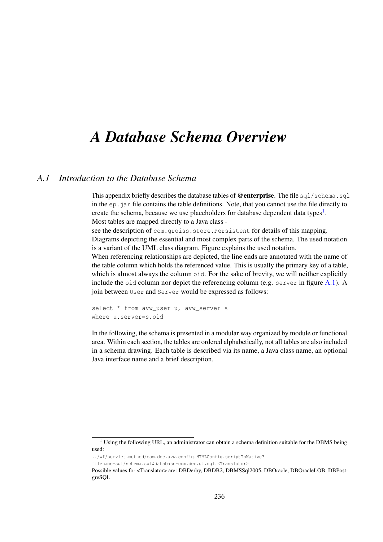# *A Database Schema Overview*

# *A.1 Introduction to the Database Schema*

This appendix briefly describes the database tables of @enterprise. The file sql/schema.sql in the  $ep.$  jar file contains the table definitions. Note, that you cannot use the file directly to create the schema, because we use placeholders for database dependent data types<sup>[1](#page-235-0)</sup>. Most tables are mapped directly to a Java class -

see the description of com.groiss.store.Persistent for details of this mapping.

Diagrams depicting the essential and most complex parts of the schema. The used notation is a variant of the UML class diagram. Figure explains the used notation.

When referencing relationships are depicted, the line ends are annotated with the name of the table column which holds the referenced value. This is usually the primary key of a table, which is almost always the column oid. For the sake of brevity, we will neither explicitly include the oid column nor depict the referencing column (e.g. server in figure  $A.1$ ). A join between User and Server would be expressed as follows:

select \* from avw\_user u, avw\_server s where u.server=s.oid

In the following, the schema is presented in a modular way organized by module or functional area. Within each section, the tables are ordered alphabetically, not all tables are also included in a schema drawing. Each table is described via its name, a Java class name, an optional Java interface name and a brief description.

filename=sql/schema.sql&database=com.dec.gi.sql.<Translator>

<span id="page-235-0"></span><sup>&</sup>lt;sup>1</sup> Using the following URL, an administrator can obtain a schema definition suitable for the DBMS being used:

<sup>../</sup>wf/servlet.method/com.dec.avw.config.HTMLConfig.scriptToNative?

Possible values for <Translator> are: DBDerby, DBDB2, DBMSSql2005, DBOracle, DBOracleLOB, DBPostgreSQL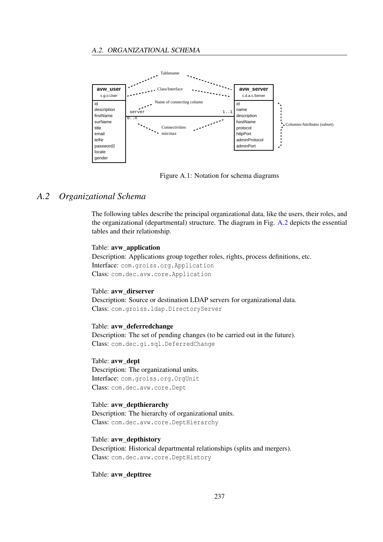#### A.2. ORGANIZATIONAL SCHEMA



<span id="page-236-0"></span>Figure A.1: Notation for schema diagrams

# *A.2 Organizational Schema*

The following tables describe the principal organizational data, like the users, their roles, and the organizational (departmental) structure. The diagram in Fig. [A.2](#page-237-0) depicts the essential tables and their relationship.

#### Table: avw\_application

Description: Applications group together roles, rights, process definitions, etc. Interface: com.groiss.org.Application Class: com.dec.avw.core.Application

#### Table: avw\_dirserver

Description: Source or destination LDAP servers for organizational data. Class: com.groiss.ldap.DirectoryServer

## Table: avw\_deferredchange

Description: The set of pending changes (to be carried out in the future). Class: com.dec.gi.sql.DeferredChange

Table: avw\_dept Description: The organizational units. Interface: com.groiss.org.OrgUnit Class: com.dec.avw.core.Dept

Table: avw depthierarchy Description: The hierarchy of organizational units. Class: com.dec.avw.core.DeptHierarchy

Table: avw\_depthistory Description: Historical departmental relationships (splits and mergers). Class: com.dec.avw.core.DeptHistory

Table: avw\_depttree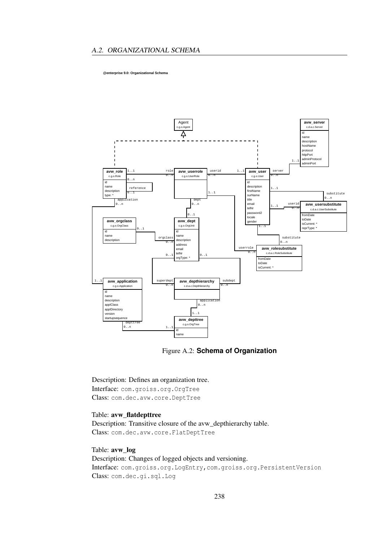**@enterprise 9.0: Organizational Schema**



<span id="page-237-0"></span>Figure A.2: **Schema of Organization**

Description: Defines an organization tree. Interface: com.groiss.org.OrgTree Class: com.dec.avw.core.DeptTree

## Table: avw\_flatdepttree

Description: Transitive closure of the avw\_depthierarchy table. Class: com.dec.avw.core.FlatDeptTree

#### Table: avw\_log

Description: Changes of logged objects and versioning.

Interface: com.groiss.org.LogEntry,com.groiss.org.PersistentVersion Class: com.dec.gi.sql.Log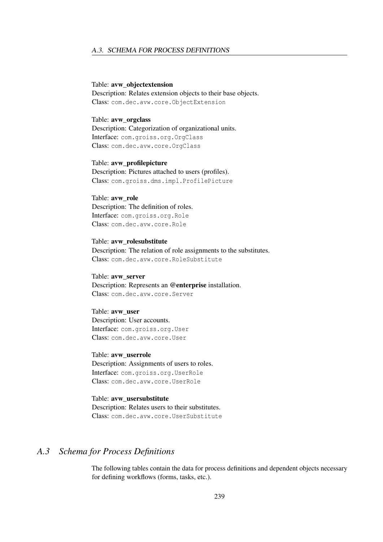#### A.3. SCHEMA FOR PROCESS DEFINITIONS

#### Table: avw\_objectextension

Description: Relates extension objects to their base objects. Class: com.dec.avw.core.ObjectExtension

Table: avw\_orgclass Description: Categorization of organizational units. Interface: com.groiss.org.OrgClass Class: com.dec.avw.core.OrgClass

Table: avw\_profilepicture Description: Pictures attached to users (profiles). Class: com.groiss.dms.impl.ProfilePicture

#### Table: avw\_role

Description: The definition of roles. Interface: com.groiss.org.Role Class: com.dec.avw.core.Role

Table: avw\_rolesubstitute Description: The relation of role assignments to the substitutes. Class: com.dec.avw.core.RoleSubstitute

Table: avw\_server Description: Represents an @enterprise installation.

Class: com.dec.avw.core.Server

Table: avw\_user Description: User accounts. Interface: com.groiss.org.User Class: com.dec.avw.core.User

Table: avw\_userrole Description: Assignments of users to roles. Interface: com.groiss.org.UserRole Class: com.dec.avw.core.UserRole

Table: avw\_usersubstitute Description: Relates users to their substitutes. Class: com.dec.avw.core.UserSubstitute

# *A.3 Schema for Process Definitions*

The following tables contain the data for process definitions and dependent objects necessary for defining workflows (forms, tasks, etc.).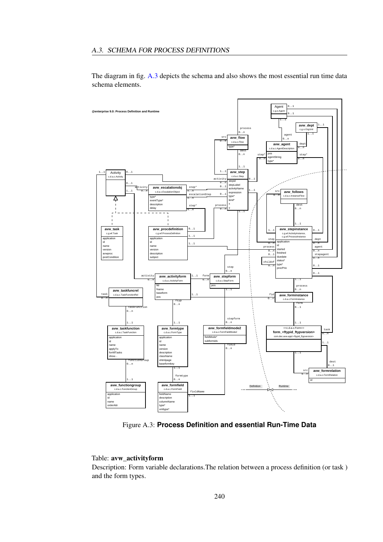The diagram in fig. [A.3](#page-239-0) depicts the schema and also shows the most essential run time data schema elements.



<span id="page-239-0"></span>Figure A.3: **Process Definition and essential Run-Time Data**

# Table: avw\_activityform

Description: Form variable declarations.The relation between a process definition (or task ) and the form types.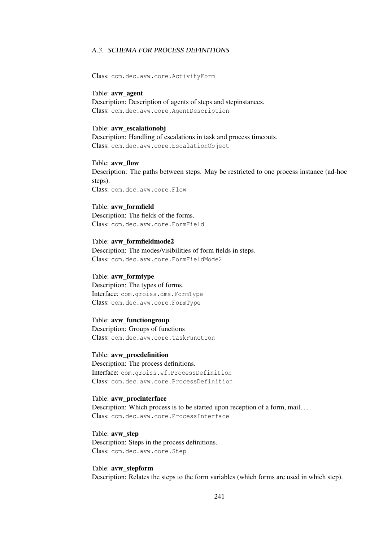#### A.3. SCHEMA FOR PROCESS DEFINITIONS

Class: com.dec.avw.core.ActivityForm

#### Table: avw\_agent

Description: Description of agents of steps and stepinstances. Class: com.dec.avw.core.AgentDescription

#### Table: avw\_escalationobj

Description: Handling of escalations in task and process timeouts. Class: com.dec.avw.core.EscalationObject

#### Table: avw\_flow

Description: The paths between steps. May be restricted to one process instance (ad-hoc steps). Class: com.dec.avw.core.Flow

#### Table: avw\_formfield

Description: The fields of the forms. Class: com.dec.avw.core.FormField

Table: avw\_formfieldmode2 Description: The modes/visibilities of form fields in steps. Class: com.dec.avw.core.FormFieldMode2

#### Table: avw\_formtype

Description: The types of forms. Interface: com.groiss.dms.FormType Class: com.dec.avw.core.FormType

#### Table: avw\_functiongroup

Description: Groups of functions Class: com.dec.avw.core.TaskFunction

Table: avw\_procdefinition Description: The process definitions. Interface: com.groiss.wf.ProcessDefinition Class: com.dec.avw.core.ProcessDefinition

#### Table: avw\_procinterface

Description: Which process is to be started upon reception of a form, mail, ... Class: com.dec.avw.core.ProcessInterface

Table: avw\_step Description: Steps in the process definitions. Class: com.dec.avw.core.Step

#### Table: avw\_stepform

Description: Relates the steps to the form variables (which forms are used in which step).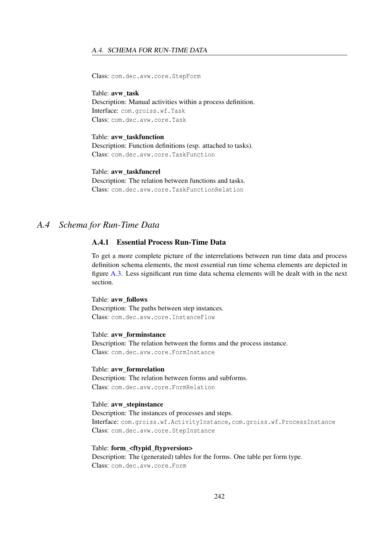#### A.4. SCHEMA FOR RUN-TIME DATA

Class: com.dec.avw.core.StepForm

Table: avw\_task Description: Manual activities within a process definition. Interface: com.groiss.wf.Task Class: com.dec.avw.core.Task

Table: avw\_taskfunction

Description: Function definitions (esp. attached to tasks). Class: com.dec.avw.core.TaskFunction

Table: avw\_taskfuncrel Description: The relation between functions and tasks. Class: com.dec.avw.core.TaskFunctionRelation

# *A.4 Schema for Run-Time Data*

# A.4.1 Essential Process Run-Time Data

To get a more complete picture of the interrelations between run time data and process definition schema elements, the most essential run time schema elements are depicted in figure [A.3.](#page-239-0) Less significant run time data schema elements will be dealt with in the next section.

Table: avw\_follows

Description: The paths between step instances. Class: com.dec.avw.core.InstanceFlow

Table: avw\_forminstance

Description: The relation between the forms and the process instance. Class: com.dec.avw.core.FormInstance

Table: avw\_formrelation

Description: The relation between forms and subforms. Class: com.dec.avw.core.FormRelation

# Table: avw\_stepinstance

Description: The instances of processes and steps. Interface: com.groiss.wf.ActivityInstance,com.groiss.wf.ProcessInstance Class: com.dec.avw.core.StepInstance

Table: form\_<ftypid\_ftypversion> Description: The (generated) tables for the forms. One table per form type. Class: com.dec.avw.core.Form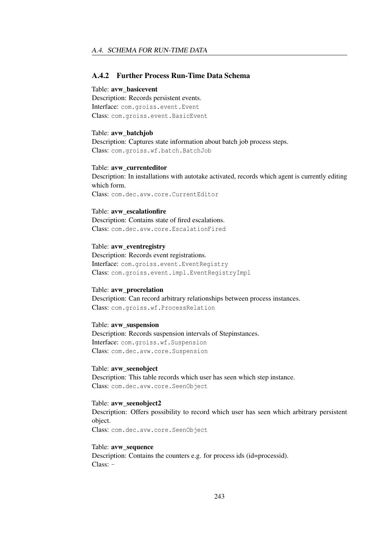# A.4.2 Further Process Run-Time Data Schema

#### Table: avw\_basicevent

Description: Records persistent events. Interface: com.groiss.event.Event Class: com.groiss.event.BasicEvent

#### Table: avw\_batchjob

Description: Captures state information about batch job process steps. Class: com.groiss.wf.batch.BatchJob

#### Table: avw\_currenteditor

Description: In installations with autotake activated, records which agent is currently editing which form. Class: com.dec.avw.core.CurrentEditor

#### Table: avw\_escalationfire

Description: Contains state of fired escalations. Class: com.dec.avw.core.EscalationFired

Table: avw\_eventregistry Description: Records event registrations. Interface: com.groiss.event.EventRegistry Class: com.groiss.event.impl.EventRegistryImpl

#### Table: avw\_procrelation

Description: Can record arbitrary relationships between process instances. Class: com.groiss.wf.ProcessRelation

Table: avw\_suspension Description: Records suspension intervals of Stepinstances. Interface: com.groiss.wf.Suspension Class: com.dec.avw.core.Suspension

#### Table: avw\_seenobject

Description: This table records which user has seen which step instance. Class: com.dec.avw.core.SeenObject

#### Table: avw\_seenobject2

Description: Offers possibility to record which user has seen which arbitrary persistent object.

Class: com.dec.avw.core.SeenObject

Table: avw\_sequence Description: Contains the counters e.g. for process ids (id=processid). Class: -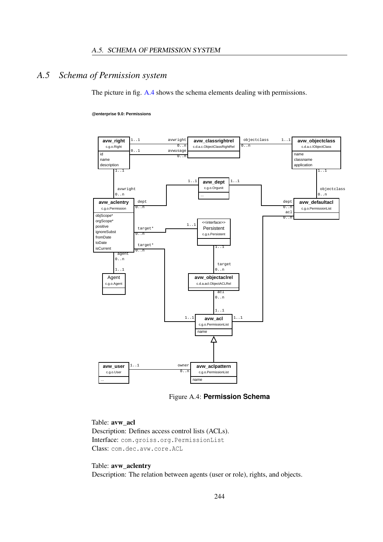# *A.5 Schema of Permission system*

The picture in fig. [A.4](#page-243-0) shows the schema elements dealing with permissions.

**@enterprise 9.0: Permissions**



<span id="page-243-0"></span>Figure A.4: **Permission Schema**

Table: avw\_acl Description: Defines access control lists (ACLs). Interface: com.groiss.org.PermissionList Class: com.dec.avw.core.ACL

Table: avw\_aclentry

Description: The relation between agents (user or role), rights, and objects.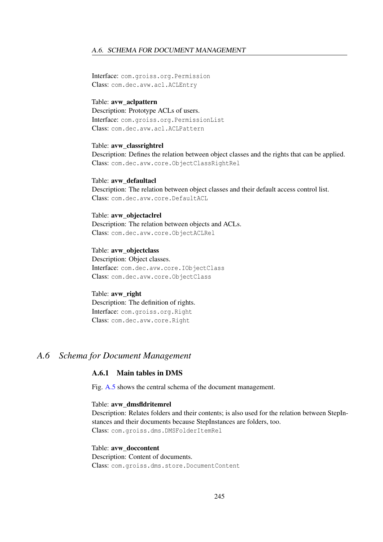#### A.6. SCHEMA FOR DOCUMENT MANAGEMENT

Interface: com.groiss.org.Permission Class: com.dec.avw.acl.ACLEntry

Table: avw\_aclpattern Description: Prototype ACLs of users. Interface: com.groiss.org.PermissionList Class: com.dec.avw.acl.ACLPattern

Table: avw\_classrightrel

Description: Defines the relation between object classes and the rights that can be applied. Class: com.dec.avw.core.ObjectClassRightRel

Table: avw\_defaultacl Description: The relation between object classes and their default access control list. Class: com.dec.avw.core.DefaultACL

Table: avw\_objectaclrel Description: The relation between objects and ACLs. Class: com.dec.avw.core.ObjectACLRel

Table: avw\_objectclass

Description: Object classes. Interface: com.dec.avw.core.IObjectClass Class: com.dec.avw.core.ObjectClass

Table: avw right Description: The definition of rights. Interface: com.groiss.org.Right Class: com.dec.avw.core.Right

# *A.6 Schema for Document Management*

# A.6.1 Main tables in DMS

Fig. [A.5](#page-245-0) shows the central schema of the document management.

#### Table: avw\_dmsfldritemrel

Description: Relates folders and their contents; is also used for the relation between StepInstances and their documents because StepInstances are folders, too. Class: com.groiss.dms.DMSFolderItemRel

Table: avw\_doccontent Description: Content of documents. Class: com.groiss.dms.store.DocumentContent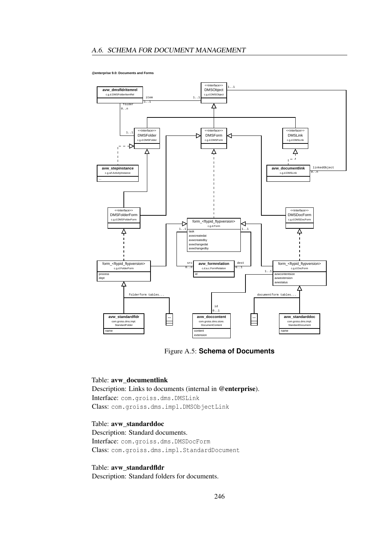#### **@enterprise 9.0: Documents and Forms**



<span id="page-245-0"></span>Figure A.5: **Schema of Documents**

# Table: avw\_documentlink

Description: Links to documents (internal in @enterprise). Interface: com.groiss.dms.DMSLink Class: com.groiss.dms.impl.DMSObjectLink

# Table: avw\_standarddoc

Description: Standard documents.

Interface: com.groiss.dms.DMSDocForm Class: com.groiss.dms.impl.StandardDocument

#### Table: avw\_standardfldr

Description: Standard folders for documents.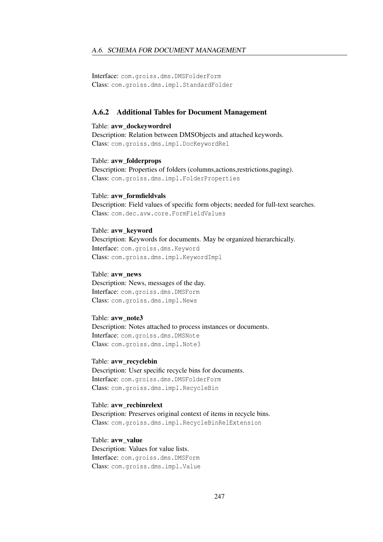#### A.6. SCHEMA FOR DOCUMENT MANAGEMENT

Interface: com.groiss.dms.DMSFolderForm Class: com.groiss.dms.impl.StandardFolder

# A.6.2 Additional Tables for Document Management

#### Table: avw\_dockeywordrel

Description: Relation between DMSObjects and attached keywords. Class: com.groiss.dms.impl.DocKeywordRel

#### Table: avw\_folderprops

Description: Properties of folders (columns,actions,restrictions,paging). Class: com.groiss.dms.impl.FolderProperties

#### Table: avw\_formfieldvals

Description: Field values of specific form objects; needed for full-text searches. Class: com.dec.avw.core.FormFieldValues

#### Table: avw\_keyword

Description: Keywords for documents. May be organized hierarchically. Interface: com.groiss.dms.Keyword Class: com.groiss.dms.impl.KeywordImpl

#### Table: avw\_news

Description: News, messages of the day. Interface: com.groiss.dms.DMSForm Class: com.groiss.dms.impl.News

#### Table: avw\_note3

Description: Notes attached to process instances or documents. Interface: com.groiss.dms.DMSNote Class: com.groiss.dms.impl.Note3

## Table: avw\_recyclebin

Description: User specific recycle bins for documents. Interface: com.groiss.dms.DMSFolderForm Class: com.groiss.dms.impl.RecycleBin

# Table: avw\_recbinrelext Description: Preserves original context of items in recycle bins. Class: com.groiss.dms.impl.RecycleBinRelExtension

# Table: avw\_value

Description: Values for value lists. Interface: com.groiss.dms.DMSForm Class: com.groiss.dms.impl.Value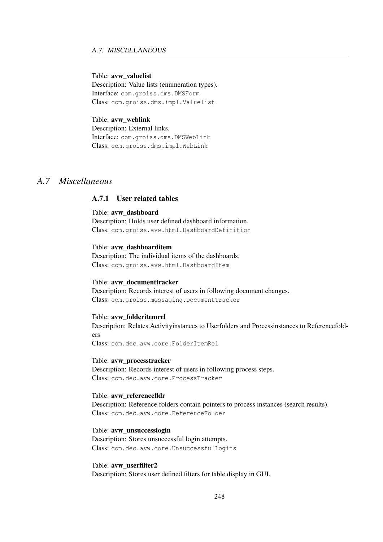#### A.7. MISCELLANEOUS

#### Table: avw\_valuelist

Description: Value lists (enumeration types). Interface: com.groiss.dms.DMSForm Class: com.groiss.dms.impl.Valuelist

Table: avw\_weblink Description: External links. Interface: com.groiss.dms.DMSWebLink Class: com.groiss.dms.impl.WebLink

# *A.7 Miscellaneous*

# A.7.1 User related tables

#### Table: avw\_dashboard

Description: Holds user defined dashboard information. Class: com.groiss.avw.html.DashboardDefinition

# Table: avw\_dashboarditem

Description: The individual items of the dashboards. Class: com.groiss.avw.html.DashboardItem

#### Table: avw\_documenttracker

Description: Records interest of users in following document changes. Class: com.groiss.messaging.DocumentTracker

#### Table: avw\_folderitemrel

Description: Relates Activityinstances to Userfolders and Processinstances to Referencefolders Class: com.dec.avw.core.FolderItemRel

Table: avw\_processtracker Description: Records interest of users in following process steps. Class: com.dec.avw.core.ProcessTracker

# Table: avw\_referencefldr

Description: Reference folders contain pointers to process instances (search results). Class: com.dec.avw.core.ReferenceFolder

Table: avw\_unsuccesslogin

Description: Stores unsuccessful login attempts. Class: com.dec.avw.core.UnsuccessfulLogins

Table: avw\_userfilter2 Description: Stores user defined filters for table display in GUI.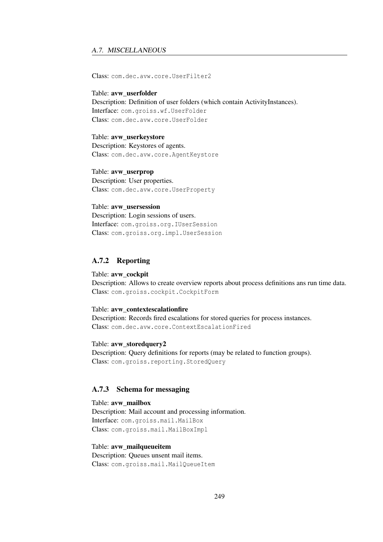#### A.7. MISCELLANEOUS

Class: com.dec.avw.core.UserFilter2

Table: avw\_userfolder Description: Definition of user folders (which contain ActivityInstances). Interface: com.groiss.wf.UserFolder Class: com.dec.avw.core.UserFolder

Table: avw\_userkeystore Description: Keystores of agents. Class: com.dec.avw.core.AgentKeystore

Table: avw\_userprop Description: User properties. Class: com.dec.avw.core.UserProperty

Table: avw\_usersession Description: Login sessions of users. Interface: com.groiss.org.IUserSession Class: com.groiss.org.impl.UserSession

# A.7.2 Reporting

#### Table: avw\_cockpit

Description: Allows to create overview reports about process definitions ans run time data. Class: com.groiss.cockpit.CockpitForm

#### Table: avw\_contextescalationfire

Description: Records fired escalations for stored queries for process instances. Class: com.dec.avw.core.ContextEscalationFired

Table: avw\_storedquery2

Description: Query definitions for reports (may be related to function groups). Class: com.groiss.reporting.StoredQuery

## A.7.3 Schema for messaging

Table: avw\_mailbox Description: Mail account and processing information. Interface: com.groiss.mail.MailBox Class: com.groiss.mail.MailBoxImpl

Table: avw\_mailqueueitem Description: Queues unsent mail items. Class: com.groiss.mail.MailQueueItem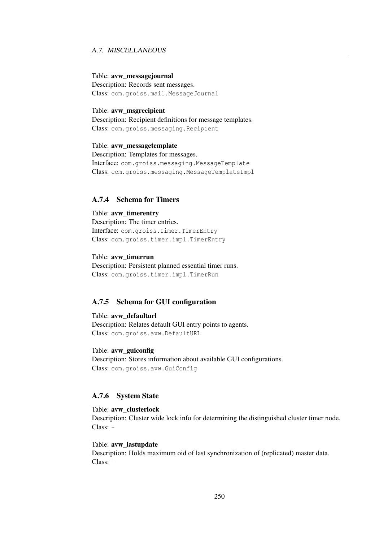#### Table: avw\_messagejournal

Description: Records sent messages. Class: com.groiss.mail.MessageJournal

#### Table: avw\_msgrecipient

Description: Recipient definitions for message templates. Class: com.groiss.messaging.Recipient

#### Table: avw\_messagetemplate

Description: Templates for messages. Interface: com.groiss.messaging.MessageTemplate Class: com.groiss.messaging.MessageTemplateImpl

# A.7.4 Schema for Timers

# Table: avw\_timerentry Description: The timer entries. Interface: com.groiss.timer.TimerEntry

Class: com.groiss.timer.impl.TimerEntry

## Table: avw\_timerrun

Description: Persistent planned essential timer runs. Class: com.groiss.timer.impl.TimerRun

# A.7.5 Schema for GUI configuration

Table: avw\_defaulturl Description: Relates default GUI entry points to agents. Class: com.groiss.avw.DefaultURL

Table: avw\_guiconfig Description: Stores information about available GUI configurations. Class: com.groiss.avw.GuiConfig

# A.7.6 System State

#### Table: avw\_clusterlock

Description: Cluster wide lock info for determining the distinguished cluster timer node. Class: -

Table: avw\_lastupdate

Description: Holds maximum oid of last synchronization of (replicated) master data. Class: -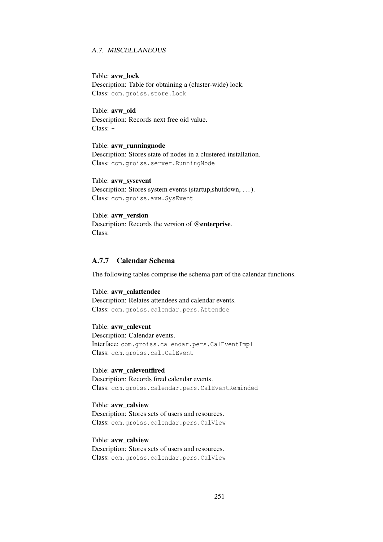#### A.7. MISCELLANEOUS

Table: avw\_lock Description: Table for obtaining a (cluster-wide) lock. Class: com.groiss.store.Lock

Table: avw\_oid Description: Records next free oid value. Class: -

Table: avw\_runningnode Description: Stores state of nodes in a clustered installation. Class: com.groiss.server.RunningNode

Table: avw\_sysevent Description: Stores system events (startup,shutdown, . . . ). Class: com.groiss.avw.SysEvent

Table: avw\_version Description: Records the version of @enterprise. Class: -

# A.7.7 Calendar Schema

The following tables comprise the schema part of the calendar functions.

Table: avw\_calattendee Description: Relates attendees and calendar events. Class: com.groiss.calendar.pers.Attendee

Table: avw\_calevent Description: Calendar events. Interface: com.groiss.calendar.pers.CalEventImpl Class: com.groiss.cal.CalEvent

Table: avw\_caleventfired Description: Records fired calendar events. Class: com.groiss.calendar.pers.CalEventReminded

Table: avw\_calview Description: Stores sets of users and resources. Class: com.groiss.calendar.pers.CalView

Table: avw\_calview Description: Stores sets of users and resources. Class: com.groiss.calendar.pers.CalView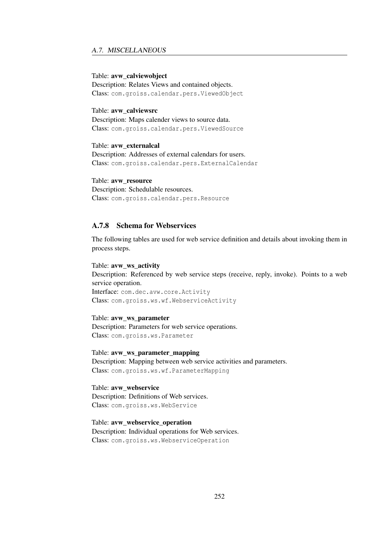#### Table: avw\_calviewobject

Description: Relates Views and contained objects. Class: com.groiss.calendar.pers.ViewedObject

#### Table: avw\_calviewsrc

Description: Maps calender views to source data. Class: com.groiss.calendar.pers.ViewedSource

#### Table: avw\_externalcal

Description: Addresses of external calendars for users. Class: com.groiss.calendar.pers.ExternalCalendar

#### Table: avw\_resource

Description: Schedulable resources. Class: com.groiss.calendar.pers.Resource

#### A.7.8 Schema for Webservices

The following tables are used for web service definition and details about invoking them in process steps.

Table: avw\_ws\_activity Description: Referenced by web service steps (receive, reply, invoke). Points to a web service operation.

Interface: com.dec.avw.core.Activity Class: com.groiss.ws.wf.WebserviceActivity

#### Table: avw\_ws\_parameter

Description: Parameters for web service operations. Class: com.groiss.ws.Parameter

Table: avw\_ws\_parameter\_mapping Description: Mapping between web service activities and parameters. Class: com.groiss.ws.wf.ParameterMapping

# Table: avw\_webservice Description: Definitions of Web services. Class: com.groiss.ws.WebService

Table: avw\_webservice\_operation Description: Individual operations for Web services. Class: com.groiss.ws.WebserviceOperation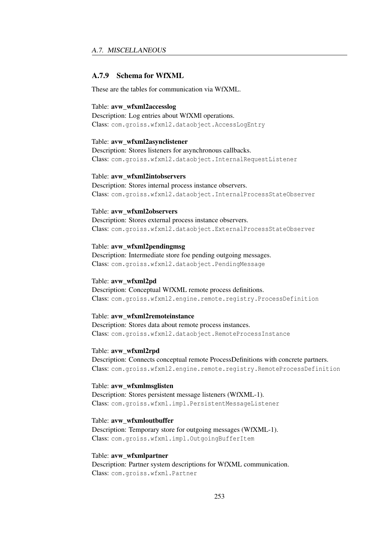# A.7.9 Schema for WfXML

These are the tables for communication via WfXML.

Table: avw\_wfxml2accesslog

Description: Log entries about WfXMl operations. Class: com.groiss.wfxml2.dataobject.AccessLogEntry

#### Table: avw\_wfxml2asynclistener

Description: Stores listeners for asynchronous callbacks. Class: com.groiss.wfxml2.dataobject.InternalRequestListener

#### Table: avw\_wfxml2intobservers

Description: Stores internal process instance observers. Class: com.groiss.wfxml2.dataobject.InternalProcessStateObserver

#### Table: avw\_wfxml2observers

Description: Stores external process instance observers. Class: com.groiss.wfxml2.dataobject.ExternalProcessStateObserver

#### Table: avw\_wfxml2pendingmsg

Description: Intermediate store foe pending outgoing messages. Class: com.groiss.wfxml2.dataobject.PendingMessage

#### Table: avw\_wfxml2pd

Description: Conceptual WfXML remote process definitions. Class: com.groiss.wfxml2.engine.remote.registry.ProcessDefinition

#### Table: avw\_wfxml2remoteinstance

Description: Stores data about remote process instances. Class: com.groiss.wfxml2.dataobject.RemoteProcessInstance

# Table: avw\_wfxml2rpd

Description: Connects conceptual remote ProcessDefinitions with concrete partners. Class: com.groiss.wfxml2.engine.remote.registry.RemoteProcessDefinition

# Table: avw\_wfxmlmsglisten

Description: Stores persistent message listeners (WfXML-1). Class: com.groiss.wfxml.impl.PersistentMessageListener

#### Table: avw\_wfxmloutbuffer

Description: Temporary store for outgoing messages (WfXML-1). Class: com.groiss.wfxml.impl.OutgoingBufferItem

# Table: avw\_wfxmlpartner

Description: Partner system descriptions for WfXML communication. Class: com.groiss.wfxml.Partner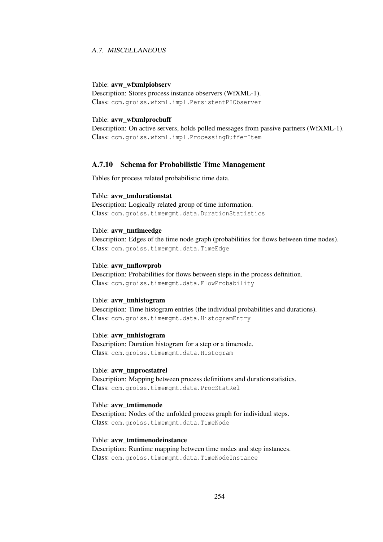#### Table: avw\_wfxmlpiobserv

Description: Stores process instance observers (WfXML-1). Class: com.groiss.wfxml.impl.PersistentPIObserver

#### Table: avw\_wfxmlprocbuff

Description: On active servers, holds polled messages from passive partners (WfXML-1). Class: com.groiss.wfxml.impl.ProcessingBufferItem

#### A.7.10 Schema for Probabilistic Time Management

Tables for process related probabilistic time data.

# Table: avw\_tmdurationstat

Description: Logically related group of time information. Class: com.groiss.timemgmt.data.DurationStatistics

#### Table: avw\_tmtimeedge

Description: Edges of the time node graph (probabilities for flows between time nodes). Class: com.groiss.timemgmt.data.TimeEdge

#### Table: avw\_tmflowprob

Description: Probabilities for flows between steps in the process definition. Class: com.groiss.timemgmt.data.FlowProbability

#### Table: avw\_tmhistogram

Description: Time histogram entries (the individual probabilities and durations). Class: com.groiss.timemgmt.data.HistogramEntry

#### Table: avw\_tmhistogram

Description: Duration histogram for a step or a timenode. Class: com.groiss.timemgmt.data.Histogram

# Table: avw\_tmprocstatrel

Description: Mapping between process definitions and durationstatistics. Class: com.groiss.timemgmt.data.ProcStatRel

# Table: avw\_tmtimenode

Description: Nodes of the unfolded process graph for individual steps. Class: com.groiss.timemgmt.data.TimeNode

# Table: avw\_tmtimenodeinstance

Description: Runtime mapping between time nodes and step instances. Class: com.groiss.timemgmt.data.TimeNodeInstance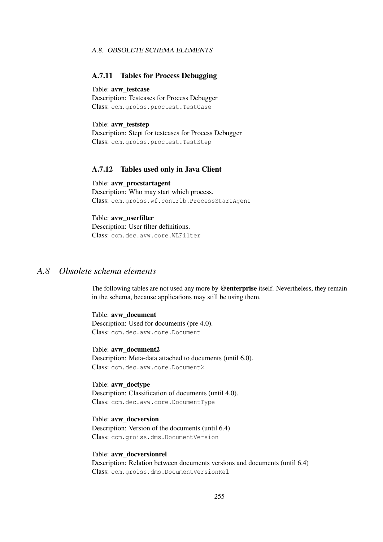# A.7.11 Tables for Process Debugging

Table: avw\_testcase Description: Testcases for Process Debugger Class: com.groiss.proctest.TestCase

Table: avw\_teststep Description: Stept for testcases for Process Debugger Class: com.groiss.proctest.TestStep

# A.7.12 Tables used only in Java Client

Table: avw\_procstartagent Description: Who may start which process. Class: com.groiss.wf.contrib.ProcessStartAgent

#### Table: avw\_userfilter

Description: User filter definitions. Class: com.dec.avw.core.WLFilter

# *A.8 Obsolete schema elements*

The following tables are not used any more by @enterprise itself. Nevertheless, they remain in the schema, because applications may still be using them.

Table: avw\_document Description: Used for documents (pre 4.0). Class: com.dec.avw.core.Document

Table: avw\_document2 Description: Meta-data attached to documents (until 6.0). Class: com.dec.avw.core.Document2

Table: avw\_doctype Description: Classification of documents (until 4.0). Class: com.dec.avw.core.DocumentType

Table: avw\_docversion Description: Version of the documents (until 6.4) Class: com.groiss.dms.DocumentVersion

Table: avw\_docversionrel Description: Relation between documents versions and documents (until 6.4) Class: com.groiss.dms.DocumentVersionRel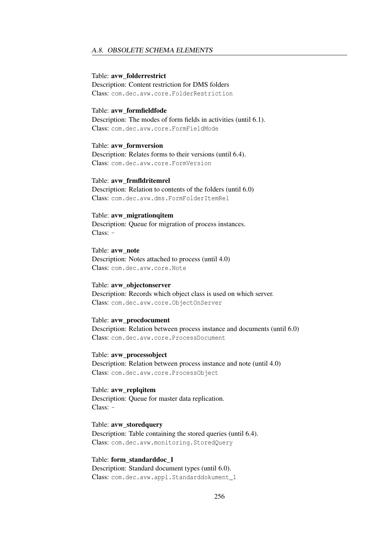### Table: avw\_folderrestrict

Description: Content restriction for DMS folders Class: com.dec.avw.core.FolderRestriction

#### Table: avw\_formfieldfode

Description: The modes of form fields in activities (until 6.1). Class: com.dec.avw.core.FormFieldMode

#### Table: avw\_formversion

Description: Relates forms to their versions (until 6.4). Class: com.dec.avw.core.FormVersion

# Table: avw\_frmfldritemrel

Description: Relation to contents of the folders (until 6.0) Class: com.dec.avw.dms.FormFolderItemRel

# Table: avw\_migrationqitem

Description: Queue for migration of process instances. Class: -

Table: avw\_note Description: Notes attached to process (until 4.0) Class: com.dec.avw.core.Note

# Table: avw\_objectonserver

Description: Records which object class is used on which server. Class: com.dec.avw.core.ObjectOnServer

#### Table: avw\_procdocument

Description: Relation between process instance and documents (until 6.0) Class: com.dec.avw.core.ProcessDocument

Table: avw\_processobject Description: Relation between process instance and note (until 4.0) Class: com.dec.avw.core.ProcessObject

Table: avw\_replqitem Description: Queue for master data replication. Class: -

Table: avw\_storedquery Description: Table containing the stored queries (until 6.4). Class: com.dec.avw.monitoring.StoredQuery

Table: form\_standarddoc\_1 Description: Standard document types (until 6.0). Class: com.dec.avw.appl.Standarddokument\_1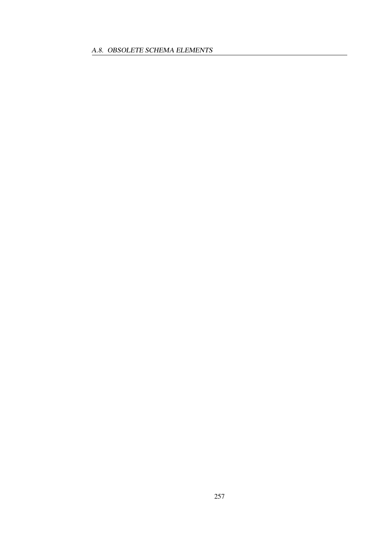# A.8. OBSOLETE SCHEMA ELEMENTS